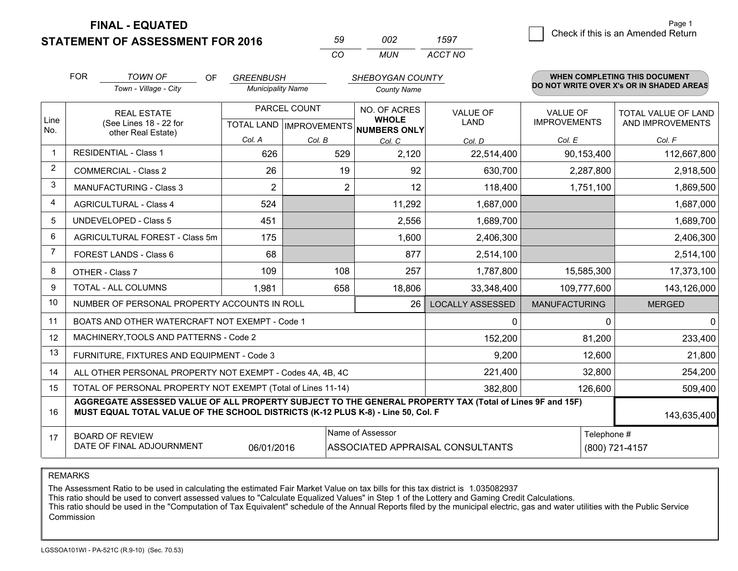**STATEMENT OF ASSESSMENT FOR 2016** 

| 59       | nnə | 1597    |
|----------|-----|---------|
| $\cdots$ | MUN | ACCT NO |

|             | <b>FOR</b>                                                                                                                                                 | <b>TOWN OF</b><br>OF                                                                                                                                                                         | <b>GREENBUSH</b>                                     |        | <b>SHEBOYGAN COUNTY</b>      |                         |                                        | WHEN COMPLETING THIS DOCUMENT                  |
|-------------|------------------------------------------------------------------------------------------------------------------------------------------------------------|----------------------------------------------------------------------------------------------------------------------------------------------------------------------------------------------|------------------------------------------------------|--------|------------------------------|-------------------------|----------------------------------------|------------------------------------------------|
|             |                                                                                                                                                            | Town - Village - City                                                                                                                                                                        | <b>Municipality Name</b>                             |        | <b>County Name</b>           |                         |                                        | DO NOT WRITE OVER X's OR IN SHADED AREAS       |
| Line<br>No. |                                                                                                                                                            | <b>REAL ESTATE</b><br>(See Lines 18 - 22 for                                                                                                                                                 | PARCEL COUNT<br>TOTAL LAND IMPROVEMENTS NUMBERS ONLY |        | NO. OF ACRES<br><b>WHOLE</b> | <b>VALUE OF</b><br>LAND | <b>VALUE OF</b><br><b>IMPROVEMENTS</b> | <b>TOTAL VALUE OF LAND</b><br>AND IMPROVEMENTS |
|             |                                                                                                                                                            | other Real Estate)                                                                                                                                                                           | Col. A                                               | Col. B | Col. C                       | Col. D                  | Col. E                                 | Col. F                                         |
|             |                                                                                                                                                            | <b>RESIDENTIAL - Class 1</b>                                                                                                                                                                 | 626                                                  | 529    | 2,120                        | 22,514,400              | 90,153,400                             | 112,667,800                                    |
| 2           |                                                                                                                                                            | <b>COMMERCIAL - Class 2</b>                                                                                                                                                                  | 26                                                   | 19     | 92                           | 630,700                 | 2,287,800                              | 2,918,500                                      |
| 3           |                                                                                                                                                            | MANUFACTURING - Class 3                                                                                                                                                                      | $\overline{2}$                                       | 2      | 12                           | 118,400                 | 1,751,100                              | 1,869,500                                      |
| 4           |                                                                                                                                                            | <b>AGRICULTURAL - Class 4</b>                                                                                                                                                                | 524                                                  |        | 11,292                       | 1,687,000               |                                        | 1,687,000                                      |
| 5           |                                                                                                                                                            | UNDEVELOPED - Class 5                                                                                                                                                                        | 451                                                  |        | 2,556                        | 1,689,700               |                                        | 1,689,700                                      |
| 6           |                                                                                                                                                            | AGRICULTURAL FOREST - Class 5m                                                                                                                                                               | 175                                                  |        | 1,600                        | 2,406,300               |                                        | 2,406,300                                      |
| 7           |                                                                                                                                                            | FOREST LANDS - Class 6                                                                                                                                                                       | 68                                                   |        | 877                          | 2,514,100               |                                        | 2,514,100                                      |
| 8           |                                                                                                                                                            | OTHER - Class 7                                                                                                                                                                              | 109                                                  | 108    | 257                          | 1,787,800               | 15,585,300                             | 17,373,100                                     |
| 9           |                                                                                                                                                            | TOTAL - ALL COLUMNS                                                                                                                                                                          | 1,981                                                | 658    | 18,806                       | 33,348,400              | 109,777,600                            | 143,126,000                                    |
| 10          |                                                                                                                                                            | NUMBER OF PERSONAL PROPERTY ACCOUNTS IN ROLL                                                                                                                                                 |                                                      |        | 26                           | <b>LOCALLY ASSESSED</b> | <b>MANUFACTURING</b>                   | <b>MERGED</b>                                  |
| 11          |                                                                                                                                                            | BOATS AND OTHER WATERCRAFT NOT EXEMPT - Code 1                                                                                                                                               |                                                      |        |                              | 0                       | 0                                      | $\mathbf{0}$                                   |
| 12          |                                                                                                                                                            | MACHINERY, TOOLS AND PATTERNS - Code 2                                                                                                                                                       |                                                      |        |                              | 152,200                 | 81,200                                 | 233,400                                        |
| 13          |                                                                                                                                                            | FURNITURE, FIXTURES AND EQUIPMENT - Code 3                                                                                                                                                   |                                                      |        |                              | 9,200                   | 12,600                                 | 21,800                                         |
| 14          |                                                                                                                                                            | ALL OTHER PERSONAL PROPERTY NOT EXEMPT - Codes 4A, 4B, 4C                                                                                                                                    |                                                      |        |                              | 221,400                 | 32,800                                 | 254,200                                        |
| 15          |                                                                                                                                                            | TOTAL OF PERSONAL PROPERTY NOT EXEMPT (Total of Lines 11-14)                                                                                                                                 |                                                      |        |                              | 382,800                 | 126,600                                | 509,400                                        |
| 16          |                                                                                                                                                            | AGGREGATE ASSESSED VALUE OF ALL PROPERTY SUBJECT TO THE GENERAL PROPERTY TAX (Total of Lines 9F and 15F)<br>MUST EQUAL TOTAL VALUE OF THE SCHOOL DISTRICTS (K-12 PLUS K-8) - Line 50, Col. F |                                                      |        |                              |                         |                                        | 143,635,400                                    |
| 17          | Name of Assessor<br>Telephone #<br><b>BOARD OF REVIEW</b><br>DATE OF FINAL ADJOURNMENT<br>06/01/2016<br>ASSOCIATED APPRAISAL CONSULTANTS<br>(800) 721-4157 |                                                                                                                                                                                              |                                                      |        |                              |                         |                                        |                                                |

REMARKS

The Assessment Ratio to be used in calculating the estimated Fair Market Value on tax bills for this tax district is 1.035082937

This ratio should be used to convert assessed values to "Calculate Equalized Values" in Step 1 of the Lottery and Gaming Credit Calculations.<br>This ratio should be used in the "Computation of Tax Equivalent" schedule of the Commission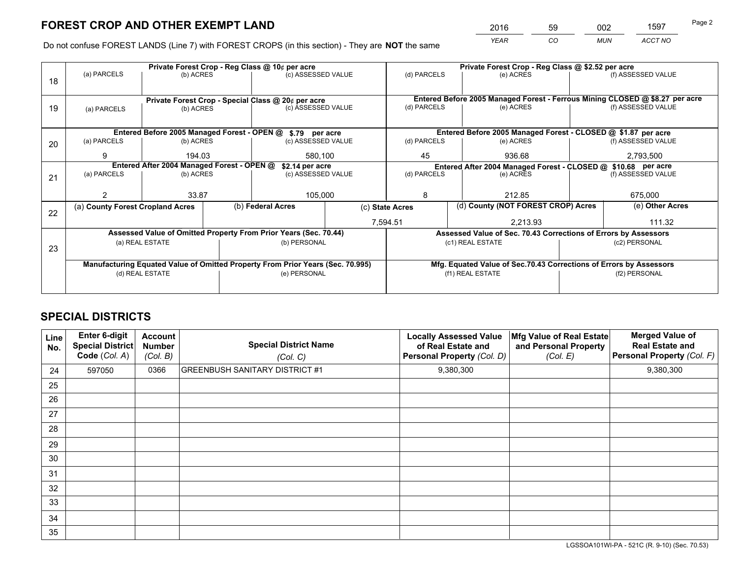*YEAR CO MUN ACCT NO* <sup>2016</sup> <sup>59</sup> <sup>002</sup> <sup>1597</sup>

Do not confuse FOREST LANDS (Line 7) with FOREST CROPS (in this section) - They are **NOT** the same

|    |                                                                                |                                 |  | Private Forest Crop - Reg Class @ 10¢ per acre                   |                                                                                  | Private Forest Crop - Reg Class @ \$2.52 per acre                            |                                                                    |                    |                    |  |
|----|--------------------------------------------------------------------------------|---------------------------------|--|------------------------------------------------------------------|----------------------------------------------------------------------------------|------------------------------------------------------------------------------|--------------------------------------------------------------------|--------------------|--------------------|--|
| 18 | (a) PARCELS                                                                    | (b) ACRES                       |  | (c) ASSESSED VALUE                                               |                                                                                  | (d) PARCELS                                                                  | (e) ACRES                                                          |                    | (f) ASSESSED VALUE |  |
|    |                                                                                |                                 |  |                                                                  |                                                                                  |                                                                              |                                                                    |                    |                    |  |
|    | Private Forest Crop - Special Class @ 20¢ per acre                             |                                 |  |                                                                  |                                                                                  | Entered Before 2005 Managed Forest - Ferrous Mining CLOSED @ \$8.27 per acre |                                                                    |                    |                    |  |
| 19 | (a) PARCELS                                                                    | (c) ASSESSED VALUE<br>(b) ACRES |  |                                                                  | (d) PARCELS                                                                      | (e) ACRES                                                                    |                                                                    | (f) ASSESSED VALUE |                    |  |
|    |                                                                                |                                 |  |                                                                  |                                                                                  |                                                                              |                                                                    |                    |                    |  |
|    |                                                                                |                                 |  | Entered Before 2005 Managed Forest - OPEN @ \$.79 per acre       |                                                                                  |                                                                              | Entered Before 2005 Managed Forest - CLOSED @ \$1.87 per acre      |                    |                    |  |
| 20 | (a) PARCELS                                                                    | (b) ACRES                       |  | (c) ASSESSED VALUE                                               |                                                                                  | (d) PARCELS                                                                  | (e) ACRES                                                          |                    | (f) ASSESSED VALUE |  |
|    | 9                                                                              | 194.03                          |  | 580.100                                                          |                                                                                  | 45<br>936.68                                                                 |                                                                    |                    | 2,793,500          |  |
|    | Entered After 2004 Managed Forest - OPEN @                                     |                                 |  |                                                                  | \$2.14 per acre<br>Entered After 2004 Managed Forest - CLOSED @ \$10.68 per acre |                                                                              |                                                                    |                    |                    |  |
| 21 | (a) PARCELS                                                                    | (b) ACRES                       |  | (c) ASSESSED VALUE                                               |                                                                                  | (d) PARCELS<br>(e) ACRES                                                     |                                                                    |                    | (f) ASSESSED VALUE |  |
|    |                                                                                |                                 |  |                                                                  |                                                                                  |                                                                              |                                                                    |                    |                    |  |
|    |                                                                                | 33.87                           |  | 105,000                                                          |                                                                                  | 8                                                                            | 212.85                                                             |                    | 675,000            |  |
| 22 | (a) County Forest Cropland Acres                                               |                                 |  | (b) Federal Acres                                                | (c) State Acres                                                                  |                                                                              | (d) County (NOT FOREST CROP) Acres                                 |                    | (e) Other Acres    |  |
|    |                                                                                |                                 |  |                                                                  | 7,594.51                                                                         |                                                                              | 2,213.93                                                           |                    | 111.32             |  |
|    |                                                                                |                                 |  | Assessed Value of Omitted Property From Prior Years (Sec. 70.44) |                                                                                  |                                                                              | Assessed Value of Sec. 70.43 Corrections of Errors by Assessors    |                    |                    |  |
| 23 |                                                                                | (a) REAL ESTATE                 |  | (b) PERSONAL                                                     |                                                                                  |                                                                              | (c1) REAL ESTATE                                                   |                    | (c2) PERSONAL      |  |
|    |                                                                                |                                 |  |                                                                  |                                                                                  |                                                                              |                                                                    |                    |                    |  |
|    | Manufacturing Equated Value of Omitted Property From Prior Years (Sec. 70.995) |                                 |  |                                                                  |                                                                                  |                                                                              | Mfg. Equated Value of Sec.70.43 Corrections of Errors by Assessors |                    |                    |  |
|    |                                                                                | (d) REAL ESTATE                 |  | (e) PERSONAL                                                     |                                                                                  | (f1) REAL ESTATE                                                             |                                                                    |                    | (f2) PERSONAL      |  |
|    |                                                                                |                                 |  |                                                                  |                                                                                  |                                                                              |                                                                    |                    |                    |  |

## **SPECIAL DISTRICTS**

| Line<br>No. | Enter 6-digit<br><b>Special District</b><br>Code (Col. A) | <b>Account</b><br><b>Number</b><br>(Col. B) | <b>Special District Name</b><br>(Col. C) | <b>Locally Assessed Value</b><br>of Real Estate and<br>Personal Property (Col. D) | Mfg Value of Real Estate<br>and Personal Property<br>(Col. E) | <b>Merged Value of</b><br><b>Real Estate and</b><br>Personal Property (Col. F) |
|-------------|-----------------------------------------------------------|---------------------------------------------|------------------------------------------|-----------------------------------------------------------------------------------|---------------------------------------------------------------|--------------------------------------------------------------------------------|
| 24          | 597050                                                    | 0366                                        | <b>GREENBUSH SANITARY DISTRICT #1</b>    | 9,380,300                                                                         |                                                               | 9,380,300                                                                      |
| 25          |                                                           |                                             |                                          |                                                                                   |                                                               |                                                                                |
| 26          |                                                           |                                             |                                          |                                                                                   |                                                               |                                                                                |
| 27          |                                                           |                                             |                                          |                                                                                   |                                                               |                                                                                |
| 28          |                                                           |                                             |                                          |                                                                                   |                                                               |                                                                                |
| 29          |                                                           |                                             |                                          |                                                                                   |                                                               |                                                                                |
| 30          |                                                           |                                             |                                          |                                                                                   |                                                               |                                                                                |
| 31          |                                                           |                                             |                                          |                                                                                   |                                                               |                                                                                |
| 32          |                                                           |                                             |                                          |                                                                                   |                                                               |                                                                                |
| 33          |                                                           |                                             |                                          |                                                                                   |                                                               |                                                                                |
| 34          |                                                           |                                             |                                          |                                                                                   |                                                               |                                                                                |
| 35          |                                                           |                                             |                                          |                                                                                   |                                                               |                                                                                |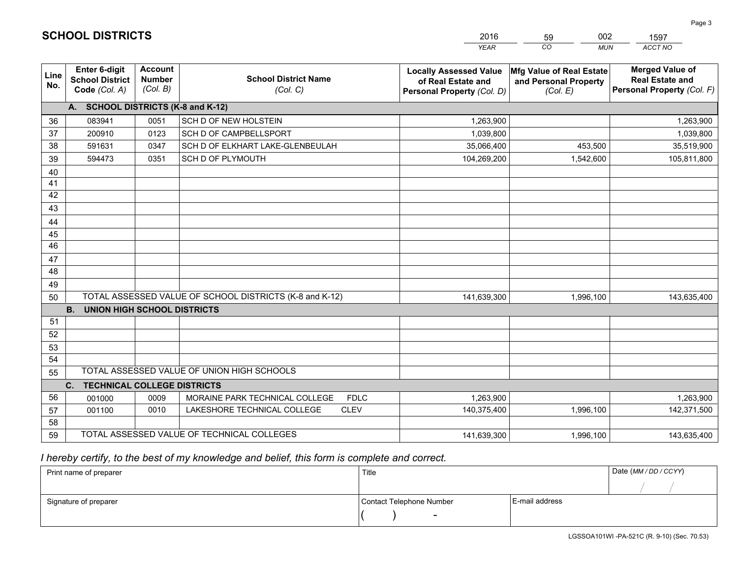|             |                                                                 |                                             |                                                         | <b>YEAR</b>                                                                       | CO<br><b>MUN</b>                                              | ACCT NO                                                                        |
|-------------|-----------------------------------------------------------------|---------------------------------------------|---------------------------------------------------------|-----------------------------------------------------------------------------------|---------------------------------------------------------------|--------------------------------------------------------------------------------|
| Line<br>No. | <b>Enter 6-digit</b><br><b>School District</b><br>Code (Col. A) | <b>Account</b><br><b>Number</b><br>(Col. B) | <b>School District Name</b><br>(Col. C)                 | <b>Locally Assessed Value</b><br>of Real Estate and<br>Personal Property (Col. D) | Mfg Value of Real Estate<br>and Personal Property<br>(Col. E) | <b>Merged Value of</b><br><b>Real Estate and</b><br>Personal Property (Col. F) |
|             | A. SCHOOL DISTRICTS (K-8 and K-12)                              |                                             |                                                         |                                                                                   |                                                               |                                                                                |
| 36          | 083941                                                          | 0051                                        | SCH D OF NEW HOLSTEIN                                   | 1,263,900                                                                         |                                                               | 1,263,900                                                                      |
| 37          | 200910                                                          | 0123                                        | SCH D OF CAMPBELLSPORT                                  | 1,039,800                                                                         |                                                               | 1,039,800                                                                      |
| 38          | 591631                                                          | 0347                                        | SCH D OF ELKHART LAKE-GLENBEULAH                        | 35,066,400                                                                        | 453,500                                                       | 35,519,900                                                                     |
| 39          | 594473                                                          | 0351                                        | <b>SCH D OF PLYMOUTH</b>                                | 104,269,200                                                                       | 1,542,600                                                     | 105,811,800                                                                    |
| 40          |                                                                 |                                             |                                                         |                                                                                   |                                                               |                                                                                |
| 41          |                                                                 |                                             |                                                         |                                                                                   |                                                               |                                                                                |
| 42          |                                                                 |                                             |                                                         |                                                                                   |                                                               |                                                                                |
| 43          |                                                                 |                                             |                                                         |                                                                                   |                                                               |                                                                                |
| 44          |                                                                 |                                             |                                                         |                                                                                   |                                                               |                                                                                |
| 45          |                                                                 |                                             |                                                         |                                                                                   |                                                               |                                                                                |
| 46          |                                                                 |                                             |                                                         |                                                                                   |                                                               |                                                                                |
| 47          |                                                                 |                                             |                                                         |                                                                                   |                                                               |                                                                                |
| 48          |                                                                 |                                             |                                                         |                                                                                   |                                                               |                                                                                |
| 49          |                                                                 |                                             |                                                         |                                                                                   |                                                               |                                                                                |
| 50          |                                                                 |                                             | TOTAL ASSESSED VALUE OF SCHOOL DISTRICTS (K-8 and K-12) | 141,639,300                                                                       | 1,996,100                                                     | 143,635,400                                                                    |
|             | <b>B.</b><br><b>UNION HIGH SCHOOL DISTRICTS</b>                 |                                             |                                                         |                                                                                   |                                                               |                                                                                |
| 51          |                                                                 |                                             |                                                         |                                                                                   |                                                               |                                                                                |
| 52          |                                                                 |                                             |                                                         |                                                                                   |                                                               |                                                                                |
| 53          |                                                                 |                                             |                                                         |                                                                                   |                                                               |                                                                                |
| 54          |                                                                 |                                             |                                                         |                                                                                   |                                                               |                                                                                |
| 55          |                                                                 |                                             | TOTAL ASSESSED VALUE OF UNION HIGH SCHOOLS              |                                                                                   |                                                               |                                                                                |
|             | C.<br><b>TECHNICAL COLLEGE DISTRICTS</b>                        |                                             |                                                         |                                                                                   |                                                               |                                                                                |
| 56          | 001000                                                          | 0009                                        | MORAINE PARK TECHNICAL COLLEGE<br><b>FDLC</b>           | 1,263,900                                                                         |                                                               | 1,263,900                                                                      |
| 57          | 001100                                                          | 0010                                        | <b>CLEV</b><br>LAKESHORE TECHNICAL COLLEGE              | 140,375,400                                                                       | 1,996,100                                                     | 142,371,500                                                                    |
| 58          |                                                                 |                                             |                                                         |                                                                                   |                                                               |                                                                                |
| 59          |                                                                 |                                             | TOTAL ASSESSED VALUE OF TECHNICAL COLLEGES              | 141,639,300                                                                       | 1,996,100                                                     | 143,635,400                                                                    |

59

002

 *I hereby certify, to the best of my knowledge and belief, this form is complete and correct.*

**SCHOOL DISTRICTS**

| Print name of preparer | Title                    |                | Date (MM / DD / CCYY) |
|------------------------|--------------------------|----------------|-----------------------|
|                        |                          |                |                       |
| Signature of preparer  | Contact Telephone Number | E-mail address |                       |
|                        | $\sim$                   |                |                       |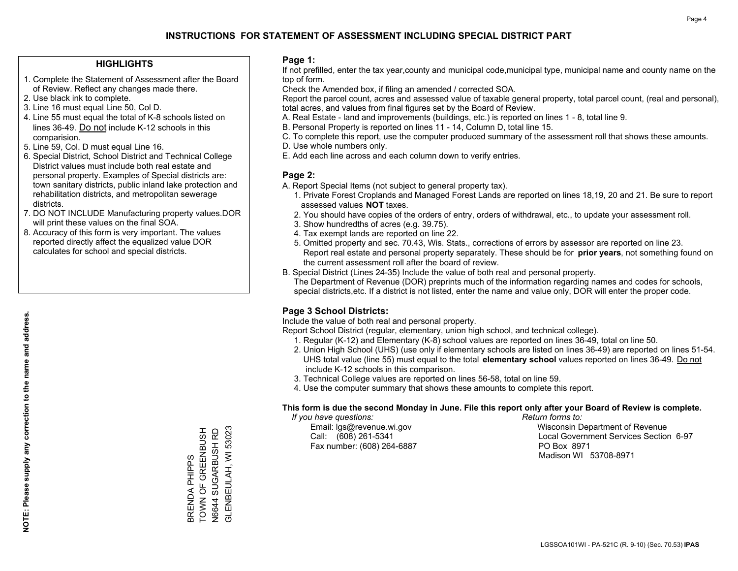#### **HIGHLIGHTS**

- 1. Complete the Statement of Assessment after the Board of Review. Reflect any changes made there.
- 2. Use black ink to complete.
- 3. Line 16 must equal Line 50, Col D.
- 4. Line 55 must equal the total of K-8 schools listed on lines 36-49. Do not include K-12 schools in this comparision.
- 5. Line 59, Col. D must equal Line 16.
- 6. Special District, School District and Technical College District values must include both real estate and personal property. Examples of Special districts are: town sanitary districts, public inland lake protection and rehabilitation districts, and metropolitan sewerage districts.
- 7. DO NOT INCLUDE Manufacturing property values.DOR will print these values on the final SOA.

BRENDA PHIPPS

TOWN OF GREENBUSH N6644 SUGARBUSH RD GLENBEULAH, WI 53023

BRENDA PHIPPS<br>TOWN OF GREENBUSH

N6644 SUGARBUSH RD<br>GLENBEULAH, WI 53023

 8. Accuracy of this form is very important. The values reported directly affect the equalized value DOR calculates for school and special districts.

#### **Page 1:**

 If not prefilled, enter the tax year,county and municipal code,municipal type, municipal name and county name on the top of form.

Check the Amended box, if filing an amended / corrected SOA.

 Report the parcel count, acres and assessed value of taxable general property, total parcel count, (real and personal), total acres, and values from final figures set by the Board of Review.

- A. Real Estate land and improvements (buildings, etc.) is reported on lines 1 8, total line 9.
- B. Personal Property is reported on lines 11 14, Column D, total line 15.
- C. To complete this report, use the computer produced summary of the assessment roll that shows these amounts.
- D. Use whole numbers only.
- E. Add each line across and each column down to verify entries.

#### **Page 2:**

- A. Report Special Items (not subject to general property tax).
- 1. Private Forest Croplands and Managed Forest Lands are reported on lines 18,19, 20 and 21. Be sure to report assessed values **NOT** taxes.
- 2. You should have copies of the orders of entry, orders of withdrawal, etc., to update your assessment roll.
	- 3. Show hundredths of acres (e.g. 39.75).
- 4. Tax exempt lands are reported on line 22.
- 5. Omitted property and sec. 70.43, Wis. Stats., corrections of errors by assessor are reported on line 23. Report real estate and personal property separately. These should be for **prior years**, not something found on the current assessment roll after the board of review.
- B. Special District (Lines 24-35) Include the value of both real and personal property.

 The Department of Revenue (DOR) preprints much of the information regarding names and codes for schools, special districts,etc. If a district is not listed, enter the name and value only, DOR will enter the proper code.

### **Page 3 School Districts:**

Include the value of both real and personal property.

Report School District (regular, elementary, union high school, and technical college).

- 1. Regular (K-12) and Elementary (K-8) school values are reported on lines 36-49, total on line 50.
- 2. Union High School (UHS) (use only if elementary schools are listed on lines 36-49) are reported on lines 51-54. UHS total value (line 55) must equal to the total **elementary school** values reported on lines 36-49. Do notinclude K-12 schools in this comparison.
- 3. Technical College values are reported on lines 56-58, total on line 59.
- 4. Use the computer summary that shows these amounts to complete this report.

#### **This form is due the second Monday in June. File this report only after your Board of Review is complete.**

 *If you have questions: Return forms to:*

Fax number: (608) 264-6887 PO Box 8971

 Email: lgs@revenue.wi.gov Wisconsin Department of Revenue Call: (608) 261-5341 Local Government Services Section 6-97Madison WI 53708-8971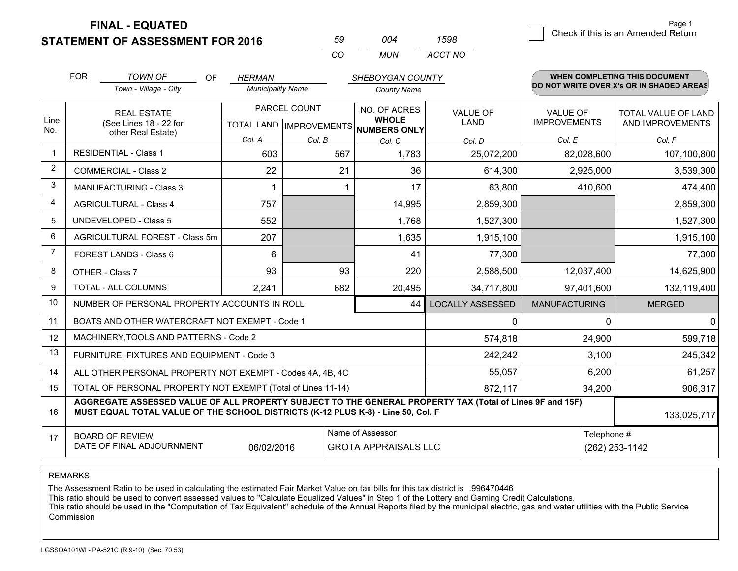**STATEMENT OF ASSESSMENT FOR 2016** 

|      | ∩∩⊿   | 1598    |
|------|-------|---------|
| ∫ ∩′ | MI IN | ACCT NO |

|                | <b>FOR</b><br><b>TOWN OF</b><br><b>OF</b><br><b>HERMAN</b><br>SHEBOYGAN COUNTY                                                                                                               |                                                              |                          |              |                                          | <b>WHEN COMPLETING THIS DOCUMENT</b> |                                        |                                          |
|----------------|----------------------------------------------------------------------------------------------------------------------------------------------------------------------------------------------|--------------------------------------------------------------|--------------------------|--------------|------------------------------------------|--------------------------------------|----------------------------------------|------------------------------------------|
|                |                                                                                                                                                                                              | Town - Village - City                                        | <b>Municipality Name</b> |              | <b>County Name</b>                       |                                      |                                        | DO NOT WRITE OVER X's OR IN SHADED AREAS |
| Line           |                                                                                                                                                                                              | <b>REAL ESTATE</b><br>(See Lines 18 - 22 for                 |                          | PARCEL COUNT | NO. OF ACRES<br><b>WHOLE</b>             | <b>VALUE OF</b><br>LAND              | <b>VALUE OF</b><br><b>IMPROVEMENTS</b> | TOTAL VALUE OF LAND<br>AND IMPROVEMENTS  |
| No.            |                                                                                                                                                                                              | other Real Estate)                                           |                          |              | TOTAL LAND   IMPROVEMENTS   NUMBERS ONLY |                                      |                                        |                                          |
|                | <b>RESIDENTIAL - Class 1</b>                                                                                                                                                                 |                                                              | Col. A                   | Col. B       | Col. C                                   | Col. D                               | Col. E                                 | Col. F                                   |
| $\mathbf{1}$   |                                                                                                                                                                                              |                                                              | 603                      | 567          | 1,783                                    | 25,072,200                           | 82,028,600                             | 107,100,800                              |
| $\overline{2}$ |                                                                                                                                                                                              | <b>COMMERCIAL - Class 2</b>                                  | 22                       | 21           | 36                                       | 614,300                              | 2,925,000                              | 3,539,300                                |
| 3              |                                                                                                                                                                                              | MANUFACTURING - Class 3                                      |                          |              | 17                                       | 63,800                               | 410,600                                | 474,400                                  |
| 4              |                                                                                                                                                                                              | <b>AGRICULTURAL - Class 4</b>                                | 757                      |              | 14,995                                   | 2,859,300                            |                                        | 2,859,300                                |
| 5              |                                                                                                                                                                                              | <b>UNDEVELOPED - Class 5</b>                                 | 552                      |              | 1,768                                    | 1,527,300                            |                                        | 1,527,300                                |
| 6              | AGRICULTURAL FOREST - Class 5m                                                                                                                                                               |                                                              | 207                      |              | 1,635                                    | 1,915,100                            |                                        | 1,915,100                                |
| $\overline{7}$ | FOREST LANDS - Class 6                                                                                                                                                                       |                                                              | 6                        |              | 41                                       | 77,300                               |                                        | 77,300                                   |
| 8              |                                                                                                                                                                                              | OTHER - Class 7                                              | 93                       | 93           | 220                                      | 2,588,500                            | 12,037,400                             | 14,625,900                               |
| 9              |                                                                                                                                                                                              | TOTAL - ALL COLUMNS                                          | 2,241                    | 682          | 20,495                                   | 34,717,800                           | 97,401,600                             | 132,119,400                              |
| 10             |                                                                                                                                                                                              | NUMBER OF PERSONAL PROPERTY ACCOUNTS IN ROLL                 |                          |              | 44                                       | <b>LOCALLY ASSESSED</b>              | <b>MANUFACTURING</b>                   | <b>MERGED</b>                            |
| 11             |                                                                                                                                                                                              | BOATS AND OTHER WATERCRAFT NOT EXEMPT - Code 1               |                          |              |                                          | 0                                    | 0                                      | $\mathbf{0}$                             |
| 12             |                                                                                                                                                                                              | MACHINERY, TOOLS AND PATTERNS - Code 2                       |                          |              |                                          | 574,818                              | 24,900                                 | 599,718                                  |
| 13             |                                                                                                                                                                                              | FURNITURE, FIXTURES AND EQUIPMENT - Code 3                   |                          |              |                                          | 242,242                              | 3,100                                  | 245,342                                  |
| 14             |                                                                                                                                                                                              | ALL OTHER PERSONAL PROPERTY NOT EXEMPT - Codes 4A, 4B, 4C    |                          |              |                                          | 55,057                               | 6,200                                  | 61,257                                   |
| 15             |                                                                                                                                                                                              | TOTAL OF PERSONAL PROPERTY NOT EXEMPT (Total of Lines 11-14) |                          |              |                                          | 872,117                              | 34,200                                 | 906,317                                  |
| 16             | AGGREGATE ASSESSED VALUE OF ALL PROPERTY SUBJECT TO THE GENERAL PROPERTY TAX (Total of Lines 9F and 15F)<br>MUST EQUAL TOTAL VALUE OF THE SCHOOL DISTRICTS (K-12 PLUS K-8) - Line 50, Col. F |                                                              |                          |              |                                          |                                      |                                        | 133,025,717                              |
| 17             |                                                                                                                                                                                              | <b>BOARD OF REVIEW</b>                                       |                          |              | Name of Assessor                         |                                      | Telephone #                            |                                          |
|                |                                                                                                                                                                                              | DATE OF FINAL ADJOURNMENT                                    | 06/02/2016               |              | <b>GROTA APPRAISALS LLC</b>              |                                      |                                        | (262) 253-1142                           |

REMARKS

The Assessment Ratio to be used in calculating the estimated Fair Market Value on tax bills for this tax district is .996470446

This ratio should be used to convert assessed values to "Calculate Equalized Values" in Step 1 of the Lottery and Gaming Credit Calculations.<br>This ratio should be used in the "Computation of Tax Equivalent" schedule of the Commission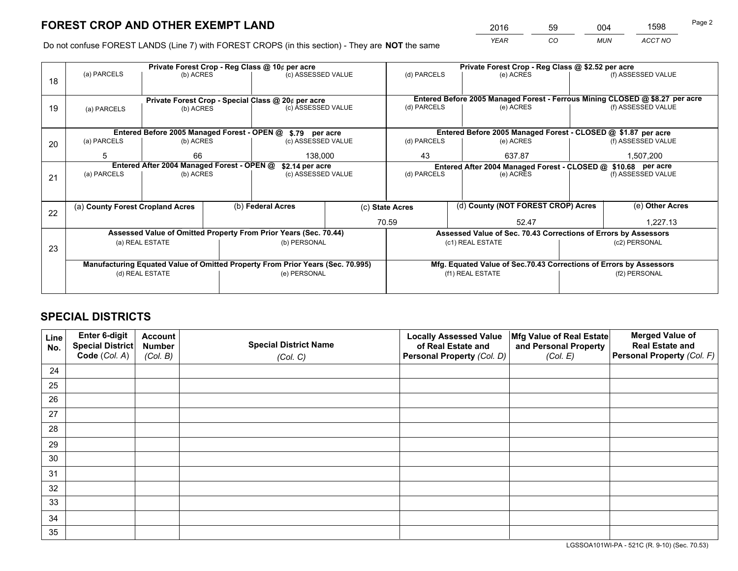*YEAR CO MUN ACCT NO* <sup>2016</sup> <sup>59</sup> <sup>004</sup> <sup>1598</sup>

Do not confuse FOREST LANDS (Line 7) with FOREST CROPS (in this section) - They are **NOT** the same

|    |                                                                                |                                            |  | Private Forest Crop - Reg Class @ 10¢ per acre                   |                                                                              | Private Forest Crop - Reg Class @ \$2.52 per acre             |                                                                    |                                                                 |                 |                    |
|----|--------------------------------------------------------------------------------|--------------------------------------------|--|------------------------------------------------------------------|------------------------------------------------------------------------------|---------------------------------------------------------------|--------------------------------------------------------------------|-----------------------------------------------------------------|-----------------|--------------------|
| 18 | (a) PARCELS                                                                    | (b) ACRES                                  |  | (c) ASSESSED VALUE                                               |                                                                              | (d) PARCELS                                                   |                                                                    | (e) ACRES                                                       |                 | (f) ASSESSED VALUE |
|    |                                                                                |                                            |  |                                                                  |                                                                              |                                                               |                                                                    |                                                                 |                 |                    |
|    | Private Forest Crop - Special Class @ 20¢ per acre                             |                                            |  |                                                                  | Entered Before 2005 Managed Forest - Ferrous Mining CLOSED @ \$8.27 per acre |                                                               |                                                                    |                                                                 |                 |                    |
| 19 | (a) PARCELS                                                                    | (b) ACRES                                  |  | (c) ASSESSED VALUE                                               |                                                                              | (d) PARCELS                                                   |                                                                    | (e) ACRES                                                       |                 | (f) ASSESSED VALUE |
|    |                                                                                |                                            |  |                                                                  |                                                                              |                                                               |                                                                    |                                                                 |                 |                    |
|    |                                                                                |                                            |  | Entered Before 2005 Managed Forest - OPEN @ \$.79 per acre       |                                                                              |                                                               |                                                                    | Entered Before 2005 Managed Forest - CLOSED @ \$1.87 per acre   |                 |                    |
| 20 | (a) PARCELS                                                                    | (b) ACRES                                  |  | (c) ASSESSED VALUE                                               |                                                                              | (d) PARCELS                                                   |                                                                    | (e) ACRES                                                       |                 | (f) ASSESSED VALUE |
|    | 5                                                                              | 66                                         |  | 138,000                                                          |                                                                              | 43                                                            | 637.87                                                             |                                                                 |                 | 1,507,200          |
|    |                                                                                | Entered After 2004 Managed Forest - OPEN @ |  | \$2.14 per acre                                                  |                                                                              | Entered After 2004 Managed Forest - CLOSED @ \$10.68 per acre |                                                                    |                                                                 |                 |                    |
| 21 | (a) PARCELS                                                                    | (b) ACRES                                  |  | (c) ASSESSED VALUE                                               |                                                                              | (d) PARCELS<br>(e) ACRES                                      |                                                                    | (f) ASSESSED VALUE                                              |                 |                    |
|    |                                                                                |                                            |  |                                                                  |                                                                              |                                                               |                                                                    |                                                                 |                 |                    |
|    | (a) County Forest Cropland Acres                                               |                                            |  | (b) Federal Acres                                                |                                                                              | (d) County (NOT FOREST CROP) Acres<br>(c) State Acres         |                                                                    |                                                                 | (e) Other Acres |                    |
| 22 |                                                                                |                                            |  |                                                                  | 70.59                                                                        |                                                               |                                                                    |                                                                 |                 | 1,227.13           |
|    |                                                                                |                                            |  |                                                                  |                                                                              |                                                               |                                                                    | 52.47                                                           |                 |                    |
|    |                                                                                |                                            |  | Assessed Value of Omitted Property From Prior Years (Sec. 70.44) |                                                                              |                                                               |                                                                    | Assessed Value of Sec. 70.43 Corrections of Errors by Assessors |                 |                    |
| 23 |                                                                                | (a) REAL ESTATE                            |  | (b) PERSONAL                                                     |                                                                              |                                                               |                                                                    | (c1) REAL ESTATE                                                |                 | (c2) PERSONAL      |
|    |                                                                                |                                            |  |                                                                  |                                                                              |                                                               |                                                                    |                                                                 |                 |                    |
|    | Manufacturing Equated Value of Omitted Property From Prior Years (Sec. 70.995) |                                            |  |                                                                  |                                                                              |                                                               | Mfg. Equated Value of Sec.70.43 Corrections of Errors by Assessors |                                                                 |                 |                    |
|    |                                                                                | (d) REAL ESTATE                            |  | (e) PERSONAL                                                     |                                                                              | (f1) REAL ESTATE                                              |                                                                    |                                                                 | (f2) PERSONAL   |                    |
|    |                                                                                |                                            |  |                                                                  |                                                                              |                                                               |                                                                    |                                                                 |                 |                    |

## **SPECIAL DISTRICTS**

| Line<br>No. | Enter 6-digit<br>Special District<br>Code (Col. A) | <b>Account</b><br><b>Number</b><br>(Col. B) | <b>Special District Name</b><br>(Col. C) | <b>Locally Assessed Value</b><br>of Real Estate and<br>Personal Property (Col. D) | Mfg Value of Real Estate<br>and Personal Property<br>(Col. E) | <b>Merged Value of</b><br><b>Real Estate and</b><br>Personal Property (Col. F) |
|-------------|----------------------------------------------------|---------------------------------------------|------------------------------------------|-----------------------------------------------------------------------------------|---------------------------------------------------------------|--------------------------------------------------------------------------------|
| 24          |                                                    |                                             |                                          |                                                                                   |                                                               |                                                                                |
| 25          |                                                    |                                             |                                          |                                                                                   |                                                               |                                                                                |
| 26          |                                                    |                                             |                                          |                                                                                   |                                                               |                                                                                |
| 27          |                                                    |                                             |                                          |                                                                                   |                                                               |                                                                                |
| 28          |                                                    |                                             |                                          |                                                                                   |                                                               |                                                                                |
| 29          |                                                    |                                             |                                          |                                                                                   |                                                               |                                                                                |
| 30          |                                                    |                                             |                                          |                                                                                   |                                                               |                                                                                |
| 31          |                                                    |                                             |                                          |                                                                                   |                                                               |                                                                                |
| 32          |                                                    |                                             |                                          |                                                                                   |                                                               |                                                                                |
| 33          |                                                    |                                             |                                          |                                                                                   |                                                               |                                                                                |
| 34          |                                                    |                                             |                                          |                                                                                   |                                                               |                                                                                |
| 35          |                                                    |                                             |                                          |                                                                                   |                                                               |                                                                                |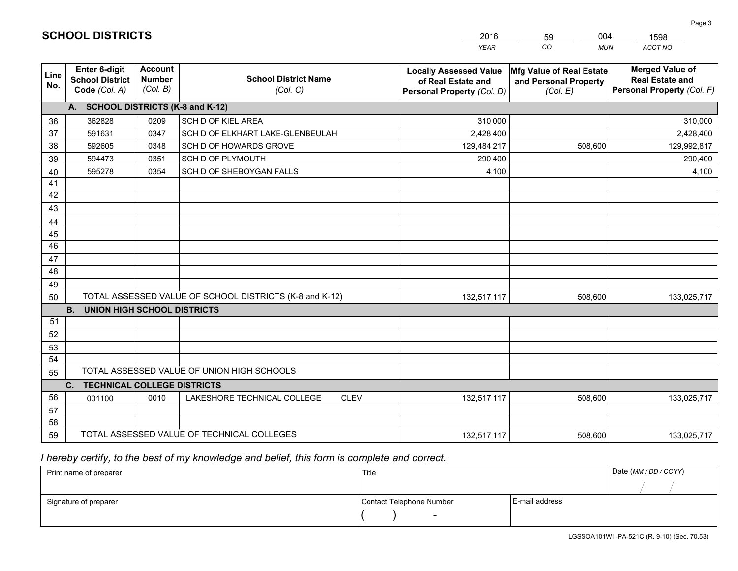|             |                                                          |                                             |                                                         | <b>YEAR</b>                                                                       | CO<br><b>MUN</b>                                              | ACCT NO                                                                        |
|-------------|----------------------------------------------------------|---------------------------------------------|---------------------------------------------------------|-----------------------------------------------------------------------------------|---------------------------------------------------------------|--------------------------------------------------------------------------------|
| Line<br>No. | Enter 6-digit<br><b>School District</b><br>Code (Col. A) | <b>Account</b><br><b>Number</b><br>(Col. B) | <b>School District Name</b><br>(Col. C)                 | <b>Locally Assessed Value</b><br>of Real Estate and<br>Personal Property (Col. D) | Mfg Value of Real Estate<br>and Personal Property<br>(Col. E) | <b>Merged Value of</b><br><b>Real Estate and</b><br>Personal Property (Col. F) |
|             | A. SCHOOL DISTRICTS (K-8 and K-12)                       |                                             |                                                         |                                                                                   |                                                               |                                                                                |
| 36          | 362828                                                   | 0209                                        | SCH D OF KIEL AREA                                      | 310,000                                                                           |                                                               | 310,000                                                                        |
| 37          | 591631                                                   | 0347                                        | SCH D OF ELKHART LAKE-GLENBEULAH                        | 2,428,400                                                                         |                                                               | 2,428,400                                                                      |
| 38          | 592605                                                   | 0348                                        | SCH D OF HOWARDS GROVE                                  | 129,484,217                                                                       | 508,600                                                       | 129,992,817                                                                    |
| 39          | 594473                                                   | 0351                                        | SCH D OF PLYMOUTH                                       | 290,400                                                                           |                                                               | 290,400                                                                        |
| 40          | 595278                                                   | 0354                                        | SCH D OF SHEBOYGAN FALLS                                | 4,100                                                                             |                                                               | 4,100                                                                          |
| 41          |                                                          |                                             |                                                         |                                                                                   |                                                               |                                                                                |
| 42          |                                                          |                                             |                                                         |                                                                                   |                                                               |                                                                                |
| 43          |                                                          |                                             |                                                         |                                                                                   |                                                               |                                                                                |
| 44          |                                                          |                                             |                                                         |                                                                                   |                                                               |                                                                                |
| 45          |                                                          |                                             |                                                         |                                                                                   |                                                               |                                                                                |
| 46          |                                                          |                                             |                                                         |                                                                                   |                                                               |                                                                                |
| 47          |                                                          |                                             |                                                         |                                                                                   |                                                               |                                                                                |
| 48          |                                                          |                                             |                                                         |                                                                                   |                                                               |                                                                                |
| 49          |                                                          |                                             |                                                         |                                                                                   |                                                               |                                                                                |
| 50          |                                                          |                                             | TOTAL ASSESSED VALUE OF SCHOOL DISTRICTS (K-8 and K-12) | 132,517,117                                                                       | 508,600                                                       | 133,025,717                                                                    |
|             | <b>B.</b><br><b>UNION HIGH SCHOOL DISTRICTS</b>          |                                             |                                                         |                                                                                   |                                                               |                                                                                |
| 51          |                                                          |                                             |                                                         |                                                                                   |                                                               |                                                                                |
| 52          |                                                          |                                             |                                                         |                                                                                   |                                                               |                                                                                |
| 53          |                                                          |                                             |                                                         |                                                                                   |                                                               |                                                                                |
| 54          |                                                          |                                             |                                                         |                                                                                   |                                                               |                                                                                |
| 55          |                                                          |                                             | TOTAL ASSESSED VALUE OF UNION HIGH SCHOOLS              |                                                                                   |                                                               |                                                                                |
|             | <b>TECHNICAL COLLEGE DISTRICTS</b><br>C.                 |                                             |                                                         |                                                                                   |                                                               |                                                                                |
| 56          | 001100                                                   | 0010                                        | LAKESHORE TECHNICAL COLLEGE<br><b>CLEV</b>              | 132,517,117                                                                       | 508,600                                                       | 133,025,717                                                                    |
| 57          |                                                          |                                             |                                                         |                                                                                   |                                                               |                                                                                |
| 58          |                                                          |                                             |                                                         |                                                                                   |                                                               |                                                                                |
| 59          |                                                          |                                             | TOTAL ASSESSED VALUE OF TECHNICAL COLLEGES              | 132,517,117                                                                       | 508,600                                                       | 133,025,717                                                                    |

59

004

 *I hereby certify, to the best of my knowledge and belief, this form is complete and correct.*

**SCHOOL DISTRICTS**

| Print name of preparer | Title                    |                | Date (MM / DD / CCYY) |
|------------------------|--------------------------|----------------|-----------------------|
|                        |                          |                |                       |
| Signature of preparer  | Contact Telephone Number | E-mail address |                       |
|                        | $\overline{\phantom{0}}$ |                |                       |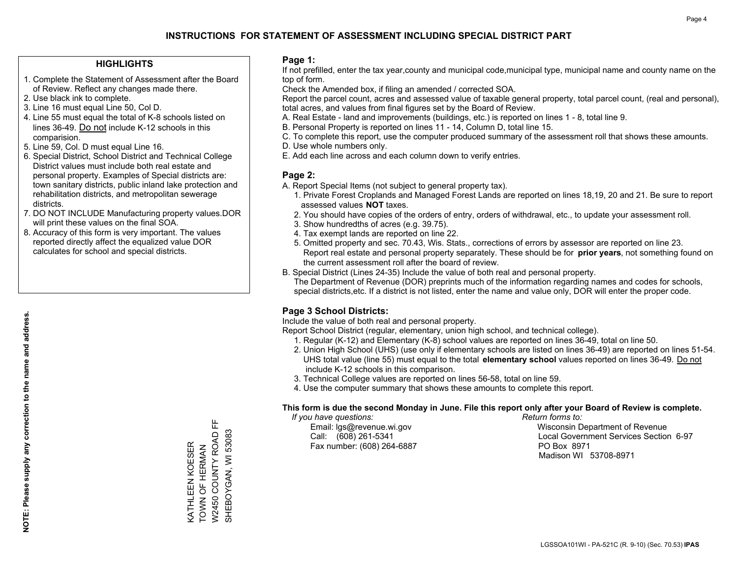#### **HIGHLIGHTS**

- 1. Complete the Statement of Assessment after the Board of Review. Reflect any changes made there.
- 2. Use black ink to complete.
- 3. Line 16 must equal Line 50, Col D.
- 4. Line 55 must equal the total of K-8 schools listed on lines 36-49. Do not include K-12 schools in this comparision.
- 5. Line 59, Col. D must equal Line 16.
- 6. Special District, School District and Technical College District values must include both real estate and personal property. Examples of Special districts are: town sanitary districts, public inland lake protection and rehabilitation districts, and metropolitan sewerage districts.
- 7. DO NOT INCLUDE Manufacturing property values.DOR will print these values on the final SOA.

KATHLEEN KOESER TOWN OF HERMAN W2450 COUNTY ROAD FF SHEBOYGAN, WI 53083

**VATHLEEN KOESER** TOWN OF HERMAN 뜐

SHEBOYGAN, WI 53083 W2450 COUNTY ROAD

 8. Accuracy of this form is very important. The values reported directly affect the equalized value DOR calculates for school and special districts.

#### **Page 1:**

 If not prefilled, enter the tax year,county and municipal code,municipal type, municipal name and county name on the top of form.

Check the Amended box, if filing an amended / corrected SOA.

 Report the parcel count, acres and assessed value of taxable general property, total parcel count, (real and personal), total acres, and values from final figures set by the Board of Review.

- A. Real Estate land and improvements (buildings, etc.) is reported on lines 1 8, total line 9.
- B. Personal Property is reported on lines 11 14, Column D, total line 15.
- C. To complete this report, use the computer produced summary of the assessment roll that shows these amounts.
- D. Use whole numbers only.
- E. Add each line across and each column down to verify entries.

#### **Page 2:**

- A. Report Special Items (not subject to general property tax).
- 1. Private Forest Croplands and Managed Forest Lands are reported on lines 18,19, 20 and 21. Be sure to report assessed values **NOT** taxes.
- 2. You should have copies of the orders of entry, orders of withdrawal, etc., to update your assessment roll.
	- 3. Show hundredths of acres (e.g. 39.75).
- 4. Tax exempt lands are reported on line 22.
- 5. Omitted property and sec. 70.43, Wis. Stats., corrections of errors by assessor are reported on line 23. Report real estate and personal property separately. These should be for **prior years**, not something found on the current assessment roll after the board of review.
- B. Special District (Lines 24-35) Include the value of both real and personal property.
- The Department of Revenue (DOR) preprints much of the information regarding names and codes for schools, special districts,etc. If a district is not listed, enter the name and value only, DOR will enter the proper code.

### **Page 3 School Districts:**

Include the value of both real and personal property.

Report School District (regular, elementary, union high school, and technical college).

- 1. Regular (K-12) and Elementary (K-8) school values are reported on lines 36-49, total on line 50.
- 2. Union High School (UHS) (use only if elementary schools are listed on lines 36-49) are reported on lines 51-54. UHS total value (line 55) must equal to the total **elementary school** values reported on lines 36-49. Do notinclude K-12 schools in this comparison.
- 3. Technical College values are reported on lines 56-58, total on line 59.
- 4. Use the computer summary that shows these amounts to complete this report.

#### **This form is due the second Monday in June. File this report only after your Board of Review is complete.**

 *If you have questions: Return forms to:*

Fax number: (608) 264-6887 PO Box 8971

 Email: lgs@revenue.wi.gov Wisconsin Department of Revenue Call: (608) 261-5341 Local Government Services Section 6-97Madison WI 53708-8971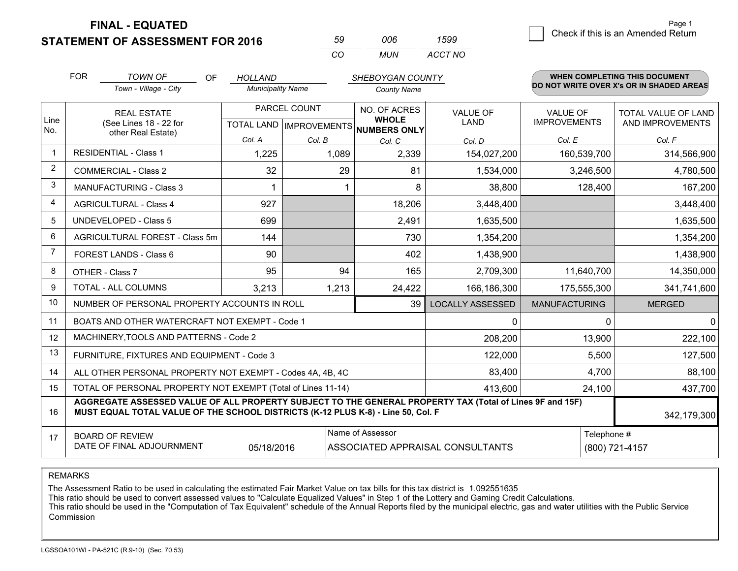**STATEMENT OF ASSESSMENT FOR 2016** 

| 59  | nnr | 1599    |
|-----|-----|---------|
| CO. | MUN | ACCT NO |

|                         | <b>FOR</b>                                                                                                                                                                                   | <b>TOWN OF</b><br>OF                                         | HOLLAND                  |              | SHEBOYGAN COUNTY                                     |                         |                      | <b>WHEN COMPLETING THIS DOCUMENT</b><br>DO NOT WRITE OVER X's OR IN SHADED AREAS |
|-------------------------|----------------------------------------------------------------------------------------------------------------------------------------------------------------------------------------------|--------------------------------------------------------------|--------------------------|--------------|------------------------------------------------------|-------------------------|----------------------|----------------------------------------------------------------------------------|
|                         |                                                                                                                                                                                              | Town - Village - City                                        | <b>Municipality Name</b> |              | <b>County Name</b>                                   |                         |                      |                                                                                  |
|                         |                                                                                                                                                                                              | <b>REAL ESTATE</b>                                           |                          | PARCEL COUNT | NO. OF ACRES                                         | <b>VALUE OF</b>         | <b>VALUE OF</b>      | TOTAL VALUE OF LAND                                                              |
| Line<br>No.             |                                                                                                                                                                                              | (See Lines 18 - 22 for<br>other Real Estate)                 |                          |              | <b>WHOLE</b><br>TOTAL LAND IMPROVEMENTS NUMBERS ONLY | <b>LAND</b>             | <b>IMPROVEMENTS</b>  | AND IMPROVEMENTS                                                                 |
|                         |                                                                                                                                                                                              |                                                              | Col. A                   | Col. B       | Col. C                                               | Col. D                  | Col. E               | Col. F                                                                           |
| $\overline{\mathbf{1}}$ |                                                                                                                                                                                              | <b>RESIDENTIAL - Class 1</b>                                 | 1,225                    | 1,089        | 2,339                                                | 154,027,200             | 160,539,700          | 314,566,900                                                                      |
| 2                       |                                                                                                                                                                                              | <b>COMMERCIAL - Class 2</b>                                  | 32                       | 29           | 81                                                   | 1,534,000               | 3,246,500            | 4,780,500                                                                        |
| 3                       |                                                                                                                                                                                              | <b>MANUFACTURING - Class 3</b>                               |                          |              | 8                                                    | 38,800                  | 128,400              | 167,200                                                                          |
| 4                       |                                                                                                                                                                                              | <b>AGRICULTURAL - Class 4</b>                                | 927                      |              | 18,206                                               | 3,448,400               |                      | 3,448,400                                                                        |
| 5                       |                                                                                                                                                                                              | UNDEVELOPED - Class 5                                        | 699                      |              | 2,491                                                | 1,635,500               |                      | 1,635,500                                                                        |
| 6                       |                                                                                                                                                                                              | AGRICULTURAL FOREST - Class 5m                               | 144                      |              | 730                                                  | 1,354,200               |                      | 1,354,200                                                                        |
| $\overline{7}$          |                                                                                                                                                                                              | FOREST LANDS - Class 6                                       | 90                       |              | 402                                                  | 1,438,900               |                      | 1,438,900                                                                        |
| 8                       |                                                                                                                                                                                              | OTHER - Class 7                                              | 95                       | 94           | 165                                                  | 2,709,300               | 11,640,700           | 14,350,000                                                                       |
| 9                       |                                                                                                                                                                                              | TOTAL - ALL COLUMNS                                          | 3,213                    | 1,213        | 24,422                                               | 166,186,300             | 175,555,300          | 341,741,600                                                                      |
| 10                      |                                                                                                                                                                                              | NUMBER OF PERSONAL PROPERTY ACCOUNTS IN ROLL                 |                          |              | 39                                                   | <b>LOCALLY ASSESSED</b> | <b>MANUFACTURING</b> | <b>MERGED</b>                                                                    |
| 11                      |                                                                                                                                                                                              | BOATS AND OTHER WATERCRAFT NOT EXEMPT - Code 1               |                          |              |                                                      | 0                       | 0                    | $\mathbf 0$                                                                      |
| 12                      |                                                                                                                                                                                              | MACHINERY, TOOLS AND PATTERNS - Code 2                       |                          |              |                                                      | 208,200                 | 13,900               | 222,100                                                                          |
| 13                      |                                                                                                                                                                                              | FURNITURE, FIXTURES AND EQUIPMENT - Code 3                   |                          |              |                                                      | 122,000                 | 5,500                | 127,500                                                                          |
| 14                      |                                                                                                                                                                                              | ALL OTHER PERSONAL PROPERTY NOT EXEMPT - Codes 4A, 4B, 4C    |                          |              |                                                      | 83,400                  | 4,700                | 88,100                                                                           |
| 15                      |                                                                                                                                                                                              | TOTAL OF PERSONAL PROPERTY NOT EXEMPT (Total of Lines 11-14) |                          |              |                                                      | 413,600                 | 24,100               | 437,700                                                                          |
| 16                      | AGGREGATE ASSESSED VALUE OF ALL PROPERTY SUBJECT TO THE GENERAL PROPERTY TAX (Total of Lines 9F and 15F)<br>MUST EQUAL TOTAL VALUE OF THE SCHOOL DISTRICTS (K-12 PLUS K-8) - Line 50, Col. F |                                                              |                          |              |                                                      |                         |                      | 342,179,300                                                                      |
| 17                      |                                                                                                                                                                                              | <b>BOARD OF REVIEW</b>                                       |                          |              | Name of Assessor                                     |                         | Telephone #          |                                                                                  |
|                         |                                                                                                                                                                                              | DATE OF FINAL ADJOURNMENT                                    | 05/18/2016               |              | ASSOCIATED APPRAISAL CONSULTANTS                     |                         |                      | (800) 721-4157                                                                   |

REMARKS

The Assessment Ratio to be used in calculating the estimated Fair Market Value on tax bills for this tax district is 1.092551635

This ratio should be used to convert assessed values to "Calculate Equalized Values" in Step 1 of the Lottery and Gaming Credit Calculations.<br>This ratio should be used in the "Computation of Tax Equivalent" schedule of the Commission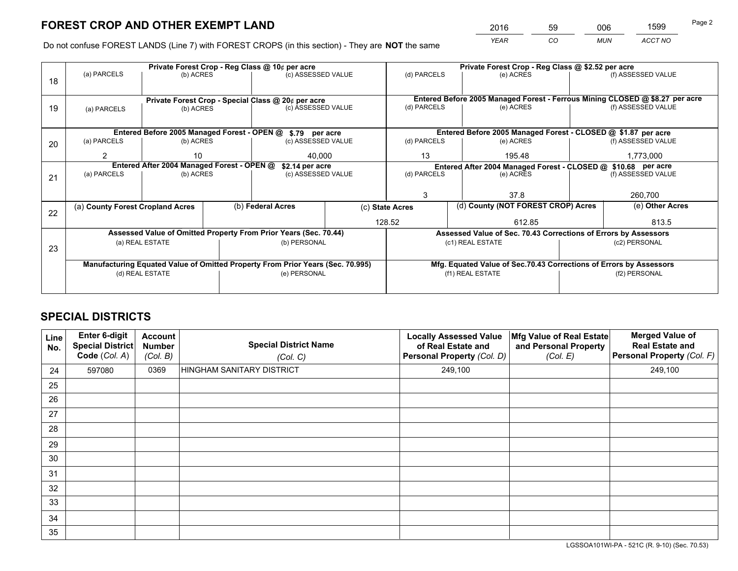*YEAR CO MUN ACCT NO* <sup>2016</sup> <sup>59</sup> <sup>006</sup> <sup>1599</sup>

Do not confuse FOREST LANDS (Line 7) with FOREST CROPS (in this section) - They are **NOT** the same

|    | Private Forest Crop - Reg Class @ 10¢ per acre                                 |                                             |  |                                                                          |                                                               |                                                                    | Private Forest Crop - Reg Class @ \$2.52 per acre                            |               |                    |  |
|----|--------------------------------------------------------------------------------|---------------------------------------------|--|--------------------------------------------------------------------------|---------------------------------------------------------------|--------------------------------------------------------------------|------------------------------------------------------------------------------|---------------|--------------------|--|
| 18 | (a) PARCELS                                                                    | (b) ACRES                                   |  | (c) ASSESSED VALUE                                                       |                                                               | (d) PARCELS                                                        | (e) ACRES                                                                    |               | (f) ASSESSED VALUE |  |
|    |                                                                                |                                             |  |                                                                          |                                                               |                                                                    | Entered Before 2005 Managed Forest - Ferrous Mining CLOSED @ \$8.27 per acre |               |                    |  |
| 19 | (a) PARCELS                                                                    | (b) ACRES                                   |  | Private Forest Crop - Special Class @ 20¢ per acre<br>(c) ASSESSED VALUE |                                                               | (d) PARCELS                                                        | (e) ACRES                                                                    |               | (f) ASSESSED VALUE |  |
|    |                                                                                |                                             |  |                                                                          |                                                               |                                                                    |                                                                              |               |                    |  |
|    |                                                                                | Entered Before 2005 Managed Forest - OPEN @ |  | \$.79 per acre                                                           |                                                               |                                                                    | Entered Before 2005 Managed Forest - CLOSED @ \$1.87 per acre                |               |                    |  |
| 20 | (a) PARCELS                                                                    | (b) ACRES                                   |  | (c) ASSESSED VALUE                                                       |                                                               | (d) PARCELS                                                        | (e) ACRES                                                                    |               | (f) ASSESSED VALUE |  |
|    | $\overline{2}$                                                                 | 10                                          |  | 40.000                                                                   |                                                               | 13                                                                 | 195.48                                                                       |               | 1,773,000          |  |
|    | Entered After 2004 Managed Forest - OPEN @                                     |                                             |  | \$2.14 per acre                                                          | Entered After 2004 Managed Forest - CLOSED @ \$10.68 per acre |                                                                    |                                                                              |               |                    |  |
| 21 | (a) PARCELS                                                                    | (b) ACRES                                   |  |                                                                          | (c) ASSESSED VALUE                                            |                                                                    | (d) PARCELS<br>(e) ACRES                                                     |               | (f) ASSESSED VALUE |  |
|    |                                                                                |                                             |  |                                                                          |                                                               |                                                                    |                                                                              |               |                    |  |
|    |                                                                                |                                             |  |                                                                          |                                                               | 3<br>37.8                                                          |                                                                              | 260,700       |                    |  |
| 22 | (a) County Forest Cropland Acres                                               |                                             |  | (b) Federal Acres                                                        |                                                               | (d) County (NOT FOREST CROP) Acres<br>(c) State Acres              |                                                                              |               | (e) Other Acres    |  |
|    |                                                                                |                                             |  |                                                                          | 128.52                                                        |                                                                    | 612.85                                                                       |               | 813.5              |  |
|    |                                                                                |                                             |  | Assessed Value of Omitted Property From Prior Years (Sec. 70.44)         |                                                               |                                                                    | Assessed Value of Sec. 70.43 Corrections of Errors by Assessors              |               |                    |  |
| 23 |                                                                                | (a) REAL ESTATE                             |  | (b) PERSONAL                                                             |                                                               |                                                                    | (c1) REAL ESTATE                                                             |               | (c2) PERSONAL      |  |
|    |                                                                                |                                             |  |                                                                          |                                                               |                                                                    |                                                                              |               |                    |  |
|    | Manufacturing Equated Value of Omitted Property From Prior Years (Sec. 70.995) |                                             |  |                                                                          |                                                               | Mfg. Equated Value of Sec.70.43 Corrections of Errors by Assessors |                                                                              |               |                    |  |
|    |                                                                                | (d) REAL ESTATE                             |  | (e) PERSONAL                                                             |                                                               | (f1) REAL ESTATE                                                   |                                                                              | (f2) PERSONAL |                    |  |
|    |                                                                                |                                             |  |                                                                          |                                                               |                                                                    |                                                                              |               |                    |  |

## **SPECIAL DISTRICTS**

| Line<br>No. | Enter 6-digit<br>Special District<br>Code (Col. A) | <b>Account</b><br><b>Number</b><br>(Col. B) | <b>Special District Name</b><br>(Col. C) | <b>Locally Assessed Value</b><br>of Real Estate and<br>Personal Property (Col. D) | Mfg Value of Real Estate<br>and Personal Property<br>(Col. E) | <b>Merged Value of</b><br><b>Real Estate and</b><br>Personal Property (Col. F) |
|-------------|----------------------------------------------------|---------------------------------------------|------------------------------------------|-----------------------------------------------------------------------------------|---------------------------------------------------------------|--------------------------------------------------------------------------------|
| 24          | 597080                                             | 0369                                        | HINGHAM SANITARY DISTRICT                | 249,100                                                                           |                                                               | 249,100                                                                        |
| 25          |                                                    |                                             |                                          |                                                                                   |                                                               |                                                                                |
| 26          |                                                    |                                             |                                          |                                                                                   |                                                               |                                                                                |
| 27          |                                                    |                                             |                                          |                                                                                   |                                                               |                                                                                |
| 28          |                                                    |                                             |                                          |                                                                                   |                                                               |                                                                                |
| 29          |                                                    |                                             |                                          |                                                                                   |                                                               |                                                                                |
| 30          |                                                    |                                             |                                          |                                                                                   |                                                               |                                                                                |
| 31          |                                                    |                                             |                                          |                                                                                   |                                                               |                                                                                |
| 32          |                                                    |                                             |                                          |                                                                                   |                                                               |                                                                                |
| 33          |                                                    |                                             |                                          |                                                                                   |                                                               |                                                                                |
| 34          |                                                    |                                             |                                          |                                                                                   |                                                               |                                                                                |
| 35          |                                                    |                                             |                                          |                                                                                   |                                                               |                                                                                |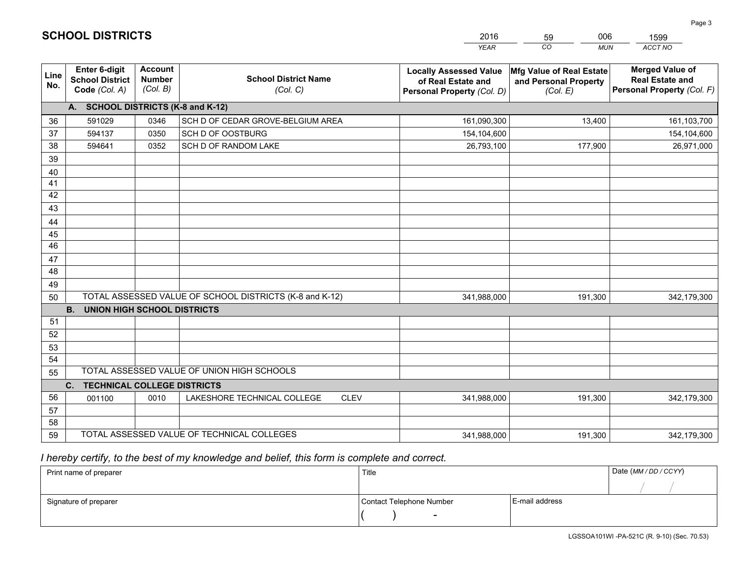|             |                                                          |                                             |                                                         | <b>YEAR</b>                                                                       | CO<br><b>MUN</b>                                              | ACCT NO                                                                        |
|-------------|----------------------------------------------------------|---------------------------------------------|---------------------------------------------------------|-----------------------------------------------------------------------------------|---------------------------------------------------------------|--------------------------------------------------------------------------------|
| Line<br>No. | Enter 6-digit<br><b>School District</b><br>Code (Col. A) | <b>Account</b><br><b>Number</b><br>(Col. B) | <b>School District Name</b><br>(Col. C)                 | <b>Locally Assessed Value</b><br>of Real Estate and<br>Personal Property (Col. D) | Mfg Value of Real Estate<br>and Personal Property<br>(Col. E) | <b>Merged Value of</b><br><b>Real Estate and</b><br>Personal Property (Col. F) |
|             | A. SCHOOL DISTRICTS (K-8 and K-12)                       |                                             |                                                         |                                                                                   |                                                               |                                                                                |
| 36          | 591029                                                   | 0346                                        | SCH D OF CEDAR GROVE-BELGIUM AREA                       | 161,090,300                                                                       | 13,400                                                        | 161,103,700                                                                    |
| 37          | 594137                                                   | 0350                                        | SCH D OF OOSTBURG                                       | 154,104,600                                                                       |                                                               | 154,104,600                                                                    |
| 38          | 594641                                                   | 0352                                        | SCH D OF RANDOM LAKE                                    | 26,793,100                                                                        | 177,900                                                       | 26,971,000                                                                     |
| 39          |                                                          |                                             |                                                         |                                                                                   |                                                               |                                                                                |
| 40          |                                                          |                                             |                                                         |                                                                                   |                                                               |                                                                                |
| 41          |                                                          |                                             |                                                         |                                                                                   |                                                               |                                                                                |
| 42          |                                                          |                                             |                                                         |                                                                                   |                                                               |                                                                                |
| 43          |                                                          |                                             |                                                         |                                                                                   |                                                               |                                                                                |
| 44          |                                                          |                                             |                                                         |                                                                                   |                                                               |                                                                                |
| 45          |                                                          |                                             |                                                         |                                                                                   |                                                               |                                                                                |
| 46          |                                                          |                                             |                                                         |                                                                                   |                                                               |                                                                                |
| 47          |                                                          |                                             |                                                         |                                                                                   |                                                               |                                                                                |
| 48          |                                                          |                                             |                                                         |                                                                                   |                                                               |                                                                                |
| 49          |                                                          |                                             |                                                         |                                                                                   |                                                               |                                                                                |
| 50          |                                                          |                                             | TOTAL ASSESSED VALUE OF SCHOOL DISTRICTS (K-8 and K-12) | 341,988,000                                                                       | 191,300                                                       | 342,179,300                                                                    |
|             | <b>UNION HIGH SCHOOL DISTRICTS</b><br><b>B.</b>          |                                             |                                                         |                                                                                   |                                                               |                                                                                |
| 51          |                                                          |                                             |                                                         |                                                                                   |                                                               |                                                                                |
| 52          |                                                          |                                             |                                                         |                                                                                   |                                                               |                                                                                |
| 53          |                                                          |                                             |                                                         |                                                                                   |                                                               |                                                                                |
| 54          |                                                          |                                             | TOTAL ASSESSED VALUE OF UNION HIGH SCHOOLS              |                                                                                   |                                                               |                                                                                |
| 55          |                                                          |                                             |                                                         |                                                                                   |                                                               |                                                                                |
| 56          | C.<br><b>TECHNICAL COLLEGE DISTRICTS</b>                 |                                             | <b>CLEV</b>                                             |                                                                                   |                                                               |                                                                                |
| 57          | 001100                                                   | 0010                                        | LAKESHORE TECHNICAL COLLEGE                             | 341,988,000                                                                       | 191,300                                                       | 342,179,300                                                                    |
| 58          |                                                          |                                             |                                                         |                                                                                   |                                                               |                                                                                |
| 59          |                                                          |                                             | TOTAL ASSESSED VALUE OF TECHNICAL COLLEGES              | 341,988,000                                                                       | 191,300                                                       | 342,179,300                                                                    |
|             |                                                          |                                             |                                                         |                                                                                   |                                                               |                                                                                |

59

006

 *I hereby certify, to the best of my knowledge and belief, this form is complete and correct.*

**SCHOOL DISTRICTS**

| Print name of preparer | Title                    |                | Date (MM / DD / CCYY) |
|------------------------|--------------------------|----------------|-----------------------|
|                        |                          |                |                       |
| Signature of preparer  | Contact Telephone Number | E-mail address |                       |
|                        | $\overline{\phantom{0}}$ |                |                       |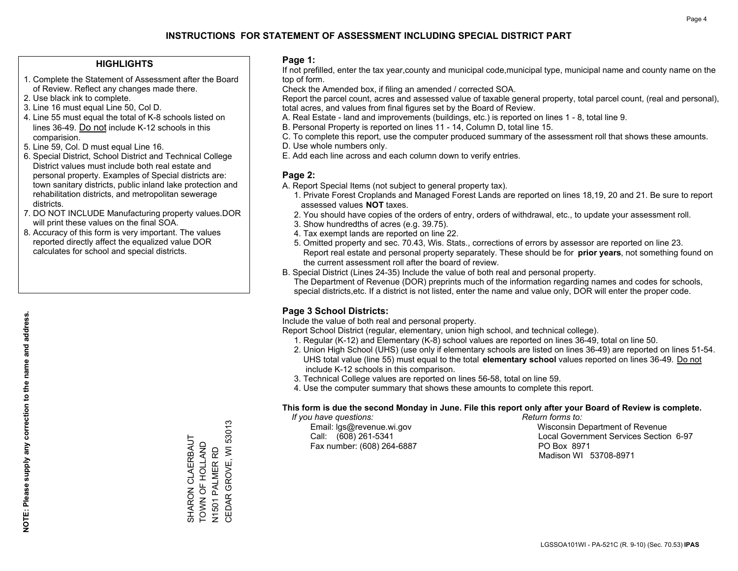#### **HIGHLIGHTS**

- 1. Complete the Statement of Assessment after the Board of Review. Reflect any changes made there.
- 2. Use black ink to complete.
- 3. Line 16 must equal Line 50, Col D.
- 4. Line 55 must equal the total of K-8 schools listed on lines 36-49. Do not include K-12 schools in this comparision.
- 5. Line 59, Col. D must equal Line 16.
- 6. Special District, School District and Technical College District values must include both real estate and personal property. Examples of Special districts are: town sanitary districts, public inland lake protection and rehabilitation districts, and metropolitan sewerage districts.
- 7. DO NOT INCLUDE Manufacturing property values.DOR will print these values on the final SOA.

SHARON CLAERBAUT TOWN OF HOLLAND N1501 PALMER RD

SHARON CLAERBAUT<br>TOWN OF HOLLAND

CEDAR GROVE, WI 53013

N1501 PALMER RD<br>CEDAR GROVE, WI 53013

 8. Accuracy of this form is very important. The values reported directly affect the equalized value DOR calculates for school and special districts.

#### **Page 1:**

 If not prefilled, enter the tax year,county and municipal code,municipal type, municipal name and county name on the top of form.

Check the Amended box, if filing an amended / corrected SOA.

 Report the parcel count, acres and assessed value of taxable general property, total parcel count, (real and personal), total acres, and values from final figures set by the Board of Review.

- A. Real Estate land and improvements (buildings, etc.) is reported on lines 1 8, total line 9.
- B. Personal Property is reported on lines 11 14, Column D, total line 15.
- C. To complete this report, use the computer produced summary of the assessment roll that shows these amounts.
- D. Use whole numbers only.
- E. Add each line across and each column down to verify entries.

#### **Page 2:**

- A. Report Special Items (not subject to general property tax).
- 1. Private Forest Croplands and Managed Forest Lands are reported on lines 18,19, 20 and 21. Be sure to report assessed values **NOT** taxes.
- 2. You should have copies of the orders of entry, orders of withdrawal, etc., to update your assessment roll.
	- 3. Show hundredths of acres (e.g. 39.75).
- 4. Tax exempt lands are reported on line 22.
- 5. Omitted property and sec. 70.43, Wis. Stats., corrections of errors by assessor are reported on line 23. Report real estate and personal property separately. These should be for **prior years**, not something found on the current assessment roll after the board of review.
- B. Special District (Lines 24-35) Include the value of both real and personal property.
- The Department of Revenue (DOR) preprints much of the information regarding names and codes for schools, special districts,etc. If a district is not listed, enter the name and value only, DOR will enter the proper code.

### **Page 3 School Districts:**

Include the value of both real and personal property.

Report School District (regular, elementary, union high school, and technical college).

- 1. Regular (K-12) and Elementary (K-8) school values are reported on lines 36-49, total on line 50.
- 2. Union High School (UHS) (use only if elementary schools are listed on lines 36-49) are reported on lines 51-54. UHS total value (line 55) must equal to the total **elementary school** values reported on lines 36-49. Do notinclude K-12 schools in this comparison.
- 3. Technical College values are reported on lines 56-58, total on line 59.
- 4. Use the computer summary that shows these amounts to complete this report.

#### **This form is due the second Monday in June. File this report only after your Board of Review is complete.**

 *If you have questions: Return forms to:*

Fax number: (608) 264-6887 PO Box 8971

 Email: lgs@revenue.wi.gov Wisconsin Department of Revenue Call: (608) 261-5341 Local Government Services Section 6-97Madison WI 53708-8971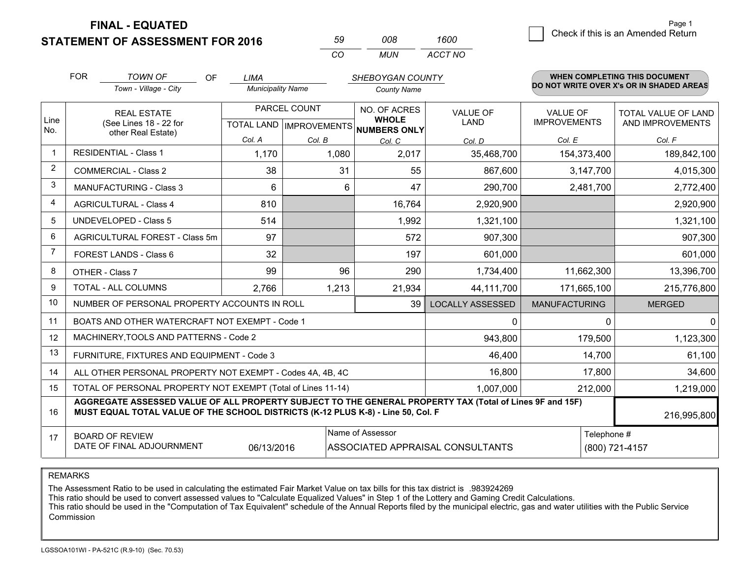**STATEMENT OF ASSESSMENT FOR 2016** 

| .59 | nnr | 1600    |
|-----|-----|---------|
| CO. | MUN | ACCT NO |

|                | <b>FOR</b>                                                                                                                                                                                   | <b>TOWN OF</b><br><b>OF</b><br>Town - Village - City               | <b>LIMA</b><br><b>Municipality Name</b> |              | <b>SHEBOYGAN COUNTY</b><br><b>County Name</b>                       |                         |                                        | <b>WHEN COMPLETING THIS DOCUMENT</b><br>DO NOT WRITE OVER X's OR IN SHADED AREAS |
|----------------|----------------------------------------------------------------------------------------------------------------------------------------------------------------------------------------------|--------------------------------------------------------------------|-----------------------------------------|--------------|---------------------------------------------------------------------|-------------------------|----------------------------------------|----------------------------------------------------------------------------------|
| Line<br>No.    |                                                                                                                                                                                              | <b>REAL ESTATE</b><br>(See Lines 18 - 22 for<br>other Real Estate) |                                         | PARCEL COUNT | NO. OF ACRES<br><b>WHOLE</b><br>TOTAL LAND MPROVEMENTS NUMBERS ONLY | <b>VALUE OF</b><br>LAND | <b>VALUE OF</b><br><b>IMPROVEMENTS</b> | <b>TOTAL VALUE OF LAND</b><br>AND IMPROVEMENTS                                   |
|                |                                                                                                                                                                                              |                                                                    | Col. A                                  | Col. B       | Col. C                                                              | Col. D                  | Col. E                                 | Col. F                                                                           |
| $\mathbf 1$    |                                                                                                                                                                                              | <b>RESIDENTIAL - Class 1</b>                                       | 1,170                                   | 1,080        | 2,017                                                               | 35,468,700              | 154,373,400                            | 189,842,100                                                                      |
| 2              |                                                                                                                                                                                              | <b>COMMERCIAL - Class 2</b>                                        | 38                                      | 31           | 55                                                                  | 867,600                 | 3,147,700                              | 4,015,300                                                                        |
| 3              |                                                                                                                                                                                              | MANUFACTURING - Class 3                                            | 6                                       | 6            | 47                                                                  | 290,700                 | 2,481,700                              | 2,772,400                                                                        |
| $\overline{4}$ |                                                                                                                                                                                              | <b>AGRICULTURAL - Class 4</b>                                      | 810                                     |              | 16,764                                                              | 2,920,900               |                                        | 2,920,900                                                                        |
| 5              |                                                                                                                                                                                              | <b>UNDEVELOPED - Class 5</b>                                       | 514                                     |              | 1,992                                                               | 1,321,100               |                                        | 1,321,100                                                                        |
| 6              |                                                                                                                                                                                              | AGRICULTURAL FOREST - Class 5m                                     | 97                                      |              | 572                                                                 | 907,300                 |                                        | 907,300                                                                          |
| $\overline{7}$ |                                                                                                                                                                                              | FOREST LANDS - Class 6                                             | 32                                      |              | 197                                                                 | 601,000                 |                                        | 601,000                                                                          |
| 8              |                                                                                                                                                                                              | OTHER - Class 7                                                    | 99                                      | 96           | 290                                                                 | 1,734,400               | 11,662,300                             | 13,396,700                                                                       |
| 9              |                                                                                                                                                                                              | <b>TOTAL - ALL COLUMNS</b>                                         | 2,766                                   | 1,213        | 21,934                                                              | 44,111,700              | 171,665,100                            | 215,776,800                                                                      |
| 10             |                                                                                                                                                                                              | NUMBER OF PERSONAL PROPERTY ACCOUNTS IN ROLL                       |                                         |              | 39                                                                  | <b>LOCALLY ASSESSED</b> | <b>MANUFACTURING</b>                   | <b>MERGED</b>                                                                    |
| 11             |                                                                                                                                                                                              | BOATS AND OTHER WATERCRAFT NOT EXEMPT - Code 1                     |                                         |              |                                                                     | $\mathbf{0}$            | 0                                      | $\mathbf 0$                                                                      |
| 12             |                                                                                                                                                                                              | MACHINERY, TOOLS AND PATTERNS - Code 2                             |                                         |              |                                                                     | 943,800                 | 179,500                                | 1,123,300                                                                        |
| 13             |                                                                                                                                                                                              | FURNITURE, FIXTURES AND EQUIPMENT - Code 3                         |                                         |              |                                                                     | 46,400                  | 14,700                                 | 61,100                                                                           |
| 14             |                                                                                                                                                                                              | ALL OTHER PERSONAL PROPERTY NOT EXEMPT - Codes 4A, 4B, 4C          |                                         |              |                                                                     | 16,800                  | 17,800                                 | 34,600                                                                           |
| 15             |                                                                                                                                                                                              | TOTAL OF PERSONAL PROPERTY NOT EXEMPT (Total of Lines 11-14)       | 1,007,000                               | 212,000      | 1,219,000                                                           |                         |                                        |                                                                                  |
| 16             | AGGREGATE ASSESSED VALUE OF ALL PROPERTY SUBJECT TO THE GENERAL PROPERTY TAX (Total of Lines 9F and 15F)<br>MUST EQUAL TOTAL VALUE OF THE SCHOOL DISTRICTS (K-12 PLUS K-8) - Line 50, Col. F |                                                                    |                                         |              |                                                                     |                         |                                        | 216,995,800                                                                      |
| 17             | Name of Assessor<br><b>BOARD OF REVIEW</b><br>DATE OF FINAL ADJOURNMENT<br>06/13/2016<br>ASSOCIATED APPRAISAL CONSULTANTS                                                                    |                                                                    |                                         |              |                                                                     |                         |                                        | Telephone #<br>(800) 721-4157                                                    |

REMARKS

The Assessment Ratio to be used in calculating the estimated Fair Market Value on tax bills for this tax district is .983924269

This ratio should be used to convert assessed values to "Calculate Equalized Values" in Step 1 of the Lottery and Gaming Credit Calculations.<br>This ratio should be used in the "Computation of Tax Equivalent" schedule of the Commission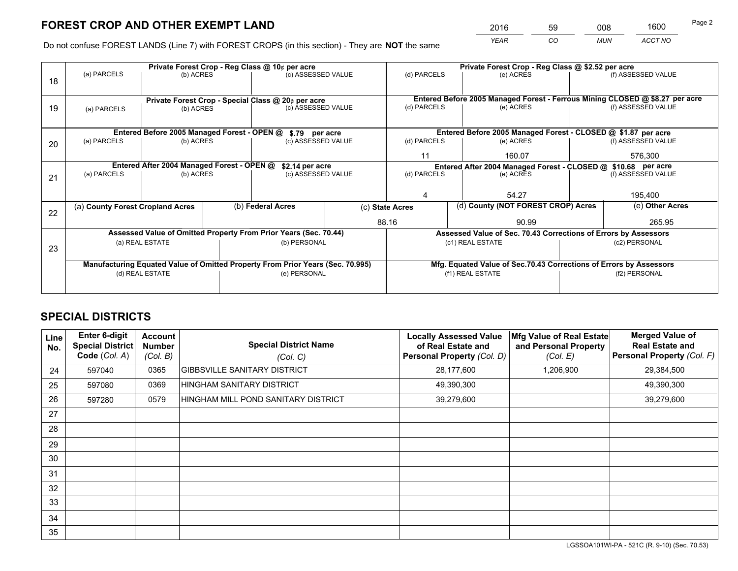*YEAR CO MUN ACCT NO* <sup>2016</sup> <sup>59</sup> <sup>008</sup> <sup>1600</sup>

Do not confuse FOREST LANDS (Line 7) with FOREST CROPS (in this section) - They are **NOT** the same

|                                                                                |             |                                                     |                                                  |                                                                                                                    | Private Forest Crop - Reg Class @ \$2.52 per acre                                                                                                                                                                                                                |                                                                              |                                        |                                                                                                                                                                                                                                                                                                               |  |
|--------------------------------------------------------------------------------|-------------|-----------------------------------------------------|--------------------------------------------------|--------------------------------------------------------------------------------------------------------------------|------------------------------------------------------------------------------------------------------------------------------------------------------------------------------------------------------------------------------------------------------------------|------------------------------------------------------------------------------|----------------------------------------|---------------------------------------------------------------------------------------------------------------------------------------------------------------------------------------------------------------------------------------------------------------------------------------------------------------|--|
|                                                                                |             |                                                     |                                                  |                                                                                                                    | (d) PARCELS                                                                                                                                                                                                                                                      | (e) ACRES                                                                    |                                        | (f) ASSESSED VALUE                                                                                                                                                                                                                                                                                            |  |
|                                                                                |             |                                                     |                                                  |                                                                                                                    |                                                                                                                                                                                                                                                                  |                                                                              |                                        |                                                                                                                                                                                                                                                                                                               |  |
|                                                                                |             |                                                     |                                                  |                                                                                                                    |                                                                                                                                                                                                                                                                  | Entered Before 2005 Managed Forest - Ferrous Mining CLOSED @ \$8.27 per acre |                                        |                                                                                                                                                                                                                                                                                                               |  |
| (a) PARCELS                                                                    |             |                                                     |                                                  |                                                                                                                    |                                                                                                                                                                                                                                                                  |                                                                              |                                        | (f) ASSESSED VALUE                                                                                                                                                                                                                                                                                            |  |
|                                                                                |             |                                                     |                                                  |                                                                                                                    |                                                                                                                                                                                                                                                                  |                                                                              |                                        |                                                                                                                                                                                                                                                                                                               |  |
|                                                                                |             |                                                     |                                                  |                                                                                                                    |                                                                                                                                                                                                                                                                  |                                                                              |                                        |                                                                                                                                                                                                                                                                                                               |  |
| (a) PARCELS                                                                    |             |                                                     |                                                  |                                                                                                                    | (d) PARCELS                                                                                                                                                                                                                                                      | (e) ACRES                                                                    |                                        | (f) ASSESSED VALUE                                                                                                                                                                                                                                                                                            |  |
|                                                                                |             |                                                     |                                                  |                                                                                                                    | 11                                                                                                                                                                                                                                                               | 160.07                                                                       |                                        | 576,300                                                                                                                                                                                                                                                                                                       |  |
| Entered After 2004 Managed Forest - OPEN @<br>\$2.14 per acre                  |             |                                                     |                                                  |                                                                                                                    |                                                                                                                                                                                                                                                                  |                                                                              |                                        | (f) ASSESSED VALUE                                                                                                                                                                                                                                                                                            |  |
| (a) PARCELS                                                                    |             |                                                     |                                                  |                                                                                                                    |                                                                                                                                                                                                                                                                  | (e) ACRES                                                                    |                                        |                                                                                                                                                                                                                                                                                                               |  |
|                                                                                |             |                                                     |                                                  |                                                                                                                    |                                                                                                                                                                                                                                                                  |                                                                              |                                        |                                                                                                                                                                                                                                                                                                               |  |
|                                                                                |             |                                                     |                                                  |                                                                                                                    |                                                                                                                                                                                                                                                                  |                                                                              |                                        | 195,400                                                                                                                                                                                                                                                                                                       |  |
|                                                                                |             |                                                     |                                                  |                                                                                                                    |                                                                                                                                                                                                                                                                  |                                                                              |                                        | (e) Other Acres                                                                                                                                                                                                                                                                                               |  |
|                                                                                |             |                                                     |                                                  |                                                                                                                    |                                                                                                                                                                                                                                                                  | 90.99                                                                        |                                        | 265.95                                                                                                                                                                                                                                                                                                        |  |
|                                                                                |             |                                                     |                                                  |                                                                                                                    |                                                                                                                                                                                                                                                                  |                                                                              |                                        |                                                                                                                                                                                                                                                                                                               |  |
|                                                                                |             |                                                     |                                                  |                                                                                                                    |                                                                                                                                                                                                                                                                  |                                                                              |                                        | (c2) PERSONAL                                                                                                                                                                                                                                                                                                 |  |
|                                                                                |             |                                                     |                                                  |                                                                                                                    |                                                                                                                                                                                                                                                                  |                                                                              |                                        |                                                                                                                                                                                                                                                                                                               |  |
| Manufacturing Equated Value of Omitted Property From Prior Years (Sec. 70.995) |             |                                                     |                                                  |                                                                                                                    |                                                                                                                                                                                                                                                                  |                                                                              |                                        |                                                                                                                                                                                                                                                                                                               |  |
| (d) REAL ESTATE                                                                |             |                                                     |                                                  |                                                                                                                    | (f1) REAL ESTATE                                                                                                                                                                                                                                                 |                                                                              | (f2) PERSONAL                          |                                                                                                                                                                                                                                                                                                               |  |
|                                                                                |             |                                                     |                                                  |                                                                                                                    |                                                                                                                                                                                                                                                                  |                                                                              |                                        |                                                                                                                                                                                                                                                                                                               |  |
|                                                                                | (a) PARCELS | (a) County Forest Cropland Acres<br>(a) REAL ESTATE | (b) ACRES<br>(b) ACRES<br>(b) ACRES<br>(b) ACRES | Private Forest Crop - Reg Class @ 10¢ per acre<br>Entered Before 2005 Managed Forest - OPEN @<br>(b) Federal Acres | (c) ASSESSED VALUE<br>Private Forest Crop - Special Class @ 20¢ per acre<br>(c) ASSESSED VALUE<br>\$.79 per acre<br>(c) ASSESSED VALUE<br>(c) ASSESSED VALUE<br>Assessed Value of Omitted Property From Prior Years (Sec. 70.44)<br>(b) PERSONAL<br>(e) PERSONAL | (d) PARCELS<br>(d) PARCELS<br>(c) State Acres<br>88.16                       | (e) ACRES<br>54.27<br>(c1) REAL ESTATE | Entered Before 2005 Managed Forest - CLOSED @ \$1.87 per acre<br>Entered After 2004 Managed Forest - CLOSED @ \$10.68 per acre<br>(d) County (NOT FOREST CROP) Acres<br>Assessed Value of Sec. 70.43 Corrections of Errors by Assessors<br>Mfg. Equated Value of Sec.70.43 Corrections of Errors by Assessors |  |

## **SPECIAL DISTRICTS**

| <b>Line</b><br>No. | <b>Enter 6-digit</b><br><b>Special District</b><br>Code (Col. A) | <b>Account</b><br><b>Number</b><br>(Col. B) | <b>Special District Name</b><br>(Col. C) | <b>Locally Assessed Value</b><br>of Real Estate and<br>Personal Property (Col. D) | Mfg Value of Real Estate<br>and Personal Property<br>(Col. E) | <b>Merged Value of</b><br><b>Real Estate and</b><br>Personal Property (Col. F) |
|--------------------|------------------------------------------------------------------|---------------------------------------------|------------------------------------------|-----------------------------------------------------------------------------------|---------------------------------------------------------------|--------------------------------------------------------------------------------|
| 24                 | 597040                                                           | 0365                                        | <b>GIBBSVILLE SANITARY DISTRICT</b>      | 28,177,600                                                                        | 1,206,900                                                     | 29,384,500                                                                     |
| 25                 | 597080                                                           | 0369                                        | HINGHAM SANITARY DISTRICT                | 49,390,300                                                                        |                                                               | 49,390,300                                                                     |
| 26                 | 597280                                                           | 0579                                        | HINGHAM MILL POND SANITARY DISTRICT      | 39,279,600                                                                        |                                                               | 39,279,600                                                                     |
| 27                 |                                                                  |                                             |                                          |                                                                                   |                                                               |                                                                                |
| 28                 |                                                                  |                                             |                                          |                                                                                   |                                                               |                                                                                |
| 29                 |                                                                  |                                             |                                          |                                                                                   |                                                               |                                                                                |
| 30                 |                                                                  |                                             |                                          |                                                                                   |                                                               |                                                                                |
| 31                 |                                                                  |                                             |                                          |                                                                                   |                                                               |                                                                                |
| 32                 |                                                                  |                                             |                                          |                                                                                   |                                                               |                                                                                |
| 33                 |                                                                  |                                             |                                          |                                                                                   |                                                               |                                                                                |
| 34                 |                                                                  |                                             |                                          |                                                                                   |                                                               |                                                                                |
| 35                 |                                                                  |                                             |                                          |                                                                                   |                                                               |                                                                                |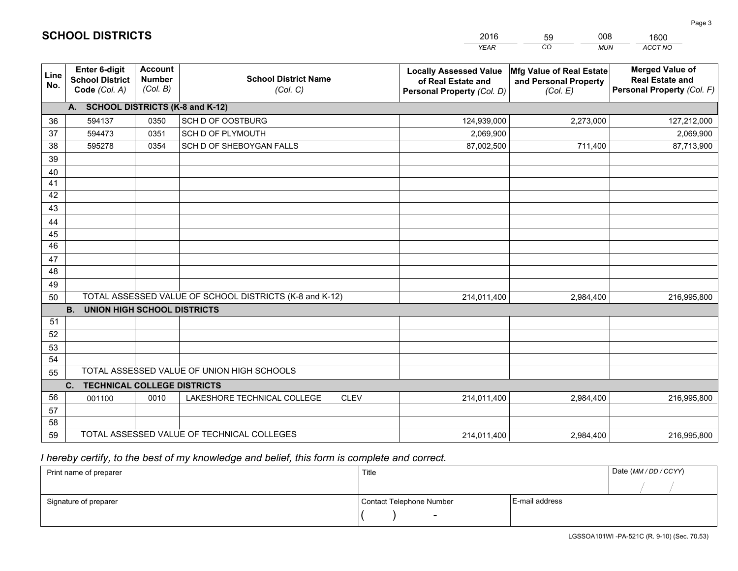|             |                                                                 |                                             |                                                         | <b>YEAR</b>                                                                       | CO<br><b>MUN</b>                                              | ACCT NO                                                                        |
|-------------|-----------------------------------------------------------------|---------------------------------------------|---------------------------------------------------------|-----------------------------------------------------------------------------------|---------------------------------------------------------------|--------------------------------------------------------------------------------|
| Line<br>No. | <b>Enter 6-digit</b><br><b>School District</b><br>Code (Col. A) | <b>Account</b><br><b>Number</b><br>(Col. B) | <b>School District Name</b><br>(Col. C)                 | <b>Locally Assessed Value</b><br>of Real Estate and<br>Personal Property (Col. D) | Mfg Value of Real Estate<br>and Personal Property<br>(Col. E) | <b>Merged Value of</b><br><b>Real Estate and</b><br>Personal Property (Col. F) |
|             | A. SCHOOL DISTRICTS (K-8 and K-12)                              |                                             |                                                         |                                                                                   |                                                               |                                                                                |
| 36          | 594137                                                          | 0350                                        | SCH D OF OOSTBURG                                       | 124,939,000                                                                       | 2,273,000                                                     | 127,212,000                                                                    |
| 37          | 594473                                                          | 0351                                        | SCH D OF PLYMOUTH                                       | 2,069,900                                                                         |                                                               | 2,069,900                                                                      |
| 38          | 595278                                                          | 0354                                        | SCH D OF SHEBOYGAN FALLS                                | 87,002,500                                                                        | 711,400                                                       | 87,713,900                                                                     |
| 39          |                                                                 |                                             |                                                         |                                                                                   |                                                               |                                                                                |
| 40          |                                                                 |                                             |                                                         |                                                                                   |                                                               |                                                                                |
| 41          |                                                                 |                                             |                                                         |                                                                                   |                                                               |                                                                                |
| 42          |                                                                 |                                             |                                                         |                                                                                   |                                                               |                                                                                |
| 43          |                                                                 |                                             |                                                         |                                                                                   |                                                               |                                                                                |
| 44          |                                                                 |                                             |                                                         |                                                                                   |                                                               |                                                                                |
| 45          |                                                                 |                                             |                                                         |                                                                                   |                                                               |                                                                                |
| 46          |                                                                 |                                             |                                                         |                                                                                   |                                                               |                                                                                |
| 47          |                                                                 |                                             |                                                         |                                                                                   |                                                               |                                                                                |
| 48          |                                                                 |                                             |                                                         |                                                                                   |                                                               |                                                                                |
| 49          |                                                                 |                                             |                                                         |                                                                                   |                                                               |                                                                                |
| 50          |                                                                 |                                             | TOTAL ASSESSED VALUE OF SCHOOL DISTRICTS (K-8 and K-12) | 214,011,400                                                                       | 2,984,400                                                     | 216,995,800                                                                    |
| 51          | <b>B.</b><br><b>UNION HIGH SCHOOL DISTRICTS</b>                 |                                             |                                                         |                                                                                   |                                                               |                                                                                |
| 52          |                                                                 |                                             |                                                         |                                                                                   |                                                               |                                                                                |
| 53          |                                                                 |                                             |                                                         |                                                                                   |                                                               |                                                                                |
| 54          |                                                                 |                                             |                                                         |                                                                                   |                                                               |                                                                                |
| 55          |                                                                 |                                             | TOTAL ASSESSED VALUE OF UNION HIGH SCHOOLS              |                                                                                   |                                                               |                                                                                |
|             | C.<br><b>TECHNICAL COLLEGE DISTRICTS</b>                        |                                             |                                                         |                                                                                   |                                                               |                                                                                |
| 56          | 001100                                                          | 0010                                        | LAKESHORE TECHNICAL COLLEGE<br><b>CLEV</b>              | 214,011,400                                                                       | 2,984,400                                                     | 216,995,800                                                                    |
| 57          |                                                                 |                                             |                                                         |                                                                                   |                                                               |                                                                                |
| 58          |                                                                 |                                             |                                                         |                                                                                   |                                                               |                                                                                |
| 59          |                                                                 |                                             | TOTAL ASSESSED VALUE OF TECHNICAL COLLEGES              | 214,011,400                                                                       | 2,984,400                                                     | 216,995,800                                                                    |

59

008

 *I hereby certify, to the best of my knowledge and belief, this form is complete and correct.*

**SCHOOL DISTRICTS**

| Print name of preparer | Title                    |                | Date (MM / DD / CCYY) |
|------------------------|--------------------------|----------------|-----------------------|
|                        |                          |                |                       |
| Signature of preparer  | Contact Telephone Number | E-mail address |                       |
|                        | -                        |                |                       |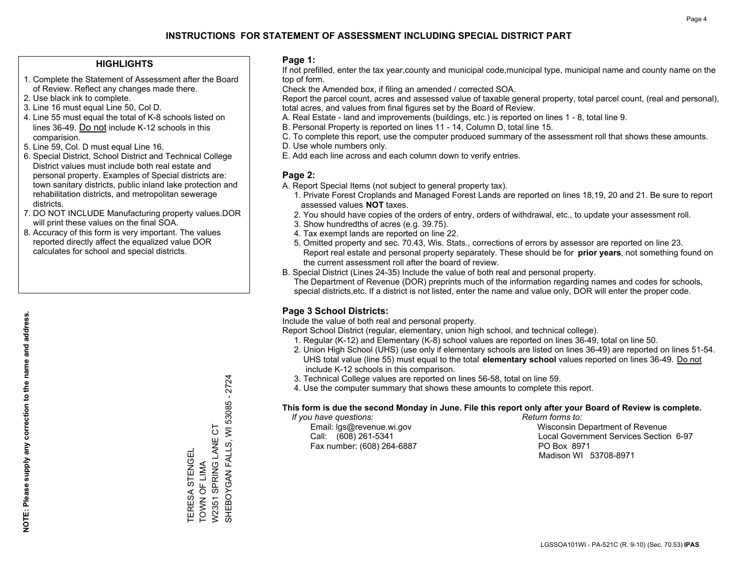#### **HIGHLIGHTS**

- 1. Complete the Statement of Assessment after the Board of Review. Reflect any changes made there.
- 2. Use black ink to complete.
- 3. Line 16 must equal Line 50, Col D.
- 4. Line 55 must equal the total of K-8 schools listed on lines 36-49. Do not include K-12 schools in this comparision.
- 5. Line 59, Col. D must equal Line 16.
- 6. Special District, School District and Technical College District values must include both real estate and personal property. Examples of Special districts are: town sanitary districts, public inland lake protection and rehabilitation districts, and metropolitan sewerage districts.
- 7. DO NOT INCLUDE Manufacturing property values.DOR will print these values on the final SOA.

TERESA STENGEL TOWN OF LIMA

TERESA STENGEL<br>TOWN OF LIMA

W2351 SPRING LANE CT

W2351 SPRING LANE CT

SHEBOYGAN FALLS, WI 53085 - 2724

SHEBOYGAN FALLS, WI 53085 - 2724

 8. Accuracy of this form is very important. The values reported directly affect the equalized value DOR calculates for school and special districts.

#### **Page 1:**

 If not prefilled, enter the tax year,county and municipal code,municipal type, municipal name and county name on the top of form.

Check the Amended box, if filing an amended / corrected SOA.

 Report the parcel count, acres and assessed value of taxable general property, total parcel count, (real and personal), total acres, and values from final figures set by the Board of Review.

- A. Real Estate land and improvements (buildings, etc.) is reported on lines 1 8, total line 9.
- B. Personal Property is reported on lines 11 14, Column D, total line 15.
- C. To complete this report, use the computer produced summary of the assessment roll that shows these amounts.
- D. Use whole numbers only.
- E. Add each line across and each column down to verify entries.

#### **Page 2:**

- A. Report Special Items (not subject to general property tax).
- 1. Private Forest Croplands and Managed Forest Lands are reported on lines 18,19, 20 and 21. Be sure to report assessed values **NOT** taxes.
- 2. You should have copies of the orders of entry, orders of withdrawal, etc., to update your assessment roll.
	- 3. Show hundredths of acres (e.g. 39.75).
- 4. Tax exempt lands are reported on line 22.
- 5. Omitted property and sec. 70.43, Wis. Stats., corrections of errors by assessor are reported on line 23. Report real estate and personal property separately. These should be for **prior years**, not something found on the current assessment roll after the board of review.
- B. Special District (Lines 24-35) Include the value of both real and personal property.
- The Department of Revenue (DOR) preprints much of the information regarding names and codes for schools, special districts,etc. If a district is not listed, enter the name and value only, DOR will enter the proper code.

### **Page 3 School Districts:**

Include the value of both real and personal property.

Report School District (regular, elementary, union high school, and technical college).

- 1. Regular (K-12) and Elementary (K-8) school values are reported on lines 36-49, total on line 50.
- 2. Union High School (UHS) (use only if elementary schools are listed on lines 36-49) are reported on lines 51-54. UHS total value (line 55) must equal to the total **elementary school** values reported on lines 36-49. Do notinclude K-12 schools in this comparison.
- 3. Technical College values are reported on lines 56-58, total on line 59.
- 4. Use the computer summary that shows these amounts to complete this report.

#### **This form is due the second Monday in June. File this report only after your Board of Review is complete.**

 *If you have questions: Return forms to:*

Fax number: (608) 264-6887 PO Box 8971

 Email: lgs@revenue.wi.gov Wisconsin Department of Revenue Call: (608) 261-5341 Local Government Services Section 6-97Madison WI 53708-8971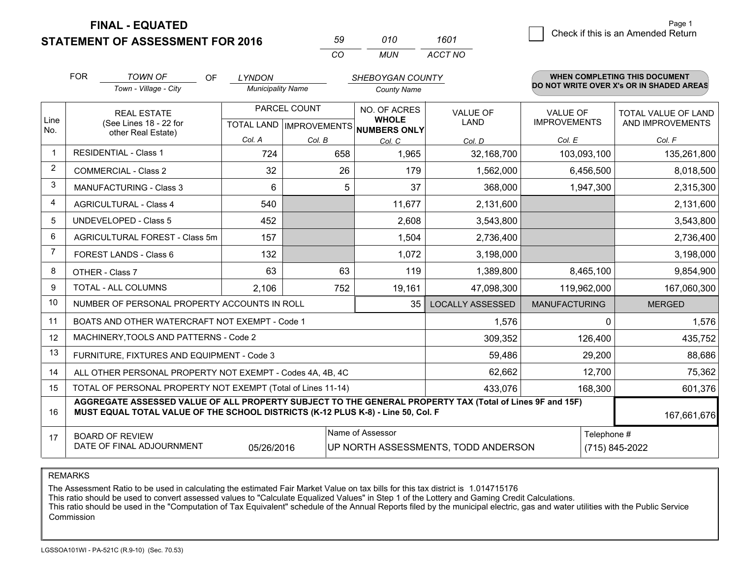**STATEMENT OF ASSESSMENT FOR 2016** 

| 59  | 010 | 1601    |
|-----|-----|---------|
| CO. | MUN | ACCT NO |

|                | <b>FOR</b>                                                                                                                                                                                   | <b>TOWN OF</b><br>OF                                      | <b>LYNDON</b>            |              | SHEBOYGAN COUNTY                                    |                         |                                                                                                  | WHEN COMPLETING THIS DOCUMENT            |  |  |  |  |
|----------------|----------------------------------------------------------------------------------------------------------------------------------------------------------------------------------------------|-----------------------------------------------------------|--------------------------|--------------|-----------------------------------------------------|-------------------------|--------------------------------------------------------------------------------------------------|------------------------------------------|--|--|--|--|
|                |                                                                                                                                                                                              | Town - Village - City                                     | <b>Municipality Name</b> |              | <b>County Name</b>                                  |                         |                                                                                                  | DO NOT WRITE OVER X's OR IN SHADED AREAS |  |  |  |  |
|                |                                                                                                                                                                                              | <b>REAL ESTATE</b>                                        |                          | PARCEL COUNT | NO. OF ACRES                                        | <b>VALUE OF</b>         | <b>VALUE OF</b>                                                                                  | TOTAL VALUE OF LAND                      |  |  |  |  |
| Line<br>No.    |                                                                                                                                                                                              | (See Lines 18 - 22 for<br>other Real Estate)              |                          |              | <b>WHOLE</b><br>TOTAL LAND MPROVEMENTS NUMBERS ONLY | LAND                    | <b>IMPROVEMENTS</b>                                                                              | AND IMPROVEMENTS                         |  |  |  |  |
|                |                                                                                                                                                                                              |                                                           | Col. A                   | Col. B       | Col. C                                              | Col. D                  | Col. E                                                                                           | Col. F                                   |  |  |  |  |
| -1             |                                                                                                                                                                                              | <b>RESIDENTIAL - Class 1</b>                              | 724                      | 658          | 1.965                                               | 32,168,700              | 103,093,100                                                                                      | 135,261,800                              |  |  |  |  |
| $\overline{2}$ |                                                                                                                                                                                              | <b>COMMERCIAL - Class 2</b>                               | 32                       | 26           | 179                                                 | 1,562,000               | 6,456,500                                                                                        | 8,018,500                                |  |  |  |  |
| 3              |                                                                                                                                                                                              | MANUFACTURING - Class 3                                   | 6                        | 5            | 37                                                  | 368,000                 | 1,947,300                                                                                        | 2,315,300                                |  |  |  |  |
| 4              |                                                                                                                                                                                              | <b>AGRICULTURAL - Class 4</b>                             | 540                      |              | 11,677                                              | 2,131,600               |                                                                                                  | 2,131,600                                |  |  |  |  |
| 5              |                                                                                                                                                                                              | <b>UNDEVELOPED - Class 5</b>                              | 452                      |              | 2,608                                               | 3,543,800               |                                                                                                  | 3,543,800                                |  |  |  |  |
| 6              |                                                                                                                                                                                              | AGRICULTURAL FOREST - Class 5m                            | 157                      |              | 1,504                                               | 2,736,400               |                                                                                                  | 2,736,400                                |  |  |  |  |
| $\overline{7}$ |                                                                                                                                                                                              | FOREST LANDS - Class 6                                    | 132                      |              | 1,072                                               | 3,198,000               |                                                                                                  | 3,198,000                                |  |  |  |  |
| 8              |                                                                                                                                                                                              | OTHER - Class 7                                           | 63                       | 63           | 119                                                 | 1,389,800               | 8,465,100                                                                                        | 9,854,900                                |  |  |  |  |
| 9              |                                                                                                                                                                                              | TOTAL - ALL COLUMNS                                       | 2,106                    | 752          | 19,161                                              | 47,098,300              | 119,962,000                                                                                      | 167,060,300                              |  |  |  |  |
| 10             |                                                                                                                                                                                              | NUMBER OF PERSONAL PROPERTY ACCOUNTS IN ROLL              |                          |              | 35                                                  | <b>LOCALLY ASSESSED</b> | <b>MANUFACTURING</b>                                                                             | <b>MERGED</b>                            |  |  |  |  |
| 11             |                                                                                                                                                                                              | BOATS AND OTHER WATERCRAFT NOT EXEMPT - Code 1            |                          |              |                                                     | 1,576                   |                                                                                                  | 1,576<br>$\Omega$                        |  |  |  |  |
| 12             |                                                                                                                                                                                              | MACHINERY, TOOLS AND PATTERNS - Code 2                    |                          |              |                                                     | 309,352                 | 126,400                                                                                          | 435,752                                  |  |  |  |  |
| 13             |                                                                                                                                                                                              | FURNITURE, FIXTURES AND EQUIPMENT - Code 3                |                          |              |                                                     | 59,486                  | 29,200                                                                                           | 88,686                                   |  |  |  |  |
| 14             |                                                                                                                                                                                              | ALL OTHER PERSONAL PROPERTY NOT EXEMPT - Codes 4A, 4B, 4C |                          | 62,662       | 12,700                                              | 75,362                  |                                                                                                  |                                          |  |  |  |  |
| 15             | TOTAL OF PERSONAL PROPERTY NOT EXEMPT (Total of Lines 11-14)<br>433,076                                                                                                                      |                                                           |                          |              |                                                     |                         |                                                                                                  | 601,376<br>168,300                       |  |  |  |  |
| 16             | AGGREGATE ASSESSED VALUE OF ALL PROPERTY SUBJECT TO THE GENERAL PROPERTY TAX (Total of Lines 9F and 15F)<br>MUST EQUAL TOTAL VALUE OF THE SCHOOL DISTRICTS (K-12 PLUS K-8) - Line 50, Col. F |                                                           |                          |              |                                                     |                         | 167,661,676                                                                                      |                                          |  |  |  |  |
| 17             |                                                                                                                                                                                              | <b>BOARD OF REVIEW</b>                                    |                          |              | Name of Assessor                                    |                         |                                                                                                  | Telephone #                              |  |  |  |  |
|                |                                                                                                                                                                                              |                                                           |                          |              |                                                     |                         | DATE OF FINAL ADJOURNMENT<br>UP NORTH ASSESSMENTS, TODD ANDERSON<br>(715) 845-2022<br>05/26/2016 |                                          |  |  |  |  |

REMARKS

The Assessment Ratio to be used in calculating the estimated Fair Market Value on tax bills for this tax district is 1.014715176

This ratio should be used to convert assessed values to "Calculate Equalized Values" in Step 1 of the Lottery and Gaming Credit Calculations.<br>This ratio should be used in the "Computation of Tax Equivalent" schedule of the Commission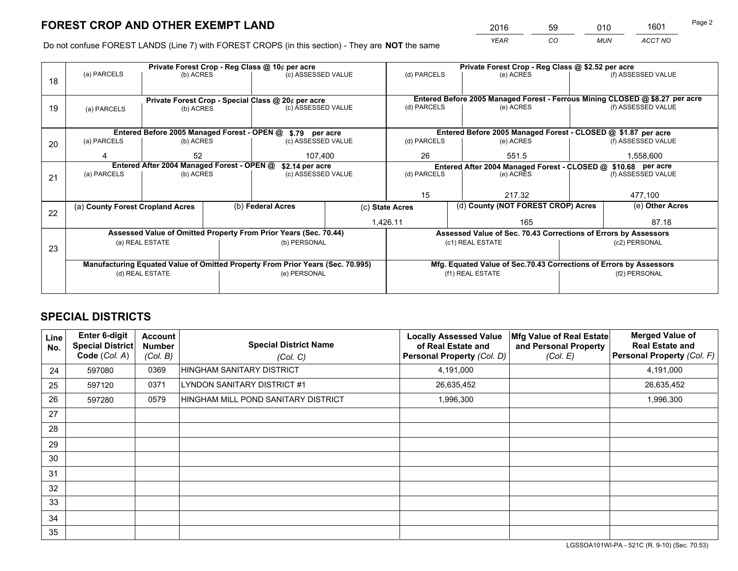*YEAR CO MUN ACCT NO* <sup>2016</sup> <sup>59</sup> <sup>010</sup> <sup>1601</sup>

Do not confuse FOREST LANDS (Line 7) with FOREST CROPS (in this section) - They are **NOT** the same

|    |                                                                                |                                                    |  | Private Forest Crop - Reg Class @ 10¢ per acre                   |    | Private Forest Crop - Reg Class @ \$2.52 per acre                            |                                                                    |                                                               |                    |  |
|----|--------------------------------------------------------------------------------|----------------------------------------------------|--|------------------------------------------------------------------|----|------------------------------------------------------------------------------|--------------------------------------------------------------------|---------------------------------------------------------------|--------------------|--|
| 18 | (a) PARCELS                                                                    | (b) ACRES                                          |  | (c) ASSESSED VALUE                                               |    | (d) PARCELS                                                                  | (e) ACRES                                                          |                                                               | (f) ASSESSED VALUE |  |
|    |                                                                                |                                                    |  |                                                                  |    |                                                                              |                                                                    |                                                               |                    |  |
|    |                                                                                | Private Forest Crop - Special Class @ 20¢ per acre |  |                                                                  |    | Entered Before 2005 Managed Forest - Ferrous Mining CLOSED @ \$8.27 per acre |                                                                    |                                                               |                    |  |
| 19 | (a) PARCELS                                                                    | (b) ACRES                                          |  | (c) ASSESSED VALUE                                               |    | (d) PARCELS                                                                  | (e) ACRES                                                          |                                                               | (f) ASSESSED VALUE |  |
|    |                                                                                |                                                    |  |                                                                  |    |                                                                              |                                                                    |                                                               |                    |  |
|    |                                                                                |                                                    |  | Entered Before 2005 Managed Forest - OPEN @ \$.79 per acre       |    |                                                                              | Entered Before 2005 Managed Forest - CLOSED @ \$1.87 per acre      |                                                               |                    |  |
| 20 | (a) PARCELS                                                                    | (b) ACRES                                          |  | (c) ASSESSED VALUE                                               |    | (d) PARCELS                                                                  | (e) ACRES                                                          |                                                               | (f) ASSESSED VALUE |  |
|    | Δ                                                                              | 52<br>107,400                                      |  |                                                                  | 26 | 551.5                                                                        |                                                                    | 1,558,600                                                     |                    |  |
|    | Entered After 2004 Managed Forest - OPEN @                                     |                                                    |  | \$2.14 per acre                                                  |    |                                                                              |                                                                    | Entered After 2004 Managed Forest - CLOSED @ \$10.68 per acre |                    |  |
|    | (a) PARCELS                                                                    | (b) ACRES                                          |  | (c) ASSESSED VALUE                                               |    | (d) PARCELS<br>(e) ACRES                                                     |                                                                    | (f) ASSESSED VALUE                                            |                    |  |
| 21 |                                                                                |                                                    |  |                                                                  |    |                                                                              |                                                                    |                                                               |                    |  |
|    |                                                                                |                                                    |  |                                                                  |    | 15                                                                           | 217.32                                                             |                                                               | 477,100            |  |
|    | (a) County Forest Cropland Acres                                               |                                                    |  | (b) Federal Acres                                                |    | (c) State Acres                                                              | (d) County (NOT FOREST CROP) Acres                                 |                                                               | (e) Other Acres    |  |
| 22 |                                                                                |                                                    |  |                                                                  |    |                                                                              |                                                                    |                                                               |                    |  |
|    |                                                                                |                                                    |  |                                                                  |    | 1,426.11                                                                     | 165                                                                |                                                               | 87.18              |  |
|    |                                                                                |                                                    |  | Assessed Value of Omitted Property From Prior Years (Sec. 70.44) |    |                                                                              | Assessed Value of Sec. 70.43 Corrections of Errors by Assessors    |                                                               |                    |  |
| 23 |                                                                                | (a) REAL ESTATE                                    |  | (b) PERSONAL                                                     |    |                                                                              | (c1) REAL ESTATE                                                   |                                                               | (c2) PERSONAL      |  |
|    |                                                                                |                                                    |  |                                                                  |    |                                                                              |                                                                    |                                                               |                    |  |
|    | Manufacturing Equated Value of Omitted Property From Prior Years (Sec. 70.995) |                                                    |  |                                                                  |    |                                                                              | Mfg. Equated Value of Sec.70.43 Corrections of Errors by Assessors |                                                               |                    |  |
|    | (d) REAL ESTATE                                                                |                                                    |  | (e) PERSONAL                                                     |    | (f1) REAL ESTATE                                                             |                                                                    |                                                               | (f2) PERSONAL      |  |
|    |                                                                                |                                                    |  |                                                                  |    |                                                                              |                                                                    |                                                               |                    |  |

## **SPECIAL DISTRICTS**

| Line<br>No. | <b>Enter 6-digit</b><br><b>Special District</b><br>Code (Col. A) | Account<br><b>Number</b><br>(Col. B) | <b>Special District Name</b><br>(Col. C) | <b>Locally Assessed Value</b><br>of Real Estate and<br><b>Personal Property (Col. D)</b> | Mfg Value of Real Estate<br>and Personal Property<br>(Col. E) | <b>Merged Value of</b><br><b>Real Estate and</b><br>Personal Property (Col. F) |
|-------------|------------------------------------------------------------------|--------------------------------------|------------------------------------------|------------------------------------------------------------------------------------------|---------------------------------------------------------------|--------------------------------------------------------------------------------|
| 24          | 597080                                                           | 0369                                 | HINGHAM SANITARY DISTRICT                | 4,191,000                                                                                |                                                               | 4,191,000                                                                      |
| 25          | 597120                                                           | 0371                                 | LYNDON SANITARY DISTRICT #1              | 26,635,452                                                                               |                                                               | 26,635,452                                                                     |
| 26          | 597280                                                           | 0579                                 | HINGHAM MILL POND SANITARY DISTRICT      | 1,996,300                                                                                |                                                               | 1,996,300                                                                      |
| 27          |                                                                  |                                      |                                          |                                                                                          |                                                               |                                                                                |
| 28          |                                                                  |                                      |                                          |                                                                                          |                                                               |                                                                                |
| 29          |                                                                  |                                      |                                          |                                                                                          |                                                               |                                                                                |
| 30          |                                                                  |                                      |                                          |                                                                                          |                                                               |                                                                                |
| 31          |                                                                  |                                      |                                          |                                                                                          |                                                               |                                                                                |
| 32          |                                                                  |                                      |                                          |                                                                                          |                                                               |                                                                                |
| 33          |                                                                  |                                      |                                          |                                                                                          |                                                               |                                                                                |
| 34          |                                                                  |                                      |                                          |                                                                                          |                                                               |                                                                                |
| 35          |                                                                  |                                      |                                          |                                                                                          |                                                               |                                                                                |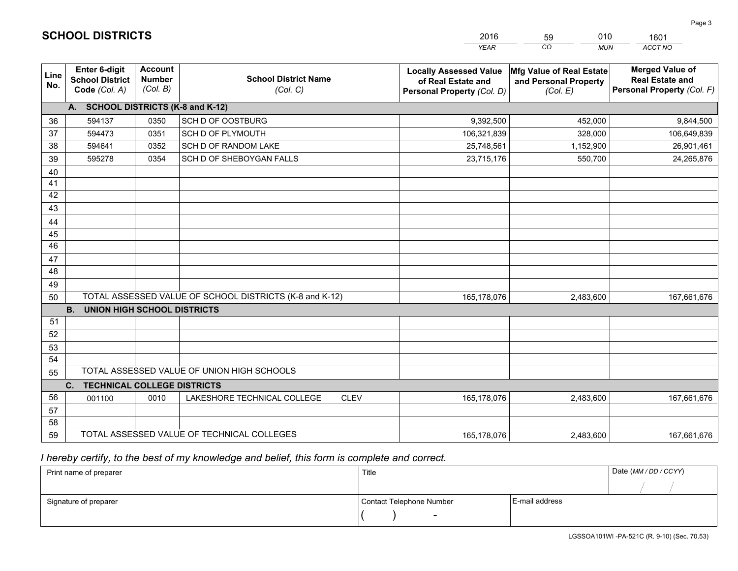|                 |                                                                 |                                             |                                                         | <b>YEAR</b>                                                                       | CO<br><b>MUN</b>                                              | ACCT NO                                                                        |
|-----------------|-----------------------------------------------------------------|---------------------------------------------|---------------------------------------------------------|-----------------------------------------------------------------------------------|---------------------------------------------------------------|--------------------------------------------------------------------------------|
| Line<br>No.     | <b>Enter 6-digit</b><br><b>School District</b><br>Code (Col. A) | <b>Account</b><br><b>Number</b><br>(Col. B) | <b>School District Name</b><br>(Col. C)                 | <b>Locally Assessed Value</b><br>of Real Estate and<br>Personal Property (Col. D) | Mfg Value of Real Estate<br>and Personal Property<br>(Col. E) | <b>Merged Value of</b><br><b>Real Estate and</b><br>Personal Property (Col. F) |
|                 | A. SCHOOL DISTRICTS (K-8 and K-12)                              |                                             |                                                         |                                                                                   |                                                               |                                                                                |
| 36              | 594137                                                          | 0350                                        | SCH D OF OOSTBURG                                       | 9,392,500                                                                         | 452,000                                                       | 9,844,500                                                                      |
| 37              | 594473                                                          | 0351                                        | SCH D OF PLYMOUTH                                       | 106,321,839                                                                       | 328,000                                                       | 106,649,839                                                                    |
| 38              | 594641                                                          | 0352                                        | SCH D OF RANDOM LAKE                                    | 25,748,561                                                                        | 1,152,900                                                     | 26,901,461                                                                     |
| 39              | 595278                                                          | 0354                                        | SCH D OF SHEBOYGAN FALLS                                | 23,715,176                                                                        | 550,700                                                       | 24,265,876                                                                     |
| 40              |                                                                 |                                             |                                                         |                                                                                   |                                                               |                                                                                |
| 41              |                                                                 |                                             |                                                         |                                                                                   |                                                               |                                                                                |
| 42              |                                                                 |                                             |                                                         |                                                                                   |                                                               |                                                                                |
| 43              |                                                                 |                                             |                                                         |                                                                                   |                                                               |                                                                                |
| 44              |                                                                 |                                             |                                                         |                                                                                   |                                                               |                                                                                |
| 45              |                                                                 |                                             |                                                         |                                                                                   |                                                               |                                                                                |
| $\overline{46}$ |                                                                 |                                             |                                                         |                                                                                   |                                                               |                                                                                |
| 47              |                                                                 |                                             |                                                         |                                                                                   |                                                               |                                                                                |
| 48              |                                                                 |                                             |                                                         |                                                                                   |                                                               |                                                                                |
| 49              |                                                                 |                                             |                                                         |                                                                                   |                                                               |                                                                                |
| 50              |                                                                 |                                             | TOTAL ASSESSED VALUE OF SCHOOL DISTRICTS (K-8 and K-12) | 165,178,076                                                                       | 2,483,600                                                     | 167,661,676                                                                    |
|                 | <b>B.</b><br><b>UNION HIGH SCHOOL DISTRICTS</b>                 |                                             |                                                         |                                                                                   |                                                               |                                                                                |
| 51              |                                                                 |                                             |                                                         |                                                                                   |                                                               |                                                                                |
| 52              |                                                                 |                                             |                                                         |                                                                                   |                                                               |                                                                                |
| 53              |                                                                 |                                             |                                                         |                                                                                   |                                                               |                                                                                |
| 54              |                                                                 |                                             |                                                         |                                                                                   |                                                               |                                                                                |
| 55              |                                                                 |                                             | TOTAL ASSESSED VALUE OF UNION HIGH SCHOOLS              |                                                                                   |                                                               |                                                                                |
|                 | C.<br><b>TECHNICAL COLLEGE DISTRICTS</b>                        |                                             |                                                         |                                                                                   |                                                               |                                                                                |
| 56              | 001100                                                          | 0010                                        | LAKESHORE TECHNICAL COLLEGE<br><b>CLEV</b>              | 165,178,076                                                                       | 2,483,600                                                     | 167,661,676                                                                    |
| 57              |                                                                 |                                             |                                                         |                                                                                   |                                                               |                                                                                |
| 58              |                                                                 |                                             |                                                         |                                                                                   |                                                               |                                                                                |
| 59              |                                                                 |                                             | TOTAL ASSESSED VALUE OF TECHNICAL COLLEGES              | 165,178,076                                                                       | 2,483,600                                                     | 167,661,676                                                                    |

59

010

 *I hereby certify, to the best of my knowledge and belief, this form is complete and correct.*

**SCHOOL DISTRICTS**

| Print name of preparer | Title                    |                | Date (MM / DD / CCYY) |
|------------------------|--------------------------|----------------|-----------------------|
|                        |                          |                |                       |
| Signature of preparer  | Contact Telephone Number | E-mail address |                       |
|                        | $\sim$                   |                |                       |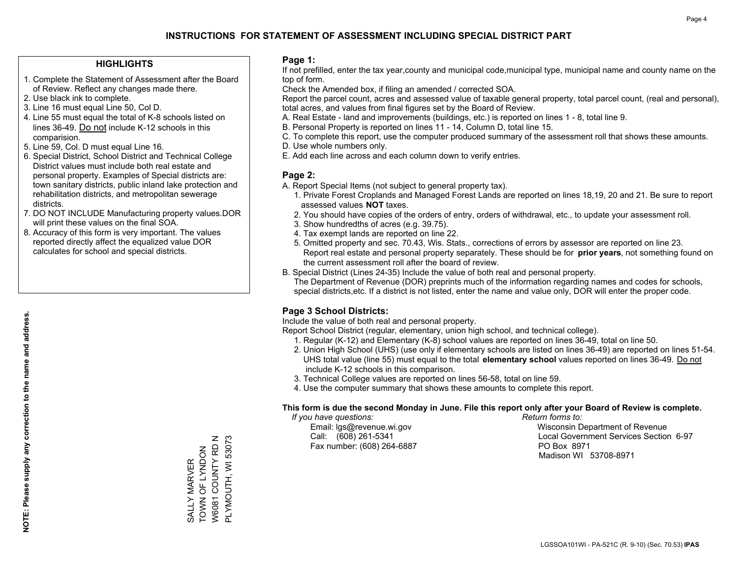#### **HIGHLIGHTS**

- 1. Complete the Statement of Assessment after the Board of Review. Reflect any changes made there.
- 2. Use black ink to complete.
- 3. Line 16 must equal Line 50, Col D.
- 4. Line 55 must equal the total of K-8 schools listed on lines 36-49. Do not include K-12 schools in this comparision.
- 5. Line 59, Col. D must equal Line 16.
- 6. Special District, School District and Technical College District values must include both real estate and personal property. Examples of Special districts are: town sanitary districts, public inland lake protection and rehabilitation districts, and metropolitan sewerage districts.
- 7. DO NOT INCLUDE Manufacturing property values.DOR will print these values on the final SOA.
- 8. Accuracy of this form is very important. The values reported directly affect the equalized value DOR calculates for school and special districts.

#### **Page 1:**

 If not prefilled, enter the tax year,county and municipal code,municipal type, municipal name and county name on the top of form.

Check the Amended box, if filing an amended / corrected SOA.

 Report the parcel count, acres and assessed value of taxable general property, total parcel count, (real and personal), total acres, and values from final figures set by the Board of Review.

- A. Real Estate land and improvements (buildings, etc.) is reported on lines 1 8, total line 9.
- B. Personal Property is reported on lines 11 14, Column D, total line 15.
- C. To complete this report, use the computer produced summary of the assessment roll that shows these amounts.
- D. Use whole numbers only.
- E. Add each line across and each column down to verify entries.

#### **Page 2:**

- A. Report Special Items (not subject to general property tax).
- 1. Private Forest Croplands and Managed Forest Lands are reported on lines 18,19, 20 and 21. Be sure to report assessed values **NOT** taxes.
- 2. You should have copies of the orders of entry, orders of withdrawal, etc., to update your assessment roll.
	- 3. Show hundredths of acres (e.g. 39.75).
- 4. Tax exempt lands are reported on line 22.
- 5. Omitted property and sec. 70.43, Wis. Stats., corrections of errors by assessor are reported on line 23. Report real estate and personal property separately. These should be for **prior years**, not something found on the current assessment roll after the board of review.
- B. Special District (Lines 24-35) Include the value of both real and personal property.
- The Department of Revenue (DOR) preprints much of the information regarding names and codes for schools, special districts,etc. If a district is not listed, enter the name and value only, DOR will enter the proper code.

### **Page 3 School Districts:**

Include the value of both real and personal property.

Report School District (regular, elementary, union high school, and technical college).

- 1. Regular (K-12) and Elementary (K-8) school values are reported on lines 36-49, total on line 50.
- 2. Union High School (UHS) (use only if elementary schools are listed on lines 36-49) are reported on lines 51-54. UHS total value (line 55) must equal to the total **elementary school** values reported on lines 36-49. Do notinclude K-12 schools in this comparison.
- 3. Technical College values are reported on lines 56-58, total on line 59.
- 4. Use the computer summary that shows these amounts to complete this report.

#### **This form is due the second Monday in June. File this report only after your Board of Review is complete.**

 *If you have questions: Return forms to:*

Fax number: (608) 264-6887 PO Box 8971

 Email: lgs@revenue.wi.gov Wisconsin Department of Revenue Call: (608) 261-5341 Local Government Services Section 6-97Madison WI 53708-8971

W6081 COUNTY RD N PLYMOUTH, WI 53073 W6081 COUNTY RD N PLYMOUTH, WI 53073 SALLY MARVER<br>TOWN OF LYNDON TOWN OF LYNDON SALLY MARVER

**NOTE: Please supply any correction to the name and address.**

NOTE: Please supply any correction to the name and address.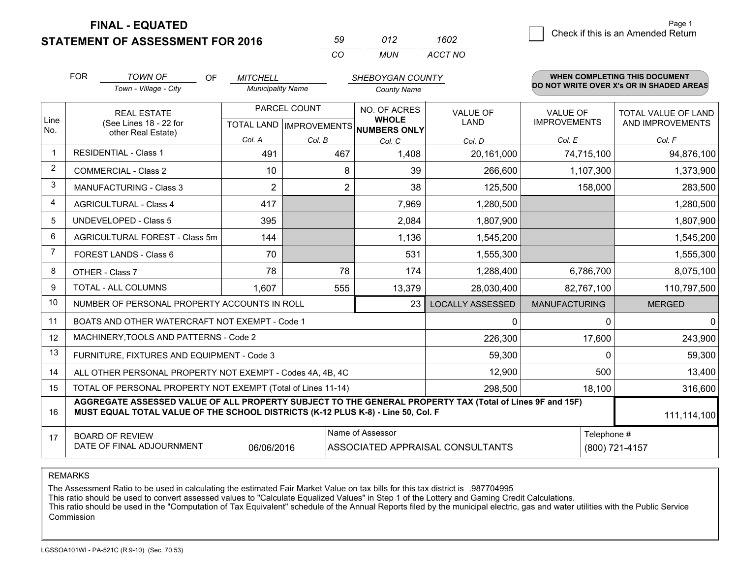**STATEMENT OF ASSESSMENT FOR 2016** 

| 59.      | N12 | 1602    |
|----------|-----|---------|
| $\alpha$ | MUN | ACCT NO |

|                | <b>FOR</b>                                                                                                                                                                                   | <b>TOWN OF</b><br>OF                                      | <b>MITCHELL</b>          |                                      | SHEBOYGAN COUNTY             |                         |                      | <b>WHEN COMPLETING THIS DOCUMENT</b>     |
|----------------|----------------------------------------------------------------------------------------------------------------------------------------------------------------------------------------------|-----------------------------------------------------------|--------------------------|--------------------------------------|------------------------------|-------------------------|----------------------|------------------------------------------|
|                |                                                                                                                                                                                              | Town - Village - City                                     | <b>Municipality Name</b> |                                      | <b>County Name</b>           |                         |                      | DO NOT WRITE OVER X's OR IN SHADED AREAS |
| Line           |                                                                                                                                                                                              | <b>REAL ESTATE</b>                                        |                          | PARCEL COUNT                         | NO. OF ACRES<br><b>WHOLE</b> | <b>VALUE OF</b>         | <b>VALUE OF</b>      | <b>TOTAL VALUE OF LAND</b>               |
| No.            | (See Lines 18 - 22 for<br>other Real Estate)                                                                                                                                                 |                                                           |                          | TOTAL LAND IMPROVEMENTS NUMBERS ONLY | LAND                         | <b>IMPROVEMENTS</b>     | AND IMPROVEMENTS     |                                          |
|                |                                                                                                                                                                                              |                                                           | Col. A                   | Col. B                               | Col. C                       | Col. D                  | Col. E               | Col. F                                   |
| $\mathbf 1$    |                                                                                                                                                                                              | <b>RESIDENTIAL - Class 1</b>                              | 491                      | 467                                  | 1,408                        | 20,161,000              | 74,715,100           | 94,876,100                               |
| $\overline{2}$ |                                                                                                                                                                                              | <b>COMMERCIAL - Class 2</b>                               | 10                       | 8                                    | 39                           | 266,600                 | 1,107,300            | 1,373,900                                |
| 3              |                                                                                                                                                                                              | <b>MANUFACTURING - Class 3</b>                            | $\overline{2}$           | $\overline{2}$                       | 38                           | 125,500                 | 158,000              | 283,500                                  |
| 4              |                                                                                                                                                                                              | <b>AGRICULTURAL - Class 4</b>                             | 417                      |                                      | 7,969                        | 1,280,500               |                      | 1,280,500                                |
| 5              |                                                                                                                                                                                              | <b>UNDEVELOPED - Class 5</b>                              | 395                      |                                      | 2,084                        | 1,807,900               |                      | 1,807,900                                |
| 6              |                                                                                                                                                                                              | AGRICULTURAL FOREST - Class 5m                            | 144                      |                                      | 1,136                        | 1,545,200               |                      | 1,545,200                                |
| $\overline{7}$ |                                                                                                                                                                                              | FOREST LANDS - Class 6                                    | 70                       |                                      | 531                          | 1,555,300               |                      | 1,555,300                                |
| 8              |                                                                                                                                                                                              | OTHER - Class 7                                           | 78                       | 78                                   | 174                          | 1,288,400               | 6,786,700            | 8,075,100                                |
| 9              |                                                                                                                                                                                              | TOTAL - ALL COLUMNS                                       | 1,607                    | 555                                  | 13,379                       | 28,030,400              | 82,767,100           | 110,797,500                              |
| 10             |                                                                                                                                                                                              | NUMBER OF PERSONAL PROPERTY ACCOUNTS IN ROLL              |                          |                                      | 23                           | <b>LOCALLY ASSESSED</b> | <b>MANUFACTURING</b> | <b>MERGED</b>                            |
| 11             |                                                                                                                                                                                              | BOATS AND OTHER WATERCRAFT NOT EXEMPT - Code 1            |                          |                                      |                              | 0                       | $\Omega$             | 0                                        |
| 12             |                                                                                                                                                                                              | MACHINERY, TOOLS AND PATTERNS - Code 2                    |                          |                                      |                              | 226,300                 | 17,600               | 243,900                                  |
| 13             |                                                                                                                                                                                              | FURNITURE, FIXTURES AND EQUIPMENT - Code 3                |                          |                                      |                              | 59,300                  | $\Omega$             | 59,300                                   |
| 14             |                                                                                                                                                                                              | ALL OTHER PERSONAL PROPERTY NOT EXEMPT - Codes 4A, 4B, 4C |                          |                                      |                              | 12,900                  | 500                  | 13,400                                   |
| 15             | TOTAL OF PERSONAL PROPERTY NOT EXEMPT (Total of Lines 11-14)                                                                                                                                 |                                                           |                          |                                      |                              |                         | 18,100               | 316,600                                  |
| 16             | AGGREGATE ASSESSED VALUE OF ALL PROPERTY SUBJECT TO THE GENERAL PROPERTY TAX (Total of Lines 9F and 15F)<br>MUST EQUAL TOTAL VALUE OF THE SCHOOL DISTRICTS (K-12 PLUS K-8) - Line 50, Col. F |                                                           |                          |                                      |                              |                         | 111,114,100          |                                          |
| 17             | Name of Assessor<br>Telephone #<br><b>BOARD OF REVIEW</b><br>DATE OF FINAL ADJOURNMENT<br>06/06/2016<br>ASSOCIATED APPRAISAL CONSULTANTS<br>(800) 721-4157                                   |                                                           |                          |                                      |                              |                         |                      |                                          |
|                |                                                                                                                                                                                              |                                                           |                          |                                      |                              |                         |                      |                                          |

REMARKS

The Assessment Ratio to be used in calculating the estimated Fair Market Value on tax bills for this tax district is .987704995<br>This ratio should be used to convert assessed values to "Calculate Equalized Values" in Step 1 Commission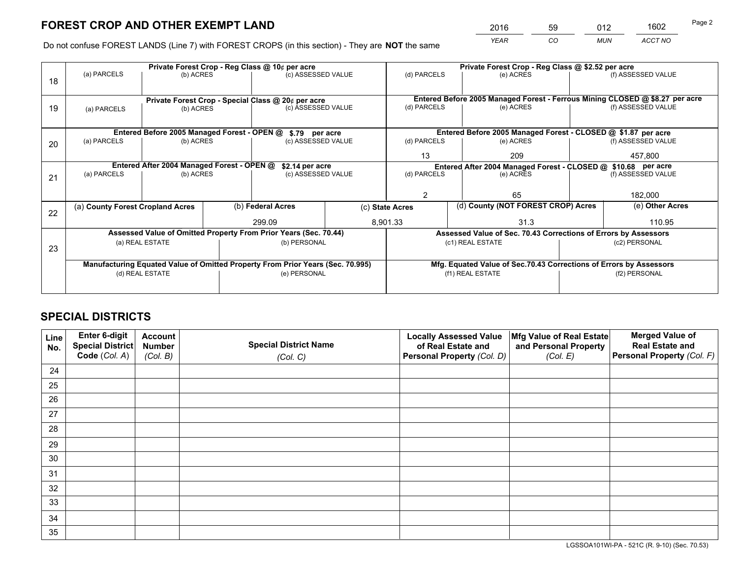*YEAR CO MUN ACCT NO* <sup>2016</sup> <sup>59</sup> <sup>012</sup> <sup>1602</sup>

Do not confuse FOREST LANDS (Line 7) with FOREST CROPS (in this section) - They are **NOT** the same

| Private Forest Crop - Reg Class @ 10¢ per acre                                 |                            |                                                                        |                                                  |                                                                 |                                                                                                                                                                                                                                                                                                                                 | Private Forest Crop - Reg Class @ \$2.52 per acre |                                      |                                                                                                                                                                                                                                                                                                                                                                                               |  |
|--------------------------------------------------------------------------------|----------------------------|------------------------------------------------------------------------|--------------------------------------------------|-----------------------------------------------------------------|---------------------------------------------------------------------------------------------------------------------------------------------------------------------------------------------------------------------------------------------------------------------------------------------------------------------------------|---------------------------------------------------|--------------------------------------|-----------------------------------------------------------------------------------------------------------------------------------------------------------------------------------------------------------------------------------------------------------------------------------------------------------------------------------------------------------------------------------------------|--|
|                                                                                |                            |                                                                        |                                                  |                                                                 | (d) PARCELS                                                                                                                                                                                                                                                                                                                     | (e) ACRES                                         |                                      | (f) ASSESSED VALUE                                                                                                                                                                                                                                                                                                                                                                            |  |
|                                                                                |                            |                                                                        |                                                  |                                                                 |                                                                                                                                                                                                                                                                                                                                 |                                                   |                                      |                                                                                                                                                                                                                                                                                                                                                                                               |  |
|                                                                                |                            |                                                                        |                                                  |                                                                 |                                                                                                                                                                                                                                                                                                                                 |                                                   |                                      |                                                                                                                                                                                                                                                                                                                                                                                               |  |
| (a) PARCELS                                                                    |                            |                                                                        |                                                  |                                                                 | (d) PARCELS                                                                                                                                                                                                                                                                                                                     | (e) ACRES                                         |                                      | (f) ASSESSED VALUE                                                                                                                                                                                                                                                                                                                                                                            |  |
|                                                                                |                            |                                                                        |                                                  |                                                                 |                                                                                                                                                                                                                                                                                                                                 |                                                   |                                      |                                                                                                                                                                                                                                                                                                                                                                                               |  |
|                                                                                |                            |                                                                        |                                                  |                                                                 |                                                                                                                                                                                                                                                                                                                                 |                                                   |                                      |                                                                                                                                                                                                                                                                                                                                                                                               |  |
| (a) PARCELS                                                                    |                            |                                                                        |                                                  |                                                                 | (d) PARCELS                                                                                                                                                                                                                                                                                                                     | (e) ACRES                                         |                                      | (f) ASSESSED VALUE                                                                                                                                                                                                                                                                                                                                                                            |  |
|                                                                                |                            |                                                                        |                                                  |                                                                 |                                                                                                                                                                                                                                                                                                                                 |                                                   |                                      |                                                                                                                                                                                                                                                                                                                                                                                               |  |
|                                                                                |                            |                                                                        |                                                  |                                                                 | 457,800                                                                                                                                                                                                                                                                                                                         |                                                   |                                      |                                                                                                                                                                                                                                                                                                                                                                                               |  |
|                                                                                |                            |                                                                        |                                                  |                                                                 |                                                                                                                                                                                                                                                                                                                                 |                                                   | (f) ASSESSED VALUE                   |                                                                                                                                                                                                                                                                                                                                                                                               |  |
|                                                                                |                            |                                                                        |                                                  |                                                                 |                                                                                                                                                                                                                                                                                                                                 |                                                   |                                      |                                                                                                                                                                                                                                                                                                                                                                                               |  |
|                                                                                |                            |                                                                        |                                                  |                                                                 | $\mathcal{P}$                                                                                                                                                                                                                                                                                                                   | 65                                                |                                      | 182,000                                                                                                                                                                                                                                                                                                                                                                                       |  |
|                                                                                |                            |                                                                        |                                                  |                                                                 |                                                                                                                                                                                                                                                                                                                                 |                                                   |                                      | (e) Other Acres                                                                                                                                                                                                                                                                                                                                                                               |  |
|                                                                                |                            |                                                                        |                                                  |                                                                 |                                                                                                                                                                                                                                                                                                                                 |                                                   |                                      |                                                                                                                                                                                                                                                                                                                                                                                               |  |
|                                                                                |                            |                                                                        | 299.09                                           |                                                                 |                                                                                                                                                                                                                                                                                                                                 | 31.3                                              |                                      | 110.95                                                                                                                                                                                                                                                                                                                                                                                        |  |
|                                                                                |                            |                                                                        |                                                  |                                                                 |                                                                                                                                                                                                                                                                                                                                 |                                                   |                                      |                                                                                                                                                                                                                                                                                                                                                                                               |  |
|                                                                                |                            |                                                                        |                                                  |                                                                 |                                                                                                                                                                                                                                                                                                                                 |                                                   |                                      | (c2) PERSONAL                                                                                                                                                                                                                                                                                                                                                                                 |  |
|                                                                                |                            |                                                                        |                                                  |                                                                 |                                                                                                                                                                                                                                                                                                                                 |                                                   |                                      |                                                                                                                                                                                                                                                                                                                                                                                               |  |
| Manufacturing Equated Value of Omitted Property From Prior Years (Sec. 70.995) |                            |                                                                        |                                                  |                                                                 |                                                                                                                                                                                                                                                                                                                                 |                                                   |                                      |                                                                                                                                                                                                                                                                                                                                                                                               |  |
|                                                                                |                            |                                                                        |                                                  |                                                                 | (f1) REAL ESTATE                                                                                                                                                                                                                                                                                                                |                                                   |                                      | (f2) PERSONAL                                                                                                                                                                                                                                                                                                                                                                                 |  |
|                                                                                |                            |                                                                        |                                                  |                                                                 |                                                                                                                                                                                                                                                                                                                                 |                                                   |                                      |                                                                                                                                                                                                                                                                                                                                                                                               |  |
|                                                                                | (a) PARCELS<br>(a) PARCELS | (a) County Forest Cropland Acres<br>(a) REAL ESTATE<br>(d) REAL ESTATE | (b) ACRES<br>(b) ACRES<br>(b) ACRES<br>(b) ACRES | Entered After 2004 Managed Forest - OPEN @<br>(b) Federal Acres | (c) ASSESSED VALUE<br>Private Forest Crop - Special Class @ 20¢ per acre<br>(c) ASSESSED VALUE<br>Entered Before 2005 Managed Forest - OPEN @ \$.79 per acre<br>(c) ASSESSED VALUE<br>\$2.14 per acre<br>(c) ASSESSED VALUE<br>Assessed Value of Omitted Property From Prior Years (Sec. 70.44)<br>(b) PERSONAL<br>(e) PERSONAL | 13<br>(d) PARCELS<br>(c) State Acres<br>8,901.33  | 209<br>(e) ACRES<br>(c1) REAL ESTATE | Entered Before 2005 Managed Forest - Ferrous Mining CLOSED @ \$8.27 per acre<br>Entered Before 2005 Managed Forest - CLOSED @ \$1.87 per acre<br>Entered After 2004 Managed Forest - CLOSED @ \$10.68 per acre<br>(d) County (NOT FOREST CROP) Acres<br>Assessed Value of Sec. 70.43 Corrections of Errors by Assessors<br>Mfg. Equated Value of Sec.70.43 Corrections of Errors by Assessors |  |

## **SPECIAL DISTRICTS**

| Line<br>No. | Enter 6-digit<br>Special District<br>Code (Col. A) | <b>Account</b><br><b>Number</b> | <b>Special District Name</b> | <b>Locally Assessed Value</b><br>of Real Estate and | Mfg Value of Real Estate<br>and Personal Property | <b>Merged Value of</b><br><b>Real Estate and</b><br>Personal Property (Col. F) |
|-------------|----------------------------------------------------|---------------------------------|------------------------------|-----------------------------------------------------|---------------------------------------------------|--------------------------------------------------------------------------------|
|             |                                                    | (Col. B)                        | (Col. C)                     | Personal Property (Col. D)                          | (Col. E)                                          |                                                                                |
| 24          |                                                    |                                 |                              |                                                     |                                                   |                                                                                |
| 25          |                                                    |                                 |                              |                                                     |                                                   |                                                                                |
| 26          |                                                    |                                 |                              |                                                     |                                                   |                                                                                |
| 27          |                                                    |                                 |                              |                                                     |                                                   |                                                                                |
| 28          |                                                    |                                 |                              |                                                     |                                                   |                                                                                |
| 29          |                                                    |                                 |                              |                                                     |                                                   |                                                                                |
| 30          |                                                    |                                 |                              |                                                     |                                                   |                                                                                |
| 31          |                                                    |                                 |                              |                                                     |                                                   |                                                                                |
| 32          |                                                    |                                 |                              |                                                     |                                                   |                                                                                |
| 33          |                                                    |                                 |                              |                                                     |                                                   |                                                                                |
| 34          |                                                    |                                 |                              |                                                     |                                                   |                                                                                |
| 35          |                                                    |                                 |                              |                                                     |                                                   |                                                                                |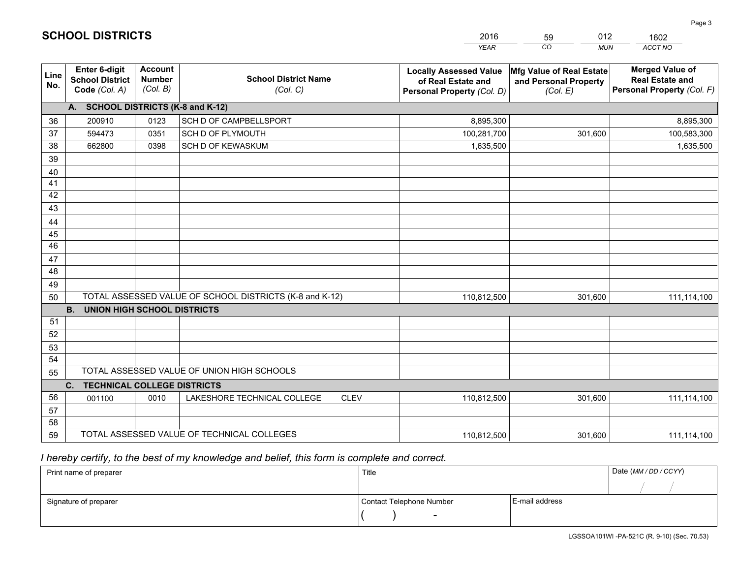|                 |                                                                 |                                             |                                                         | <b>YEAR</b>                                                                       | CO<br><b>MUN</b>                                              | ACCT NO                                                                        |
|-----------------|-----------------------------------------------------------------|---------------------------------------------|---------------------------------------------------------|-----------------------------------------------------------------------------------|---------------------------------------------------------------|--------------------------------------------------------------------------------|
| Line<br>No.     | <b>Enter 6-digit</b><br><b>School District</b><br>Code (Col. A) | <b>Account</b><br><b>Number</b><br>(Col. B) | <b>School District Name</b><br>(Col. C)                 | <b>Locally Assessed Value</b><br>of Real Estate and<br>Personal Property (Col. D) | Mfg Value of Real Estate<br>and Personal Property<br>(Col. E) | <b>Merged Value of</b><br><b>Real Estate and</b><br>Personal Property (Col. F) |
|                 | A. SCHOOL DISTRICTS (K-8 and K-12)                              |                                             |                                                         |                                                                                   |                                                               |                                                                                |
| 36              | 200910                                                          | 0123                                        | SCH D OF CAMPBELLSPORT                                  | 8,895,300                                                                         |                                                               | 8,895,300                                                                      |
| 37              | 594473                                                          | 0351                                        | SCH D OF PLYMOUTH                                       | 100,281,700                                                                       | 301,600                                                       | 100,583,300                                                                    |
| 38              | 662800                                                          | 0398                                        | SCH D OF KEWASKUM                                       | 1,635,500                                                                         |                                                               | 1,635,500                                                                      |
| 39              |                                                                 |                                             |                                                         |                                                                                   |                                                               |                                                                                |
| 40              |                                                                 |                                             |                                                         |                                                                                   |                                                               |                                                                                |
| 41              |                                                                 |                                             |                                                         |                                                                                   |                                                               |                                                                                |
| 42              |                                                                 |                                             |                                                         |                                                                                   |                                                               |                                                                                |
| 43              |                                                                 |                                             |                                                         |                                                                                   |                                                               |                                                                                |
| 44              |                                                                 |                                             |                                                         |                                                                                   |                                                               |                                                                                |
| 45              |                                                                 |                                             |                                                         |                                                                                   |                                                               |                                                                                |
| $\overline{46}$ |                                                                 |                                             |                                                         |                                                                                   |                                                               |                                                                                |
| 47              |                                                                 |                                             |                                                         |                                                                                   |                                                               |                                                                                |
| 48              |                                                                 |                                             |                                                         |                                                                                   |                                                               |                                                                                |
| 49              |                                                                 |                                             | TOTAL ASSESSED VALUE OF SCHOOL DISTRICTS (K-8 and K-12) |                                                                                   |                                                               |                                                                                |
| 50              | <b>B.</b><br><b>UNION HIGH SCHOOL DISTRICTS</b>                 |                                             |                                                         | 110,812,500                                                                       | 301,600                                                       | 111,114,100                                                                    |
| 51              |                                                                 |                                             |                                                         |                                                                                   |                                                               |                                                                                |
| 52              |                                                                 |                                             |                                                         |                                                                                   |                                                               |                                                                                |
| 53              |                                                                 |                                             |                                                         |                                                                                   |                                                               |                                                                                |
| 54              |                                                                 |                                             |                                                         |                                                                                   |                                                               |                                                                                |
| 55              |                                                                 |                                             | TOTAL ASSESSED VALUE OF UNION HIGH SCHOOLS              |                                                                                   |                                                               |                                                                                |
|                 | C.<br><b>TECHNICAL COLLEGE DISTRICTS</b>                        |                                             |                                                         |                                                                                   |                                                               |                                                                                |
| 56              | 001100                                                          | 0010                                        | LAKESHORE TECHNICAL COLLEGE<br><b>CLEV</b>              | 110,812,500                                                                       | 301,600                                                       | 111,114,100                                                                    |
| 57              |                                                                 |                                             |                                                         |                                                                                   |                                                               |                                                                                |
| 58              |                                                                 |                                             |                                                         |                                                                                   |                                                               |                                                                                |
| 59              |                                                                 |                                             | TOTAL ASSESSED VALUE OF TECHNICAL COLLEGES              | 110,812,500                                                                       | 301,600                                                       | 111,114,100                                                                    |

59

012

 *I hereby certify, to the best of my knowledge and belief, this form is complete and correct.*

**SCHOOL DISTRICTS**

| Print name of preparer | Title                    |                | Date (MM / DD / CCYY) |
|------------------------|--------------------------|----------------|-----------------------|
|                        |                          |                |                       |
| Signature of preparer  | Contact Telephone Number | E-mail address |                       |
|                        | $\sim$                   |                |                       |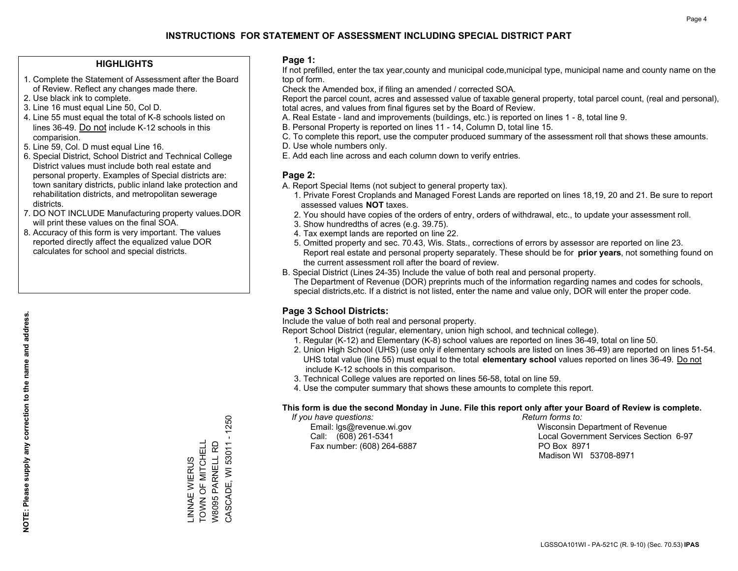#### **HIGHLIGHTS**

- 1. Complete the Statement of Assessment after the Board of Review. Reflect any changes made there.
- 2. Use black ink to complete.
- 3. Line 16 must equal Line 50, Col D.
- 4. Line 55 must equal the total of K-8 schools listed on lines 36-49. Do not include K-12 schools in this comparision.
- 5. Line 59, Col. D must equal Line 16.
- 6. Special District, School District and Technical College District values must include both real estate and personal property. Examples of Special districts are: town sanitary districts, public inland lake protection and rehabilitation districts, and metropolitan sewerage districts.
- 7. DO NOT INCLUDE Manufacturing property values.DOR will print these values on the final SOA.

LINNAE WIERUS TOWN OF MITCHELL W8095 PARNELL RD

\_INNAE WIERUS<br>TOWN OF MITCHELL

CASCADE, WI 53011 - 1250

CASCADE, WI 53011 W8095 PARNELL RD

 $-1250$ 

 8. Accuracy of this form is very important. The values reported directly affect the equalized value DOR calculates for school and special districts.

#### **Page 1:**

 If not prefilled, enter the tax year,county and municipal code,municipal type, municipal name and county name on the top of form.

Check the Amended box, if filing an amended / corrected SOA.

 Report the parcel count, acres and assessed value of taxable general property, total parcel count, (real and personal), total acres, and values from final figures set by the Board of Review.

- A. Real Estate land and improvements (buildings, etc.) is reported on lines 1 8, total line 9.
- B. Personal Property is reported on lines 11 14, Column D, total line 15.
- C. To complete this report, use the computer produced summary of the assessment roll that shows these amounts.
- D. Use whole numbers only.
- E. Add each line across and each column down to verify entries.

#### **Page 2:**

- A. Report Special Items (not subject to general property tax).
- 1. Private Forest Croplands and Managed Forest Lands are reported on lines 18,19, 20 and 21. Be sure to report assessed values **NOT** taxes.
- 2. You should have copies of the orders of entry, orders of withdrawal, etc., to update your assessment roll.
	- 3. Show hundredths of acres (e.g. 39.75).
- 4. Tax exempt lands are reported on line 22.
- 5. Omitted property and sec. 70.43, Wis. Stats., corrections of errors by assessor are reported on line 23. Report real estate and personal property separately. These should be for **prior years**, not something found on the current assessment roll after the board of review.
- B. Special District (Lines 24-35) Include the value of both real and personal property.
- The Department of Revenue (DOR) preprints much of the information regarding names and codes for schools, special districts,etc. If a district is not listed, enter the name and value only, DOR will enter the proper code.

### **Page 3 School Districts:**

Include the value of both real and personal property.

Report School District (regular, elementary, union high school, and technical college).

- 1. Regular (K-12) and Elementary (K-8) school values are reported on lines 36-49, total on line 50.
- 2. Union High School (UHS) (use only if elementary schools are listed on lines 36-49) are reported on lines 51-54. UHS total value (line 55) must equal to the total **elementary school** values reported on lines 36-49. Do notinclude K-12 schools in this comparison.
- 3. Technical College values are reported on lines 56-58, total on line 59.
- 4. Use the computer summary that shows these amounts to complete this report.

#### **This form is due the second Monday in June. File this report only after your Board of Review is complete.**

 *If you have questions: Return forms to:*

Fax number: (608) 264-6887 PO Box 8971

 Email: lgs@revenue.wi.gov Wisconsin Department of Revenue Call: (608) 261-5341 Local Government Services Section 6-97Madison WI 53708-8971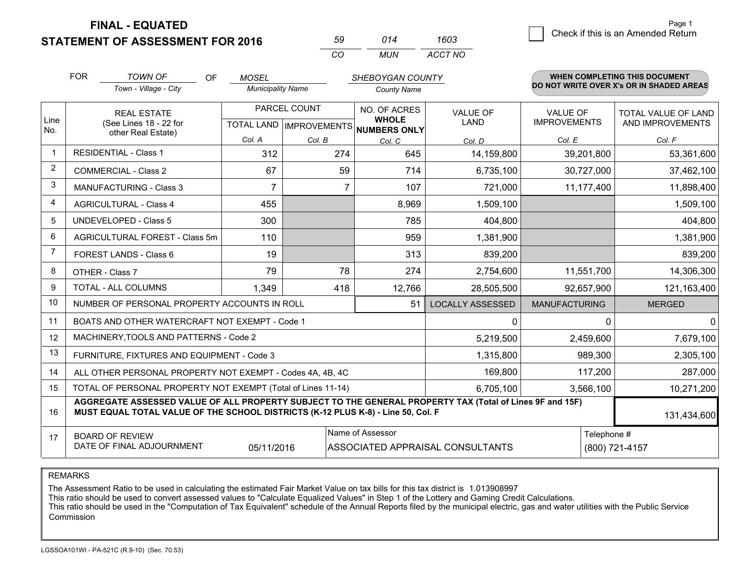**STATEMENT OF ASSESSMENT FOR 2016** 

| 59  | 014 | 1603    |
|-----|-----|---------|
| CO. | MUN | ACCT NO |

|                | <b>FOR</b>                     | <b>TOWN OF</b><br>OF                                                                                                                                                                         | <b>MOSEL</b>             |           | SHEBOYGAN COUNTY                     |                                  |                                        | <b>WHEN COMPLETING THIS DOCUMENT</b>           |
|----------------|--------------------------------|----------------------------------------------------------------------------------------------------------------------------------------------------------------------------------------------|--------------------------|-----------|--------------------------------------|----------------------------------|----------------------------------------|------------------------------------------------|
|                |                                | Town - Village - City                                                                                                                                                                        | <b>Municipality Name</b> |           | <b>County Name</b>                   |                                  |                                        | DO NOT WRITE OVER X's OR IN SHADED AREAS       |
| Line           |                                | PARCEL COUNT<br><b>REAL ESTATE</b>                                                                                                                                                           |                          |           | NO. OF ACRES<br><b>WHOLE</b>         | <b>VALUE OF</b><br>LAND          | <b>VALUE OF</b><br><b>IMPROVEMENTS</b> | <b>TOTAL VALUE OF LAND</b><br>AND IMPROVEMENTS |
| No.            |                                | (See Lines 18 - 22 for<br>other Real Estate)                                                                                                                                                 |                          |           | TOTAL LAND IMPROVEMENTS NUMBERS ONLY |                                  |                                        |                                                |
|                |                                |                                                                                                                                                                                              | Col. A                   | Col. B    | Col. C                               | Col. D                           | Col. E                                 | Col. F                                         |
| $\mathbf{1}$   |                                | <b>RESIDENTIAL - Class 1</b>                                                                                                                                                                 | 312                      | 274       | 645                                  | 14,159,800                       | 39,201,800                             | 53,361,600                                     |
| $\overline{2}$ |                                | <b>COMMERCIAL - Class 2</b>                                                                                                                                                                  | 67                       | 59        | 714                                  | 6,735,100                        | 30,727,000                             | 37,462,100                                     |
| 3              |                                | MANUFACTURING - Class 3                                                                                                                                                                      | $\overline{7}$           | 7         | 107                                  | 721,000                          | 11,177,400                             | 11,898,400                                     |
| $\overline{4}$ |                                | <b>AGRICULTURAL - Class 4</b>                                                                                                                                                                | 455                      |           | 8,969                                | 1,509,100                        |                                        | 1,509,100                                      |
| 5              |                                | <b>UNDEVELOPED - Class 5</b>                                                                                                                                                                 | 300                      |           | 785                                  | 404,800                          |                                        | 404,800                                        |
| 6              | AGRICULTURAL FOREST - Class 5m |                                                                                                                                                                                              | 110                      |           | 959                                  | 1,381,900                        |                                        | 1,381,900                                      |
| 7              |                                | FOREST LANDS - Class 6                                                                                                                                                                       | 19                       |           | 313                                  | 839,200                          |                                        | 839,200                                        |
| 8              |                                | OTHER - Class 7                                                                                                                                                                              | 79                       | 78        | 274                                  | 2,754,600                        | 11,551,700                             | 14,306,300                                     |
| 9              |                                | TOTAL - ALL COLUMNS                                                                                                                                                                          | 1,349                    | 418       | 12,766                               | 28,505,500                       | 92,657,900                             | 121,163,400                                    |
| 10             |                                | NUMBER OF PERSONAL PROPERTY ACCOUNTS IN ROLL                                                                                                                                                 |                          |           | 51                                   | <b>LOCALLY ASSESSED</b>          | <b>MANUFACTURING</b>                   | <b>MERGED</b>                                  |
| 11             |                                | BOATS AND OTHER WATERCRAFT NOT EXEMPT - Code 1                                                                                                                                               |                          |           |                                      | $\mathbf{0}$                     | 0                                      | $\mathbf 0$                                    |
| 12             |                                | MACHINERY, TOOLS AND PATTERNS - Code 2                                                                                                                                                       |                          |           |                                      | 5,219,500                        | 2,459,600                              | 7,679,100                                      |
| 13             |                                | FURNITURE, FIXTURES AND EQUIPMENT - Code 3                                                                                                                                                   |                          |           |                                      | 1,315,800                        | 989,300                                | 2,305,100                                      |
| 14             |                                | ALL OTHER PERSONAL PROPERTY NOT EXEMPT - Codes 4A, 4B, 4C                                                                                                                                    |                          |           |                                      | 169,800                          | 117,200                                | 287,000                                        |
| 15             |                                | TOTAL OF PERSONAL PROPERTY NOT EXEMPT (Total of Lines 11-14)                                                                                                                                 |                          | 6,705,100 | 3,566,100                            | 10,271,200                       |                                        |                                                |
| 16             |                                | AGGREGATE ASSESSED VALUE OF ALL PROPERTY SUBJECT TO THE GENERAL PROPERTY TAX (Total of Lines 9F and 15F)<br>MUST EQUAL TOTAL VALUE OF THE SCHOOL DISTRICTS (K-12 PLUS K-8) - Line 50, Col. F |                          |           |                                      |                                  |                                        | 131,434,600                                    |
| 17             |                                | <b>BOARD OF REVIEW</b><br>DATE OF FINAL ADJOURNMENT                                                                                                                                          | 05/11/2016               |           | Name of Assessor                     | ASSOCIATED APPRAISAL CONSULTANTS | Telephone #                            | (800) 721-4157                                 |

REMARKS

The Assessment Ratio to be used in calculating the estimated Fair Market Value on tax bills for this tax district is 1.013908997

This ratio should be used to convert assessed values to "Calculate Equalized Values" in Step 1 of the Lottery and Gaming Credit Calculations.<br>This ratio should be used in the "Computation of Tax Equivalent" schedule of the Commission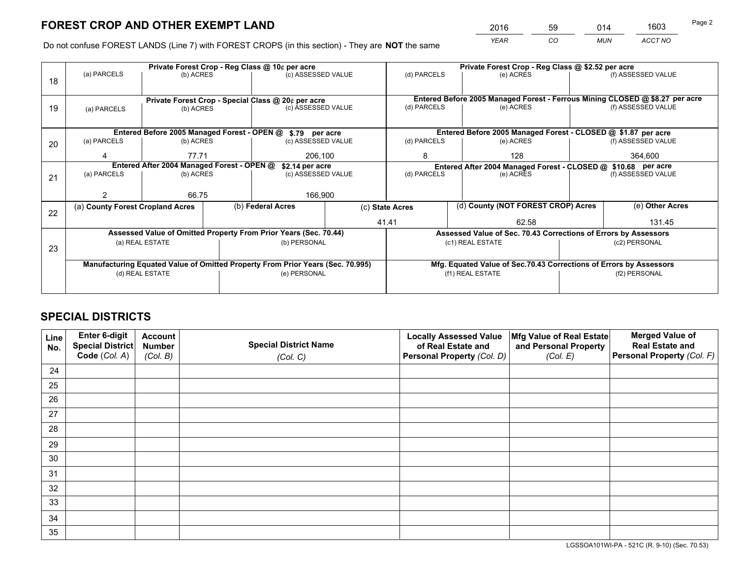*YEAR CO MUN ACCT NO* <sup>2016</sup> <sup>59</sup> <sup>014</sup> <sup>1603</sup>

Do not confuse FOREST LANDS (Line 7) with FOREST CROPS (in this section) - They are **NOT** the same

|    |                                                                                |                 |  | Private Forest Crop - Reg Class @ 10¢ per acre                   |                                   | Private Forest Crop - Reg Class @ \$2.52 per acre             |                                                                                           |               |                    |
|----|--------------------------------------------------------------------------------|-----------------|--|------------------------------------------------------------------|-----------------------------------|---------------------------------------------------------------|-------------------------------------------------------------------------------------------|---------------|--------------------|
| 18 | (a) PARCELS                                                                    | (b) ACRES       |  | (c) ASSESSED VALUE                                               |                                   | (d) PARCELS                                                   | (e) ACRES                                                                                 |               | (f) ASSESSED VALUE |
|    |                                                                                |                 |  |                                                                  |                                   |                                                               |                                                                                           |               |                    |
|    | Private Forest Crop - Special Class @ 20¢ per acre                             |                 |  |                                                                  |                                   | (d) PARCELS                                                   | Entered Before 2005 Managed Forest - Ferrous Mining CLOSED @ \$8.27 per acre<br>(e) ACRES |               | (f) ASSESSED VALUE |
| 19 | (a) PARCELS                                                                    | (b) ACRES       |  | (c) ASSESSED VALUE                                               |                                   |                                                               |                                                                                           |               |                    |
|    |                                                                                |                 |  |                                                                  |                                   |                                                               |                                                                                           |               |                    |
|    |                                                                                |                 |  | Entered Before 2005 Managed Forest - OPEN @ \$.79 per acre       |                                   |                                                               | Entered Before 2005 Managed Forest - CLOSED @ \$1.87 per acre                             |               |                    |
| 20 | (a) PARCELS                                                                    | (b) ACRES       |  | (c) ASSESSED VALUE                                               |                                   | (d) PARCELS                                                   | (e) ACRES                                                                                 |               | (f) ASSESSED VALUE |
|    | 4                                                                              | 77.71           |  |                                                                  | 206,100                           |                                                               | 128                                                                                       |               | 364,600            |
|    | Entered After 2004 Managed Forest - OPEN @<br>\$2.14 per acre                  |                 |  |                                                                  |                                   | Entered After 2004 Managed Forest - CLOSED @ \$10.68 per acre |                                                                                           |               |                    |
| 21 | (a) PARCELS                                                                    | (b) ACRES       |  |                                                                  | (c) ASSESSED VALUE<br>(d) PARCELS |                                                               | (e) ACRES                                                                                 |               | (f) ASSESSED VALUE |
|    |                                                                                |                 |  |                                                                  |                                   |                                                               |                                                                                           |               |                    |
|    | 2                                                                              | 66.75           |  | 166,900                                                          |                                   |                                                               |                                                                                           |               |                    |
|    | (a) County Forest Cropland Acres                                               |                 |  | (b) Federal Acres                                                |                                   | (d) County (NOT FOREST CROP) Acres<br>(c) State Acres         |                                                                                           |               | (e) Other Acres    |
| 22 |                                                                                |                 |  |                                                                  |                                   |                                                               |                                                                                           |               |                    |
|    |                                                                                |                 |  |                                                                  |                                   | 41.41                                                         | 62.58                                                                                     |               | 131.45             |
|    |                                                                                |                 |  | Assessed Value of Omitted Property From Prior Years (Sec. 70.44) |                                   |                                                               | Assessed Value of Sec. 70.43 Corrections of Errors by Assessors                           |               |                    |
| 23 |                                                                                | (a) REAL ESTATE |  | (b) PERSONAL                                                     |                                   |                                                               | (c1) REAL ESTATE                                                                          |               | (c2) PERSONAL      |
|    |                                                                                |                 |  |                                                                  |                                   |                                                               |                                                                                           |               |                    |
|    | Manufacturing Equated Value of Omitted Property From Prior Years (Sec. 70.995) |                 |  |                                                                  |                                   |                                                               | Mfg. Equated Value of Sec.70.43 Corrections of Errors by Assessors                        |               |                    |
|    |                                                                                | (d) REAL ESTATE |  | (e) PERSONAL                                                     |                                   | (f1) REAL ESTATE                                              |                                                                                           | (f2) PERSONAL |                    |
|    |                                                                                |                 |  |                                                                  |                                   |                                                               |                                                                                           |               |                    |
|    |                                                                                |                 |  |                                                                  |                                   |                                                               |                                                                                           |               |                    |

## **SPECIAL DISTRICTS**

| Line<br>No. | Enter 6-digit<br>Special District<br>Code (Col. A) | <b>Account</b><br><b>Number</b><br>(Col. B) | <b>Special District Name</b><br>(Col. C) | <b>Locally Assessed Value</b><br>of Real Estate and<br>Personal Property (Col. D) | Mfg Value of Real Estate<br>and Personal Property<br>(Col. E) | <b>Merged Value of</b><br><b>Real Estate and</b><br>Personal Property (Col. F) |
|-------------|----------------------------------------------------|---------------------------------------------|------------------------------------------|-----------------------------------------------------------------------------------|---------------------------------------------------------------|--------------------------------------------------------------------------------|
| 24          |                                                    |                                             |                                          |                                                                                   |                                                               |                                                                                |
| 25          |                                                    |                                             |                                          |                                                                                   |                                                               |                                                                                |
| 26          |                                                    |                                             |                                          |                                                                                   |                                                               |                                                                                |
| 27          |                                                    |                                             |                                          |                                                                                   |                                                               |                                                                                |
| 28          |                                                    |                                             |                                          |                                                                                   |                                                               |                                                                                |
| 29          |                                                    |                                             |                                          |                                                                                   |                                                               |                                                                                |
| 30          |                                                    |                                             |                                          |                                                                                   |                                                               |                                                                                |
| 31          |                                                    |                                             |                                          |                                                                                   |                                                               |                                                                                |
| 32          |                                                    |                                             |                                          |                                                                                   |                                                               |                                                                                |
| 33          |                                                    |                                             |                                          |                                                                                   |                                                               |                                                                                |
| 34          |                                                    |                                             |                                          |                                                                                   |                                                               |                                                                                |
| 35          |                                                    |                                             |                                          |                                                                                   |                                                               |                                                                                |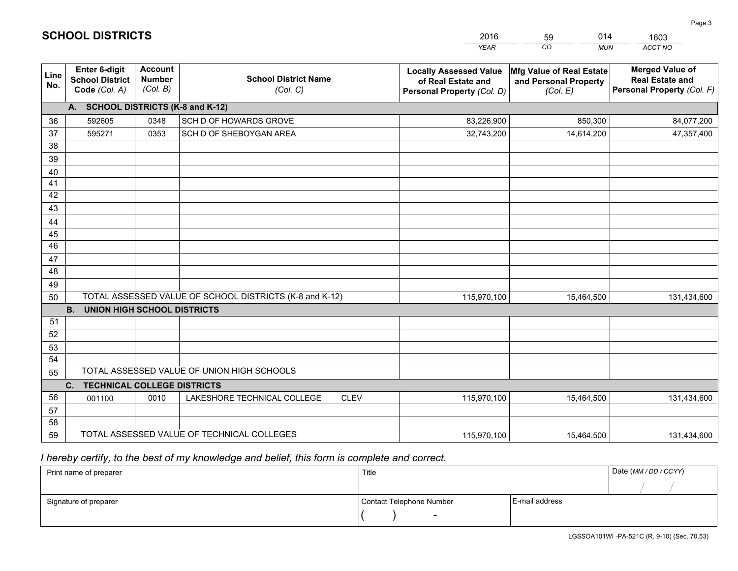|             |                                                          |                                             |                                                         | <b>YEAR</b>                                                                       | CO<br><b>MUN</b>                                              | ACCT NO                                                                        |
|-------------|----------------------------------------------------------|---------------------------------------------|---------------------------------------------------------|-----------------------------------------------------------------------------------|---------------------------------------------------------------|--------------------------------------------------------------------------------|
| Line<br>No. | Enter 6-digit<br><b>School District</b><br>Code (Col. A) | <b>Account</b><br><b>Number</b><br>(Col. B) | <b>School District Name</b><br>(Col. C)                 | <b>Locally Assessed Value</b><br>of Real Estate and<br>Personal Property (Col. D) | Mfg Value of Real Estate<br>and Personal Property<br>(Col. E) | <b>Merged Value of</b><br><b>Real Estate and</b><br>Personal Property (Col. F) |
|             | A. SCHOOL DISTRICTS (K-8 and K-12)                       |                                             |                                                         |                                                                                   |                                                               |                                                                                |
| 36          | 592605                                                   | 0348                                        | SCH D OF HOWARDS GROVE                                  | 83,226,900                                                                        | 850,300                                                       | 84,077,200                                                                     |
| 37          | 595271                                                   | 0353                                        | SCH D OF SHEBOYGAN AREA                                 | 32,743,200                                                                        | 14,614,200                                                    | 47,357,400                                                                     |
| 38          |                                                          |                                             |                                                         |                                                                                   |                                                               |                                                                                |
| 39          |                                                          |                                             |                                                         |                                                                                   |                                                               |                                                                                |
| 40          |                                                          |                                             |                                                         |                                                                                   |                                                               |                                                                                |
| 41          |                                                          |                                             |                                                         |                                                                                   |                                                               |                                                                                |
| 42          |                                                          |                                             |                                                         |                                                                                   |                                                               |                                                                                |
| 43          |                                                          |                                             |                                                         |                                                                                   |                                                               |                                                                                |
| 44          |                                                          |                                             |                                                         |                                                                                   |                                                               |                                                                                |
| 45<br>46    |                                                          |                                             |                                                         |                                                                                   |                                                               |                                                                                |
|             |                                                          |                                             |                                                         |                                                                                   |                                                               |                                                                                |
| 47<br>48    |                                                          |                                             |                                                         |                                                                                   |                                                               |                                                                                |
| 49          |                                                          |                                             |                                                         |                                                                                   |                                                               |                                                                                |
| 50          |                                                          |                                             | TOTAL ASSESSED VALUE OF SCHOOL DISTRICTS (K-8 and K-12) | 115,970,100                                                                       | 15,464,500                                                    | 131,434,600                                                                    |
|             | <b>UNION HIGH SCHOOL DISTRICTS</b><br><b>B.</b>          |                                             |                                                         |                                                                                   |                                                               |                                                                                |
| 51          |                                                          |                                             |                                                         |                                                                                   |                                                               |                                                                                |
| 52          |                                                          |                                             |                                                         |                                                                                   |                                                               |                                                                                |
| 53          |                                                          |                                             |                                                         |                                                                                   |                                                               |                                                                                |
| 54          |                                                          |                                             |                                                         |                                                                                   |                                                               |                                                                                |
| 55          |                                                          |                                             | TOTAL ASSESSED VALUE OF UNION HIGH SCHOOLS              |                                                                                   |                                                               |                                                                                |
|             | C.<br><b>TECHNICAL COLLEGE DISTRICTS</b>                 |                                             |                                                         |                                                                                   |                                                               |                                                                                |
| 56          | 001100                                                   | 0010                                        | LAKESHORE TECHNICAL COLLEGE<br><b>CLEV</b>              | 115,970,100                                                                       | 15,464,500                                                    | 131,434,600                                                                    |
| 57          |                                                          |                                             |                                                         |                                                                                   |                                                               |                                                                                |
| 58          |                                                          |                                             |                                                         |                                                                                   |                                                               |                                                                                |
| 59          |                                                          |                                             | TOTAL ASSESSED VALUE OF TECHNICAL COLLEGES              | 115,970,100                                                                       | 15,464,500                                                    | 131,434,600                                                                    |

59

014

 *I hereby certify, to the best of my knowledge and belief, this form is complete and correct.*

**SCHOOL DISTRICTS**

| Print name of preparer | Title                    |                | Date (MM/DD/CCYY) |
|------------------------|--------------------------|----------------|-------------------|
|                        |                          |                |                   |
| Signature of preparer  | Contact Telephone Number | E-mail address |                   |
|                        | $\overline{\phantom{a}}$ |                |                   |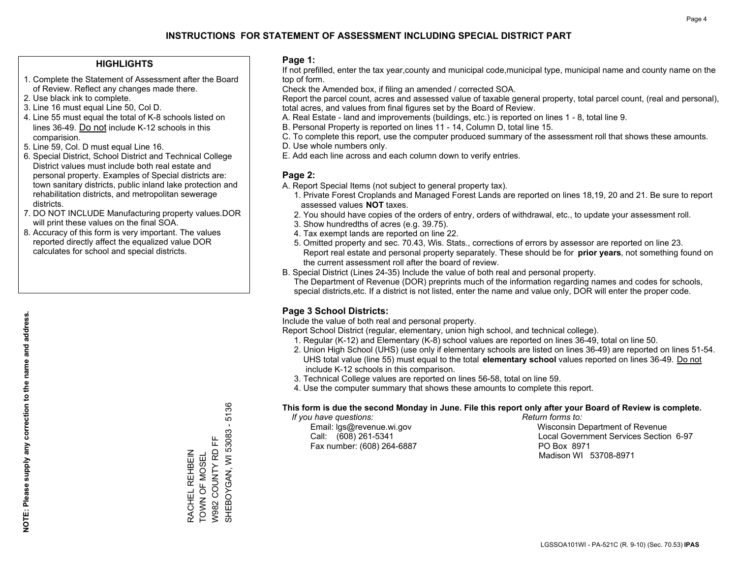#### **HIGHLIGHTS**

- 1. Complete the Statement of Assessment after the Board of Review. Reflect any changes made there.
- 2. Use black ink to complete.
- 3. Line 16 must equal Line 50, Col D.
- 4. Line 55 must equal the total of K-8 schools listed on lines 36-49. Do not include K-12 schools in this comparision.
- 5. Line 59, Col. D must equal Line 16.
- 6. Special District, School District and Technical College District values must include both real estate and personal property. Examples of Special districts are: town sanitary districts, public inland lake protection and rehabilitation districts, and metropolitan sewerage districts.
- 7. DO NOT INCLUDE Manufacturing property values.DOR will print these values on the final SOA.

RACHEL REHBEIN TOWN OF MOSEL W982 COUNTY RD FF

RACHEL REHBEIN TOWN OF MOSEL SHEBOYGAN, WI 53083 - 5136

뜐

W982 COUNTY RD

SHEBOYGAN, WI 53083 -

5136

 8. Accuracy of this form is very important. The values reported directly affect the equalized value DOR calculates for school and special districts.

#### **Page 1:**

 If not prefilled, enter the tax year,county and municipal code,municipal type, municipal name and county name on the top of form.

Check the Amended box, if filing an amended / corrected SOA.

 Report the parcel count, acres and assessed value of taxable general property, total parcel count, (real and personal), total acres, and values from final figures set by the Board of Review.

- A. Real Estate land and improvements (buildings, etc.) is reported on lines 1 8, total line 9.
- B. Personal Property is reported on lines 11 14, Column D, total line 15.
- C. To complete this report, use the computer produced summary of the assessment roll that shows these amounts.
- D. Use whole numbers only.
- E. Add each line across and each column down to verify entries.

#### **Page 2:**

- A. Report Special Items (not subject to general property tax).
- 1. Private Forest Croplands and Managed Forest Lands are reported on lines 18,19, 20 and 21. Be sure to report assessed values **NOT** taxes.
- 2. You should have copies of the orders of entry, orders of withdrawal, etc., to update your assessment roll.
	- 3. Show hundredths of acres (e.g. 39.75).
- 4. Tax exempt lands are reported on line 22.
- 5. Omitted property and sec. 70.43, Wis. Stats., corrections of errors by assessor are reported on line 23. Report real estate and personal property separately. These should be for **prior years**, not something found on the current assessment roll after the board of review.
- B. Special District (Lines 24-35) Include the value of both real and personal property.

 The Department of Revenue (DOR) preprints much of the information regarding names and codes for schools, special districts,etc. If a district is not listed, enter the name and value only, DOR will enter the proper code.

### **Page 3 School Districts:**

Include the value of both real and personal property.

Report School District (regular, elementary, union high school, and technical college).

- 1. Regular (K-12) and Elementary (K-8) school values are reported on lines 36-49, total on line 50.
- 2. Union High School (UHS) (use only if elementary schools are listed on lines 36-49) are reported on lines 51-54. UHS total value (line 55) must equal to the total **elementary school** values reported on lines 36-49. Do notinclude K-12 schools in this comparison.
- 3. Technical College values are reported on lines 56-58, total on line 59.
- 4. Use the computer summary that shows these amounts to complete this report.

#### **This form is due the second Monday in June. File this report only after your Board of Review is complete.**

 *If you have questions: Return forms to:*

Fax number: (608) 264-6887 PO Box 8971

 Email: lgs@revenue.wi.gov Wisconsin Department of Revenue Call: (608) 261-5341 Local Government Services Section 6-97Madison WI 53708-8971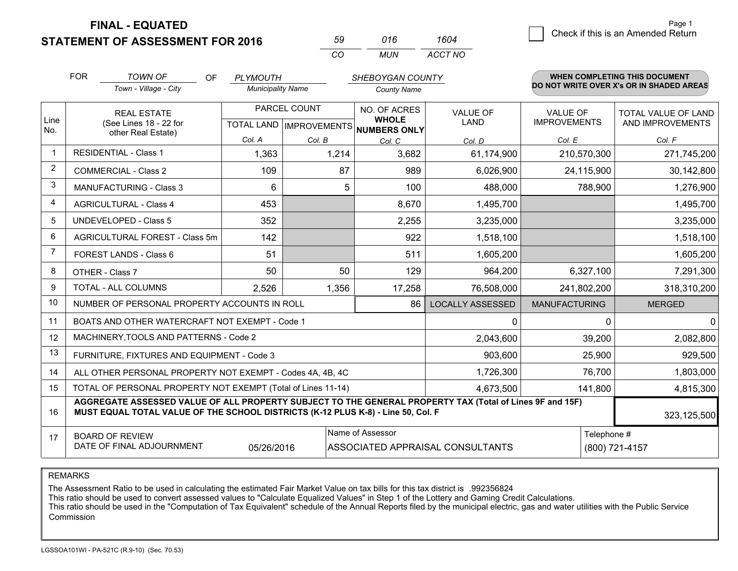**STATEMENT OF ASSESSMENT FOR 2016** 

| 59  | 016   | 1604    |
|-----|-------|---------|
| CO. | MI IN | ACCT NO |

|                         | <b>FOR</b>                                                                  | <b>TOWN OF</b><br>OF                                                                                                                                                                         | <b>PLYMOUTH</b>          |           | SHEBOYGAN COUNTY                     |                         |                      | <b>WHEN COMPLETING THIS DOCUMENT</b>     |
|-------------------------|-----------------------------------------------------------------------------|----------------------------------------------------------------------------------------------------------------------------------------------------------------------------------------------|--------------------------|-----------|--------------------------------------|-------------------------|----------------------|------------------------------------------|
|                         |                                                                             | Town - Village - City                                                                                                                                                                        | <b>Municipality Name</b> |           | <b>County Name</b>                   |                         |                      | DO NOT WRITE OVER X's OR IN SHADED AREAS |
| Line                    |                                                                             | <b>REAL ESTATE</b>                                                                                                                                                                           | PARCEL COUNT             |           | NO. OF ACRES<br><b>WHOLE</b>         | <b>VALUE OF</b>         | <b>VALUE OF</b>      | TOTAL VALUE OF LAND                      |
| No.                     |                                                                             | (See Lines 18 - 22 for<br>other Real Estate)                                                                                                                                                 |                          |           | TOTAL LAND IMPROVEMENTS NUMBERS ONLY | <b>LAND</b>             | <b>IMPROVEMENTS</b>  | AND IMPROVEMENTS                         |
|                         |                                                                             |                                                                                                                                                                                              | Col. A                   | Col. B    | Col. C                               | Col. D                  | Col. E               | Col. F                                   |
| -1                      |                                                                             | <b>RESIDENTIAL - Class 1</b>                                                                                                                                                                 | 1,363                    | 1,214     | 3,682                                | 61,174,900              | 210,570,300          | 271,745,200                              |
| $\overline{2}$          |                                                                             | <b>COMMERCIAL - Class 2</b>                                                                                                                                                                  | 109                      | 87        | 989                                  | 6,026,900               | 24,115,900           | 30,142,800                               |
| 3                       |                                                                             | <b>MANUFACTURING - Class 3</b>                                                                                                                                                               | 6                        | 5         | 100                                  | 488,000                 | 788,900              | 1,276,900                                |
| $\overline{\mathbf{4}}$ |                                                                             | <b>AGRICULTURAL - Class 4</b>                                                                                                                                                                | 453                      |           | 8,670                                | 1,495,700               |                      | 1,495,700                                |
| 5                       |                                                                             | <b>UNDEVELOPED - Class 5</b>                                                                                                                                                                 | 352                      |           | 2,255                                | 3,235,000               |                      | 3,235,000                                |
| 6                       |                                                                             | AGRICULTURAL FOREST - Class 5m                                                                                                                                                               | 142                      |           | 922                                  | 1,518,100               |                      | 1,518,100                                |
| $\overline{7}$          |                                                                             | FOREST LANDS - Class 6                                                                                                                                                                       | 51                       |           | 511                                  | 1,605,200               |                      | 1,605,200                                |
| 8                       |                                                                             | OTHER - Class 7                                                                                                                                                                              | 50                       | 50        | 129                                  | 964,200                 | 6,327,100            | 7,291,300                                |
| 9                       |                                                                             | TOTAL - ALL COLUMNS                                                                                                                                                                          | 2,526                    | 1,356     | 17,258                               | 76,508,000              | 241,802,200          | 318,310,200                              |
| 10                      |                                                                             | NUMBER OF PERSONAL PROPERTY ACCOUNTS IN ROLL                                                                                                                                                 |                          |           | 86                                   | <b>LOCALLY ASSESSED</b> | <b>MANUFACTURING</b> | <b>MERGED</b>                            |
| 11                      |                                                                             | BOATS AND OTHER WATERCRAFT NOT EXEMPT - Code 1                                                                                                                                               |                          |           |                                      | 0                       | $\Omega$             | $\Omega$                                 |
| 12                      |                                                                             | MACHINERY, TOOLS AND PATTERNS - Code 2                                                                                                                                                       |                          |           |                                      | 2,043,600               | 39,200               | 2,082,800                                |
| 13                      |                                                                             | FURNITURE, FIXTURES AND EQUIPMENT - Code 3                                                                                                                                                   |                          |           |                                      | 903,600                 | 25,900               | 929,500                                  |
| 14                      |                                                                             | ALL OTHER PERSONAL PROPERTY NOT EXEMPT - Codes 4A, 4B, 4C                                                                                                                                    |                          |           |                                      | 1,726,300               | 76,700               | 1,803,000                                |
| 15                      |                                                                             | TOTAL OF PERSONAL PROPERTY NOT EXEMPT (Total of Lines 11-14)                                                                                                                                 |                          | 4,673,500 | 141,800                              | 4,815,300               |                      |                                          |
| 16                      |                                                                             | AGGREGATE ASSESSED VALUE OF ALL PROPERTY SUBJECT TO THE GENERAL PROPERTY TAX (Total of Lines 9F and 15F)<br>MUST EQUAL TOTAL VALUE OF THE SCHOOL DISTRICTS (K-12 PLUS K-8) - Line 50, Col. F |                          |           |                                      |                         |                      | 323,125,500                              |
| 17                      |                                                                             | <b>BOARD OF REVIEW</b>                                                                                                                                                                       |                          |           | Name of Assessor                     |                         | Telephone #          |                                          |
|                         | DATE OF FINAL ADJOURNMENT<br>ASSOCIATED APPRAISAL CONSULTANTS<br>05/26/2016 |                                                                                                                                                                                              |                          |           |                                      |                         | (800) 721-4157       |                                          |

REMARKS

The Assessment Ratio to be used in calculating the estimated Fair Market Value on tax bills for this tax district is .992356824<br>This ratio should be used to convert assessed values to "Calculate Equalized Values" in Step 1 Commission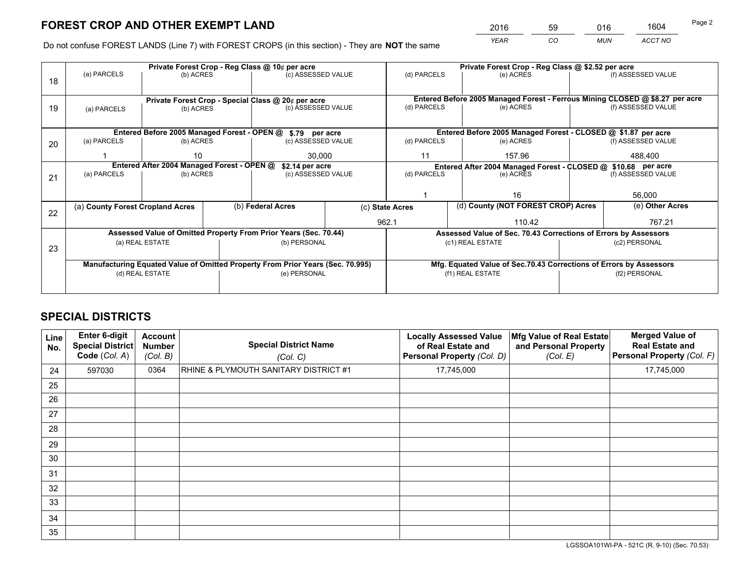*YEAR CO MUN ACCT NO* <sup>2016</sup> <sup>59</sup> <sup>016</sup> <sup>1604</sup>

Do not confuse FOREST LANDS (Line 7) with FOREST CROPS (in this section) - They are **NOT** the same

|    |                                                                                |                 |  | Private Forest Crop - Reg Class @ 10¢ per acre                   |                 | Private Forest Crop - Reg Class @ \$2.52 per acre |                                                                              |                                                                    |                    |                    |
|----|--------------------------------------------------------------------------------|-----------------|--|------------------------------------------------------------------|-----------------|---------------------------------------------------|------------------------------------------------------------------------------|--------------------------------------------------------------------|--------------------|--------------------|
| 18 | (a) PARCELS                                                                    | (b) ACRES       |  | (c) ASSESSED VALUE                                               |                 | (d) PARCELS                                       |                                                                              | (e) ACRES                                                          |                    | (f) ASSESSED VALUE |
|    |                                                                                |                 |  |                                                                  |                 |                                                   |                                                                              |                                                                    |                    |                    |
|    | Private Forest Crop - Special Class @ 20¢ per acre                             |                 |  |                                                                  |                 |                                                   | Entered Before 2005 Managed Forest - Ferrous Mining CLOSED @ \$8.27 per acre |                                                                    |                    |                    |
| 19 | (a) PARCELS                                                                    | (b) ACRES       |  | (c) ASSESSED VALUE                                               |                 | (d) PARCELS                                       |                                                                              | (e) ACRES                                                          |                    | (f) ASSESSED VALUE |
|    |                                                                                |                 |  |                                                                  |                 |                                                   |                                                                              |                                                                    |                    |                    |
|    |                                                                                |                 |  | Entered Before 2005 Managed Forest - OPEN @ \$.79 per acre       |                 |                                                   |                                                                              | Entered Before 2005 Managed Forest - CLOSED @ \$1.87 per acre      |                    |                    |
| 20 | (a) PARCELS                                                                    | (b) ACRES       |  | (c) ASSESSED VALUE                                               |                 | (d) PARCELS                                       |                                                                              | (e) ACRES                                                          |                    | (f) ASSESSED VALUE |
|    |                                                                                | 30.000<br>10    |  |                                                                  | 11              |                                                   | 157.96                                                                       |                                                                    | 488.400            |                    |
|    | Entered After 2004 Managed Forest - OPEN @<br>\$2.14 per acre                  |                 |  |                                                                  |                 |                                                   |                                                                              | Entered After 2004 Managed Forest - CLOSED @ \$10.68 per acre      |                    |                    |
| 21 | (a) PARCELS                                                                    | (b) ACRES       |  | (c) ASSESSED VALUE                                               |                 | (d) PARCELS<br>(e) ACRES                          |                                                                              |                                                                    | (f) ASSESSED VALUE |                    |
|    |                                                                                |                 |  |                                                                  |                 |                                                   |                                                                              |                                                                    |                    |                    |
|    |                                                                                |                 |  |                                                                  |                 |                                                   |                                                                              | 16                                                                 |                    | 56,000             |
| 22 | (a) County Forest Cropland Acres                                               |                 |  | (b) Federal Acres                                                | (c) State Acres |                                                   |                                                                              | (d) County (NOT FOREST CROP) Acres                                 |                    | (e) Other Acres    |
|    |                                                                                |                 |  |                                                                  |                 | 962.1<br>110.42                                   |                                                                              |                                                                    |                    | 767.21             |
|    |                                                                                |                 |  | Assessed Value of Omitted Property From Prior Years (Sec. 70.44) |                 |                                                   |                                                                              | Assessed Value of Sec. 70.43 Corrections of Errors by Assessors    |                    |                    |
| 23 |                                                                                | (a) REAL ESTATE |  | (b) PERSONAL                                                     |                 |                                                   |                                                                              | (c1) REAL ESTATE                                                   |                    | (c2) PERSONAL      |
|    |                                                                                |                 |  |                                                                  |                 |                                                   |                                                                              |                                                                    |                    |                    |
|    | Manufacturing Equated Value of Omitted Property From Prior Years (Sec. 70.995) |                 |  |                                                                  |                 |                                                   |                                                                              | Mfg. Equated Value of Sec.70.43 Corrections of Errors by Assessors |                    |                    |
|    | (d) REAL ESTATE                                                                |                 |  | (e) PERSONAL                                                     |                 | (f1) REAL ESTATE                                  |                                                                              |                                                                    | (f2) PERSONAL      |                    |
|    |                                                                                |                 |  |                                                                  |                 |                                                   |                                                                              |                                                                    |                    |                    |

## **SPECIAL DISTRICTS**

| Line<br>No. | <b>Enter 6-digit</b><br><b>Special District</b><br>Code (Col. A) | Account<br><b>Number</b><br>(Col. B) | <b>Special District Name</b><br>(Col. C)         | <b>Locally Assessed Value</b><br>of Real Estate and<br>Personal Property (Col. D) | Mfg Value of Real Estate<br>and Personal Property<br>(Col. E) | <b>Merged Value of</b><br><b>Real Estate and</b><br>Personal Property (Col. F) |
|-------------|------------------------------------------------------------------|--------------------------------------|--------------------------------------------------|-----------------------------------------------------------------------------------|---------------------------------------------------------------|--------------------------------------------------------------------------------|
| 24          | 597030                                                           | 0364                                 | <b>RHINE &amp; PLYMOUTH SANITARY DISTRICT #1</b> | 17,745,000                                                                        |                                                               | 17,745,000                                                                     |
| 25          |                                                                  |                                      |                                                  |                                                                                   |                                                               |                                                                                |
| 26          |                                                                  |                                      |                                                  |                                                                                   |                                                               |                                                                                |
| 27          |                                                                  |                                      |                                                  |                                                                                   |                                                               |                                                                                |
| 28          |                                                                  |                                      |                                                  |                                                                                   |                                                               |                                                                                |
| 29          |                                                                  |                                      |                                                  |                                                                                   |                                                               |                                                                                |
| 30          |                                                                  |                                      |                                                  |                                                                                   |                                                               |                                                                                |
| 31          |                                                                  |                                      |                                                  |                                                                                   |                                                               |                                                                                |
| 32          |                                                                  |                                      |                                                  |                                                                                   |                                                               |                                                                                |
| 33          |                                                                  |                                      |                                                  |                                                                                   |                                                               |                                                                                |
| 34          |                                                                  |                                      |                                                  |                                                                                   |                                                               |                                                                                |
| 35          |                                                                  |                                      |                                                  |                                                                                   |                                                               |                                                                                |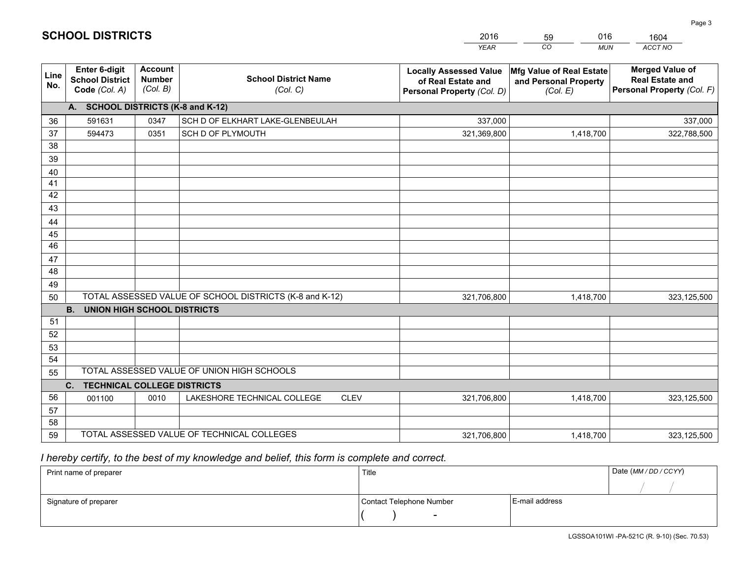|                 |                                                                 |                                             |                                                         | <b>YEAR</b>                                                                       | CO<br><b>MUN</b>                                              | ACCT NO                                                                        |
|-----------------|-----------------------------------------------------------------|---------------------------------------------|---------------------------------------------------------|-----------------------------------------------------------------------------------|---------------------------------------------------------------|--------------------------------------------------------------------------------|
| Line<br>No.     | <b>Enter 6-digit</b><br><b>School District</b><br>Code (Col. A) | <b>Account</b><br><b>Number</b><br>(Col. B) | <b>School District Name</b><br>(Col. C)                 | <b>Locally Assessed Value</b><br>of Real Estate and<br>Personal Property (Col. D) | Mfg Value of Real Estate<br>and Personal Property<br>(Col. E) | <b>Merged Value of</b><br><b>Real Estate and</b><br>Personal Property (Col. F) |
|                 | A. SCHOOL DISTRICTS (K-8 and K-12)                              |                                             |                                                         |                                                                                   |                                                               |                                                                                |
| 36              | 591631                                                          | 0347                                        | SCH D OF ELKHART LAKE-GLENBEULAH                        | 337,000                                                                           |                                                               | 337,000                                                                        |
| 37              | 594473                                                          | 0351                                        | SCH D OF PLYMOUTH                                       | 321,369,800                                                                       | 1,418,700                                                     | 322,788,500                                                                    |
| 38              |                                                                 |                                             |                                                         |                                                                                   |                                                               |                                                                                |
| 39              |                                                                 |                                             |                                                         |                                                                                   |                                                               |                                                                                |
| 40              |                                                                 |                                             |                                                         |                                                                                   |                                                               |                                                                                |
| 41              |                                                                 |                                             |                                                         |                                                                                   |                                                               |                                                                                |
| 42              |                                                                 |                                             |                                                         |                                                                                   |                                                               |                                                                                |
| 43              |                                                                 |                                             |                                                         |                                                                                   |                                                               |                                                                                |
| 44<br>45        |                                                                 |                                             |                                                         |                                                                                   |                                                               |                                                                                |
| $\overline{46}$ |                                                                 |                                             |                                                         |                                                                                   |                                                               |                                                                                |
| 47              |                                                                 |                                             |                                                         |                                                                                   |                                                               |                                                                                |
| 48              |                                                                 |                                             |                                                         |                                                                                   |                                                               |                                                                                |
| 49              |                                                                 |                                             |                                                         |                                                                                   |                                                               |                                                                                |
| 50              |                                                                 |                                             | TOTAL ASSESSED VALUE OF SCHOOL DISTRICTS (K-8 and K-12) | 321,706,800                                                                       | 1,418,700                                                     | 323,125,500                                                                    |
|                 | <b>B.</b><br><b>UNION HIGH SCHOOL DISTRICTS</b>                 |                                             |                                                         |                                                                                   |                                                               |                                                                                |
| 51              |                                                                 |                                             |                                                         |                                                                                   |                                                               |                                                                                |
| 52              |                                                                 |                                             |                                                         |                                                                                   |                                                               |                                                                                |
| 53              |                                                                 |                                             |                                                         |                                                                                   |                                                               |                                                                                |
| 54              |                                                                 |                                             |                                                         |                                                                                   |                                                               |                                                                                |
| 55              |                                                                 |                                             | TOTAL ASSESSED VALUE OF UNION HIGH SCHOOLS              |                                                                                   |                                                               |                                                                                |
|                 | C.<br><b>TECHNICAL COLLEGE DISTRICTS</b>                        |                                             |                                                         |                                                                                   |                                                               |                                                                                |
| 56              | 001100                                                          | 0010                                        | LAKESHORE TECHNICAL COLLEGE<br><b>CLEV</b>              | 321,706,800                                                                       | 1,418,700                                                     | 323,125,500                                                                    |
| 57              |                                                                 |                                             |                                                         |                                                                                   |                                                               |                                                                                |
| 58<br>59        |                                                                 |                                             | TOTAL ASSESSED VALUE OF TECHNICAL COLLEGES              | 321,706,800                                                                       | 1,418,700                                                     |                                                                                |
|                 |                                                                 |                                             |                                                         |                                                                                   |                                                               | 323,125,500                                                                    |

59

016

 *I hereby certify, to the best of my knowledge and belief, this form is complete and correct.*

**SCHOOL DISTRICTS**

| Print name of preparer | Title                    |                | Date (MM / DD / CCYY) |
|------------------------|--------------------------|----------------|-----------------------|
|                        |                          |                |                       |
| Signature of preparer  | Contact Telephone Number | E-mail address |                       |
|                        | $\sim$                   |                |                       |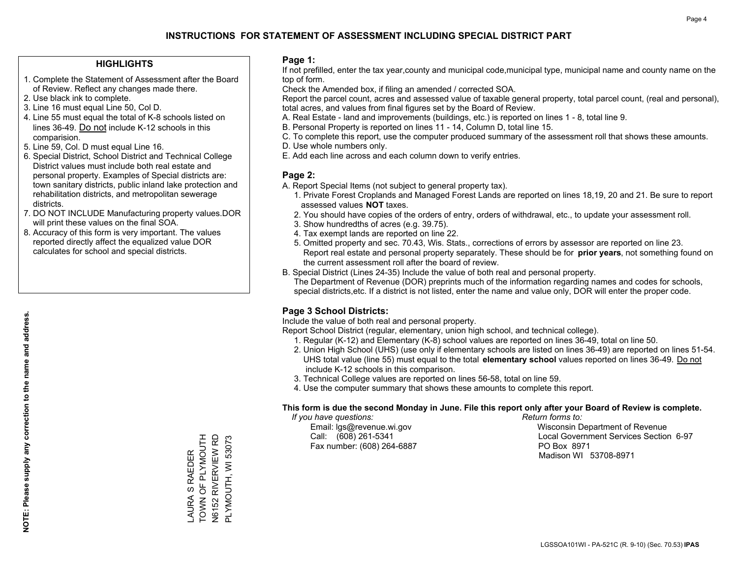#### **HIGHLIGHTS**

- 1. Complete the Statement of Assessment after the Board of Review. Reflect any changes made there.
- 2. Use black ink to complete.
- 3. Line 16 must equal Line 50, Col D.
- 4. Line 55 must equal the total of K-8 schools listed on lines 36-49. Do not include K-12 schools in this comparision.
- 5. Line 59, Col. D must equal Line 16.
- 6. Special District, School District and Technical College District values must include both real estate and personal property. Examples of Special districts are: town sanitary districts, public inland lake protection and rehabilitation districts, and metropolitan sewerage districts.
- 7. DO NOT INCLUDE Manufacturing property values.DOR will print these values on the final SOA.
- 8. Accuracy of this form is very important. The values reported directly affect the equalized value DOR calculates for school and special districts.

#### **Page 1:**

 If not prefilled, enter the tax year,county and municipal code,municipal type, municipal name and county name on the top of form.

Check the Amended box, if filing an amended / corrected SOA.

 Report the parcel count, acres and assessed value of taxable general property, total parcel count, (real and personal), total acres, and values from final figures set by the Board of Review.

- A. Real Estate land and improvements (buildings, etc.) is reported on lines 1 8, total line 9.
- B. Personal Property is reported on lines 11 14, Column D, total line 15.
- C. To complete this report, use the computer produced summary of the assessment roll that shows these amounts.
- D. Use whole numbers only.
- E. Add each line across and each column down to verify entries.

#### **Page 2:**

- A. Report Special Items (not subject to general property tax).
- 1. Private Forest Croplands and Managed Forest Lands are reported on lines 18,19, 20 and 21. Be sure to report assessed values **NOT** taxes.
- 2. You should have copies of the orders of entry, orders of withdrawal, etc., to update your assessment roll.
	- 3. Show hundredths of acres (e.g. 39.75).
- 4. Tax exempt lands are reported on line 22.
- 5. Omitted property and sec. 70.43, Wis. Stats., corrections of errors by assessor are reported on line 23. Report real estate and personal property separately. These should be for **prior years**, not something found on the current assessment roll after the board of review.
- B. Special District (Lines 24-35) Include the value of both real and personal property.
- The Department of Revenue (DOR) preprints much of the information regarding names and codes for schools, special districts,etc. If a district is not listed, enter the name and value only, DOR will enter the proper code.

### **Page 3 School Districts:**

Include the value of both real and personal property.

Report School District (regular, elementary, union high school, and technical college).

- 1. Regular (K-12) and Elementary (K-8) school values are reported on lines 36-49, total on line 50.
- 2. Union High School (UHS) (use only if elementary schools are listed on lines 36-49) are reported on lines 51-54. UHS total value (line 55) must equal to the total **elementary school** values reported on lines 36-49. Do notinclude K-12 schools in this comparison.
- 3. Technical College values are reported on lines 56-58, total on line 59.
- 4. Use the computer summary that shows these amounts to complete this report.

#### **This form is due the second Monday in June. File this report only after your Board of Review is complete.**

 *If you have questions: Return forms to:*

Fax number: (608) 264-6887 PO Box 8971

 Email: lgs@revenue.wi.gov Wisconsin Department of Revenue Call: (608) 261-5341 Local Government Services Section 6-97Madison WI 53708-8971

TOWN OF PLYMOUTH \_AURA S RAEDER<br>TOWN OF PLYMOUTH **N6152 RIVERVIEW RD** N6152 RIVERVIEW RD PLYMOUTH, WI 53073 PLYMOUTH, WI 53073 LAURA S RAEDER

**NOTE: Please supply any correction to the name and address.**

NOTE: Please supply any correction to the name and address.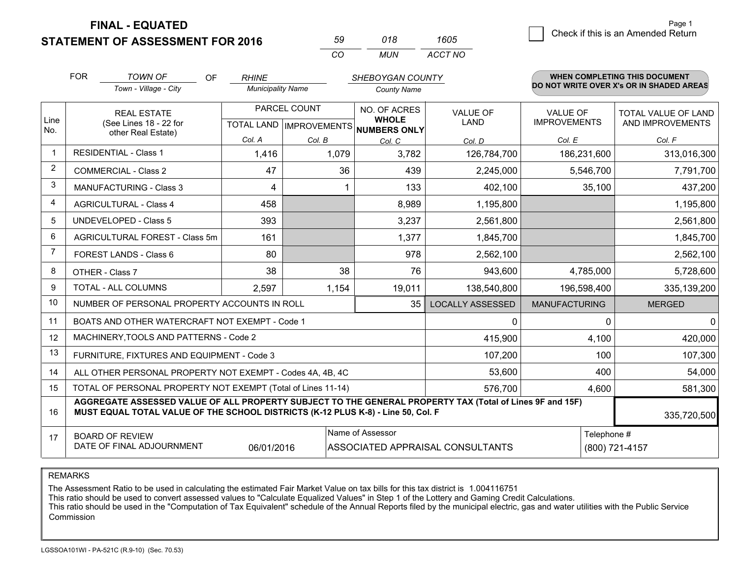**STATEMENT OF ASSESSMENT FOR 2016** 

| 59. | 018  | 1605    |  |
|-----|------|---------|--|
| ΩO  | MUN. | ACCT NO |  |

|                | <b>FOR</b>                                                                                                                                                                                   | <b>TOWN OF</b><br><b>OF</b>                    | <b>RHINE</b>                                        |       | SHEBOYGAN COUNTY             |                         |                                        | WHEN COMPLETING THIS DOCUMENT                  |
|----------------|----------------------------------------------------------------------------------------------------------------------------------------------------------------------------------------------|------------------------------------------------|-----------------------------------------------------|-------|------------------------------|-------------------------|----------------------------------------|------------------------------------------------|
|                |                                                                                                                                                                                              | Town - Village - City                          | <b>Municipality Name</b>                            |       | <b>County Name</b>           |                         |                                        | DO NOT WRITE OVER X's OR IN SHADED AREAS       |
| Line           | <b>REAL ESTATE</b><br>(See Lines 18 - 22 for                                                                                                                                                 |                                                | PARCEL COUNT<br>TOTAL LAND MPROVEMENTS NUMBERS ONLY |       | NO. OF ACRES<br><b>WHOLE</b> | <b>VALUE OF</b><br>LAND | <b>VALUE OF</b><br><b>IMPROVEMENTS</b> | <b>TOTAL VALUE OF LAND</b><br>AND IMPROVEMENTS |
| No.            | other Real Estate)                                                                                                                                                                           | Col. A                                         | Col. B                                              |       | Col. D                       | Col. E                  | Col. F                                 |                                                |
| $\mathbf{1}$   |                                                                                                                                                                                              | <b>RESIDENTIAL - Class 1</b>                   | 1,416                                               | 1,079 | Col. C<br>3,782              | 126,784,700             | 186,231,600                            | 313,016,300                                    |
| 2              |                                                                                                                                                                                              | <b>COMMERCIAL - Class 2</b>                    | 47                                                  | 36    | 439                          | 2,245,000               | 5,546,700                              | 7,791,700                                      |
| 3              |                                                                                                                                                                                              | <b>MANUFACTURING - Class 3</b>                 | 4                                                   |       | 133                          | 402,100                 | 35,100                                 | 437,200                                        |
| 4              |                                                                                                                                                                                              | <b>AGRICULTURAL - Class 4</b>                  | 458                                                 |       | 8,989                        | 1,195,800               |                                        | 1,195,800                                      |
| 5              |                                                                                                                                                                                              | <b>UNDEVELOPED - Class 5</b>                   | 393                                                 |       | 3,237                        | 2,561,800               |                                        | 2,561,800                                      |
| 6              |                                                                                                                                                                                              | AGRICULTURAL FOREST - Class 5m                 | 161                                                 |       | 1,377                        | 1,845,700               |                                        | 1,845,700                                      |
| $\overline{7}$ | FOREST LANDS - Class 6                                                                                                                                                                       |                                                | 80                                                  |       | 978                          | 2,562,100               |                                        | 2,562,100                                      |
| 8              | OTHER - Class 7                                                                                                                                                                              |                                                | 38                                                  | 38    | 76                           | 943,600                 | 4,785,000                              | 5,728,600                                      |
| 9              | TOTAL - ALL COLUMNS                                                                                                                                                                          |                                                | 2,597                                               | 1,154 | 19,011                       | 138,540,800             | 196,598,400                            | 335,139,200                                    |
| 10             |                                                                                                                                                                                              | NUMBER OF PERSONAL PROPERTY ACCOUNTS IN ROLL   |                                                     |       | 35                           | <b>LOCALLY ASSESSED</b> | <b>MANUFACTURING</b>                   | <b>MERGED</b>                                  |
| 11             |                                                                                                                                                                                              | BOATS AND OTHER WATERCRAFT NOT EXEMPT - Code 1 |                                                     | 0     | ∩                            | $\Omega$                |                                        |                                                |
| 12             |                                                                                                                                                                                              | MACHINERY, TOOLS AND PATTERNS - Code 2         |                                                     |       |                              | 415,900                 | 4,100                                  | 420,000                                        |
| 13             |                                                                                                                                                                                              | FURNITURE, FIXTURES AND EQUIPMENT - Code 3     |                                                     |       |                              | 107,200                 | 100                                    | 107,300                                        |
| 14             | 53,600<br>ALL OTHER PERSONAL PROPERTY NOT EXEMPT - Codes 4A, 4B, 4C                                                                                                                          |                                                |                                                     |       |                              |                         |                                        | 400<br>54,000                                  |
| 15             | TOTAL OF PERSONAL PROPERTY NOT EXEMPT (Total of Lines 11-14)<br>576,700                                                                                                                      |                                                |                                                     |       |                              |                         | 4,600                                  | 581,300                                        |
| 16             | AGGREGATE ASSESSED VALUE OF ALL PROPERTY SUBJECT TO THE GENERAL PROPERTY TAX (Total of Lines 9F and 15F)<br>MUST EQUAL TOTAL VALUE OF THE SCHOOL DISTRICTS (K-12 PLUS K-8) - Line 50, Col. F |                                                |                                                     |       |                              |                         |                                        | 335,720,500                                    |
| 17             | Name of Assessor<br>Telephone #<br><b>BOARD OF REVIEW</b><br>DATE OF FINAL ADJOURNMENT<br>06/01/2016<br>ASSOCIATED APPRAISAL CONSULTANTS<br>(800) 721-4157                                   |                                                |                                                     |       |                              |                         |                                        |                                                |

REMARKS

The Assessment Ratio to be used in calculating the estimated Fair Market Value on tax bills for this tax district is 1.004116751

This ratio should be used to convert assessed values to "Calculate Equalized Values" in Step 1 of the Lottery and Gaming Credit Calculations.<br>This ratio should be used in the "Computation of Tax Equivalent" schedule of the Commission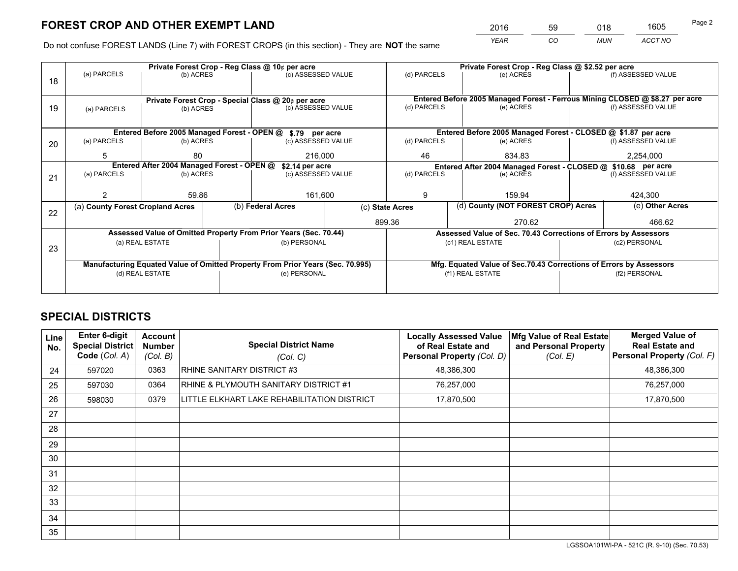*YEAR CO MUN ACCT NO* <sup>2016</sup> <sup>59</sup> <sup>018</sup> <sup>1605</sup>

Do not confuse FOREST LANDS (Line 7) with FOREST CROPS (in this section) - They are **NOT** the same

|                                                                                                                                                      | Private Forest Crop - Reg Class @ 10¢ per acre                   |           |  |                                                            |                                   | Private Forest Crop - Reg Class @ \$2.52 per acre               |                                                                              |                                                               |               |                    |
|------------------------------------------------------------------------------------------------------------------------------------------------------|------------------------------------------------------------------|-----------|--|------------------------------------------------------------|-----------------------------------|-----------------------------------------------------------------|------------------------------------------------------------------------------|---------------------------------------------------------------|---------------|--------------------|
| 18                                                                                                                                                   | (a) PARCELS<br>(b) ACRES                                         |           |  | (c) ASSESSED VALUE                                         |                                   | (d) PARCELS                                                     |                                                                              | (e) ACRES                                                     |               | (f) ASSESSED VALUE |
|                                                                                                                                                      |                                                                  |           |  |                                                            |                                   |                                                                 |                                                                              |                                                               |               |                    |
|                                                                                                                                                      |                                                                  |           |  | Private Forest Crop - Special Class @ 20¢ per acre         |                                   |                                                                 | Entered Before 2005 Managed Forest - Ferrous Mining CLOSED @ \$8.27 per acre |                                                               |               |                    |
| 19                                                                                                                                                   | (a) PARCELS                                                      | (b) ACRES |  | (c) ASSESSED VALUE                                         |                                   | (d) PARCELS                                                     |                                                                              | (e) ACRES                                                     |               | (f) ASSESSED VALUE |
|                                                                                                                                                      |                                                                  |           |  |                                                            |                                   |                                                                 |                                                                              |                                                               |               |                    |
|                                                                                                                                                      |                                                                  |           |  | Entered Before 2005 Managed Forest - OPEN @ \$.79 per acre |                                   |                                                                 |                                                                              | Entered Before 2005 Managed Forest - CLOSED @ \$1.87 per acre |               |                    |
| 20                                                                                                                                                   | (a) PARCELS                                                      | (b) ACRES |  | (c) ASSESSED VALUE                                         |                                   | (d) PARCELS                                                     |                                                                              | (e) ACRES                                                     |               | (f) ASSESSED VALUE |
|                                                                                                                                                      | 5                                                                | 80        |  | 216,000                                                    |                                   | 46                                                              |                                                                              | 834.83                                                        |               | 2,254,000          |
|                                                                                                                                                      | Entered After 2004 Managed Forest - OPEN @<br>\$2.14 per acre    |           |  |                                                            |                                   | Entered After 2004 Managed Forest - CLOSED @ \$10.68 per acre   |                                                                              |                                                               |               |                    |
| 21                                                                                                                                                   | (a) PARCELS                                                      | (b) ACRES |  |                                                            | (d) PARCELS<br>(c) ASSESSED VALUE |                                                                 |                                                                              | (e) ACRES                                                     |               | (f) ASSESSED VALUE |
|                                                                                                                                                      |                                                                  |           |  |                                                            |                                   |                                                                 |                                                                              |                                                               |               |                    |
|                                                                                                                                                      |                                                                  | 59.86     |  | 161,600                                                    |                                   | 9<br>159.94                                                     |                                                                              |                                                               | 424,300       |                    |
| 22                                                                                                                                                   | (a) County Forest Cropland Acres                                 |           |  | (b) Federal Acres                                          | (c) State Acres                   |                                                                 |                                                                              | (d) County (NOT FOREST CROP) Acres                            |               | (e) Other Acres    |
|                                                                                                                                                      |                                                                  |           |  |                                                            | 899.36                            |                                                                 |                                                                              | 270.62                                                        |               | 466.62             |
|                                                                                                                                                      | Assessed Value of Omitted Property From Prior Years (Sec. 70.44) |           |  |                                                            |                                   | Assessed Value of Sec. 70.43 Corrections of Errors by Assessors |                                                                              |                                                               |               |                    |
| 23                                                                                                                                                   | (a) REAL ESTATE                                                  |           |  | (b) PERSONAL                                               |                                   | (c1) REAL ESTATE                                                |                                                                              |                                                               | (c2) PERSONAL |                    |
|                                                                                                                                                      |                                                                  |           |  |                                                            |                                   |                                                                 |                                                                              |                                                               |               |                    |
| Manufacturing Equated Value of Omitted Property From Prior Years (Sec. 70.995)<br>Mfg. Equated Value of Sec.70.43 Corrections of Errors by Assessors |                                                                  |           |  |                                                            |                                   |                                                                 |                                                                              |                                                               |               |                    |
|                                                                                                                                                      | (d) REAL ESTATE                                                  |           |  | (e) PERSONAL                                               |                                   | (f1) REAL ESTATE                                                |                                                                              | (f2) PERSONAL                                                 |               |                    |
|                                                                                                                                                      |                                                                  |           |  |                                                            |                                   |                                                                 |                                                                              |                                                               |               |                    |

## **SPECIAL DISTRICTS**

| Line<br>No. | Enter 6-digit<br><b>Special District</b><br>Code (Col. A) | <b>Account</b><br><b>Number</b><br>(Col. B) | <b>Special District Name</b><br>(Col. C)    | <b>Locally Assessed Value</b><br>of Real Estate and<br>Personal Property (Col. D) | Mfg Value of Real Estate<br>and Personal Property<br>(Col. E) | <b>Merged Value of</b><br><b>Real Estate and</b><br><b>Personal Property (Col. F)</b> |
|-------------|-----------------------------------------------------------|---------------------------------------------|---------------------------------------------|-----------------------------------------------------------------------------------|---------------------------------------------------------------|---------------------------------------------------------------------------------------|
| 24          | 597020                                                    | 0363                                        | RHINE SANITARY DISTRICT #3                  | 48,386,300                                                                        |                                                               | 48,386,300                                                                            |
| 25          | 597030                                                    | 0364                                        | RHINE & PLYMOUTH SANITARY DISTRICT #1       | 76,257,000                                                                        |                                                               | 76,257,000                                                                            |
| 26          | 598030                                                    | 0379                                        | LITTLE ELKHART LAKE REHABILITATION DISTRICT | 17,870,500                                                                        |                                                               | 17,870,500                                                                            |
| 27          |                                                           |                                             |                                             |                                                                                   |                                                               |                                                                                       |
| 28          |                                                           |                                             |                                             |                                                                                   |                                                               |                                                                                       |
| 29          |                                                           |                                             |                                             |                                                                                   |                                                               |                                                                                       |
| 30          |                                                           |                                             |                                             |                                                                                   |                                                               |                                                                                       |
| 31          |                                                           |                                             |                                             |                                                                                   |                                                               |                                                                                       |
| 32          |                                                           |                                             |                                             |                                                                                   |                                                               |                                                                                       |
| 33          |                                                           |                                             |                                             |                                                                                   |                                                               |                                                                                       |
| 34          |                                                           |                                             |                                             |                                                                                   |                                                               |                                                                                       |
| 35          |                                                           |                                             |                                             |                                                                                   |                                                               |                                                                                       |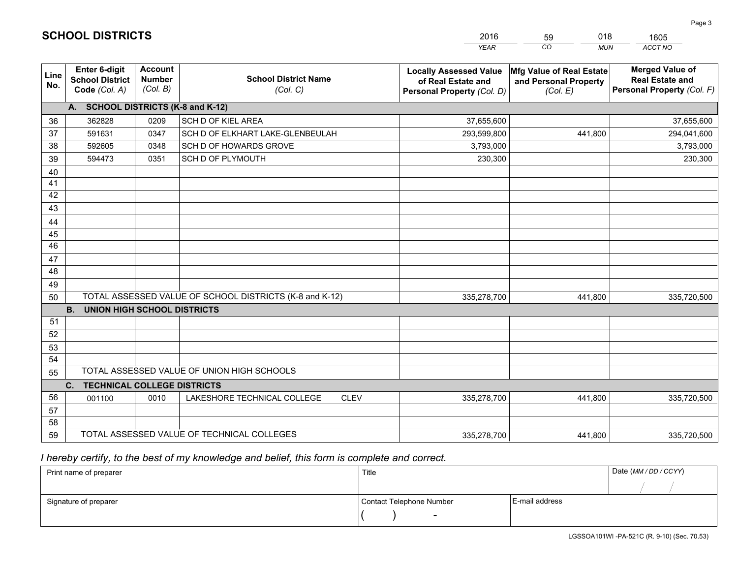|             |                                                          |                                             |                                                         | <b>YEAR</b>                                                                       | CO<br><b>MUN</b>                                              | ACCT NO                                                                        |
|-------------|----------------------------------------------------------|---------------------------------------------|---------------------------------------------------------|-----------------------------------------------------------------------------------|---------------------------------------------------------------|--------------------------------------------------------------------------------|
| Line<br>No. | Enter 6-digit<br><b>School District</b><br>Code (Col. A) | <b>Account</b><br><b>Number</b><br>(Col. B) | <b>School District Name</b><br>(Col. C)                 | <b>Locally Assessed Value</b><br>of Real Estate and<br>Personal Property (Col. D) | Mfg Value of Real Estate<br>and Personal Property<br>(Col. E) | <b>Merged Value of</b><br><b>Real Estate and</b><br>Personal Property (Col. F) |
|             | A. SCHOOL DISTRICTS (K-8 and K-12)                       |                                             |                                                         |                                                                                   |                                                               |                                                                                |
| 36          | 362828                                                   | 0209                                        | SCH D OF KIEL AREA                                      | 37,655,600                                                                        |                                                               | 37,655,600                                                                     |
| 37          | 591631                                                   | 0347                                        | SCH D OF ELKHART LAKE-GLENBEULAH                        | 293,599,800                                                                       | 441.800                                                       | 294,041,600                                                                    |
| 38          | 592605                                                   | 0348                                        | SCH D OF HOWARDS GROVE                                  | 3,793,000                                                                         |                                                               | 3,793,000                                                                      |
| 39          | 594473                                                   | 0351                                        | <b>SCH D OF PLYMOUTH</b>                                | 230,300                                                                           |                                                               | 230,300                                                                        |
| 40          |                                                          |                                             |                                                         |                                                                                   |                                                               |                                                                                |
| 41          |                                                          |                                             |                                                         |                                                                                   |                                                               |                                                                                |
| 42          |                                                          |                                             |                                                         |                                                                                   |                                                               |                                                                                |
| 43          |                                                          |                                             |                                                         |                                                                                   |                                                               |                                                                                |
| 44          |                                                          |                                             |                                                         |                                                                                   |                                                               |                                                                                |
| 45          |                                                          |                                             |                                                         |                                                                                   |                                                               |                                                                                |
| 46          |                                                          |                                             |                                                         |                                                                                   |                                                               |                                                                                |
| 47          |                                                          |                                             |                                                         |                                                                                   |                                                               |                                                                                |
| 48          |                                                          |                                             |                                                         |                                                                                   |                                                               |                                                                                |
| 49          |                                                          |                                             |                                                         |                                                                                   |                                                               |                                                                                |
| 50          |                                                          |                                             | TOTAL ASSESSED VALUE OF SCHOOL DISTRICTS (K-8 and K-12) | 335,278,700                                                                       | 441.800                                                       | 335,720,500                                                                    |
|             | <b>B.</b><br><b>UNION HIGH SCHOOL DISTRICTS</b>          |                                             |                                                         |                                                                                   |                                                               |                                                                                |
| 51          |                                                          |                                             |                                                         |                                                                                   |                                                               |                                                                                |
| 52          |                                                          |                                             |                                                         |                                                                                   |                                                               |                                                                                |
| 53          |                                                          |                                             |                                                         |                                                                                   |                                                               |                                                                                |
| 54          |                                                          |                                             |                                                         |                                                                                   |                                                               |                                                                                |
| 55          |                                                          |                                             | TOTAL ASSESSED VALUE OF UNION HIGH SCHOOLS              |                                                                                   |                                                               |                                                                                |
|             | C.<br><b>TECHNICAL COLLEGE DISTRICTS</b>                 |                                             |                                                         |                                                                                   |                                                               |                                                                                |
| 56          | 001100                                                   | 0010                                        | LAKESHORE TECHNICAL COLLEGE<br><b>CLEV</b>              | 335,278,700                                                                       | 441,800                                                       | 335,720,500                                                                    |
| 57          |                                                          |                                             |                                                         |                                                                                   |                                                               |                                                                                |
| 58          |                                                          |                                             |                                                         |                                                                                   |                                                               |                                                                                |
| 59          |                                                          |                                             | TOTAL ASSESSED VALUE OF TECHNICAL COLLEGES              | 335,278,700                                                                       | 441,800                                                       | 335,720,500                                                                    |

59

018

 *I hereby certify, to the best of my knowledge and belief, this form is complete and correct.*

**SCHOOL DISTRICTS**

| Print name of preparer | Title                    |                | Date (MM / DD / CCYY) |
|------------------------|--------------------------|----------------|-----------------------|
|                        |                          |                |                       |
| Signature of preparer  | Contact Telephone Number | E-mail address |                       |
|                        | $\overline{\phantom{0}}$ |                |                       |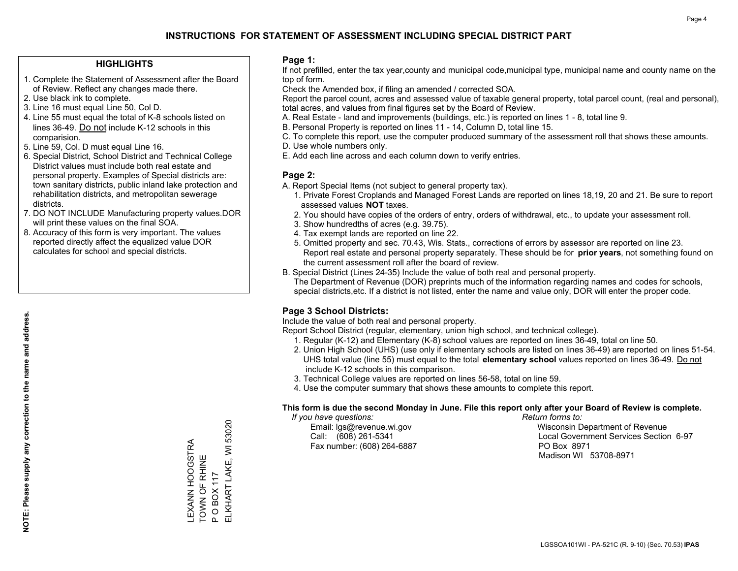#### **HIGHLIGHTS**

- 1. Complete the Statement of Assessment after the Board of Review. Reflect any changes made there.
- 2. Use black ink to complete.
- 3. Line 16 must equal Line 50, Col D.
- 4. Line 55 must equal the total of K-8 schools listed on lines 36-49. Do not include K-12 schools in this comparision.
- 5. Line 59, Col. D must equal Line 16.
- 6. Special District, School District and Technical College District values must include both real estate and personal property. Examples of Special districts are: town sanitary districts, public inland lake protection and rehabilitation districts, and metropolitan sewerage districts.
- 7. DO NOT INCLUDE Manufacturing property values.DOR will print these values on the final SOA.

LEXANN HOOGSTRA TOWN OF RHINE P O BOX 117

LEXANN HOOGSTRA<br>TOWN OF RHINE

ELKHART LAKE, WI 53020

ELKHART LAKE, WI 53020

**OBOX117** 

 $\mathbf{a}$ 

 8. Accuracy of this form is very important. The values reported directly affect the equalized value DOR calculates for school and special districts.

#### **Page 1:**

 If not prefilled, enter the tax year,county and municipal code,municipal type, municipal name and county name on the top of form.

Check the Amended box, if filing an amended / corrected SOA.

 Report the parcel count, acres and assessed value of taxable general property, total parcel count, (real and personal), total acres, and values from final figures set by the Board of Review.

- A. Real Estate land and improvements (buildings, etc.) is reported on lines 1 8, total line 9.
- B. Personal Property is reported on lines 11 14, Column D, total line 15.
- C. To complete this report, use the computer produced summary of the assessment roll that shows these amounts.
- D. Use whole numbers only.
- E. Add each line across and each column down to verify entries.

#### **Page 2:**

- A. Report Special Items (not subject to general property tax).
- 1. Private Forest Croplands and Managed Forest Lands are reported on lines 18,19, 20 and 21. Be sure to report assessed values **NOT** taxes.
- 2. You should have copies of the orders of entry, orders of withdrawal, etc., to update your assessment roll.
	- 3. Show hundredths of acres (e.g. 39.75).
- 4. Tax exempt lands are reported on line 22.
- 5. Omitted property and sec. 70.43, Wis. Stats., corrections of errors by assessor are reported on line 23. Report real estate and personal property separately. These should be for **prior years**, not something found on the current assessment roll after the board of review.
- B. Special District (Lines 24-35) Include the value of both real and personal property.
- The Department of Revenue (DOR) preprints much of the information regarding names and codes for schools, special districts,etc. If a district is not listed, enter the name and value only, DOR will enter the proper code.

### **Page 3 School Districts:**

Include the value of both real and personal property.

Report School District (regular, elementary, union high school, and technical college).

- 1. Regular (K-12) and Elementary (K-8) school values are reported on lines 36-49, total on line 50.
- 2. Union High School (UHS) (use only if elementary schools are listed on lines 36-49) are reported on lines 51-54. UHS total value (line 55) must equal to the total **elementary school** values reported on lines 36-49. Do notinclude K-12 schools in this comparison.
- 3. Technical College values are reported on lines 56-58, total on line 59.
- 4. Use the computer summary that shows these amounts to complete this report.

#### **This form is due the second Monday in June. File this report only after your Board of Review is complete.**

 *If you have questions: Return forms to:*

Fax number: (608) 264-6887 PO Box 8971

 Email: lgs@revenue.wi.gov Wisconsin Department of Revenue Call: (608) 261-5341 Local Government Services Section 6-97Madison WI 53708-8971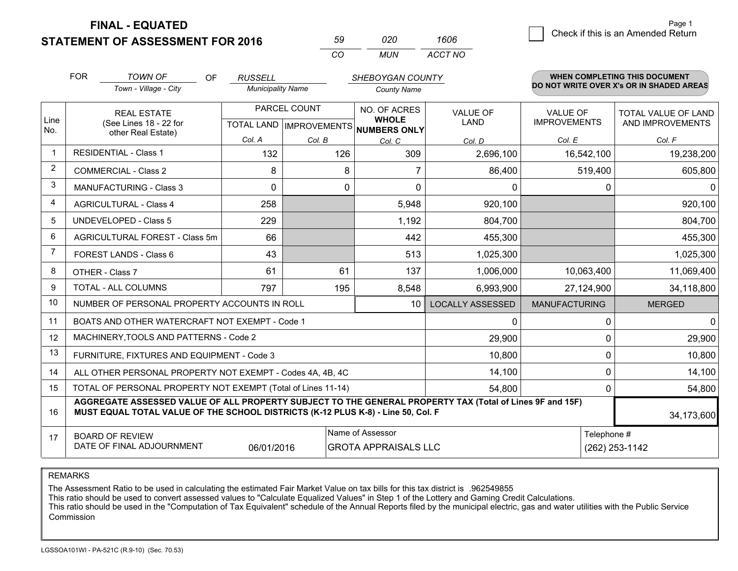**FINAL - EQUATED**

**STATEMENT OF ASSESSMENT FOR 2016** 

| 59  | n2n | 1606    |
|-----|-----|---------|
| CO. | MUN | ACCT NO |

|                | <b>FOR</b>                                                                                                                                                                                   | <b>TOWN OF</b><br>OF                                      | <b>RUSSELL</b>           |        | SHEBOYGAN COUNTY                         |                         |                      | WHEN COMPLETING THIS DOCUMENT            |
|----------------|----------------------------------------------------------------------------------------------------------------------------------------------------------------------------------------------|-----------------------------------------------------------|--------------------------|--------|------------------------------------------|-------------------------|----------------------|------------------------------------------|
|                |                                                                                                                                                                                              | Town - Village - City                                     | <b>Municipality Name</b> |        | <b>County Name</b>                       |                         |                      | DO NOT WRITE OVER X's OR IN SHADED AREAS |
| Line           |                                                                                                                                                                                              | <b>REAL ESTATE</b>                                        | PARCEL COUNT             |        | NO. OF ACRES<br><b>WHOLE</b>             | <b>VALUE OF</b>         | <b>VALUE OF</b>      | TOTAL VALUE OF LAND                      |
| No.            |                                                                                                                                                                                              | (See Lines 18 - 22 for<br>other Real Estate)              |                          |        | TOTAL LAND   IMPROVEMENTS   NUMBERS ONLY | <b>LAND</b>             | <b>IMPROVEMENTS</b>  | AND IMPROVEMENTS                         |
|                |                                                                                                                                                                                              |                                                           | Col. A                   | Col. B | Col. C                                   | Col. D                  | Col. E               | Col. F                                   |
|                |                                                                                                                                                                                              | <b>RESIDENTIAL - Class 1</b>                              | 132                      | 126    | 309                                      | 2,696,100               | 16,542,100           | 19,238,200                               |
| $\overline{2}$ |                                                                                                                                                                                              | <b>COMMERCIAL - Class 2</b>                               | 8                        | 8      |                                          | 86,400                  | 519,400              | 605,800                                  |
| 3              |                                                                                                                                                                                              | <b>MANUFACTURING - Class 3</b>                            | $\Omega$                 | 0      | $\Omega$                                 | 0                       | $\Omega$             | $\Omega$                                 |
| $\overline{4}$ |                                                                                                                                                                                              | <b>AGRICULTURAL - Class 4</b>                             | 258                      |        | 5,948                                    | 920,100                 |                      | 920,100                                  |
| 5              |                                                                                                                                                                                              | <b>UNDEVELOPED - Class 5</b>                              | 229                      |        | 1,192                                    | 804,700                 |                      | 804,700                                  |
| 6              |                                                                                                                                                                                              | AGRICULTURAL FOREST - Class 5m                            | 66                       |        | 442                                      | 455,300                 |                      | 455,300                                  |
| $\overline{7}$ |                                                                                                                                                                                              | FOREST LANDS - Class 6                                    | 43                       |        | 513                                      | 1,025,300               |                      | 1,025,300                                |
| 8              |                                                                                                                                                                                              | OTHER - Class 7                                           | 61                       | 61     | 137                                      | 1,006,000               | 10,063,400           | 11,069,400                               |
| 9              |                                                                                                                                                                                              | TOTAL - ALL COLUMNS                                       | 797                      | 195    | 8,548                                    | 6,993,900               | 27,124,900           | 34,118,800                               |
| 10             |                                                                                                                                                                                              | NUMBER OF PERSONAL PROPERTY ACCOUNTS IN ROLL              |                          |        | 10                                       | <b>LOCALLY ASSESSED</b> | <b>MANUFACTURING</b> | <b>MERGED</b>                            |
| 11             |                                                                                                                                                                                              | BOATS AND OTHER WATERCRAFT NOT EXEMPT - Code 1            |                          |        |                                          | 0                       | $\Omega$             | $\Omega$                                 |
| 12             |                                                                                                                                                                                              | MACHINERY, TOOLS AND PATTERNS - Code 2                    |                          |        |                                          | 29,900                  | $\mathbf 0$          | 29,900                                   |
| 13             |                                                                                                                                                                                              | FURNITURE, FIXTURES AND EQUIPMENT - Code 3                |                          |        |                                          | 10,800                  | $\mathbf 0$          | 10,800                                   |
| 14             |                                                                                                                                                                                              | ALL OTHER PERSONAL PROPERTY NOT EXEMPT - Codes 4A, 4B, 4C |                          |        |                                          | 14,100                  | $\mathbf 0$          | 14,100                                   |
| 15             | TOTAL OF PERSONAL PROPERTY NOT EXEMPT (Total of Lines 11-14)<br>54,800                                                                                                                       |                                                           |                          |        |                                          |                         | $\mathbf 0$          | 54,800                                   |
| 16             | AGGREGATE ASSESSED VALUE OF ALL PROPERTY SUBJECT TO THE GENERAL PROPERTY TAX (Total of Lines 9F and 15F)<br>MUST EQUAL TOTAL VALUE OF THE SCHOOL DISTRICTS (K-12 PLUS K-8) - Line 50, Col. F |                                                           |                          |        |                                          |                         | 34,173,600           |                                          |
| 17             |                                                                                                                                                                                              | <b>BOARD OF REVIEW</b>                                    |                          |        | Name of Assessor                         |                         | Telephone #          |                                          |
|                | DATE OF FINAL ADJOURNMENT<br>06/01/2016<br><b>GROTA APPRAISALS LLC</b>                                                                                                                       |                                                           |                          |        |                                          |                         |                      | (262) 253-1142                           |

REMARKS

The Assessment Ratio to be used in calculating the estimated Fair Market Value on tax bills for this tax district is .962549855

This ratio should be used to convert assessed values to "Calculate Equalized Values" in Step 1 of the Lottery and Gaming Credit Calculations.<br>This ratio should be used in the "Computation of Tax Equivalent" schedule of the Commission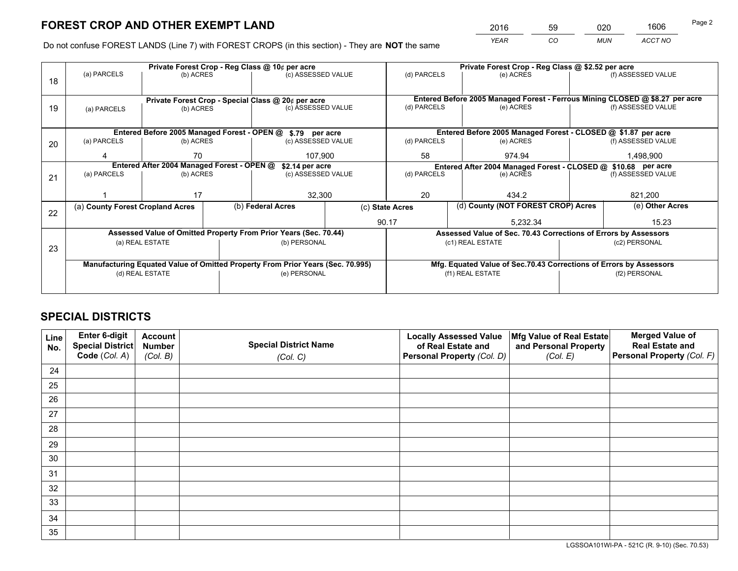*YEAR CO MUN ACCT NO* <sup>2016</sup> <sup>59</sup> <sup>020</sup> <sup>1606</sup>

Do not confuse FOREST LANDS (Line 7) with FOREST CROPS (in this section) - They are **NOT** the same

|    |                                                                                |                 |                                                                                  | Private Forest Crop - Reg Class @ 10¢ per acre                   |                 | Private Forest Crop - Reg Class @ \$2.52 per acre |                                                                              |                                    |                    |  |
|----|--------------------------------------------------------------------------------|-----------------|----------------------------------------------------------------------------------|------------------------------------------------------------------|-----------------|---------------------------------------------------|------------------------------------------------------------------------------|------------------------------------|--------------------|--|
| 18 | (a) PARCELS                                                                    | (b) ACRES       |                                                                                  | (c) ASSESSED VALUE                                               |                 | (d) PARCELS                                       | (e) ACRES                                                                    |                                    | (f) ASSESSED VALUE |  |
|    |                                                                                |                 |                                                                                  |                                                                  |                 |                                                   |                                                                              |                                    |                    |  |
|    |                                                                                |                 |                                                                                  | Private Forest Crop - Special Class @ 20¢ per acre               |                 |                                                   | Entered Before 2005 Managed Forest - Ferrous Mining CLOSED @ \$8.27 per acre |                                    |                    |  |
| 19 | (a) PARCELS                                                                    | (b) ACRES       |                                                                                  | (c) ASSESSED VALUE                                               |                 | (d) PARCELS                                       | (e) ACRES                                                                    |                                    | (f) ASSESSED VALUE |  |
|    |                                                                                |                 |                                                                                  |                                                                  |                 |                                                   |                                                                              |                                    |                    |  |
|    |                                                                                |                 |                                                                                  | Entered Before 2005 Managed Forest - OPEN @ \$.79 per acre       |                 |                                                   | Entered Before 2005 Managed Forest - CLOSED @ \$1.87 per acre                |                                    |                    |  |
| 20 | (a) PARCELS                                                                    | (b) ACRES       |                                                                                  | (c) ASSESSED VALUE                                               |                 | (d) PARCELS                                       | (e) ACRES                                                                    |                                    | (f) ASSESSED VALUE |  |
|    |                                                                                | 70              |                                                                                  | 107.900                                                          |                 | 58                                                | 974.94                                                                       |                                    | 1,498,900          |  |
|    | Entered After 2004 Managed Forest - OPEN @                                     |                 | \$2.14 per acre<br>Entered After 2004 Managed Forest - CLOSED @ \$10.68 per acre |                                                                  |                 |                                                   |                                                                              |                                    |                    |  |
| 21 | (a) PARCELS                                                                    | (b) ACRES       |                                                                                  | (c) ASSESSED VALUE                                               | (d) PARCELS     |                                                   | (e) ACRES                                                                    |                                    |                    |  |
|    |                                                                                |                 |                                                                                  |                                                                  |                 |                                                   |                                                                              |                                    |                    |  |
|    |                                                                                | 17              |                                                                                  | 32,300                                                           |                 | 20<br>434.2                                       |                                                                              | 821,200<br>(e) Other Acres         |                    |  |
| 22 | (a) County Forest Cropland Acres                                               |                 |                                                                                  | (b) Federal Acres                                                | (c) State Acres |                                                   |                                                                              | (d) County (NOT FOREST CROP) Acres |                    |  |
|    |                                                                                |                 |                                                                                  |                                                                  |                 | 90.17                                             | 5,232.34                                                                     |                                    | 15.23              |  |
|    |                                                                                |                 |                                                                                  | Assessed Value of Omitted Property From Prior Years (Sec. 70.44) |                 |                                                   | Assessed Value of Sec. 70.43 Corrections of Errors by Assessors              |                                    |                    |  |
| 23 |                                                                                | (a) REAL ESTATE |                                                                                  | (b) PERSONAL                                                     |                 |                                                   | (c1) REAL ESTATE                                                             |                                    | (c2) PERSONAL      |  |
|    |                                                                                |                 |                                                                                  |                                                                  |                 |                                                   |                                                                              |                                    |                    |  |
|    | Manufacturing Equated Value of Omitted Property From Prior Years (Sec. 70.995) |                 |                                                                                  |                                                                  |                 |                                                   | Mfg. Equated Value of Sec.70.43 Corrections of Errors by Assessors           |                                    |                    |  |
|    | (d) REAL ESTATE                                                                |                 |                                                                                  | (e) PERSONAL                                                     |                 | (f1) REAL ESTATE                                  |                                                                              |                                    | (f2) PERSONAL      |  |
|    |                                                                                |                 |                                                                                  |                                                                  |                 |                                                   |                                                                              |                                    |                    |  |

## **SPECIAL DISTRICTS**

| Line<br>No. | Enter 6-digit<br><b>Special District</b> | <b>Account</b><br><b>Number</b> | <b>Special District Name</b> | <b>Locally Assessed Value</b><br>of Real Estate and | Mfg Value of Real Estate<br>and Personal Property | <b>Merged Value of</b><br><b>Real Estate and</b> |
|-------------|------------------------------------------|---------------------------------|------------------------------|-----------------------------------------------------|---------------------------------------------------|--------------------------------------------------|
|             | Code (Col. A)                            | (Col. B)                        | (Col. C)                     | Personal Property (Col. D)                          | (Col. E)                                          | Personal Property (Col. F)                       |
| 24          |                                          |                                 |                              |                                                     |                                                   |                                                  |
| 25          |                                          |                                 |                              |                                                     |                                                   |                                                  |
| 26          |                                          |                                 |                              |                                                     |                                                   |                                                  |
| 27          |                                          |                                 |                              |                                                     |                                                   |                                                  |
| 28          |                                          |                                 |                              |                                                     |                                                   |                                                  |
| 29          |                                          |                                 |                              |                                                     |                                                   |                                                  |
| 30          |                                          |                                 |                              |                                                     |                                                   |                                                  |
| 31          |                                          |                                 |                              |                                                     |                                                   |                                                  |
| 32          |                                          |                                 |                              |                                                     |                                                   |                                                  |
| 33          |                                          |                                 |                              |                                                     |                                                   |                                                  |
| 34          |                                          |                                 |                              |                                                     |                                                   |                                                  |
| 35          |                                          |                                 |                              |                                                     |                                                   |                                                  |

LGSSOA101WI-PA - 521C (R. 9-10) (Sec. 70.53)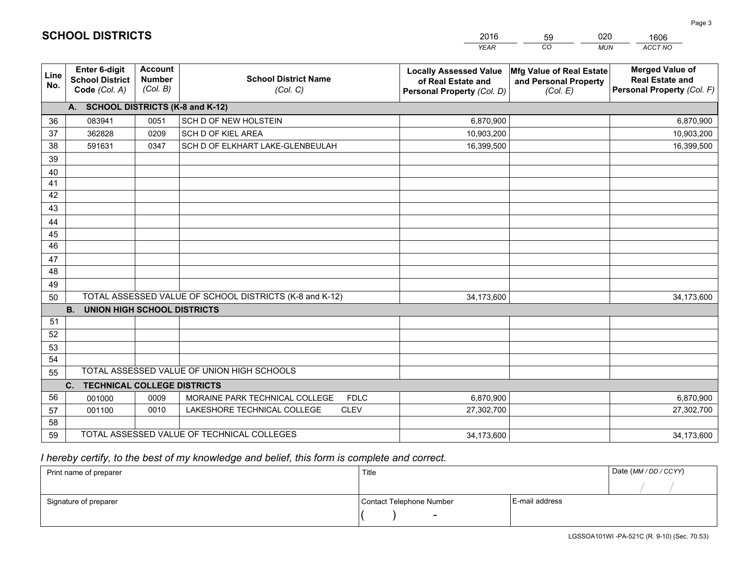|             |                                                                 |                                             |                                                         | <b>YEAR</b>                                                                       | CO<br><b>MUN</b>                                              | ACCT NO                                                                        |
|-------------|-----------------------------------------------------------------|---------------------------------------------|---------------------------------------------------------|-----------------------------------------------------------------------------------|---------------------------------------------------------------|--------------------------------------------------------------------------------|
| Line<br>No. | <b>Enter 6-digit</b><br><b>School District</b><br>Code (Col. A) | <b>Account</b><br><b>Number</b><br>(Col. B) | <b>School District Name</b><br>(Col. C)                 | <b>Locally Assessed Value</b><br>of Real Estate and<br>Personal Property (Col. D) | Mfg Value of Real Estate<br>and Personal Property<br>(Col. E) | <b>Merged Value of</b><br><b>Real Estate and</b><br>Personal Property (Col. F) |
|             | A. SCHOOL DISTRICTS (K-8 and K-12)                              |                                             |                                                         |                                                                                   |                                                               |                                                                                |
| 36          | 083941                                                          | 0051                                        | SCH D OF NEW HOLSTEIN                                   | 6,870,900                                                                         |                                                               | 6,870,900                                                                      |
| 37          | 362828                                                          | 0209                                        | SCH D OF KIEL AREA                                      | 10,903,200                                                                        |                                                               | 10,903,200                                                                     |
| 38          | 591631                                                          | 0347                                        | SCH D OF ELKHART LAKE-GLENBEULAH                        | 16,399,500                                                                        |                                                               | 16,399,500                                                                     |
| 39          |                                                                 |                                             |                                                         |                                                                                   |                                                               |                                                                                |
| 40          |                                                                 |                                             |                                                         |                                                                                   |                                                               |                                                                                |
| 41          |                                                                 |                                             |                                                         |                                                                                   |                                                               |                                                                                |
| 42          |                                                                 |                                             |                                                         |                                                                                   |                                                               |                                                                                |
| 43          |                                                                 |                                             |                                                         |                                                                                   |                                                               |                                                                                |
| 44          |                                                                 |                                             |                                                         |                                                                                   |                                                               |                                                                                |
| 45          |                                                                 |                                             |                                                         |                                                                                   |                                                               |                                                                                |
| 46          |                                                                 |                                             |                                                         |                                                                                   |                                                               |                                                                                |
| 47          |                                                                 |                                             |                                                         |                                                                                   |                                                               |                                                                                |
| 48          |                                                                 |                                             |                                                         |                                                                                   |                                                               |                                                                                |
| 49          |                                                                 |                                             |                                                         |                                                                                   |                                                               |                                                                                |
| 50          |                                                                 |                                             | TOTAL ASSESSED VALUE OF SCHOOL DISTRICTS (K-8 and K-12) | 34,173,600                                                                        |                                                               | 34,173,600                                                                     |
|             | <b>B.</b><br><b>UNION HIGH SCHOOL DISTRICTS</b>                 |                                             |                                                         |                                                                                   |                                                               |                                                                                |
| 51          |                                                                 |                                             |                                                         |                                                                                   |                                                               |                                                                                |
| 52          |                                                                 |                                             |                                                         |                                                                                   |                                                               |                                                                                |
| 53          |                                                                 |                                             |                                                         |                                                                                   |                                                               |                                                                                |
| 54          |                                                                 |                                             |                                                         |                                                                                   |                                                               |                                                                                |
| 55          |                                                                 |                                             | TOTAL ASSESSED VALUE OF UNION HIGH SCHOOLS              |                                                                                   |                                                               |                                                                                |
|             | <b>TECHNICAL COLLEGE DISTRICTS</b><br>C <sub>1</sub>            |                                             |                                                         |                                                                                   |                                                               |                                                                                |
| 56          | 001000                                                          | 0009                                        | MORAINE PARK TECHNICAL COLLEGE<br><b>FDLC</b>           | 6,870,900                                                                         |                                                               | 6,870,900                                                                      |
| 57          | 001100                                                          | 0010                                        | LAKESHORE TECHNICAL COLLEGE<br><b>CLEV</b>              | 27,302,700                                                                        |                                                               | 27,302,700                                                                     |
| 58          |                                                                 |                                             |                                                         |                                                                                   |                                                               |                                                                                |
| 59          |                                                                 |                                             | TOTAL ASSESSED VALUE OF TECHNICAL COLLEGES              | 34,173,600                                                                        |                                                               | 34,173,600                                                                     |

59

020

1606

## *I hereby certify, to the best of my knowledge and belief, this form is complete and correct.*

**SCHOOL DISTRICTS**

| Print name of preparer | Title                    |                | Date (MM / DD / CCYY) |
|------------------------|--------------------------|----------------|-----------------------|
|                        |                          |                |                       |
| Signature of preparer  | Contact Telephone Number | E-mail address |                       |
|                        | $\overline{\phantom{0}}$ |                |                       |

Page 3

LGSSOA101WI -PA-521C (R. 9-10) (Sec. 70.53)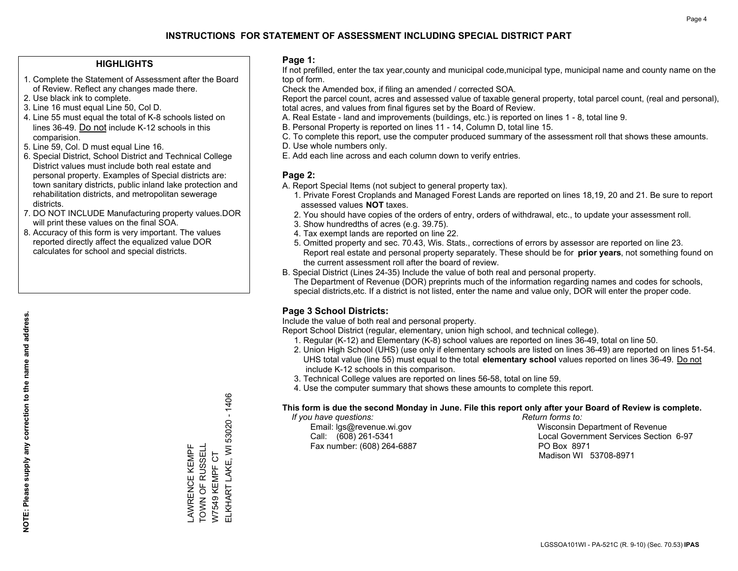#### **HIGHLIGHTS**

- 1. Complete the Statement of Assessment after the Board of Review. Reflect any changes made there.
- 2. Use black ink to complete.
- 3. Line 16 must equal Line 50, Col D.
- 4. Line 55 must equal the total of K-8 schools listed on lines 36-49. Do not include K-12 schools in this comparision.
- 5. Line 59, Col. D must equal Line 16.
- 6. Special District, School District and Technical College District values must include both real estate and personal property. Examples of Special districts are: town sanitary districts, public inland lake protection and rehabilitation districts, and metropolitan sewerage districts.
- 7. DO NOT INCLUDE Manufacturing property values.DOR will print these values on the final SOA.
- 8. Accuracy of this form is very important. The values reported directly affect the equalized value DOR calculates for school and special districts.

#### **Page 1:**

 If not prefilled, enter the tax year,county and municipal code,municipal type, municipal name and county name on the top of form.

Check the Amended box, if filing an amended / corrected SOA.

 Report the parcel count, acres and assessed value of taxable general property, total parcel count, (real and personal), total acres, and values from final figures set by the Board of Review.

- A. Real Estate land and improvements (buildings, etc.) is reported on lines 1 8, total line 9.
- B. Personal Property is reported on lines 11 14, Column D, total line 15.
- C. To complete this report, use the computer produced summary of the assessment roll that shows these amounts.
- D. Use whole numbers only.
- E. Add each line across and each column down to verify entries.

### **Page 2:**

- A. Report Special Items (not subject to general property tax).
- 1. Private Forest Croplands and Managed Forest Lands are reported on lines 18,19, 20 and 21. Be sure to report assessed values **NOT** taxes.
- 2. You should have copies of the orders of entry, orders of withdrawal, etc., to update your assessment roll.
	- 3. Show hundredths of acres (e.g. 39.75).
- 4. Tax exempt lands are reported on line 22.
- 5. Omitted property and sec. 70.43, Wis. Stats., corrections of errors by assessor are reported on line 23. Report real estate and personal property separately. These should be for **prior years**, not something found on the current assessment roll after the board of review.
- B. Special District (Lines 24-35) Include the value of both real and personal property.

 The Department of Revenue (DOR) preprints much of the information regarding names and codes for schools, special districts,etc. If a district is not listed, enter the name and value only, DOR will enter the proper code.

### **Page 3 School Districts:**

Include the value of both real and personal property.

Report School District (regular, elementary, union high school, and technical college).

- 1. Regular (K-12) and Elementary (K-8) school values are reported on lines 36-49, total on line 50.
- 2. Union High School (UHS) (use only if elementary schools are listed on lines 36-49) are reported on lines 51-54. UHS total value (line 55) must equal to the total **elementary school** values reported on lines 36-49. Do notinclude K-12 schools in this comparison.
- 3. Technical College values are reported on lines 56-58, total on line 59.
- 4. Use the computer summary that shows these amounts to complete this report.

#### **This form is due the second Monday in June. File this report only after your Board of Review is complete.**

 *If you have questions: Return forms to:*

Fax number: (608) 264-6887 PO Box 8971

 Email: lgs@revenue.wi.gov Wisconsin Department of Revenue Call: (608) 261-5341 Local Government Services Section 6-97Madison WI 53708-8971

ELKHART LAKE, WI 53020 - 1406 ELKHART LAKE, WI 53020 - 1406 TOWN OF RUSSELL LAWRENCE KEMPF<br>TOWN OF RUSSELL LAWRENCE KEMPF W7549 KEMPF CT W7549 KEMPF CT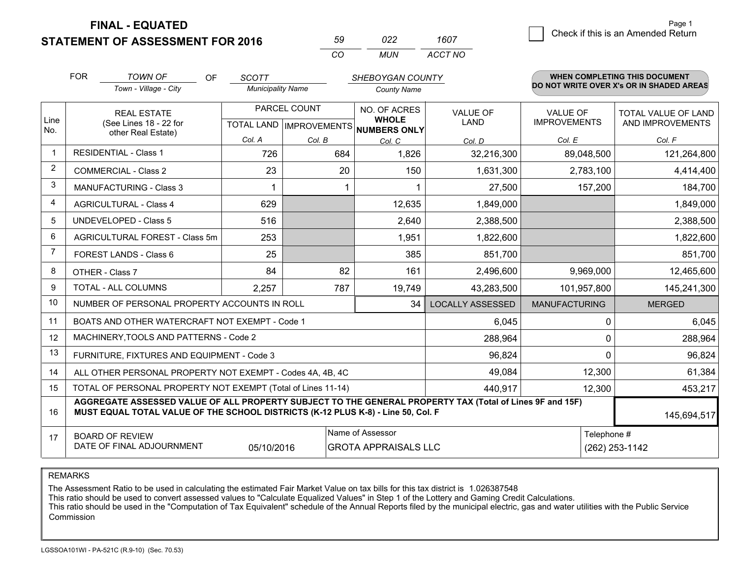**FINAL - EQUATED**

**STATEMENT OF ASSESSMENT FOR 2016** 

| 59       | n22. | 1607    |
|----------|------|---------|
| $\alpha$ | MUN  | ACCT NO |

|                | <b>FOR</b>                                                                                                                                                                                   | <b>TOWN OF</b><br>OF                                         | <b>SCOTT</b>             |        | <b>SHEBOYGAN COUNTY</b>                  |                         |                                          | WHEN COMPLETING THIS DOCUMENT |  |
|----------------|----------------------------------------------------------------------------------------------------------------------------------------------------------------------------------------------|--------------------------------------------------------------|--------------------------|--------|------------------------------------------|-------------------------|------------------------------------------|-------------------------------|--|
|                |                                                                                                                                                                                              | Town - Village - City                                        | <b>Municipality Name</b> |        | <b>County Name</b>                       |                         | DO NOT WRITE OVER X's OR IN SHADED AREAS |                               |  |
| Line           |                                                                                                                                                                                              | <b>REAL ESTATE</b>                                           | PARCEL COUNT             |        | NO. OF ACRES<br><b>WHOLE</b>             | <b>VALUE OF</b>         | <b>VALUE OF</b>                          | <b>TOTAL VALUE OF LAND</b>    |  |
| No.            |                                                                                                                                                                                              | (See Lines 18 - 22 for<br>other Real Estate)                 |                          |        | TOTAL LAND   IMPROVEMENTS   NUMBERS ONLY | <b>LAND</b>             | <b>IMPROVEMENTS</b>                      | AND IMPROVEMENTS              |  |
|                |                                                                                                                                                                                              |                                                              | Col. A                   | Col. B | Col. C                                   | Col. D                  | Col. E                                   | Col. F                        |  |
| $\mathbf 1$    |                                                                                                                                                                                              | <b>RESIDENTIAL - Class 1</b>                                 | 726                      | 684    | 1,826                                    | 32,216,300              | 89,048,500                               | 121,264,800                   |  |
| $\overline{2}$ |                                                                                                                                                                                              | <b>COMMERCIAL - Class 2</b>                                  | 23                       | 20     | 150                                      | 1,631,300               | 2,783,100                                | 4,414,400                     |  |
| 3              |                                                                                                                                                                                              | <b>MANUFACTURING - Class 3</b>                               |                          |        |                                          | 27,500                  | 157,200                                  | 184,700                       |  |
| $\overline{4}$ |                                                                                                                                                                                              | <b>AGRICULTURAL - Class 4</b>                                | 629                      |        | 12,635                                   | 1,849,000               |                                          | 1,849,000                     |  |
| 5              |                                                                                                                                                                                              | <b>UNDEVELOPED - Class 5</b>                                 | 516                      |        | 2,640                                    | 2,388,500               |                                          | 2,388,500                     |  |
| 6              |                                                                                                                                                                                              | AGRICULTURAL FOREST - Class 5m                               | 253                      |        | 1,951                                    | 1,822,600               |                                          | 1,822,600                     |  |
| $\overline{7}$ |                                                                                                                                                                                              | FOREST LANDS - Class 6                                       | 25                       |        | 385                                      | 851,700                 |                                          | 851,700                       |  |
| 8              |                                                                                                                                                                                              | OTHER - Class 7                                              | 84                       | 82     | 161                                      | 2,496,600               | 9,969,000                                | 12,465,600                    |  |
| 9              |                                                                                                                                                                                              | TOTAL - ALL COLUMNS                                          | 2,257                    | 787    | 19,749                                   | 43,283,500              | 101,957,800                              | 145,241,300                   |  |
| 10             |                                                                                                                                                                                              | NUMBER OF PERSONAL PROPERTY ACCOUNTS IN ROLL                 |                          |        | 34                                       | <b>LOCALLY ASSESSED</b> | <b>MANUFACTURING</b>                     | <b>MERGED</b>                 |  |
| 11             |                                                                                                                                                                                              | BOATS AND OTHER WATERCRAFT NOT EXEMPT - Code 1               |                          |        |                                          | 6,045                   | 0                                        | 6,045                         |  |
| 12             |                                                                                                                                                                                              | MACHINERY, TOOLS AND PATTERNS - Code 2                       |                          |        |                                          | 288,964                 | $\Omega$                                 | 288,964                       |  |
| 13             |                                                                                                                                                                                              | FURNITURE, FIXTURES AND EQUIPMENT - Code 3                   |                          |        |                                          | 96,824                  | $\Omega$                                 | 96,824                        |  |
| 14             |                                                                                                                                                                                              | ALL OTHER PERSONAL PROPERTY NOT EXEMPT - Codes 4A, 4B, 4C    |                          |        |                                          | 49,084                  | 12,300                                   | 61,384                        |  |
| 15             |                                                                                                                                                                                              | TOTAL OF PERSONAL PROPERTY NOT EXEMPT (Total of Lines 11-14) |                          |        |                                          | 440,917                 | 12,300                                   | 453,217                       |  |
| 16             | AGGREGATE ASSESSED VALUE OF ALL PROPERTY SUBJECT TO THE GENERAL PROPERTY TAX (Total of Lines 9F and 15F)<br>MUST EQUAL TOTAL VALUE OF THE SCHOOL DISTRICTS (K-12 PLUS K-8) - Line 50, Col. F |                                                              |                          |        |                                          |                         |                                          | 145,694,517                   |  |
| 17             |                                                                                                                                                                                              | <b>BOARD OF REVIEW</b>                                       |                          |        | Name of Assessor                         |                         |                                          | Telephone #                   |  |
|                |                                                                                                                                                                                              | DATE OF FINAL ADJOURNMENT                                    | 05/10/2016               |        | <b>GROTA APPRAISALS LLC</b>              |                         |                                          | (262) 253-1142                |  |

REMARKS

The Assessment Ratio to be used in calculating the estimated Fair Market Value on tax bills for this tax district is 1.026387548

This ratio should be used to convert assessed values to "Calculate Equalized Values" in Step 1 of the Lottery and Gaming Credit Calculations.<br>This ratio should be used in the "Computation of Tax Equivalent" schedule of the Commission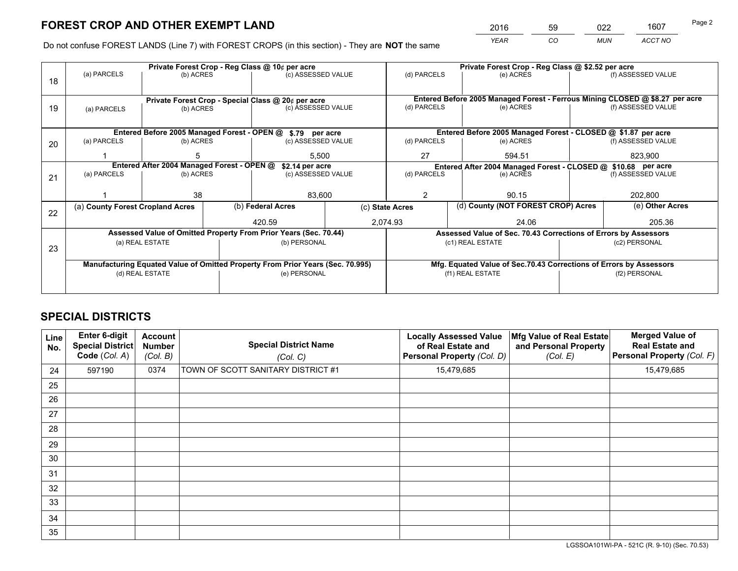*YEAR CO MUN ACCT NO* <sup>2016</sup> <sup>59</sup> <sup>022</sup> <sup>1607</sup>

Do not confuse FOREST LANDS (Line 7) with FOREST CROPS (in this section) - They are **NOT** the same

|    |                                                                                |                                                |  | Private Forest Crop - Reg Class @ 10¢ per acre                   |                                                                              | Private Forest Crop - Reg Class @ \$2.52 per acre                                   |                                                                 |                    |                    |  |
|----|--------------------------------------------------------------------------------|------------------------------------------------|--|------------------------------------------------------------------|------------------------------------------------------------------------------|-------------------------------------------------------------------------------------|-----------------------------------------------------------------|--------------------|--------------------|--|
| 18 | (a) PARCELS                                                                    | (b) ACRES                                      |  | (c) ASSESSED VALUE                                               |                                                                              | (d) PARCELS                                                                         | (e) ACRES                                                       |                    | (f) ASSESSED VALUE |  |
|    |                                                                                |                                                |  |                                                                  |                                                                              |                                                                                     |                                                                 |                    |                    |  |
|    | Private Forest Crop - Special Class @ 20¢ per acre                             |                                                |  |                                                                  | Entered Before 2005 Managed Forest - Ferrous Mining CLOSED @ \$8.27 per acre |                                                                                     |                                                                 |                    |                    |  |
| 19 |                                                                                | (c) ASSESSED VALUE<br>(b) ACRES<br>(a) PARCELS |  |                                                                  | (d) PARCELS                                                                  | (e) ACRES                                                                           |                                                                 | (f) ASSESSED VALUE |                    |  |
|    |                                                                                |                                                |  |                                                                  |                                                                              |                                                                                     |                                                                 |                    |                    |  |
|    |                                                                                |                                                |  | Entered Before 2005 Managed Forest - OPEN @ \$.79 per acre       |                                                                              |                                                                                     | Entered Before 2005 Managed Forest - CLOSED @ \$1.87 per acre   |                    |                    |  |
| 20 | (a) PARCELS                                                                    | (b) ACRES                                      |  | (c) ASSESSED VALUE                                               |                                                                              | (d) PARCELS                                                                         | (e) ACRES                                                       |                    | (f) ASSESSED VALUE |  |
|    |                                                                                |                                                |  | 5.500                                                            |                                                                              | 27                                                                                  | 594.51                                                          |                    | 823.900            |  |
|    | Entered After 2004 Managed Forest - OPEN @<br>\$2.14 per acre                  |                                                |  |                                                                  |                                                                              | Entered After 2004 Managed Forest - CLOSED @ \$10.68 per acre<br>(f) ASSESSED VALUE |                                                                 |                    |                    |  |
| 21 | (a) PARCELS                                                                    | (b) ACRES                                      |  | (c) ASSESSED VALUE                                               |                                                                              | (d) PARCELS                                                                         | (e) ACRES                                                       |                    |                    |  |
|    |                                                                                |                                                |  |                                                                  |                                                                              |                                                                                     |                                                                 |                    |                    |  |
|    |                                                                                | 38                                             |  | 83,600                                                           |                                                                              | 2                                                                                   | 90.15                                                           |                    |                    |  |
| 22 | (a) County Forest Cropland Acres                                               |                                                |  | (b) Federal Acres                                                | (c) State Acres                                                              |                                                                                     | (d) County (NOT FOREST CROP) Acres                              |                    | (e) Other Acres    |  |
|    |                                                                                |                                                |  | 420.59                                                           | 2,074.93                                                                     |                                                                                     | 24.06                                                           |                    | 205.36             |  |
|    |                                                                                |                                                |  | Assessed Value of Omitted Property From Prior Years (Sec. 70.44) |                                                                              |                                                                                     | Assessed Value of Sec. 70.43 Corrections of Errors by Assessors |                    |                    |  |
| 23 |                                                                                | (a) REAL ESTATE                                |  | (b) PERSONAL                                                     |                                                                              |                                                                                     | (c1) REAL ESTATE                                                |                    | (c2) PERSONAL      |  |
|    |                                                                                |                                                |  |                                                                  |                                                                              |                                                                                     |                                                                 |                    |                    |  |
|    | Manufacturing Equated Value of Omitted Property From Prior Years (Sec. 70.995) |                                                |  |                                                                  |                                                                              | Mfg. Equated Value of Sec.70.43 Corrections of Errors by Assessors                  |                                                                 |                    |                    |  |
|    |                                                                                | (d) REAL ESTATE                                |  | (e) PERSONAL                                                     |                                                                              | (f1) REAL ESTATE                                                                    |                                                                 | (f2) PERSONAL      |                    |  |
|    |                                                                                |                                                |  |                                                                  |                                                                              |                                                                                     |                                                                 |                    |                    |  |

## **SPECIAL DISTRICTS**

| Line<br>No. | <b>Enter 6-digit</b><br><b>Special District</b><br>Code (Col. A) | <b>Account</b><br><b>Number</b><br>(Col. B) | <b>Special District Name</b><br>(Col. C) | <b>Locally Assessed Value</b><br>of Real Estate and<br>Personal Property (Col. D) | Mfg Value of Real Estate<br>and Personal Property<br>(Col. E) | <b>Merged Value of</b><br><b>Real Estate and</b><br>Personal Property (Col. F) |
|-------------|------------------------------------------------------------------|---------------------------------------------|------------------------------------------|-----------------------------------------------------------------------------------|---------------------------------------------------------------|--------------------------------------------------------------------------------|
| 24          | 597190                                                           | 0374                                        | TOWN OF SCOTT SANITARY DISTRICT #1       | 15,479,685                                                                        |                                                               | 15,479,685                                                                     |
| 25          |                                                                  |                                             |                                          |                                                                                   |                                                               |                                                                                |
| 26          |                                                                  |                                             |                                          |                                                                                   |                                                               |                                                                                |
| 27          |                                                                  |                                             |                                          |                                                                                   |                                                               |                                                                                |
| 28          |                                                                  |                                             |                                          |                                                                                   |                                                               |                                                                                |
| 29          |                                                                  |                                             |                                          |                                                                                   |                                                               |                                                                                |
| 30          |                                                                  |                                             |                                          |                                                                                   |                                                               |                                                                                |
| 31          |                                                                  |                                             |                                          |                                                                                   |                                                               |                                                                                |
| 32          |                                                                  |                                             |                                          |                                                                                   |                                                               |                                                                                |
| 33          |                                                                  |                                             |                                          |                                                                                   |                                                               |                                                                                |
| 34          |                                                                  |                                             |                                          |                                                                                   |                                                               |                                                                                |
| 35          |                                                                  |                                             |                                          |                                                                                   |                                                               |                                                                                |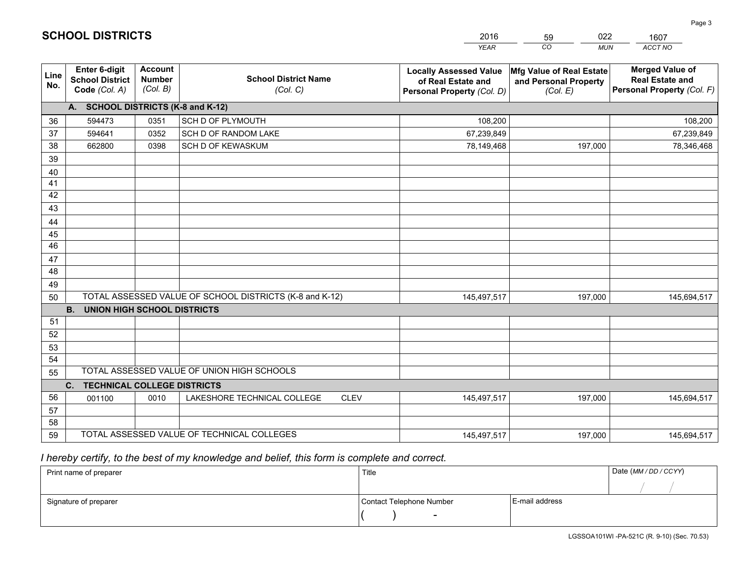|                 |                                                                 |                                             |                                                         | <b>YEAR</b>                                                                       | CO<br><b>MUN</b>                                              | ACCT NO                                                                        |
|-----------------|-----------------------------------------------------------------|---------------------------------------------|---------------------------------------------------------|-----------------------------------------------------------------------------------|---------------------------------------------------------------|--------------------------------------------------------------------------------|
| Line<br>No.     | <b>Enter 6-digit</b><br><b>School District</b><br>Code (Col. A) | <b>Account</b><br><b>Number</b><br>(Col. B) | <b>School District Name</b><br>(Col. C)                 | <b>Locally Assessed Value</b><br>of Real Estate and<br>Personal Property (Col. D) | Mfg Value of Real Estate<br>and Personal Property<br>(Col. E) | <b>Merged Value of</b><br><b>Real Estate and</b><br>Personal Property (Col. F) |
|                 | A. SCHOOL DISTRICTS (K-8 and K-12)                              |                                             |                                                         |                                                                                   |                                                               |                                                                                |
| 36              | 594473                                                          | 0351                                        | SCH D OF PLYMOUTH                                       | 108,200                                                                           |                                                               | 108,200                                                                        |
| 37              | 594641                                                          | 0352                                        | SCH D OF RANDOM LAKE                                    | 67,239,849                                                                        |                                                               | 67,239,849                                                                     |
| 38              | 662800                                                          | 0398                                        | SCH D OF KEWASKUM                                       | 78,149,468                                                                        | 197,000                                                       | 78,346,468                                                                     |
| 39              |                                                                 |                                             |                                                         |                                                                                   |                                                               |                                                                                |
| 40              |                                                                 |                                             |                                                         |                                                                                   |                                                               |                                                                                |
| 41              |                                                                 |                                             |                                                         |                                                                                   |                                                               |                                                                                |
| 42              |                                                                 |                                             |                                                         |                                                                                   |                                                               |                                                                                |
| 43              |                                                                 |                                             |                                                         |                                                                                   |                                                               |                                                                                |
| 44              |                                                                 |                                             |                                                         |                                                                                   |                                                               |                                                                                |
| 45              |                                                                 |                                             |                                                         |                                                                                   |                                                               |                                                                                |
| $\overline{46}$ |                                                                 |                                             |                                                         |                                                                                   |                                                               |                                                                                |
| 47              |                                                                 |                                             |                                                         |                                                                                   |                                                               |                                                                                |
| 48              |                                                                 |                                             |                                                         |                                                                                   |                                                               |                                                                                |
| 49              |                                                                 |                                             |                                                         |                                                                                   |                                                               |                                                                                |
| 50              |                                                                 |                                             | TOTAL ASSESSED VALUE OF SCHOOL DISTRICTS (K-8 and K-12) | 145,497,517                                                                       | 197,000                                                       | 145,694,517                                                                    |
|                 | <b>B.</b><br><b>UNION HIGH SCHOOL DISTRICTS</b>                 |                                             |                                                         |                                                                                   |                                                               |                                                                                |
| 51              |                                                                 |                                             |                                                         |                                                                                   |                                                               |                                                                                |
| 52              |                                                                 |                                             |                                                         |                                                                                   |                                                               |                                                                                |
| 53<br>54        |                                                                 |                                             |                                                         |                                                                                   |                                                               |                                                                                |
| 55              |                                                                 |                                             | TOTAL ASSESSED VALUE OF UNION HIGH SCHOOLS              |                                                                                   |                                                               |                                                                                |
|                 | C.<br><b>TECHNICAL COLLEGE DISTRICTS</b>                        |                                             |                                                         |                                                                                   |                                                               |                                                                                |
| 56              | 001100                                                          | 0010                                        | LAKESHORE TECHNICAL COLLEGE<br><b>CLEV</b>              | 145,497,517                                                                       | 197,000                                                       | 145,694,517                                                                    |
| 57              |                                                                 |                                             |                                                         |                                                                                   |                                                               |                                                                                |
| 58              |                                                                 |                                             |                                                         |                                                                                   |                                                               |                                                                                |
| 59              |                                                                 |                                             | TOTAL ASSESSED VALUE OF TECHNICAL COLLEGES              | 145,497,517                                                                       | 197,000                                                       | 145,694,517                                                                    |

59

022

 *I hereby certify, to the best of my knowledge and belief, this form is complete and correct.*

**SCHOOL DISTRICTS**

| Print name of preparer | Title                    |                | Date (MM/DD/CCYY) |
|------------------------|--------------------------|----------------|-------------------|
|                        |                          |                |                   |
| Signature of preparer  | Contact Telephone Number | E-mail address |                   |
|                        | $\overline{\phantom{a}}$ |                |                   |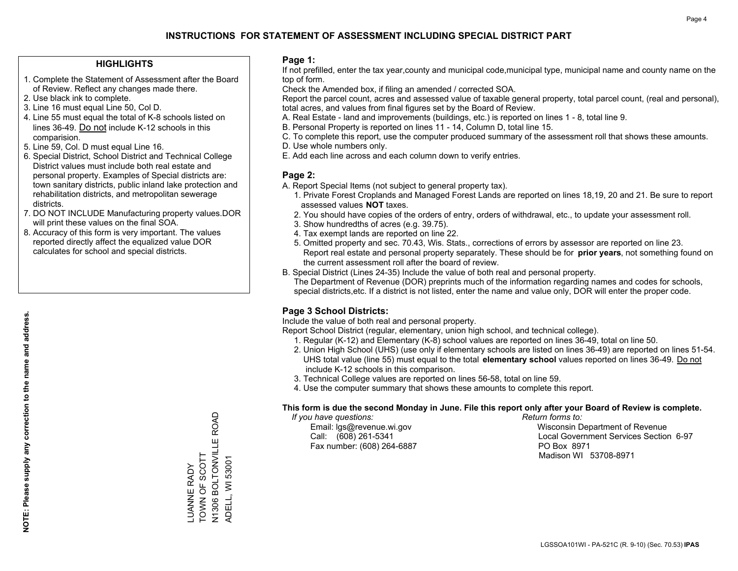#### **HIGHLIGHTS**

- 1. Complete the Statement of Assessment after the Board of Review. Reflect any changes made there.
- 2. Use black ink to complete.
- 3. Line 16 must equal Line 50, Col D.
- 4. Line 55 must equal the total of K-8 schools listed on lines 36-49. Do not include K-12 schools in this comparision.
- 5. Line 59, Col. D must equal Line 16.
- 6. Special District, School District and Technical College District values must include both real estate and personal property. Examples of Special districts are: town sanitary districts, public inland lake protection and rehabilitation districts, and metropolitan sewerage districts.
- 7. DO NOT INCLUDE Manufacturing property values.DOR will print these values on the final SOA.

LUANNE RADY TOWN OF SCOTT

LUANNE RADY<br>TOWN OF SCOTT

N1306 BOLTONVILLE ROAD

N1306 BOLTONVILLE ROAD

ADELL, WI 53001

ADELL, WI 53001

 8. Accuracy of this form is very important. The values reported directly affect the equalized value DOR calculates for school and special districts.

#### **Page 1:**

 If not prefilled, enter the tax year,county and municipal code,municipal type, municipal name and county name on the top of form.

Check the Amended box, if filing an amended / corrected SOA.

 Report the parcel count, acres and assessed value of taxable general property, total parcel count, (real and personal), total acres, and values from final figures set by the Board of Review.

- A. Real Estate land and improvements (buildings, etc.) is reported on lines 1 8, total line 9.
- B. Personal Property is reported on lines 11 14, Column D, total line 15.
- C. To complete this report, use the computer produced summary of the assessment roll that shows these amounts.
- D. Use whole numbers only.
- E. Add each line across and each column down to verify entries.

#### **Page 2:**

- A. Report Special Items (not subject to general property tax).
- 1. Private Forest Croplands and Managed Forest Lands are reported on lines 18,19, 20 and 21. Be sure to report assessed values **NOT** taxes.
- 2. You should have copies of the orders of entry, orders of withdrawal, etc., to update your assessment roll.
	- 3. Show hundredths of acres (e.g. 39.75).
- 4. Tax exempt lands are reported on line 22.
- 5. Omitted property and sec. 70.43, Wis. Stats., corrections of errors by assessor are reported on line 23. Report real estate and personal property separately. These should be for **prior years**, not something found on the current assessment roll after the board of review.
- B. Special District (Lines 24-35) Include the value of both real and personal property.
- The Department of Revenue (DOR) preprints much of the information regarding names and codes for schools, special districts,etc. If a district is not listed, enter the name and value only, DOR will enter the proper code.

### **Page 3 School Districts:**

Include the value of both real and personal property.

Report School District (regular, elementary, union high school, and technical college).

- 1. Regular (K-12) and Elementary (K-8) school values are reported on lines 36-49, total on line 50.
- 2. Union High School (UHS) (use only if elementary schools are listed on lines 36-49) are reported on lines 51-54. UHS total value (line 55) must equal to the total **elementary school** values reported on lines 36-49. Do notinclude K-12 schools in this comparison.
- 3. Technical College values are reported on lines 56-58, total on line 59.
- 4. Use the computer summary that shows these amounts to complete this report.

#### **This form is due the second Monday in June. File this report only after your Board of Review is complete.**

 *If you have questions: Return forms to:*

Fax number: (608) 264-6887 PO Box 8971

 Email: lgs@revenue.wi.gov Wisconsin Department of Revenue Call: (608) 261-5341 Local Government Services Section 6-97Madison WI 53708-8971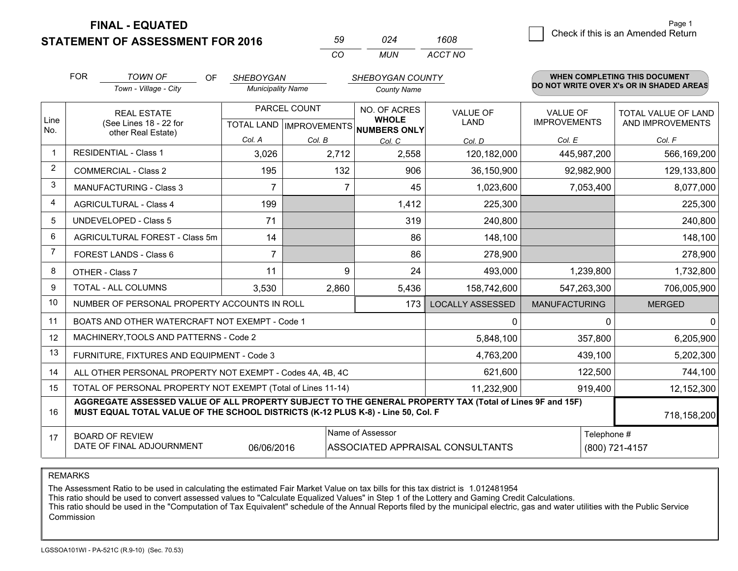**FINAL - EQUATED**

**STATEMENT OF ASSESSMENT FOR 2016** 

| 59  | በ24   | 1608    |
|-----|-------|---------|
| CO. | MI IN | ACCT NO |

|                | <b>FOR</b>                                                                                                                                                 | <b>TOWN OF</b><br>OF                                                                                                                                                                         | <b>SHEBOYGAN</b>                                         |        | SHEBOYGAN COUNTY             |                                |                                        | <b>WHEN COMPLETING THIS DOCUMENT</b>     |
|----------------|------------------------------------------------------------------------------------------------------------------------------------------------------------|----------------------------------------------------------------------------------------------------------------------------------------------------------------------------------------------|----------------------------------------------------------|--------|------------------------------|--------------------------------|----------------------------------------|------------------------------------------|
|                |                                                                                                                                                            | Town - Village - City                                                                                                                                                                        | <b>Municipality Name</b>                                 |        | <b>County Name</b>           |                                |                                        | DO NOT WRITE OVER X's OR IN SHADED AREAS |
| Line<br>No.    |                                                                                                                                                            | <b>REAL ESTATE</b><br>(See Lines 18 - 22 for                                                                                                                                                 | PARCEL COUNT<br>TOTAL LAND   IMPROVEMENTS   NUMBERS ONLY |        | NO. OF ACRES<br><b>WHOLE</b> | <b>VALUE OF</b><br><b>LAND</b> | <b>VALUE OF</b><br><b>IMPROVEMENTS</b> | TOTAL VALUE OF LAND<br>AND IMPROVEMENTS  |
|                |                                                                                                                                                            | other Real Estate)                                                                                                                                                                           | Col. A                                                   | Col. B | Col. C                       | Col. D                         | Col. E                                 | Col. F                                   |
| $\mathbf 1$    |                                                                                                                                                            | <b>RESIDENTIAL - Class 1</b>                                                                                                                                                                 | 3,026                                                    | 2,712  | 2,558                        | 120,182,000                    | 445,987,200                            | 566,169,200                              |
| $\overline{2}$ |                                                                                                                                                            | <b>COMMERCIAL - Class 2</b>                                                                                                                                                                  | 195                                                      | 132    | 906                          | 36,150,900                     | 92,982,900                             | 129,133,800                              |
| 3              |                                                                                                                                                            | <b>MANUFACTURING - Class 3</b>                                                                                                                                                               | $\overline{7}$                                           | 7      | 45                           | 1,023,600                      | 7,053,400                              | 8,077,000                                |
| 4              |                                                                                                                                                            | <b>AGRICULTURAL - Class 4</b>                                                                                                                                                                | 199                                                      |        | 1,412                        | 225,300                        |                                        | 225,300                                  |
| 5              |                                                                                                                                                            | <b>UNDEVELOPED - Class 5</b>                                                                                                                                                                 | 71                                                       |        | 319                          | 240,800                        |                                        | 240,800                                  |
| 6              | AGRICULTURAL FOREST - Class 5m                                                                                                                             |                                                                                                                                                                                              | 14                                                       |        | 86                           | 148,100                        |                                        | 148,100                                  |
| $\overline{7}$ |                                                                                                                                                            | FOREST LANDS - Class 6                                                                                                                                                                       | $\overline{7}$                                           |        | 86                           | 278,900                        |                                        | 278,900                                  |
| 8              |                                                                                                                                                            | OTHER - Class 7                                                                                                                                                                              | 11                                                       | 9      | 24                           | 493,000                        | 1,239,800                              | 1,732,800                                |
| 9              |                                                                                                                                                            | TOTAL - ALL COLUMNS                                                                                                                                                                          | 3,530                                                    | 2,860  | 5,436                        | 158,742,600                    | 547,263,300                            | 706,005,900                              |
| 10             |                                                                                                                                                            | NUMBER OF PERSONAL PROPERTY ACCOUNTS IN ROLL                                                                                                                                                 |                                                          |        | 173                          | <b>LOCALLY ASSESSED</b>        | <b>MANUFACTURING</b>                   | <b>MERGED</b>                            |
| 11             |                                                                                                                                                            | BOATS AND OTHER WATERCRAFT NOT EXEMPT - Code 1                                                                                                                                               |                                                          |        |                              | 0                              | $\Omega$                               | $\Omega$                                 |
| 12             |                                                                                                                                                            | MACHINERY, TOOLS AND PATTERNS - Code 2                                                                                                                                                       |                                                          |        |                              | 5,848,100                      | 357,800                                | 6,205,900                                |
| 13             |                                                                                                                                                            | FURNITURE, FIXTURES AND EQUIPMENT - Code 3                                                                                                                                                   |                                                          |        |                              | 4,763,200                      | 439,100                                | 5,202,300                                |
| 14             |                                                                                                                                                            | ALL OTHER PERSONAL PROPERTY NOT EXEMPT - Codes 4A, 4B, 4C                                                                                                                                    |                                                          |        |                              | 621,600                        | 122,500                                | 744,100                                  |
| 15             |                                                                                                                                                            | TOTAL OF PERSONAL PROPERTY NOT EXEMPT (Total of Lines 11-14)                                                                                                                                 |                                                          |        |                              | 11,232,900                     | 919,400                                | 12,152,300                               |
| 16             |                                                                                                                                                            | AGGREGATE ASSESSED VALUE OF ALL PROPERTY SUBJECT TO THE GENERAL PROPERTY TAX (Total of Lines 9F and 15F)<br>MUST EQUAL TOTAL VALUE OF THE SCHOOL DISTRICTS (K-12 PLUS K-8) - Line 50, Col. F |                                                          |        |                              |                                |                                        | 718,158,200                              |
| 17             | Name of Assessor<br>Telephone #<br><b>BOARD OF REVIEW</b><br>DATE OF FINAL ADJOURNMENT<br>06/06/2016<br>ASSOCIATED APPRAISAL CONSULTANTS<br>(800) 721-4157 |                                                                                                                                                                                              |                                                          |        |                              |                                |                                        |                                          |

REMARKS

The Assessment Ratio to be used in calculating the estimated Fair Market Value on tax bills for this tax district is 1.012481954

This ratio should be used to convert assessed values to "Calculate Equalized Values" in Step 1 of the Lottery and Gaming Credit Calculations.<br>This ratio should be used in the "Computation of Tax Equivalent" schedule of the Commission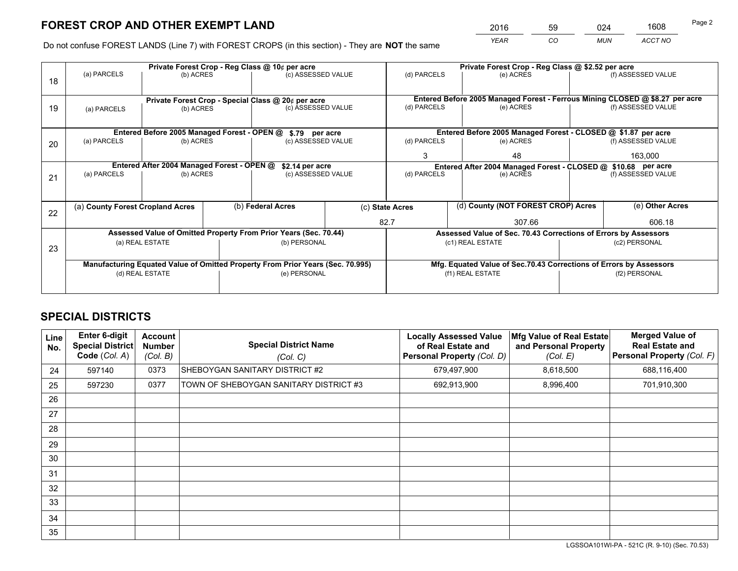*YEAR CO MUN ACCT NO* <sup>2016</sup> <sup>59</sup> <sup>024</sup> <sup>1608</sup>

Do not confuse FOREST LANDS (Line 7) with FOREST CROPS (in this section) - They are **NOT** the same

|    |                                                                                |                 |  | Private Forest Crop - Reg Class @ 10¢ per acre                   |                                   | Private Forest Crop - Reg Class @ \$2.52 per acre                  |    |                                                                 |         |                                                                              |
|----|--------------------------------------------------------------------------------|-----------------|--|------------------------------------------------------------------|-----------------------------------|--------------------------------------------------------------------|----|-----------------------------------------------------------------|---------|------------------------------------------------------------------------------|
| 18 | (a) PARCELS                                                                    | (b) ACRES       |  | (c) ASSESSED VALUE                                               |                                   | (d) PARCELS                                                        |    | (e) ACRES                                                       |         | (f) ASSESSED VALUE                                                           |
|    |                                                                                |                 |  |                                                                  |                                   |                                                                    |    |                                                                 |         |                                                                              |
|    |                                                                                |                 |  | Private Forest Crop - Special Class @ 20¢ per acre               |                                   |                                                                    |    |                                                                 |         | Entered Before 2005 Managed Forest - Ferrous Mining CLOSED @ \$8.27 per acre |
| 19 | (a) PARCELS                                                                    | (b) ACRES       |  | (c) ASSESSED VALUE                                               |                                   | (d) PARCELS                                                        |    | (e) ACRES                                                       |         | (f) ASSESSED VALUE                                                           |
|    |                                                                                |                 |  |                                                                  |                                   |                                                                    |    |                                                                 |         |                                                                              |
|    |                                                                                |                 |  | Entered Before 2005 Managed Forest - OPEN @ \$.79 per acre       |                                   |                                                                    |    | Entered Before 2005 Managed Forest - CLOSED @ \$1.87 per acre   |         |                                                                              |
| 20 | (a) PARCELS                                                                    | (b) ACRES       |  | (c) ASSESSED VALUE                                               |                                   | (d) PARCELS                                                        |    | (e) ACRES                                                       |         | (f) ASSESSED VALUE                                                           |
|    |                                                                                |                 |  |                                                                  | 3                                 |                                                                    | 48 |                                                                 | 163.000 |                                                                              |
|    | Entered After 2004 Managed Forest - OPEN @<br>\$2.14 per acre                  |                 |  |                                                                  |                                   |                                                                    |    | Entered After 2004 Managed Forest - CLOSED @ \$10.68 per acre   |         |                                                                              |
| 21 | (a) PARCELS                                                                    | (b) ACRES       |  |                                                                  | (d) PARCELS<br>(c) ASSESSED VALUE |                                                                    |    | (e) ACRES                                                       |         | (f) ASSESSED VALUE                                                           |
|    |                                                                                |                 |  |                                                                  |                                   |                                                                    |    |                                                                 |         |                                                                              |
|    | (a) County Forest Cropland Acres                                               |                 |  | (b) Federal Acres                                                |                                   | (c) State Acres                                                    |    | (d) County (NOT FOREST CROP) Acres                              |         | (e) Other Acres                                                              |
| 22 |                                                                                |                 |  |                                                                  |                                   |                                                                    |    |                                                                 |         |                                                                              |
|    |                                                                                |                 |  |                                                                  |                                   | 82.7                                                               |    | 307.66                                                          |         | 606.18                                                                       |
|    |                                                                                |                 |  | Assessed Value of Omitted Property From Prior Years (Sec. 70.44) |                                   |                                                                    |    | Assessed Value of Sec. 70.43 Corrections of Errors by Assessors |         |                                                                              |
| 23 |                                                                                | (a) REAL ESTATE |  | (b) PERSONAL                                                     |                                   |                                                                    |    | (c1) REAL ESTATE                                                |         | (c2) PERSONAL                                                                |
|    |                                                                                |                 |  |                                                                  |                                   |                                                                    |    |                                                                 |         |                                                                              |
|    | Manufacturing Equated Value of Omitted Property From Prior Years (Sec. 70.995) |                 |  |                                                                  |                                   | Mfg. Equated Value of Sec.70.43 Corrections of Errors by Assessors |    |                                                                 |         |                                                                              |
|    | (e) PERSONAL<br>(d) REAL ESTATE                                                |                 |  | (f1) REAL ESTATE<br>(f2) PERSONAL                                |                                   |                                                                    |    |                                                                 |         |                                                                              |
|    |                                                                                |                 |  |                                                                  |                                   |                                                                    |    |                                                                 |         |                                                                              |

## **SPECIAL DISTRICTS**

| Line<br>No. | <b>Enter 6-digit</b><br><b>Special District</b><br>Code (Col. A) | Account<br><b>Number</b><br>(Col. B) | <b>Special District Name</b><br>(Col. C) | <b>Locally Assessed Value</b><br>of Real Estate and<br><b>Personal Property (Col. D)</b> | Mfg Value of Real Estate<br>and Personal Property<br>(Col. E) | <b>Merged Value of</b><br><b>Real Estate and</b><br>Personal Property (Col. F) |
|-------------|------------------------------------------------------------------|--------------------------------------|------------------------------------------|------------------------------------------------------------------------------------------|---------------------------------------------------------------|--------------------------------------------------------------------------------|
| 24          | 597140                                                           | 0373                                 | SHEBOYGAN SANITARY DISTRICT #2           | 679,497,900                                                                              | 8,618,500                                                     | 688,116,400                                                                    |
| 25          | 597230                                                           | 0377                                 | TOWN OF SHEBOYGAN SANITARY DISTRICT #3   | 692,913,900                                                                              | 8,996,400                                                     | 701,910,300                                                                    |
| 26          |                                                                  |                                      |                                          |                                                                                          |                                                               |                                                                                |
| 27          |                                                                  |                                      |                                          |                                                                                          |                                                               |                                                                                |
| 28          |                                                                  |                                      |                                          |                                                                                          |                                                               |                                                                                |
| 29          |                                                                  |                                      |                                          |                                                                                          |                                                               |                                                                                |
| 30          |                                                                  |                                      |                                          |                                                                                          |                                                               |                                                                                |
| 31          |                                                                  |                                      |                                          |                                                                                          |                                                               |                                                                                |
| 32          |                                                                  |                                      |                                          |                                                                                          |                                                               |                                                                                |
| 33          |                                                                  |                                      |                                          |                                                                                          |                                                               |                                                                                |
| 34          |                                                                  |                                      |                                          |                                                                                          |                                                               |                                                                                |
| 35          |                                                                  |                                      |                                          |                                                                                          |                                                               |                                                                                |

LGSSOA101WI-PA - 521C (R. 9-10) (Sec. 70.53)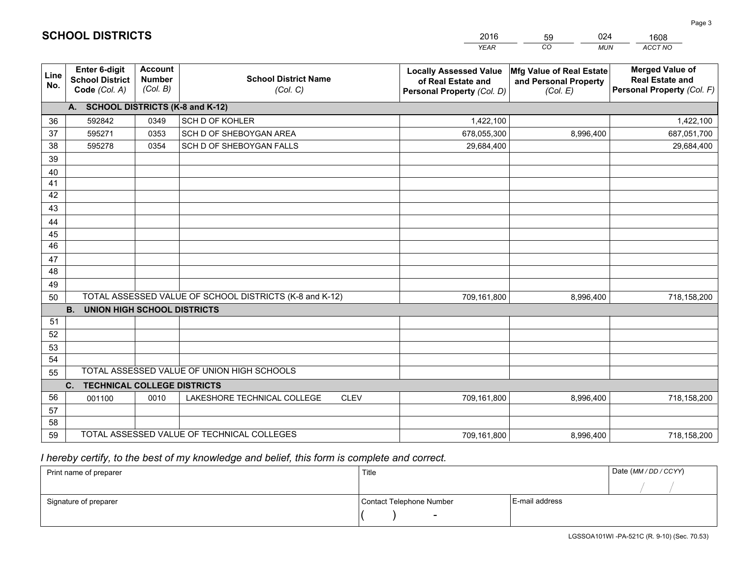|             |                                                                 |                                             |                                                         | <b>YEAR</b>                                                                       | CO<br><b>MUN</b>                                              | ACCT NO                                                                        |
|-------------|-----------------------------------------------------------------|---------------------------------------------|---------------------------------------------------------|-----------------------------------------------------------------------------------|---------------------------------------------------------------|--------------------------------------------------------------------------------|
| Line<br>No. | <b>Enter 6-digit</b><br><b>School District</b><br>Code (Col. A) | <b>Account</b><br><b>Number</b><br>(Col. B) | <b>School District Name</b><br>(Col. C)                 | <b>Locally Assessed Value</b><br>of Real Estate and<br>Personal Property (Col. D) | Mfg Value of Real Estate<br>and Personal Property<br>(Col. E) | <b>Merged Value of</b><br><b>Real Estate and</b><br>Personal Property (Col. F) |
|             | A. SCHOOL DISTRICTS (K-8 and K-12)                              |                                             |                                                         |                                                                                   |                                                               |                                                                                |
| 36          | 592842                                                          | 0349                                        | SCH D OF KOHLER                                         | 1,422,100                                                                         |                                                               | 1,422,100                                                                      |
| 37          | 595271                                                          | 0353                                        | SCH D OF SHEBOYGAN AREA                                 | 678,055,300                                                                       | 8,996,400                                                     | 687,051,700                                                                    |
| 38          | 595278                                                          | 0354                                        | SCH D OF SHEBOYGAN FALLS                                | 29,684,400                                                                        |                                                               | 29,684,400                                                                     |
| 39          |                                                                 |                                             |                                                         |                                                                                   |                                                               |                                                                                |
| 40          |                                                                 |                                             |                                                         |                                                                                   |                                                               |                                                                                |
| 41          |                                                                 |                                             |                                                         |                                                                                   |                                                               |                                                                                |
| 42          |                                                                 |                                             |                                                         |                                                                                   |                                                               |                                                                                |
| 43          |                                                                 |                                             |                                                         |                                                                                   |                                                               |                                                                                |
| 44          |                                                                 |                                             |                                                         |                                                                                   |                                                               |                                                                                |
| 45          |                                                                 |                                             |                                                         |                                                                                   |                                                               |                                                                                |
| 46          |                                                                 |                                             |                                                         |                                                                                   |                                                               |                                                                                |
| 47          |                                                                 |                                             |                                                         |                                                                                   |                                                               |                                                                                |
| 48          |                                                                 |                                             |                                                         |                                                                                   |                                                               |                                                                                |
| 49          |                                                                 |                                             |                                                         |                                                                                   |                                                               |                                                                                |
| 50          |                                                                 |                                             | TOTAL ASSESSED VALUE OF SCHOOL DISTRICTS (K-8 and K-12) | 709,161,800                                                                       | 8,996,400                                                     | 718,158,200                                                                    |
| 51          | <b>B.</b><br>UNION HIGH SCHOOL DISTRICTS                        |                                             |                                                         |                                                                                   |                                                               |                                                                                |
| 52          |                                                                 |                                             |                                                         |                                                                                   |                                                               |                                                                                |
| 53          |                                                                 |                                             |                                                         |                                                                                   |                                                               |                                                                                |
| 54          |                                                                 |                                             |                                                         |                                                                                   |                                                               |                                                                                |
| 55          |                                                                 |                                             | TOTAL ASSESSED VALUE OF UNION HIGH SCHOOLS              |                                                                                   |                                                               |                                                                                |
|             | C.<br><b>TECHNICAL COLLEGE DISTRICTS</b>                        |                                             |                                                         |                                                                                   |                                                               |                                                                                |
| 56          | 001100                                                          | 0010                                        | LAKESHORE TECHNICAL COLLEGE<br><b>CLEV</b>              | 709,161,800                                                                       | 8,996,400                                                     | 718,158,200                                                                    |
| 57          |                                                                 |                                             |                                                         |                                                                                   |                                                               |                                                                                |
| 58          |                                                                 |                                             |                                                         |                                                                                   |                                                               |                                                                                |
| 59          |                                                                 |                                             | TOTAL ASSESSED VALUE OF TECHNICAL COLLEGES              | 709,161,800                                                                       | 8,996,400                                                     | 718,158,200                                                                    |

59

024

 *I hereby certify, to the best of my knowledge and belief, this form is complete and correct.*

**SCHOOL DISTRICTS**

| Print name of preparer | Title                    |                | Date (MM / DD / CCYY) |
|------------------------|--------------------------|----------------|-----------------------|
|                        |                          |                |                       |
| Signature of preparer  | Contact Telephone Number | E-mail address |                       |
|                        | $\sim$                   |                |                       |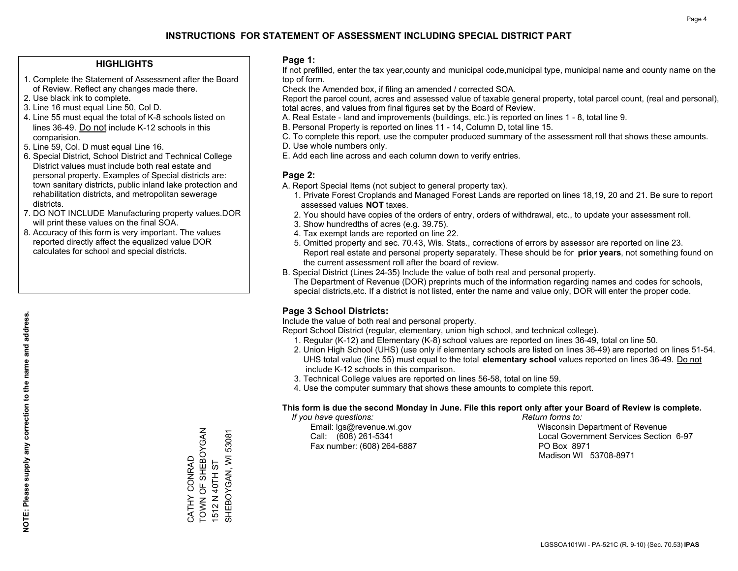#### **HIGHLIGHTS**

- 1. Complete the Statement of Assessment after the Board of Review. Reflect any changes made there.
- 2. Use black ink to complete.
- 3. Line 16 must equal Line 50, Col D.
- 4. Line 55 must equal the total of K-8 schools listed on lines 36-49. Do not include K-12 schools in this comparision.
- 5. Line 59, Col. D must equal Line 16.
- 6. Special District, School District and Technical College District values must include both real estate and personal property. Examples of Special districts are: town sanitary districts, public inland lake protection and rehabilitation districts, and metropolitan sewerage districts.
- 7. DO NOT INCLUDE Manufacturing property values.DOR will print these values on the final SOA.

CATHY CONRAD

TOWN OF SHEBOYGAN

CATHY CONRAD<br>TOWN OF SHEBOYGAN

1512 N 40TH ST

1512 N 40TH ST

SHEBOYGAN, WI 53081

SHEBOYGAN, WI 53081

 8. Accuracy of this form is very important. The values reported directly affect the equalized value DOR calculates for school and special districts.

#### **Page 1:**

 If not prefilled, enter the tax year,county and municipal code,municipal type, municipal name and county name on the top of form.

Check the Amended box, if filing an amended / corrected SOA.

 Report the parcel count, acres and assessed value of taxable general property, total parcel count, (real and personal), total acres, and values from final figures set by the Board of Review.

- A. Real Estate land and improvements (buildings, etc.) is reported on lines 1 8, total line 9.
- B. Personal Property is reported on lines 11 14, Column D, total line 15.
- C. To complete this report, use the computer produced summary of the assessment roll that shows these amounts.
- D. Use whole numbers only.
- E. Add each line across and each column down to verify entries.

#### **Page 2:**

- A. Report Special Items (not subject to general property tax).
- 1. Private Forest Croplands and Managed Forest Lands are reported on lines 18,19, 20 and 21. Be sure to report assessed values **NOT** taxes.
- 2. You should have copies of the orders of entry, orders of withdrawal, etc., to update your assessment roll.
	- 3. Show hundredths of acres (e.g. 39.75).
- 4. Tax exempt lands are reported on line 22.
- 5. Omitted property and sec. 70.43, Wis. Stats., corrections of errors by assessor are reported on line 23. Report real estate and personal property separately. These should be for **prior years**, not something found on the current assessment roll after the board of review.
- B. Special District (Lines 24-35) Include the value of both real and personal property.
- The Department of Revenue (DOR) preprints much of the information regarding names and codes for schools, special districts,etc. If a district is not listed, enter the name and value only, DOR will enter the proper code.

### **Page 3 School Districts:**

Include the value of both real and personal property.

Report School District (regular, elementary, union high school, and technical college).

- 1. Regular (K-12) and Elementary (K-8) school values are reported on lines 36-49, total on line 50.
- 2. Union High School (UHS) (use only if elementary schools are listed on lines 36-49) are reported on lines 51-54. UHS total value (line 55) must equal to the total **elementary school** values reported on lines 36-49. Do notinclude K-12 schools in this comparison.
- 3. Technical College values are reported on lines 56-58, total on line 59.
- 4. Use the computer summary that shows these amounts to complete this report.

#### **This form is due the second Monday in June. File this report only after your Board of Review is complete.**

 *If you have questions: Return forms to:*

Fax number: (608) 264-6887 PO Box 8971

 Email: lgs@revenue.wi.gov Wisconsin Department of Revenue Call: (608) 261-5341 Local Government Services Section 6-97Madison WI 53708-8971

LGSSOA101WI - PA-521C (R. 9-10) (Sec. 70.53) **IPAS**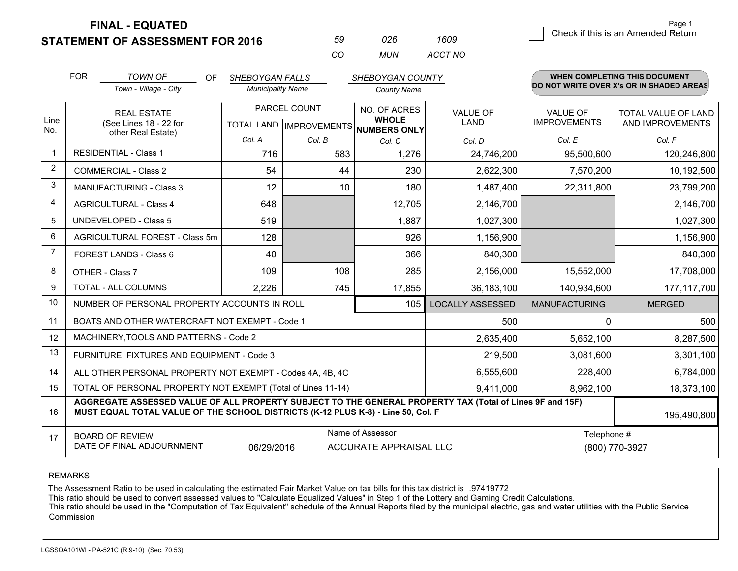**STATEMENT OF ASSESSMENT FOR 2016 FINAL - EQUATED**

| 59 | 026 | 1609    |
|----|-----|---------|
| CO | MUN | ACCT NO |

|                | <b>FOR</b>                                                                                                                                                                                   | <b>TOWN OF</b><br>OF                                         | <b>SHEBOYGAN FALLS</b>   |              | SHEBOYGAN COUNTY                               |                                |                                        | WHEN COMPLETING THIS DOCUMENT            |
|----------------|----------------------------------------------------------------------------------------------------------------------------------------------------------------------------------------------|--------------------------------------------------------------|--------------------------|--------------|------------------------------------------------|--------------------------------|----------------------------------------|------------------------------------------|
|                |                                                                                                                                                                                              | Town - Village - City                                        | <b>Municipality Name</b> |              | <b>County Name</b>                             |                                |                                        | DO NOT WRITE OVER X's OR IN SHADED AREAS |
| Line           |                                                                                                                                                                                              | <b>REAL ESTATE</b><br>(See Lines 18 - 22 for                 |                          | PARCEL COUNT | NO. OF ACRES<br><b>WHOLE</b>                   | <b>VALUE OF</b><br><b>LAND</b> | <b>VALUE OF</b><br><b>IMPROVEMENTS</b> | TOTAL VALUE OF LAND<br>AND IMPROVEMENTS  |
| No.            |                                                                                                                                                                                              | other Real Estate)                                           | Col. A                   | Col. B       | TOTAL LAND IMPROVEMENTS NUMBERS ONLY<br>Col. C | Col. D                         | Col. E                                 | Col. F                                   |
|                |                                                                                                                                                                                              | <b>RESIDENTIAL - Class 1</b>                                 | 716                      | 583          | 1,276                                          | 24,746,200                     | 95,500,600                             | 120,246,800                              |
| $\overline{2}$ |                                                                                                                                                                                              | <b>COMMERCIAL - Class 2</b>                                  | 54                       | 44           | 230                                            | 2,622,300                      | 7,570,200                              | 10,192,500                               |
| 3              |                                                                                                                                                                                              | <b>MANUFACTURING - Class 3</b>                               | 12                       | 10           | 180                                            | 1,487,400                      | 22,311,800                             | 23,799,200                               |
| $\overline{4}$ |                                                                                                                                                                                              | <b>AGRICULTURAL - Class 4</b>                                | 648                      |              | 12,705                                         | 2,146,700                      |                                        | 2,146,700                                |
| 5              |                                                                                                                                                                                              | <b>UNDEVELOPED - Class 5</b>                                 | 519                      |              | 1,887                                          | 1,027,300                      |                                        | 1,027,300                                |
| 6              |                                                                                                                                                                                              | AGRICULTURAL FOREST - Class 5m                               | 128                      |              | 926                                            | 1,156,900                      |                                        | 1,156,900                                |
| 7              |                                                                                                                                                                                              | FOREST LANDS - Class 6                                       | 40                       |              | 366                                            | 840,300                        |                                        | 840,300                                  |
| 8              |                                                                                                                                                                                              | OTHER - Class 7                                              | 109                      | 108          | 285                                            | 2,156,000                      | 15,552,000                             | 17,708,000                               |
| 9              |                                                                                                                                                                                              | TOTAL - ALL COLUMNS                                          | 2,226                    | 745          | 17,855                                         | 36, 183, 100                   | 140,934,600                            | 177,117,700                              |
| 10             |                                                                                                                                                                                              | NUMBER OF PERSONAL PROPERTY ACCOUNTS IN ROLL                 |                          |              | 105                                            | <b>LOCALLY ASSESSED</b>        | <b>MANUFACTURING</b>                   | <b>MERGED</b>                            |
| 11             |                                                                                                                                                                                              | BOATS AND OTHER WATERCRAFT NOT EXEMPT - Code 1               |                          |              |                                                | 500                            | 0                                      | 500                                      |
| 12             |                                                                                                                                                                                              | MACHINERY, TOOLS AND PATTERNS - Code 2                       |                          |              |                                                | 2,635,400                      | 5,652,100                              | 8,287,500                                |
| 13             |                                                                                                                                                                                              | FURNITURE, FIXTURES AND EQUIPMENT - Code 3                   |                          |              |                                                | 219,500                        | 3,081,600                              | 3,301,100                                |
| 14             |                                                                                                                                                                                              | ALL OTHER PERSONAL PROPERTY NOT EXEMPT - Codes 4A, 4B, 4C    |                          |              |                                                | 6,555,600                      | 228,400                                | 6,784,000                                |
| 15             |                                                                                                                                                                                              | TOTAL OF PERSONAL PROPERTY NOT EXEMPT (Total of Lines 11-14) |                          |              |                                                | 9,411,000                      | 8,962,100                              | 18,373,100                               |
| 16             | AGGREGATE ASSESSED VALUE OF ALL PROPERTY SUBJECT TO THE GENERAL PROPERTY TAX (Total of Lines 9F and 15F)<br>MUST EQUAL TOTAL VALUE OF THE SCHOOL DISTRICTS (K-12 PLUS K-8) - Line 50, Col. F |                                                              |                          |              |                                                |                                | 195,490,800                            |                                          |
| 17             |                                                                                                                                                                                              | <b>BOARD OF REVIEW</b>                                       |                          |              | Name of Assessor                               |                                | Telephone #                            |                                          |
|                |                                                                                                                                                                                              | DATE OF FINAL ADJOURNMENT                                    | 06/29/2016               |              | <b>ACCURATE APPRAISAL LLC</b>                  |                                |                                        | (800) 770-3927                           |

REMARKS

The Assessment Ratio to be used in calculating the estimated Fair Market Value on tax bills for this tax district is .97419772

This ratio should be used to convert assessed values to "Calculate Equalized Values" in Step 1 of the Lottery and Gaming Credit Calculations.

 This ratio should be used in the "Computation of Tax Equivalent" schedule of the Annual Reports filed by the municipal electric, gas and water utilities with the Public Service Commission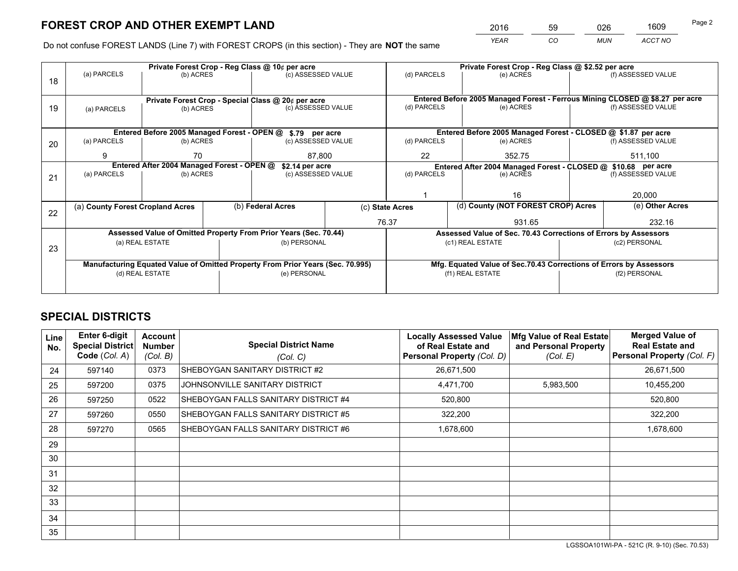*YEAR CO MUN ACCT NO* <sup>2016</sup> <sup>59</sup> <sup>026</sup> <sup>1609</sup>

Do not confuse FOREST LANDS (Line 7) with FOREST CROPS (in this section) - They are **NOT** the same

|    |                                  |                                            | Private Forest Crop - Reg Class @ 10¢ per acre                                 |                 | Private Forest Crop - Reg Class @ \$2.52 per acre                                         |                  |                                                                    |                    |                                                                              |
|----|----------------------------------|--------------------------------------------|--------------------------------------------------------------------------------|-----------------|-------------------------------------------------------------------------------------------|------------------|--------------------------------------------------------------------|--------------------|------------------------------------------------------------------------------|
| 18 | (a) PARCELS                      | (b) ACRES                                  | (c) ASSESSED VALUE                                                             |                 | (d) PARCELS                                                                               |                  | (e) ACRES                                                          |                    | (f) ASSESSED VALUE                                                           |
|    |                                  |                                            |                                                                                |                 |                                                                                           |                  |                                                                    |                    |                                                                              |
|    |                                  |                                            | Private Forest Crop - Special Class @ 20¢ per acre                             |                 |                                                                                           |                  |                                                                    |                    | Entered Before 2005 Managed Forest - Ferrous Mining CLOSED @ \$8.27 per acre |
| 19 | (a) PARCELS                      | (b) ACRES                                  | (c) ASSESSED VALUE                                                             |                 | (d) PARCELS                                                                               |                  | (e) ACRES                                                          |                    | (f) ASSESSED VALUE                                                           |
|    |                                  |                                            |                                                                                |                 |                                                                                           |                  |                                                                    |                    |                                                                              |
|    |                                  |                                            | Entered Before 2005 Managed Forest - OPEN @ \$.79 per acre                     |                 |                                                                                           |                  | Entered Before 2005 Managed Forest - CLOSED @ \$1.87 per acre      |                    |                                                                              |
| 20 | (a) PARCELS                      | (b) ACRES                                  | (c) ASSESSED VALUE                                                             |                 | (d) PARCELS                                                                               |                  | (e) ACRES                                                          |                    | (f) ASSESSED VALUE                                                           |
|    | 9                                | 70                                         |                                                                                | 22<br>87,800    |                                                                                           |                  |                                                                    |                    | 511,100                                                                      |
|    |                                  | Entered After 2004 Managed Forest - OPEN @ |                                                                                |                 | 352.75                                                                                    |                  |                                                                    |                    |                                                                              |
|    |                                  |                                            | \$2.14 per acre                                                                |                 | Entered After 2004 Managed Forest - CLOSED @ \$10.68 per acre<br>(d) PARCELS<br>(e) ACRES |                  |                                                                    |                    |                                                                              |
| 21 | (a) PARCELS                      | (b) ACRES                                  | (c) ASSESSED VALUE                                                             |                 |                                                                                           |                  |                                                                    | (f) ASSESSED VALUE |                                                                              |
|    |                                  |                                            |                                                                                |                 |                                                                                           |                  |                                                                    |                    |                                                                              |
|    |                                  |                                            |                                                                                |                 |                                                                                           |                  | 16                                                                 |                    | 20,000                                                                       |
|    | (a) County Forest Cropland Acres |                                            | (b) Federal Acres                                                              | (c) State Acres |                                                                                           |                  | (d) County (NOT FOREST CROP) Acres                                 |                    | (e) Other Acres                                                              |
| 22 |                                  |                                            |                                                                                | 76.37           |                                                                                           |                  | 931.65                                                             |                    | 232.16                                                                       |
|    |                                  |                                            | Assessed Value of Omitted Property From Prior Years (Sec. 70.44)               |                 |                                                                                           |                  | Assessed Value of Sec. 70.43 Corrections of Errors by Assessors    |                    |                                                                              |
|    |                                  | (a) REAL ESTATE                            | (b) PERSONAL                                                                   |                 |                                                                                           | (c1) REAL ESTATE |                                                                    |                    | (c2) PERSONAL                                                                |
| 23 |                                  |                                            |                                                                                |                 |                                                                                           |                  |                                                                    |                    |                                                                              |
|    |                                  |                                            |                                                                                |                 |                                                                                           |                  |                                                                    |                    |                                                                              |
|    |                                  |                                            | Manufacturing Equated Value of Omitted Property From Prior Years (Sec. 70.995) |                 |                                                                                           |                  | Mfg. Equated Value of Sec.70.43 Corrections of Errors by Assessors |                    |                                                                              |
|    |                                  | (d) REAL ESTATE                            | (e) PERSONAL                                                                   |                 | (f1) REAL ESTATE                                                                          |                  |                                                                    | (f2) PERSONAL      |                                                                              |
|    |                                  |                                            |                                                                                |                 |                                                                                           |                  |                                                                    |                    |                                                                              |

## **SPECIAL DISTRICTS**

| Line<br>No. | <b>Enter 6-digit</b><br>Special District<br>Code (Col. A) | <b>Account</b><br><b>Number</b><br>(Col. B) | <b>Special District Name</b><br>(Col. C) | <b>Locally Assessed Value</b><br>of Real Estate and<br>Personal Property (Col. D) | Mfg Value of Real Estate<br>and Personal Property<br>(Col. E) | <b>Merged Value of</b><br><b>Real Estate and</b><br>Personal Property (Col. F) |
|-------------|-----------------------------------------------------------|---------------------------------------------|------------------------------------------|-----------------------------------------------------------------------------------|---------------------------------------------------------------|--------------------------------------------------------------------------------|
| 24          | 597140                                                    | 0373                                        | SHEBOYGAN SANITARY DISTRICT #2           | 26,671,500                                                                        |                                                               | 26,671,500                                                                     |
| 25          | 597200                                                    | 0375                                        | JOHNSONVILLE SANITARY DISTRICT           | 4,471,700                                                                         | 5,983,500                                                     | 10,455,200                                                                     |
| 26          | 597250                                                    | 0522                                        | SHEBOYGAN FALLS SANITARY DISTRICT #4     | 520,800                                                                           |                                                               | 520,800                                                                        |
| 27          | 597260                                                    | 0550                                        | SHEBOYGAN FALLS SANITARY DISTRICT #5     | 322,200                                                                           |                                                               | 322,200                                                                        |
| 28          | 597270                                                    | 0565                                        | SHEBOYGAN FALLS SANITARY DISTRICT #6     | 1,678,600                                                                         |                                                               | 1,678,600                                                                      |
| 29          |                                                           |                                             |                                          |                                                                                   |                                                               |                                                                                |
| 30          |                                                           |                                             |                                          |                                                                                   |                                                               |                                                                                |
| 31          |                                                           |                                             |                                          |                                                                                   |                                                               |                                                                                |
| 32          |                                                           |                                             |                                          |                                                                                   |                                                               |                                                                                |
| 33          |                                                           |                                             |                                          |                                                                                   |                                                               |                                                                                |
| 34          |                                                           |                                             |                                          |                                                                                   |                                                               |                                                                                |
| 35          |                                                           |                                             |                                          |                                                                                   |                                                               |                                                                                |

LGSSOA101WI-PA - 521C (R. 9-10) (Sec. 70.53)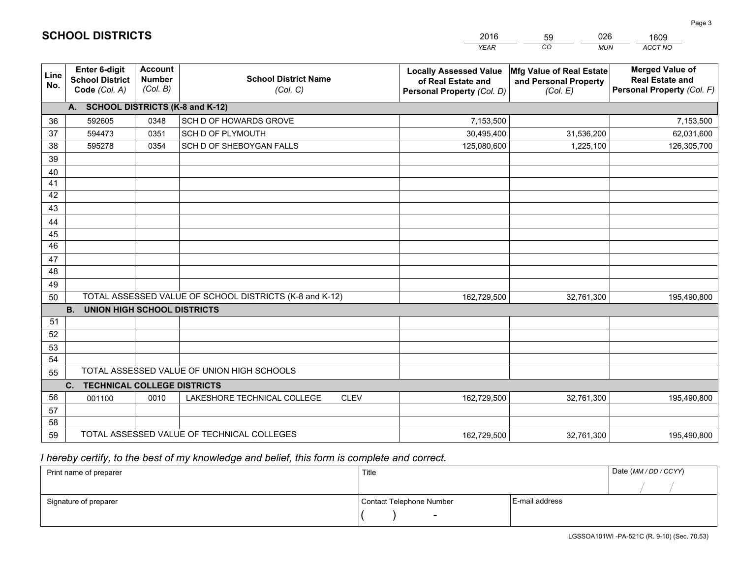|             |                                                                 |                                             |                                                         | <b>YEAR</b>                                                                       | CO<br><b>MUN</b>                                              | ACCT NO                                                                        |
|-------------|-----------------------------------------------------------------|---------------------------------------------|---------------------------------------------------------|-----------------------------------------------------------------------------------|---------------------------------------------------------------|--------------------------------------------------------------------------------|
| Line<br>No. | <b>Enter 6-digit</b><br><b>School District</b><br>Code (Col. A) | <b>Account</b><br><b>Number</b><br>(Col. B) | <b>School District Name</b><br>(Col. C)                 | <b>Locally Assessed Value</b><br>of Real Estate and<br>Personal Property (Col. D) | Mfg Value of Real Estate<br>and Personal Property<br>(Col. E) | <b>Merged Value of</b><br><b>Real Estate and</b><br>Personal Property (Col. F) |
|             | A. SCHOOL DISTRICTS (K-8 and K-12)                              |                                             |                                                         |                                                                                   |                                                               |                                                                                |
| 36          | 592605                                                          | 0348                                        | SCH D OF HOWARDS GROVE                                  | 7,153,500                                                                         |                                                               | 7,153,500                                                                      |
| 37          | 594473                                                          | 0351                                        | SCH D OF PLYMOUTH                                       | 30,495,400                                                                        | 31,536,200                                                    | 62,031,600                                                                     |
| 38          | 595278                                                          | 0354                                        | SCH D OF SHEBOYGAN FALLS                                | 125,080,600                                                                       | 1,225,100                                                     | 126,305,700                                                                    |
| 39          |                                                                 |                                             |                                                         |                                                                                   |                                                               |                                                                                |
| 40          |                                                                 |                                             |                                                         |                                                                                   |                                                               |                                                                                |
| 41          |                                                                 |                                             |                                                         |                                                                                   |                                                               |                                                                                |
| 42          |                                                                 |                                             |                                                         |                                                                                   |                                                               |                                                                                |
| 43          |                                                                 |                                             |                                                         |                                                                                   |                                                               |                                                                                |
| 44          |                                                                 |                                             |                                                         |                                                                                   |                                                               |                                                                                |
| 45          |                                                                 |                                             |                                                         |                                                                                   |                                                               |                                                                                |
| 46          |                                                                 |                                             |                                                         |                                                                                   |                                                               |                                                                                |
| 47          |                                                                 |                                             |                                                         |                                                                                   |                                                               |                                                                                |
| 48          |                                                                 |                                             |                                                         |                                                                                   |                                                               |                                                                                |
| 49          |                                                                 |                                             |                                                         |                                                                                   |                                                               |                                                                                |
| 50          | <b>B.</b><br><b>UNION HIGH SCHOOL DISTRICTS</b>                 |                                             | TOTAL ASSESSED VALUE OF SCHOOL DISTRICTS (K-8 and K-12) | 162,729,500                                                                       | 32,761,300                                                    | 195,490,800                                                                    |
| 51          |                                                                 |                                             |                                                         |                                                                                   |                                                               |                                                                                |
| 52          |                                                                 |                                             |                                                         |                                                                                   |                                                               |                                                                                |
| 53          |                                                                 |                                             |                                                         |                                                                                   |                                                               |                                                                                |
| 54          |                                                                 |                                             |                                                         |                                                                                   |                                                               |                                                                                |
| 55          |                                                                 |                                             | TOTAL ASSESSED VALUE OF UNION HIGH SCHOOLS              |                                                                                   |                                                               |                                                                                |
|             | C.<br><b>TECHNICAL COLLEGE DISTRICTS</b>                        |                                             |                                                         |                                                                                   |                                                               |                                                                                |
| 56          | 001100                                                          | 0010                                        | LAKESHORE TECHNICAL COLLEGE<br><b>CLEV</b>              | 162,729,500                                                                       | 32,761,300                                                    | 195,490,800                                                                    |
| 57          |                                                                 |                                             |                                                         |                                                                                   |                                                               |                                                                                |
| 58          |                                                                 |                                             |                                                         |                                                                                   |                                                               |                                                                                |
| 59          |                                                                 |                                             | TOTAL ASSESSED VALUE OF TECHNICAL COLLEGES              | 162,729,500                                                                       | 32,761,300                                                    | 195,490,800                                                                    |

59

026

 *I hereby certify, to the best of my knowledge and belief, this form is complete and correct.*

**SCHOOL DISTRICTS**

| Print name of preparer | Title                    |                | Date (MM / DD / CCYY) |
|------------------------|--------------------------|----------------|-----------------------|
|                        |                          |                |                       |
| Signature of preparer  | Contact Telephone Number | E-mail address |                       |
|                        | $\sim$                   |                |                       |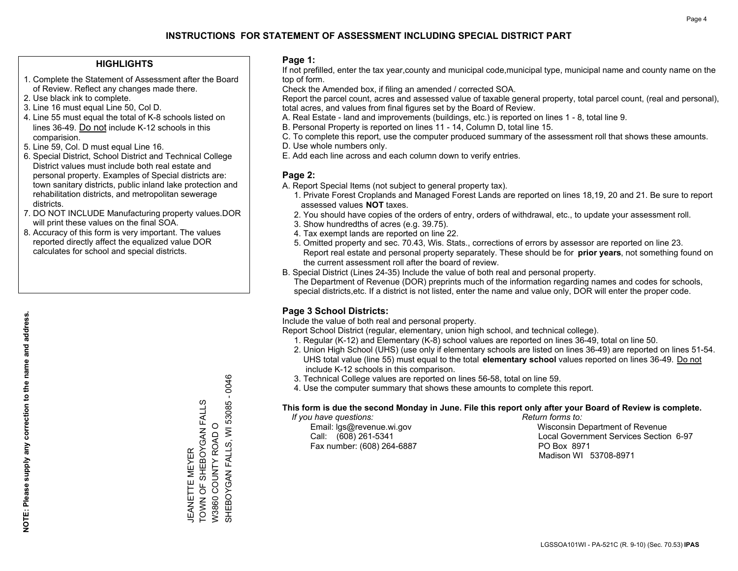#### **HIGHLIGHTS**

- 1. Complete the Statement of Assessment after the Board of Review. Reflect any changes made there.
- 2. Use black ink to complete.
- 3. Line 16 must equal Line 50, Col D.
- 4. Line 55 must equal the total of K-8 schools listed on lines 36-49. Do not include K-12 schools in this comparision.
- 5. Line 59, Col. D must equal Line 16.
- 6. Special District, School District and Technical College District values must include both real estate and personal property. Examples of Special districts are: town sanitary districts, public inland lake protection and rehabilitation districts, and metropolitan sewerage districts.
- 7. DO NOT INCLUDE Manufacturing property values.DOR will print these values on the final SOA.

JEANETTE MEYER

**JEANETTE** 

TOWN OF SHEBOYGAN FALLS W3860 COUNTY ROAD O

TOWN OF SHEBOYGAN FALLS<br>TOWN OF SHEBOYGAN FALLS<br>W3860 COUNTY ROAD O **MEYER** 

SHEBOYGAN FALLS, WI 53085 - 0046

SHEBOYGAN FALLS, WI 53085 - 0046

 8. Accuracy of this form is very important. The values reported directly affect the equalized value DOR calculates for school and special districts.

#### **Page 1:**

 If not prefilled, enter the tax year,county and municipal code,municipal type, municipal name and county name on the top of form.

Check the Amended box, if filing an amended / corrected SOA.

 Report the parcel count, acres and assessed value of taxable general property, total parcel count, (real and personal), total acres, and values from final figures set by the Board of Review.

- A. Real Estate land and improvements (buildings, etc.) is reported on lines 1 8, total line 9.
- B. Personal Property is reported on lines 11 14, Column D, total line 15.
- C. To complete this report, use the computer produced summary of the assessment roll that shows these amounts.
- D. Use whole numbers only.
- E. Add each line across and each column down to verify entries.

#### **Page 2:**

- A. Report Special Items (not subject to general property tax).
- 1. Private Forest Croplands and Managed Forest Lands are reported on lines 18,19, 20 and 21. Be sure to report assessed values **NOT** taxes.
- 2. You should have copies of the orders of entry, orders of withdrawal, etc., to update your assessment roll.
	- 3. Show hundredths of acres (e.g. 39.75).
- 4. Tax exempt lands are reported on line 22.
- 5. Omitted property and sec. 70.43, Wis. Stats., corrections of errors by assessor are reported on line 23. Report real estate and personal property separately. These should be for **prior years**, not something found on the current assessment roll after the board of review.
- B. Special District (Lines 24-35) Include the value of both real and personal property.
- The Department of Revenue (DOR) preprints much of the information regarding names and codes for schools, special districts,etc. If a district is not listed, enter the name and value only, DOR will enter the proper code.

### **Page 3 School Districts:**

Include the value of both real and personal property.

Report School District (regular, elementary, union high school, and technical college).

- 1. Regular (K-12) and Elementary (K-8) school values are reported on lines 36-49, total on line 50.
- 2. Union High School (UHS) (use only if elementary schools are listed on lines 36-49) are reported on lines 51-54. UHS total value (line 55) must equal to the total **elementary school** values reported on lines 36-49. Do notinclude K-12 schools in this comparison.
- 3. Technical College values are reported on lines 56-58, total on line 59.
- 4. Use the computer summary that shows these amounts to complete this report.

#### **This form is due the second Monday in June. File this report only after your Board of Review is complete.**

 *If you have questions: Return forms to:*

Fax number: (608) 264-6887 PO Box 8971

 Email: lgs@revenue.wi.gov Wisconsin Department of Revenue Call: (608) 261-5341 Local Government Services Section 6-97Madison WI 53708-8971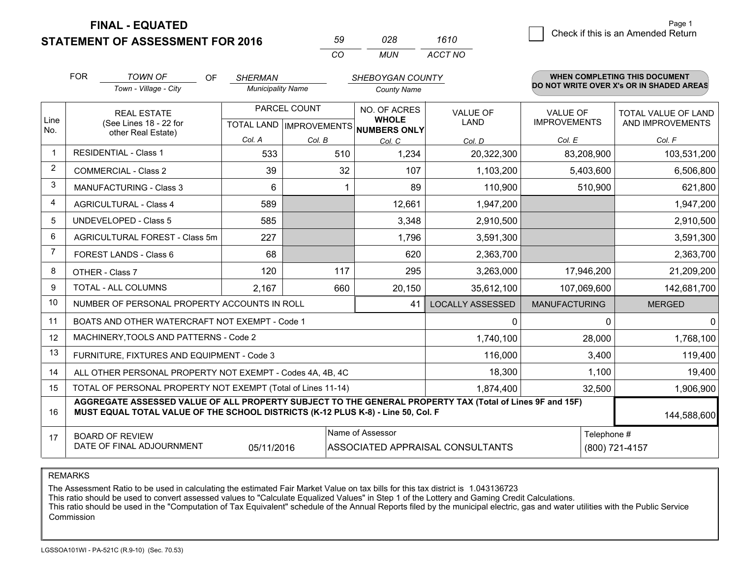**FINAL - EQUATED**

**STATEMENT OF ASSESSMENT FOR 2016** 

| 50           | 028. | 1610    |
|--------------|------|---------|
| $\mathbf{r}$ | MUN  | ACCT NO |

|                         | <b>FOR</b>                                                                                                                                                                                   | <b>TOWN OF</b><br><b>OF</b>                                  | <b>SHERMAN</b>                                       |        | SHEBOYGAN COUNTY             |                                |                                        | WHEN COMPLETING THIS DOCUMENT            |
|-------------------------|----------------------------------------------------------------------------------------------------------------------------------------------------------------------------------------------|--------------------------------------------------------------|------------------------------------------------------|--------|------------------------------|--------------------------------|----------------------------------------|------------------------------------------|
|                         |                                                                                                                                                                                              | Town - Village - City                                        | <b>Municipality Name</b>                             |        | <b>County Name</b>           |                                |                                        | DO NOT WRITE OVER X's OR IN SHADED AREAS |
| Line                    | <b>REAL ESTATE</b><br>(See Lines 18 - 22 for                                                                                                                                                 |                                                              | PARCEL COUNT<br>TOTAL LAND IMPROVEMENTS NUMBERS ONLY |        | NO. OF ACRES<br><b>WHOLE</b> | <b>VALUE OF</b><br><b>LAND</b> | <b>VALUE OF</b><br><b>IMPROVEMENTS</b> | TOTAL VALUE OF LAND<br>AND IMPROVEMENTS  |
| No.                     |                                                                                                                                                                                              | other Real Estate)                                           | Col. A                                               | Col. B | Col. C                       | Col. D                         | Col. E                                 | Col. F                                   |
| $\overline{1}$          |                                                                                                                                                                                              | <b>RESIDENTIAL - Class 1</b>                                 | 533                                                  | 510    | 1,234                        | 20,322,300                     | 83,208,900                             | 103,531,200                              |
| $\overline{2}$          |                                                                                                                                                                                              | <b>COMMERCIAL - Class 2</b>                                  | 39                                                   | 32     | 107                          | 1,103,200                      | 5,403,600                              | 6,506,800                                |
| 3                       |                                                                                                                                                                                              | <b>MANUFACTURING - Class 3</b>                               | 6                                                    |        | 89                           | 110,900                        | 510,900                                | 621,800                                  |
| $\overline{\mathbf{4}}$ |                                                                                                                                                                                              | <b>AGRICULTURAL - Class 4</b>                                | 589                                                  |        | 12,661                       | 1,947,200                      |                                        | 1,947,200                                |
| 5                       |                                                                                                                                                                                              | <b>UNDEVELOPED - Class 5</b>                                 | 585                                                  |        | 3,348                        | 2,910,500                      |                                        | 2,910,500                                |
| 6                       |                                                                                                                                                                                              | AGRICULTURAL FOREST - Class 5m                               | 227                                                  |        | 1,796                        | 3,591,300                      |                                        | 3,591,300                                |
| $\overline{7}$          |                                                                                                                                                                                              | FOREST LANDS - Class 6                                       | 68                                                   |        | 620                          | 2,363,700                      |                                        | 2,363,700                                |
| 8                       |                                                                                                                                                                                              | OTHER - Class 7                                              | 120                                                  | 117    | 295                          | 3,263,000                      | 17,946,200                             | 21,209,200                               |
| 9                       |                                                                                                                                                                                              | TOTAL - ALL COLUMNS                                          | 2,167                                                | 660    | 20,150                       | 35,612,100                     | 107,069,600                            | 142,681,700                              |
| 10                      |                                                                                                                                                                                              | NUMBER OF PERSONAL PROPERTY ACCOUNTS IN ROLL                 |                                                      |        | 41                           | <b>LOCALLY ASSESSED</b>        | <b>MANUFACTURING</b>                   | <b>MERGED</b>                            |
| 11                      |                                                                                                                                                                                              | BOATS AND OTHER WATERCRAFT NOT EXEMPT - Code 1               |                                                      |        |                              | 0                              | $\Omega$                               | $\mathbf{0}$                             |
| 12                      |                                                                                                                                                                                              | MACHINERY, TOOLS AND PATTERNS - Code 2                       |                                                      |        |                              | 1,740,100                      | 28,000                                 | 1,768,100                                |
| 13                      |                                                                                                                                                                                              | FURNITURE, FIXTURES AND EQUIPMENT - Code 3                   |                                                      |        |                              | 116,000                        | 3,400                                  | 119,400                                  |
| 14                      |                                                                                                                                                                                              | ALL OTHER PERSONAL PROPERTY NOT EXEMPT - Codes 4A, 4B, 4C    |                                                      |        |                              | 18,300                         | 1,100                                  | 19,400                                   |
| 15                      |                                                                                                                                                                                              | TOTAL OF PERSONAL PROPERTY NOT EXEMPT (Total of Lines 11-14) |                                                      |        |                              | 1,874,400                      | 32,500                                 | 1,906,900                                |
| 16                      | AGGREGATE ASSESSED VALUE OF ALL PROPERTY SUBJECT TO THE GENERAL PROPERTY TAX (Total of Lines 9F and 15F)<br>MUST EQUAL TOTAL VALUE OF THE SCHOOL DISTRICTS (K-12 PLUS K-8) - Line 50, Col. F |                                                              |                                                      |        |                              |                                | 144,588,600                            |                                          |
| 17                      | Name of Assessor<br>Telephone #<br><b>BOARD OF REVIEW</b><br>DATE OF FINAL ADJOURNMENT<br>05/11/2016<br>ASSOCIATED APPRAISAL CONSULTANTS<br>(800) 721-4157                                   |                                                              |                                                      |        |                              |                                |                                        |                                          |

REMARKS

The Assessment Ratio to be used in calculating the estimated Fair Market Value on tax bills for this tax district is 1.043136723<br>This ratio should be used to convert assessed values to "Calculate Equalized Values" in Step Commission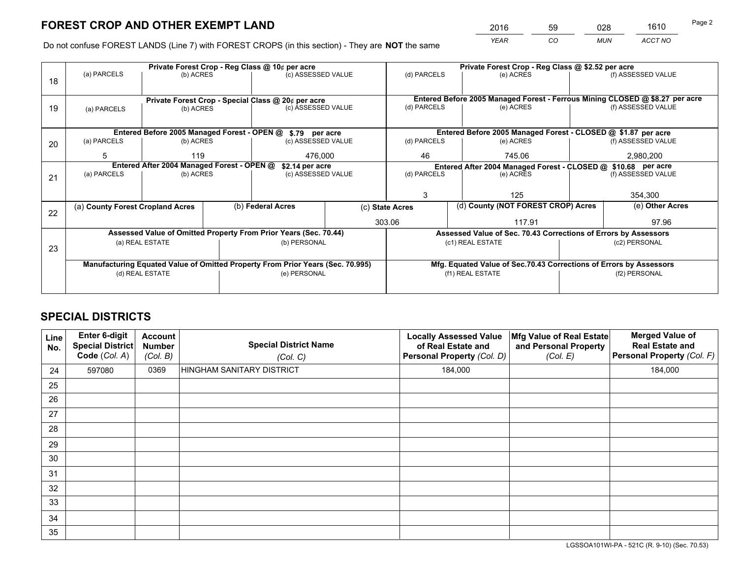*YEAR CO MUN ACCT NO* <sup>2016</sup> <sup>59</sup> <sup>028</sup> <sup>1610</sup>

Do not confuse FOREST LANDS (Line 7) with FOREST CROPS (in this section) - They are **NOT** the same

|    |                                                                                |                 |  | Private Forest Crop - Reg Class @ 10¢ per acre                   |                 | Private Forest Crop - Reg Class @ \$2.52 per acre                                         |                                                                    |                                    |                                                                              |  |
|----|--------------------------------------------------------------------------------|-----------------|--|------------------------------------------------------------------|-----------------|-------------------------------------------------------------------------------------------|--------------------------------------------------------------------|------------------------------------|------------------------------------------------------------------------------|--|
| 18 | (a) PARCELS                                                                    | (b) ACRES       |  | (c) ASSESSED VALUE                                               |                 | (d) PARCELS                                                                               | (e) ACRES                                                          |                                    | (f) ASSESSED VALUE                                                           |  |
|    |                                                                                |                 |  |                                                                  |                 |                                                                                           |                                                                    |                                    |                                                                              |  |
|    |                                                                                |                 |  | Private Forest Crop - Special Class @ 20¢ per acre               |                 |                                                                                           |                                                                    |                                    | Entered Before 2005 Managed Forest - Ferrous Mining CLOSED @ \$8.27 per acre |  |
| 19 | (a) PARCELS                                                                    | (b) ACRES       |  | (c) ASSESSED VALUE                                               |                 | (d) PARCELS                                                                               | (e) ACRES                                                          |                                    | (f) ASSESSED VALUE                                                           |  |
|    |                                                                                |                 |  |                                                                  |                 |                                                                                           |                                                                    |                                    |                                                                              |  |
|    |                                                                                |                 |  | Entered Before 2005 Managed Forest - OPEN @ \$.79 per acre       |                 |                                                                                           | Entered Before 2005 Managed Forest - CLOSED @ \$1.87 per acre      |                                    |                                                                              |  |
| 20 | (a) PARCELS                                                                    | (b) ACRES       |  | (c) ASSESSED VALUE                                               |                 | (d) PARCELS                                                                               | (e) ACRES                                                          |                                    | (f) ASSESSED VALUE                                                           |  |
|    | 5                                                                              | 119             |  | 476,000                                                          |                 | 46                                                                                        | 745.06                                                             |                                    | 2,980,200                                                                    |  |
|    |                                                                                |                 |  |                                                                  |                 |                                                                                           |                                                                    |                                    |                                                                              |  |
|    | Entered After 2004 Managed Forest - OPEN @                                     |                 |  | \$2.14 per acre<br>(c) ASSESSED VALUE                            |                 | Entered After 2004 Managed Forest - CLOSED @ \$10.68 per acre<br>(d) PARCELS<br>(e) ACRES |                                                                    | (f) ASSESSED VALUE                 |                                                                              |  |
| 21 | (a) PARCELS                                                                    | (b) ACRES       |  |                                                                  |                 |                                                                                           |                                                                    |                                    |                                                                              |  |
|    |                                                                                |                 |  |                                                                  |                 |                                                                                           |                                                                    |                                    |                                                                              |  |
|    |                                                                                |                 |  |                                                                  |                 | 3                                                                                         | 125                                                                |                                    | 354,300                                                                      |  |
| 22 | (a) County Forest Cropland Acres                                               |                 |  | (b) Federal Acres                                                | (c) State Acres |                                                                                           |                                                                    | (d) County (NOT FOREST CROP) Acres |                                                                              |  |
|    |                                                                                |                 |  |                                                                  | 303.06          |                                                                                           | 117.91                                                             |                                    |                                                                              |  |
|    |                                                                                |                 |  | Assessed Value of Omitted Property From Prior Years (Sec. 70.44) |                 |                                                                                           | Assessed Value of Sec. 70.43 Corrections of Errors by Assessors    |                                    |                                                                              |  |
|    |                                                                                | (a) REAL ESTATE |  | (b) PERSONAL                                                     |                 |                                                                                           | (c1) REAL ESTATE                                                   |                                    | (c2) PERSONAL                                                                |  |
| 23 |                                                                                |                 |  |                                                                  |                 |                                                                                           |                                                                    |                                    |                                                                              |  |
|    | Manufacturing Equated Value of Omitted Property From Prior Years (Sec. 70.995) |                 |  |                                                                  |                 |                                                                                           | Mfg. Equated Value of Sec.70.43 Corrections of Errors by Assessors |                                    |                                                                              |  |
|    |                                                                                | (d) REAL ESTATE |  | (e) PERSONAL                                                     |                 | (f1) REAL ESTATE                                                                          |                                                                    |                                    | (f2) PERSONAL                                                                |  |
|    |                                                                                |                 |  |                                                                  |                 |                                                                                           |                                                                    |                                    |                                                                              |  |
|    |                                                                                |                 |  |                                                                  |                 |                                                                                           |                                                                    |                                    |                                                                              |  |

## **SPECIAL DISTRICTS**

| Line<br>No. | Enter 6-digit<br>Special District<br>Code (Col. A) | <b>Account</b><br><b>Number</b><br>(Col. B) | <b>Special District Name</b><br>(Col. C) | <b>Locally Assessed Value</b><br>of Real Estate and<br>Personal Property (Col. D) | Mfg Value of Real Estate<br>and Personal Property<br>(Col. E) | <b>Merged Value of</b><br><b>Real Estate and</b><br>Personal Property (Col. F) |
|-------------|----------------------------------------------------|---------------------------------------------|------------------------------------------|-----------------------------------------------------------------------------------|---------------------------------------------------------------|--------------------------------------------------------------------------------|
| 24          | 597080                                             | 0369                                        | <b>HINGHAM SANITARY DISTRICT</b>         | 184,000                                                                           |                                                               | 184,000                                                                        |
| 25          |                                                    |                                             |                                          |                                                                                   |                                                               |                                                                                |
| 26          |                                                    |                                             |                                          |                                                                                   |                                                               |                                                                                |
| 27          |                                                    |                                             |                                          |                                                                                   |                                                               |                                                                                |
| 28          |                                                    |                                             |                                          |                                                                                   |                                                               |                                                                                |
| 29          |                                                    |                                             |                                          |                                                                                   |                                                               |                                                                                |
| 30          |                                                    |                                             |                                          |                                                                                   |                                                               |                                                                                |
| 31          |                                                    |                                             |                                          |                                                                                   |                                                               |                                                                                |
| 32          |                                                    |                                             |                                          |                                                                                   |                                                               |                                                                                |
| 33          |                                                    |                                             |                                          |                                                                                   |                                                               |                                                                                |
| 34          |                                                    |                                             |                                          |                                                                                   |                                                               |                                                                                |
| 35          |                                                    |                                             |                                          |                                                                                   |                                                               |                                                                                |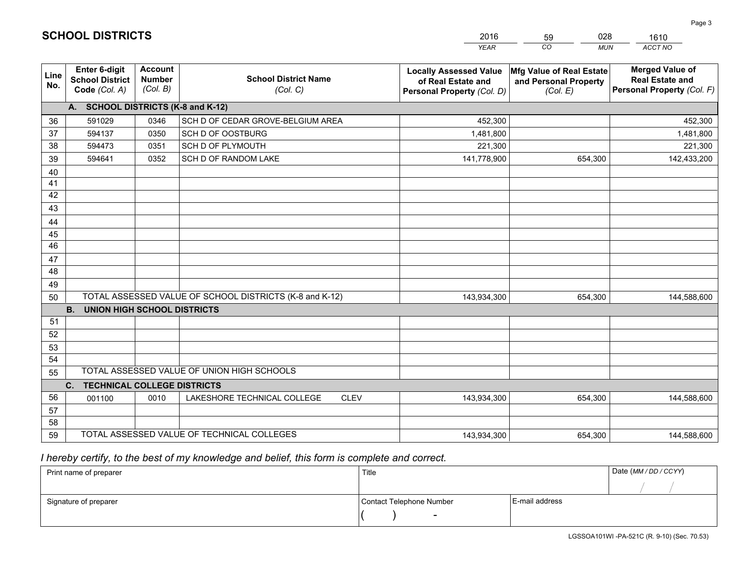|             |                                                                 |                                             |                                                         | <b>YEAR</b>                                                                       | CO<br><b>MUN</b>                                              | ACCT NO                                                                        |
|-------------|-----------------------------------------------------------------|---------------------------------------------|---------------------------------------------------------|-----------------------------------------------------------------------------------|---------------------------------------------------------------|--------------------------------------------------------------------------------|
| Line<br>No. | <b>Enter 6-digit</b><br><b>School District</b><br>Code (Col. A) | <b>Account</b><br><b>Number</b><br>(Col. B) | <b>School District Name</b><br>(Col. C)                 | <b>Locally Assessed Value</b><br>of Real Estate and<br>Personal Property (Col. D) | Mfg Value of Real Estate<br>and Personal Property<br>(Col. E) | <b>Merged Value of</b><br><b>Real Estate and</b><br>Personal Property (Col. F) |
|             | A. SCHOOL DISTRICTS (K-8 and K-12)                              |                                             |                                                         |                                                                                   |                                                               |                                                                                |
| 36          | 591029                                                          | 0346                                        | SCH D OF CEDAR GROVE-BELGIUM AREA                       | 452,300                                                                           |                                                               | 452,300                                                                        |
| 37          | 594137                                                          | 0350                                        | SCH D OF OOSTBURG                                       | 1,481,800                                                                         |                                                               | 1,481,800                                                                      |
| 38          | 594473                                                          | 0351                                        | SCH D OF PLYMOUTH                                       | 221,300                                                                           |                                                               | 221,300                                                                        |
| 39          | 594641                                                          | 0352                                        | SCH D OF RANDOM LAKE                                    | 141,778,900                                                                       | 654,300                                                       | 142,433,200                                                                    |
| 40          |                                                                 |                                             |                                                         |                                                                                   |                                                               |                                                                                |
| 41          |                                                                 |                                             |                                                         |                                                                                   |                                                               |                                                                                |
| 42          |                                                                 |                                             |                                                         |                                                                                   |                                                               |                                                                                |
| 43          |                                                                 |                                             |                                                         |                                                                                   |                                                               |                                                                                |
| 44          |                                                                 |                                             |                                                         |                                                                                   |                                                               |                                                                                |
| 45          |                                                                 |                                             |                                                         |                                                                                   |                                                               |                                                                                |
| 46          |                                                                 |                                             |                                                         |                                                                                   |                                                               |                                                                                |
| 47          |                                                                 |                                             |                                                         |                                                                                   |                                                               |                                                                                |
| 48          |                                                                 |                                             |                                                         |                                                                                   |                                                               |                                                                                |
| 49          |                                                                 |                                             |                                                         |                                                                                   |                                                               |                                                                                |
| 50          |                                                                 |                                             | TOTAL ASSESSED VALUE OF SCHOOL DISTRICTS (K-8 and K-12) | 143,934,300                                                                       | 654,300                                                       | 144,588,600                                                                    |
|             | <b>B.</b><br><b>UNION HIGH SCHOOL DISTRICTS</b>                 |                                             |                                                         |                                                                                   |                                                               |                                                                                |
| 51          |                                                                 |                                             |                                                         |                                                                                   |                                                               |                                                                                |
| 52          |                                                                 |                                             |                                                         |                                                                                   |                                                               |                                                                                |
| 53          |                                                                 |                                             |                                                         |                                                                                   |                                                               |                                                                                |
| 54          |                                                                 |                                             | TOTAL ASSESSED VALUE OF UNION HIGH SCHOOLS              |                                                                                   |                                                               |                                                                                |
| 55          |                                                                 |                                             |                                                         |                                                                                   |                                                               |                                                                                |
| 56          | C.<br><b>TECHNICAL COLLEGE DISTRICTS</b>                        |                                             | <b>CLEV</b>                                             |                                                                                   |                                                               |                                                                                |
| 57          | 001100                                                          | 0010                                        | LAKESHORE TECHNICAL COLLEGE                             | 143,934,300                                                                       | 654,300                                                       | 144,588,600                                                                    |
| 58          |                                                                 |                                             |                                                         |                                                                                   |                                                               |                                                                                |
| 59          |                                                                 |                                             | TOTAL ASSESSED VALUE OF TECHNICAL COLLEGES              | 143,934,300                                                                       | 654,300                                                       | 144,588,600                                                                    |
|             |                                                                 |                                             |                                                         |                                                                                   |                                                               |                                                                                |

59

028

 *I hereby certify, to the best of my knowledge and belief, this form is complete and correct.*

**SCHOOL DISTRICTS**

| Print name of preparer | Title                    |                | Date (MM / DD / CCYY) |
|------------------------|--------------------------|----------------|-----------------------|
|                        |                          |                |                       |
| Signature of preparer  | Contact Telephone Number | E-mail address |                       |
|                        |                          |                |                       |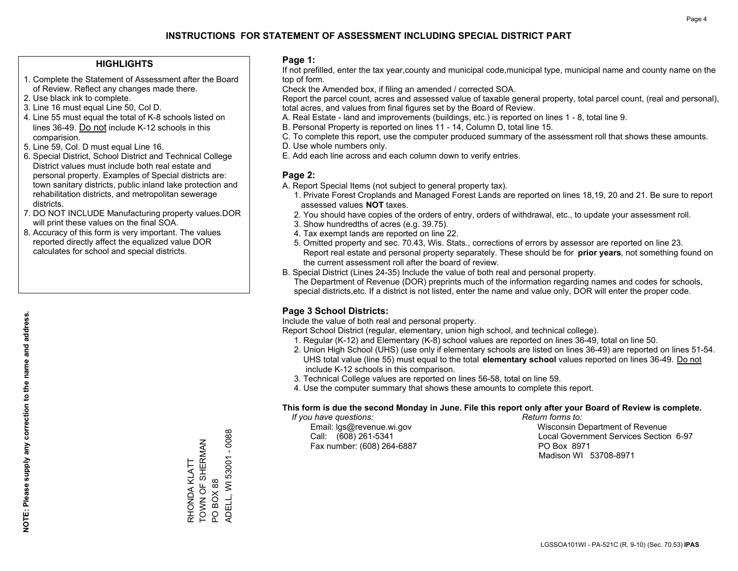#### **HIGHLIGHTS**

- 1. Complete the Statement of Assessment after the Board of Review. Reflect any changes made there.
- 2. Use black ink to complete.
- 3. Line 16 must equal Line 50, Col D.
- 4. Line 55 must equal the total of K-8 schools listed on lines 36-49. Do not include K-12 schools in this comparision.
- 5. Line 59, Col. D must equal Line 16.
- 6. Special District, School District and Technical College District values must include both real estate and personal property. Examples of Special districts are: town sanitary districts, public inland lake protection and rehabilitation districts, and metropolitan sewerage districts.
- 7. DO NOT INCLUDE Manufacturing property values.DOR will print these values on the final SOA.

RHONDA KLATT TOWN OF SHERMAN

RHONDA KLATT<br>TOWN OF SHERMAN

PO BOX 88

PO BOX 88

ADELL, WI 53001 - 0088

ADELL, WI 53001 - 0088

 8. Accuracy of this form is very important. The values reported directly affect the equalized value DOR calculates for school and special districts.

#### **Page 1:**

 If not prefilled, enter the tax year,county and municipal code,municipal type, municipal name and county name on the top of form.

Check the Amended box, if filing an amended / corrected SOA.

 Report the parcel count, acres and assessed value of taxable general property, total parcel count, (real and personal), total acres, and values from final figures set by the Board of Review.

- A. Real Estate land and improvements (buildings, etc.) is reported on lines 1 8, total line 9.
- B. Personal Property is reported on lines 11 14, Column D, total line 15.
- C. To complete this report, use the computer produced summary of the assessment roll that shows these amounts.
- D. Use whole numbers only.
- E. Add each line across and each column down to verify entries.

#### **Page 2:**

- A. Report Special Items (not subject to general property tax).
- 1. Private Forest Croplands and Managed Forest Lands are reported on lines 18,19, 20 and 21. Be sure to report assessed values **NOT** taxes.
- 2. You should have copies of the orders of entry, orders of withdrawal, etc., to update your assessment roll.
	- 3. Show hundredths of acres (e.g. 39.75).
- 4. Tax exempt lands are reported on line 22.
- 5. Omitted property and sec. 70.43, Wis. Stats., corrections of errors by assessor are reported on line 23. Report real estate and personal property separately. These should be for **prior years**, not something found on the current assessment roll after the board of review.
- B. Special District (Lines 24-35) Include the value of both real and personal property.
- The Department of Revenue (DOR) preprints much of the information regarding names and codes for schools, special districts,etc. If a district is not listed, enter the name and value only, DOR will enter the proper code.

### **Page 3 School Districts:**

Include the value of both real and personal property.

Report School District (regular, elementary, union high school, and technical college).

- 1. Regular (K-12) and Elementary (K-8) school values are reported on lines 36-49, total on line 50.
- 2. Union High School (UHS) (use only if elementary schools are listed on lines 36-49) are reported on lines 51-54. UHS total value (line 55) must equal to the total **elementary school** values reported on lines 36-49. Do notinclude K-12 schools in this comparison.
- 3. Technical College values are reported on lines 56-58, total on line 59.
- 4. Use the computer summary that shows these amounts to complete this report.

#### **This form is due the second Monday in June. File this report only after your Board of Review is complete.**

 *If you have questions: Return forms to:*

Fax number: (608) 264-6887 PO Box 8971

 Email: lgs@revenue.wi.gov Wisconsin Department of Revenue Call: (608) 261-5341 Local Government Services Section 6-97Madison WI 53708-8971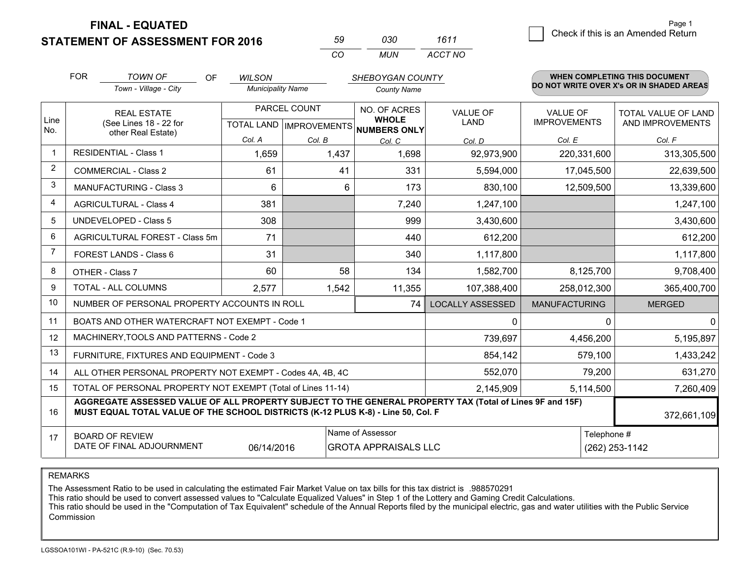**FINAL - EQUATED**

**STATEMENT OF ASSESSMENT FOR 2016** 

| 59  | กจก | 1611    |
|-----|-----|---------|
| CO. | MUN | ACCT NO |

|                | <b>FOR</b>                                                                                                                                                                                   | <b>TOWN OF</b><br><b>OF</b>                                  | <b>WILSON</b>            |        | SHEBOYGAN COUNTY                     |                         |                      | WHEN COMPLETING THIS DOCUMENT            |
|----------------|----------------------------------------------------------------------------------------------------------------------------------------------------------------------------------------------|--------------------------------------------------------------|--------------------------|--------|--------------------------------------|-------------------------|----------------------|------------------------------------------|
|                |                                                                                                                                                                                              | Town - Village - City                                        | <b>Municipality Name</b> |        | <b>County Name</b>                   |                         |                      | DO NOT WRITE OVER X's OR IN SHADED AREAS |
| Line           |                                                                                                                                                                                              | <b>REAL ESTATE</b>                                           | PARCEL COUNT             |        | NO. OF ACRES<br><b>WHOLE</b>         | <b>VALUE OF</b>         | <b>VALUE OF</b>      | TOTAL VALUE OF LAND                      |
| No.            |                                                                                                                                                                                              | (See Lines 18 - 22 for<br>other Real Estate)                 |                          |        | TOTAL LAND IMPROVEMENTS NUMBERS ONLY | <b>LAND</b>             | <b>IMPROVEMENTS</b>  | AND IMPROVEMENTS                         |
|                |                                                                                                                                                                                              |                                                              | Col. A                   | Col. B | Col. C                               | Col. D                  | Col. E               | Col. F                                   |
| $\mathbf 1$    |                                                                                                                                                                                              | <b>RESIDENTIAL - Class 1</b>                                 | 1,659                    | 1,437  | 1,698                                | 92,973,900              | 220,331,600          | 313,305,500                              |
| 2              |                                                                                                                                                                                              | <b>COMMERCIAL - Class 2</b>                                  | 61                       | 41     | 331                                  | 5,594,000               | 17,045,500           | 22,639,500                               |
| 3              |                                                                                                                                                                                              | <b>MANUFACTURING - Class 3</b>                               | 6                        | 6      | 173                                  | 830,100                 | 12,509,500           | 13,339,600                               |
| $\overline{4}$ |                                                                                                                                                                                              | <b>AGRICULTURAL - Class 4</b>                                | 381                      |        | 7,240                                | 1,247,100               |                      | 1,247,100                                |
| 5              |                                                                                                                                                                                              | <b>UNDEVELOPED - Class 5</b>                                 | 308                      |        | 999                                  | 3,430,600               |                      | 3,430,600                                |
| 6              |                                                                                                                                                                                              | AGRICULTURAL FOREST - Class 5m                               | 71                       |        | 440                                  | 612,200                 |                      | 612,200                                  |
| $\overline{7}$ |                                                                                                                                                                                              | FOREST LANDS - Class 6                                       | 31                       |        | 340                                  | 1,117,800               |                      | 1,117,800                                |
| 8              |                                                                                                                                                                                              | OTHER - Class 7                                              | 60                       | 58     | 134                                  | 1,582,700               | 8,125,700            | 9,708,400                                |
| 9              |                                                                                                                                                                                              | TOTAL - ALL COLUMNS                                          | 2,577                    | 1,542  | 11,355                               | 107,388,400             | 258,012,300          | 365,400,700                              |
| 10             |                                                                                                                                                                                              | NUMBER OF PERSONAL PROPERTY ACCOUNTS IN ROLL                 |                          |        | 74                                   | <b>LOCALLY ASSESSED</b> | <b>MANUFACTURING</b> | <b>MERGED</b>                            |
| 11             |                                                                                                                                                                                              | BOATS AND OTHER WATERCRAFT NOT EXEMPT - Code 1               |                          |        |                                      | 0                       | $\Omega$             | $\mathbf{0}$                             |
| 12             |                                                                                                                                                                                              | MACHINERY, TOOLS AND PATTERNS - Code 2                       |                          |        |                                      | 739,697                 | 4,456,200            | 5,195,897                                |
| 13             |                                                                                                                                                                                              | FURNITURE, FIXTURES AND EQUIPMENT - Code 3                   |                          |        |                                      | 854,142                 | 579,100              | 1,433,242                                |
| 14             |                                                                                                                                                                                              | ALL OTHER PERSONAL PROPERTY NOT EXEMPT - Codes 4A, 4B, 4C    |                          |        |                                      | 552,070                 | 79,200               | 631,270                                  |
| 15             |                                                                                                                                                                                              | TOTAL OF PERSONAL PROPERTY NOT EXEMPT (Total of Lines 11-14) |                          |        |                                      | 2,145,909               | 5,114,500            | 7,260,409                                |
| 16             | AGGREGATE ASSESSED VALUE OF ALL PROPERTY SUBJECT TO THE GENERAL PROPERTY TAX (Total of Lines 9F and 15F)<br>MUST EQUAL TOTAL VALUE OF THE SCHOOL DISTRICTS (K-12 PLUS K-8) - Line 50, Col. F |                                                              |                          |        |                                      |                         |                      | 372,661,109                              |
| 17             |                                                                                                                                                                                              | <b>BOARD OF REVIEW</b>                                       |                          |        | Name of Assessor                     |                         | Telephone #          |                                          |
|                | DATE OF FINAL ADJOURNMENT<br>06/14/2016<br><b>GROTA APPRAISALS LLC</b>                                                                                                                       |                                                              |                          |        |                                      |                         |                      | (262) 253-1142                           |

REMARKS

The Assessment Ratio to be used in calculating the estimated Fair Market Value on tax bills for this tax district is .988570291

This ratio should be used to convert assessed values to "Calculate Equalized Values" in Step 1 of the Lottery and Gaming Credit Calculations.<br>This ratio should be used in the "Computation of Tax Equivalent" schedule of the Commission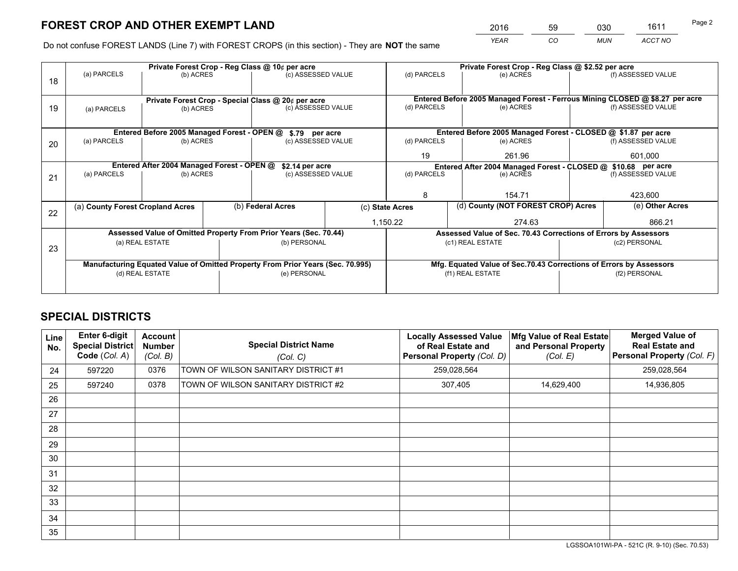*YEAR CO MUN ACCT NO* <sup>2016</sup> <sup>59</sup> <sup>030</sup> <sup>1611</sup>

Do not confuse FOREST LANDS (Line 7) with FOREST CROPS (in this section) - They are **NOT** the same

|    | Private Forest Crop - Reg Class @ 10¢ per acre                                 |                 |  |                                                                  |                                                               |                                                       | Private Forest Crop - Reg Class @ \$2.52 per acre                            |  |                    |  |
|----|--------------------------------------------------------------------------------|-----------------|--|------------------------------------------------------------------|---------------------------------------------------------------|-------------------------------------------------------|------------------------------------------------------------------------------|--|--------------------|--|
| 18 | (a) PARCELS                                                                    | (b) ACRES       |  | (c) ASSESSED VALUE                                               |                                                               | (d) PARCELS                                           | (e) ACRES                                                                    |  | (f) ASSESSED VALUE |  |
|    |                                                                                |                 |  |                                                                  |                                                               |                                                       |                                                                              |  |                    |  |
|    |                                                                                |                 |  | Private Forest Crop - Special Class @ 20¢ per acre               |                                                               |                                                       | Entered Before 2005 Managed Forest - Ferrous Mining CLOSED @ \$8.27 per acre |  |                    |  |
| 19 | (a) PARCELS                                                                    | (b) ACRES       |  | (c) ASSESSED VALUE                                               |                                                               | (d) PARCELS                                           | (e) ACRES                                                                    |  | (f) ASSESSED VALUE |  |
|    |                                                                                |                 |  |                                                                  |                                                               |                                                       |                                                                              |  |                    |  |
|    |                                                                                |                 |  | Entered Before 2005 Managed Forest - OPEN @ \$.79 per acre       |                                                               |                                                       | Entered Before 2005 Managed Forest - CLOSED @ \$1.87 per acre                |  |                    |  |
| 20 | (a) PARCELS                                                                    | (b) ACRES       |  | (c) ASSESSED VALUE                                               |                                                               | (d) PARCELS                                           | (e) ACRES                                                                    |  | (f) ASSESSED VALUE |  |
|    |                                                                                |                 |  | 19                                                               | 261.96                                                        |                                                       | 601,000                                                                      |  |                    |  |
|    | Entered After 2004 Managed Forest - OPEN @<br>\$2.14 per acre                  |                 |  |                                                                  | Entered After 2004 Managed Forest - CLOSED @ \$10.68 per acre |                                                       |                                                                              |  |                    |  |
|    | (a) PARCELS                                                                    | (b) ACRES       |  | (c) ASSESSED VALUE                                               |                                                               | (d) PARCELS<br>(e) ACRES                              |                                                                              |  | (f) ASSESSED VALUE |  |
| 21 |                                                                                |                 |  |                                                                  |                                                               |                                                       |                                                                              |  |                    |  |
|    |                                                                                |                 |  |                                                                  |                                                               | 8                                                     | 154.71                                                                       |  | 423,600            |  |
|    | (a) County Forest Cropland Acres                                               |                 |  | (b) Federal Acres                                                |                                                               | (d) County (NOT FOREST CROP) Acres<br>(c) State Acres |                                                                              |  | (e) Other Acres    |  |
| 22 |                                                                                |                 |  |                                                                  |                                                               |                                                       |                                                                              |  |                    |  |
|    |                                                                                |                 |  |                                                                  |                                                               | 1,150.22                                              | 274.63                                                                       |  | 866.21             |  |
|    |                                                                                |                 |  | Assessed Value of Omitted Property From Prior Years (Sec. 70.44) |                                                               |                                                       | Assessed Value of Sec. 70.43 Corrections of Errors by Assessors              |  |                    |  |
| 23 |                                                                                | (a) REAL ESTATE |  | (b) PERSONAL                                                     |                                                               |                                                       | (c1) REAL ESTATE                                                             |  | (c2) PERSONAL      |  |
|    |                                                                                |                 |  |                                                                  |                                                               |                                                       |                                                                              |  |                    |  |
|    | Manufacturing Equated Value of Omitted Property From Prior Years (Sec. 70.995) |                 |  |                                                                  |                                                               |                                                       | Mfg. Equated Value of Sec.70.43 Corrections of Errors by Assessors           |  |                    |  |
|    |                                                                                | (d) REAL ESTATE |  | (e) PERSONAL                                                     |                                                               | (f1) REAL ESTATE                                      |                                                                              |  | (f2) PERSONAL      |  |
|    |                                                                                |                 |  |                                                                  |                                                               |                                                       |                                                                              |  |                    |  |
|    |                                                                                |                 |  |                                                                  |                                                               |                                                       |                                                                              |  |                    |  |

## **SPECIAL DISTRICTS**

| Line<br>No.     | Enter 6-digit<br><b>Special District</b><br>Code (Col. A) | <b>Account</b><br><b>Number</b><br>(Col. B) | <b>Special District Name</b><br>(Col. C) | <b>Locally Assessed Value</b><br>of Real Estate and<br><b>Personal Property (Col. D)</b> | Mfg Value of Real Estate<br>and Personal Property<br>(Col. E) | <b>Merged Value of</b><br><b>Real Estate and</b><br>Personal Property (Col. F) |
|-----------------|-----------------------------------------------------------|---------------------------------------------|------------------------------------------|------------------------------------------------------------------------------------------|---------------------------------------------------------------|--------------------------------------------------------------------------------|
| 24              | 597220                                                    | 0376                                        | TOWN OF WILSON SANITARY DISTRICT #1      | 259,028,564                                                                              |                                                               | 259,028,564                                                                    |
| 25              | 597240                                                    | 0378                                        | TOWN OF WILSON SANITARY DISTRICT #2      | 307,405                                                                                  | 14,629,400                                                    | 14,936,805                                                                     |
| 26              |                                                           |                                             |                                          |                                                                                          |                                                               |                                                                                |
| 27              |                                                           |                                             |                                          |                                                                                          |                                                               |                                                                                |
| 28              |                                                           |                                             |                                          |                                                                                          |                                                               |                                                                                |
| 29              |                                                           |                                             |                                          |                                                                                          |                                                               |                                                                                |
| 30              |                                                           |                                             |                                          |                                                                                          |                                                               |                                                                                |
| 31              |                                                           |                                             |                                          |                                                                                          |                                                               |                                                                                |
| 32 <sup>2</sup> |                                                           |                                             |                                          |                                                                                          |                                                               |                                                                                |
| 33              |                                                           |                                             |                                          |                                                                                          |                                                               |                                                                                |
| 34              |                                                           |                                             |                                          |                                                                                          |                                                               |                                                                                |
| 35              |                                                           |                                             |                                          |                                                                                          |                                                               |                                                                                |

LGSSOA101WI-PA - 521C (R. 9-10) (Sec. 70.53)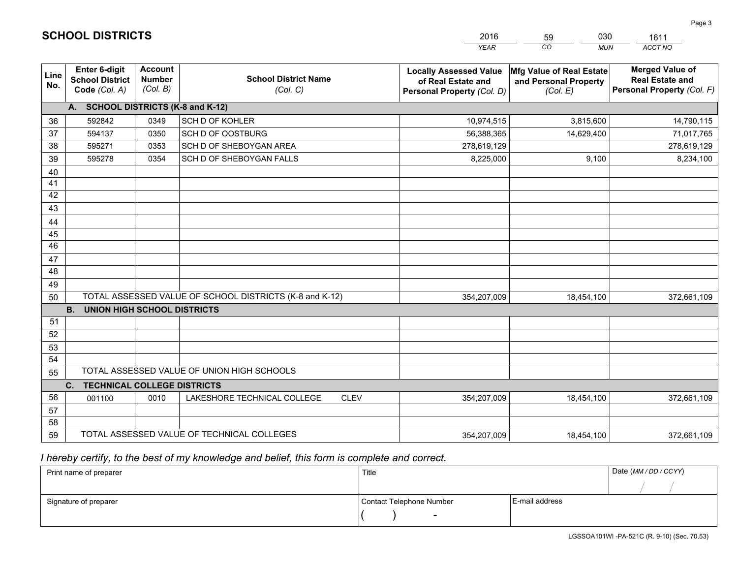|                 |                                                          |                                             |                                                         | <b>YEAR</b>                                                                       | $\overline{co}$<br><b>MUN</b>                                 | ACCT NO                                                                        |
|-----------------|----------------------------------------------------------|---------------------------------------------|---------------------------------------------------------|-----------------------------------------------------------------------------------|---------------------------------------------------------------|--------------------------------------------------------------------------------|
| Line<br>No.     | Enter 6-digit<br><b>School District</b><br>Code (Col. A) | <b>Account</b><br><b>Number</b><br>(Col. B) | <b>School District Name</b><br>(Col. C)                 | <b>Locally Assessed Value</b><br>of Real Estate and<br>Personal Property (Col. D) | Mfg Value of Real Estate<br>and Personal Property<br>(Col. E) | <b>Merged Value of</b><br><b>Real Estate and</b><br>Personal Property (Col. F) |
|                 | A. SCHOOL DISTRICTS (K-8 and K-12)                       |                                             |                                                         |                                                                                   |                                                               |                                                                                |
| 36              | 592842                                                   | 0349                                        | SCH D OF KOHLER                                         | 10,974,515                                                                        | 3,815,600                                                     | 14,790,115                                                                     |
| 37              | 594137                                                   | 0350                                        | SCH D OF OOSTBURG                                       | 56,388,365                                                                        | 14,629,400                                                    | 71,017,765                                                                     |
| 38              | 595271                                                   | 0353                                        | SCH D OF SHEBOYGAN AREA                                 | 278,619,129                                                                       |                                                               | 278,619,129                                                                    |
| 39              | 595278                                                   | 0354                                        | SCH D OF SHEBOYGAN FALLS                                | 8,225,000                                                                         | 9,100                                                         | 8,234,100                                                                      |
| 40              |                                                          |                                             |                                                         |                                                                                   |                                                               |                                                                                |
| 41              |                                                          |                                             |                                                         |                                                                                   |                                                               |                                                                                |
| 42              |                                                          |                                             |                                                         |                                                                                   |                                                               |                                                                                |
| 43              |                                                          |                                             |                                                         |                                                                                   |                                                               |                                                                                |
| 44              |                                                          |                                             |                                                         |                                                                                   |                                                               |                                                                                |
| 45              |                                                          |                                             |                                                         |                                                                                   |                                                               |                                                                                |
| $\overline{46}$ |                                                          |                                             |                                                         |                                                                                   |                                                               |                                                                                |
| 47              |                                                          |                                             |                                                         |                                                                                   |                                                               |                                                                                |
| 48              |                                                          |                                             |                                                         |                                                                                   |                                                               |                                                                                |
| 49              |                                                          |                                             |                                                         |                                                                                   |                                                               |                                                                                |
| 50              |                                                          |                                             | TOTAL ASSESSED VALUE OF SCHOOL DISTRICTS (K-8 and K-12) | 354,207,009                                                                       | 18,454,100                                                    | 372,661,109                                                                    |
|                 | <b>B.</b><br><b>UNION HIGH SCHOOL DISTRICTS</b>          |                                             |                                                         |                                                                                   |                                                               |                                                                                |
| 51              |                                                          |                                             |                                                         |                                                                                   |                                                               |                                                                                |
| 52              |                                                          |                                             |                                                         |                                                                                   |                                                               |                                                                                |
| 53              |                                                          |                                             |                                                         |                                                                                   |                                                               |                                                                                |
| 54              |                                                          |                                             |                                                         |                                                                                   |                                                               |                                                                                |
| 55              |                                                          |                                             | TOTAL ASSESSED VALUE OF UNION HIGH SCHOOLS              |                                                                                   |                                                               |                                                                                |
|                 | C.<br><b>TECHNICAL COLLEGE DISTRICTS</b>                 |                                             |                                                         |                                                                                   |                                                               |                                                                                |
| 56              | 001100                                                   | 0010                                        | LAKESHORE TECHNICAL COLLEGE<br><b>CLEV</b>              | 354,207,009                                                                       | 18,454,100                                                    | 372,661,109                                                                    |
| 57              |                                                          |                                             |                                                         |                                                                                   |                                                               |                                                                                |
| 58              |                                                          |                                             |                                                         |                                                                                   |                                                               |                                                                                |
| 59              |                                                          |                                             | TOTAL ASSESSED VALUE OF TECHNICAL COLLEGES              | 354,207,009                                                                       | 18,454,100                                                    | 372,661,109                                                                    |

59

030

 *I hereby certify, to the best of my knowledge and belief, this form is complete and correct.*

**SCHOOL DISTRICTS**

| Print name of preparer | Title                    |                | Date (MM / DD / CCYY) |
|------------------------|--------------------------|----------------|-----------------------|
|                        |                          |                |                       |
| Signature of preparer  | Contact Telephone Number | E-mail address |                       |
|                        | $\sim$                   |                |                       |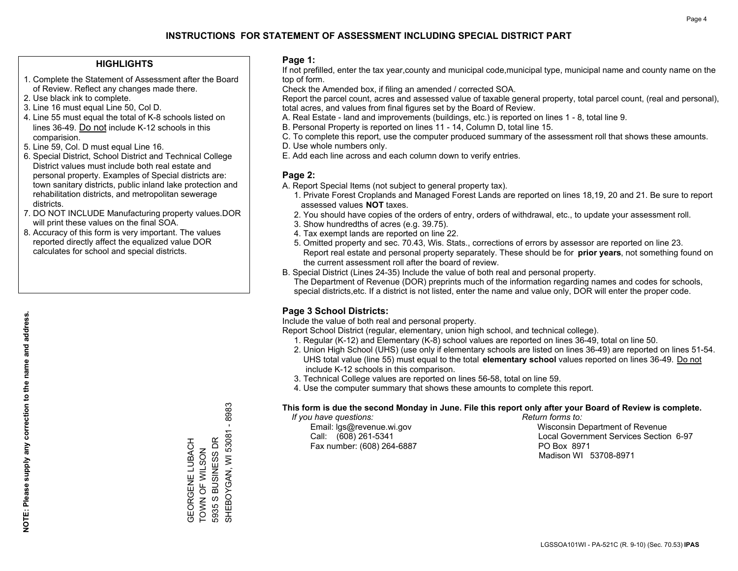#### **HIGHLIGHTS**

- 1. Complete the Statement of Assessment after the Board of Review. Reflect any changes made there.
- 2. Use black ink to complete.
- 3. Line 16 must equal Line 50, Col D.
- 4. Line 55 must equal the total of K-8 schools listed on lines 36-49. Do not include K-12 schools in this comparision.
- 5. Line 59, Col. D must equal Line 16.
- 6. Special District, School District and Technical College District values must include both real estate and personal property. Examples of Special districts are: town sanitary districts, public inland lake protection and rehabilitation districts, and metropolitan sewerage districts.
- 7. DO NOT INCLUDE Manufacturing property values.DOR will print these values on the final SOA.

GEORGENE LUBACH TOWN OF WILSON 5935 S BUSINESS DR

GEORGENE LUBACH<br>TOWN OF WILSON<br>5935 S BUSINESS DR

SHEBOYGAN, WI 53081 - 8983

SHEBOYGAN, WI 53081 - 8983

 8. Accuracy of this form is very important. The values reported directly affect the equalized value DOR calculates for school and special districts.

#### **Page 1:**

 If not prefilled, enter the tax year,county and municipal code,municipal type, municipal name and county name on the top of form.

Check the Amended box, if filing an amended / corrected SOA.

 Report the parcel count, acres and assessed value of taxable general property, total parcel count, (real and personal), total acres, and values from final figures set by the Board of Review.

- A. Real Estate land and improvements (buildings, etc.) is reported on lines 1 8, total line 9.
- B. Personal Property is reported on lines 11 14, Column D, total line 15.
- C. To complete this report, use the computer produced summary of the assessment roll that shows these amounts.
- D. Use whole numbers only.
- E. Add each line across and each column down to verify entries.

#### **Page 2:**

- A. Report Special Items (not subject to general property tax).
- 1. Private Forest Croplands and Managed Forest Lands are reported on lines 18,19, 20 and 21. Be sure to report assessed values **NOT** taxes.
- 2. You should have copies of the orders of entry, orders of withdrawal, etc., to update your assessment roll.
	- 3. Show hundredths of acres (e.g. 39.75).
- 4. Tax exempt lands are reported on line 22.
- 5. Omitted property and sec. 70.43, Wis. Stats., corrections of errors by assessor are reported on line 23. Report real estate and personal property separately. These should be for **prior years**, not something found on the current assessment roll after the board of review.
- B. Special District (Lines 24-35) Include the value of both real and personal property.
- The Department of Revenue (DOR) preprints much of the information regarding names and codes for schools, special districts,etc. If a district is not listed, enter the name and value only, DOR will enter the proper code.

### **Page 3 School Districts:**

Include the value of both real and personal property.

Report School District (regular, elementary, union high school, and technical college).

- 1. Regular (K-12) and Elementary (K-8) school values are reported on lines 36-49, total on line 50.
- 2. Union High School (UHS) (use only if elementary schools are listed on lines 36-49) are reported on lines 51-54. UHS total value (line 55) must equal to the total **elementary school** values reported on lines 36-49. Do notinclude K-12 schools in this comparison.
- 3. Technical College values are reported on lines 56-58, total on line 59.
- 4. Use the computer summary that shows these amounts to complete this report.

#### **This form is due the second Monday in June. File this report only after your Board of Review is complete.**

 *If you have questions: Return forms to:*

Fax number: (608) 264-6887 PO Box 8971

 Email: lgs@revenue.wi.gov Wisconsin Department of Revenue Call: (608) 261-5341 Local Government Services Section 6-97Madison WI 53708-8971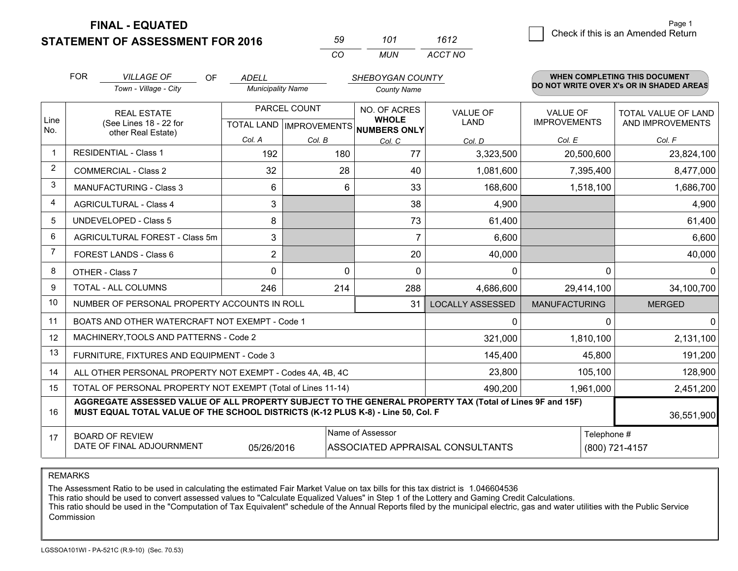**FINAL - EQUATED**

**STATEMENT OF ASSESSMENT FOR 2016** 

| 59. | 101 | 1612    |
|-----|-----|---------|
| CO. | MUN | ACCT NO |

|                | <b>FOR</b>                                                                                                                | <b>VILLAGE OF</b><br>OF                                                                                                                                                                      | <b>ADELL</b>             |              | SHEBOYGAN COUNTY                                                     |                         |                                        | <b>WHEN COMPLETING THIS DOCUMENT</b>           |
|----------------|---------------------------------------------------------------------------------------------------------------------------|----------------------------------------------------------------------------------------------------------------------------------------------------------------------------------------------|--------------------------|--------------|----------------------------------------------------------------------|-------------------------|----------------------------------------|------------------------------------------------|
|                |                                                                                                                           | Town - Village - City                                                                                                                                                                        | <b>Municipality Name</b> |              | <b>County Name</b>                                                   |                         |                                        | DO NOT WRITE OVER X's OR IN SHADED AREAS       |
| Line           | <b>REAL ESTATE</b><br>(See Lines 18 - 22 for                                                                              |                                                                                                                                                                                              |                          | PARCEL COUNT | NO. OF ACRES<br><b>WHOLE</b><br>TOTAL LAND IMPROVEMENTS NUMBERS ONLY | <b>VALUE OF</b><br>LAND | <b>VALUE OF</b><br><b>IMPROVEMENTS</b> | <b>TOTAL VALUE OF LAND</b><br>AND IMPROVEMENTS |
| No.            |                                                                                                                           | other Real Estate)                                                                                                                                                                           | Col. A                   | Col. B       | Col. C                                                               | Col. D                  | Col. E                                 | Col. F                                         |
| $\mathbf 1$    |                                                                                                                           | <b>RESIDENTIAL - Class 1</b>                                                                                                                                                                 | 192                      | 180          | 77                                                                   | 3,323,500               | 20,500,600                             | 23,824,100                                     |
| $\overline{2}$ |                                                                                                                           | <b>COMMERCIAL - Class 2</b>                                                                                                                                                                  | 32                       | 28           | 40                                                                   | 1,081,600               | 7,395,400                              | 8,477,000                                      |
| 3              |                                                                                                                           | <b>MANUFACTURING - Class 3</b>                                                                                                                                                               | 6                        | 6            | 33                                                                   | 168,600                 | 1,518,100                              | 1,686,700                                      |
| 4              |                                                                                                                           | <b>AGRICULTURAL - Class 4</b>                                                                                                                                                                | 3                        |              | 38                                                                   | 4,900                   |                                        | 4,900                                          |
| 5              |                                                                                                                           | <b>UNDEVELOPED - Class 5</b>                                                                                                                                                                 | 8                        |              | 73                                                                   | 61,400                  |                                        | 61,400                                         |
| 6              |                                                                                                                           | AGRICULTURAL FOREST - Class 5m                                                                                                                                                               | 3                        |              | $\overline{7}$                                                       | 6,600                   |                                        | 6,600                                          |
| $\overline{7}$ |                                                                                                                           | FOREST LANDS - Class 6                                                                                                                                                                       | $\overline{2}$           |              | 20                                                                   | 40,000                  |                                        | 40,000                                         |
| 8              |                                                                                                                           | OTHER - Class 7                                                                                                                                                                              | $\Omega$                 | 0            | $\Omega$                                                             | 0                       | $\Omega$                               | $\Omega$                                       |
| 9              |                                                                                                                           | TOTAL - ALL COLUMNS                                                                                                                                                                          | 246                      | 214          | 288                                                                  | 4,686,600               | 29,414,100                             | 34,100,700                                     |
| 10             |                                                                                                                           | NUMBER OF PERSONAL PROPERTY ACCOUNTS IN ROLL                                                                                                                                                 |                          |              | 31                                                                   | <b>LOCALLY ASSESSED</b> | <b>MANUFACTURING</b>                   | <b>MERGED</b>                                  |
| 11             |                                                                                                                           | BOATS AND OTHER WATERCRAFT NOT EXEMPT - Code 1                                                                                                                                               |                          |              |                                                                      | 0                       | $\Omega$                               | $\mathbf{0}$                                   |
| 12             |                                                                                                                           | MACHINERY, TOOLS AND PATTERNS - Code 2                                                                                                                                                       |                          |              |                                                                      | 321,000                 | 1,810,100                              | 2,131,100                                      |
| 13             |                                                                                                                           | FURNITURE, FIXTURES AND EQUIPMENT - Code 3                                                                                                                                                   |                          |              |                                                                      | 145,400                 | 45,800                                 | 191,200                                        |
| 14             |                                                                                                                           | ALL OTHER PERSONAL PROPERTY NOT EXEMPT - Codes 4A, 4B, 4C                                                                                                                                    |                          |              |                                                                      | 23,800                  | 105,100                                | 128,900                                        |
| 15             |                                                                                                                           | TOTAL OF PERSONAL PROPERTY NOT EXEMPT (Total of Lines 11-14)                                                                                                                                 |                          |              |                                                                      | 490,200                 | 1,961,000                              | 2,451,200                                      |
| 16             |                                                                                                                           | AGGREGATE ASSESSED VALUE OF ALL PROPERTY SUBJECT TO THE GENERAL PROPERTY TAX (Total of Lines 9F and 15F)<br>MUST EQUAL TOTAL VALUE OF THE SCHOOL DISTRICTS (K-12 PLUS K-8) - Line 50, Col. F |                          |              |                                                                      |                         |                                        | 36,551,900                                     |
| 17             | Name of Assessor<br><b>BOARD OF REVIEW</b><br>DATE OF FINAL ADJOURNMENT<br>ASSOCIATED APPRAISAL CONSULTANTS<br>05/26/2016 |                                                                                                                                                                                              |                          |              |                                                                      |                         | Telephone #                            | (800) 721-4157                                 |

REMARKS

The Assessment Ratio to be used in calculating the estimated Fair Market Value on tax bills for this tax district is 1.046604536<br>This ratio should be used to convert assessed values to "Calculate Equalized Values" in Step Commission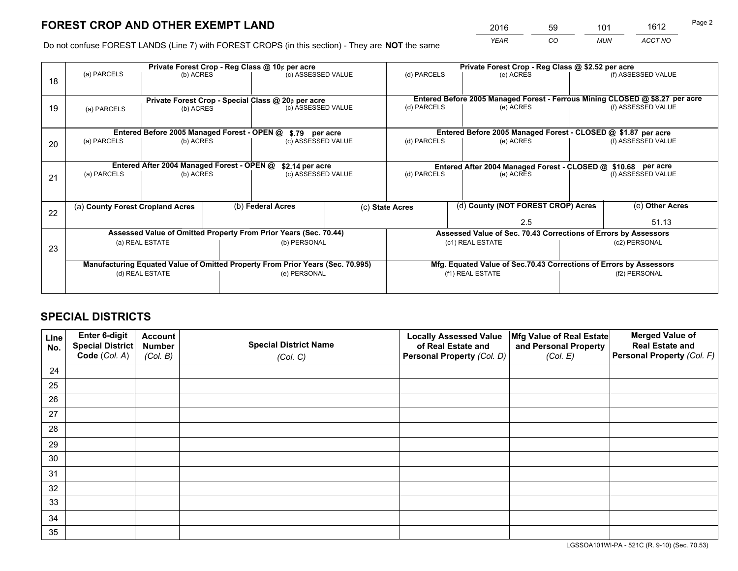*YEAR CO MUN ACCT NO* <sup>2016</sup> <sup>59</sup> <sup>101</sup> <sup>1612</sup>

Do not confuse FOREST LANDS (Line 7) with FOREST CROPS (in this section) - They are **NOT** the same

|    | Private Forest Crop - Reg Class @ 10¢ per acre                |                                             |  |                                                                                |  | Private Forest Crop - Reg Class @ \$2.52 per acre             |                                                                              |               |                    |  |
|----|---------------------------------------------------------------|---------------------------------------------|--|--------------------------------------------------------------------------------|--|---------------------------------------------------------------|------------------------------------------------------------------------------|---------------|--------------------|--|
| 18 | (a) PARCELS                                                   | (b) ACRES                                   |  | (c) ASSESSED VALUE                                                             |  | (d) PARCELS                                                   | (e) ACRES                                                                    |               | (f) ASSESSED VALUE |  |
|    | Private Forest Crop - Special Class @ 20¢ per acre            |                                             |  |                                                                                |  |                                                               | Entered Before 2005 Managed Forest - Ferrous Mining CLOSED @ \$8.27 per acre |               |                    |  |
| 19 | (a) PARCELS<br>(b) ACRES                                      |                                             |  | (c) ASSESSED VALUE                                                             |  | (d) PARCELS                                                   | (e) ACRES                                                                    |               | (f) ASSESSED VALUE |  |
|    |                                                               | Entered Before 2005 Managed Forest - OPEN @ |  |                                                                                |  |                                                               | Entered Before 2005 Managed Forest - CLOSED @ \$1.87 per acre                |               |                    |  |
| 20 | (a) PARCELS<br>(b) ACRES                                      |                                             |  | \$.79 per acre<br>(c) ASSESSED VALUE                                           |  | (d) PARCELS                                                   | (e) ACRES                                                                    |               | (f) ASSESSED VALUE |  |
|    | Entered After 2004 Managed Forest - OPEN @<br>\$2.14 per acre |                                             |  |                                                                                |  | Entered After 2004 Managed Forest - CLOSED @ \$10.68 per acre |                                                                              |               |                    |  |
| 21 | (a) PARCELS                                                   | (b) ACRES                                   |  | (c) ASSESSED VALUE                                                             |  | (d) PARCELS                                                   | (e) ACRES                                                                    |               | (f) ASSESSED VALUE |  |
|    | (a) County Forest Cropland Acres                              |                                             |  | (b) Federal Acres                                                              |  | (c) State Acres                                               | (d) County (NOT FOREST CROP) Acres                                           |               | (e) Other Acres    |  |
| 22 |                                                               |                                             |  |                                                                                |  |                                                               |                                                                              |               |                    |  |
|    |                                                               |                                             |  |                                                                                |  |                                                               | 2.5                                                                          |               | 51.13              |  |
|    |                                                               |                                             |  | Assessed Value of Omitted Property From Prior Years (Sec. 70.44)               |  |                                                               | Assessed Value of Sec. 70.43 Corrections of Errors by Assessors              |               |                    |  |
| 23 | (b) PERSONAL<br>(a) REAL ESTATE                               |                                             |  | (c1) REAL ESTATE                                                               |  |                                                               | (c2) PERSONAL                                                                |               |                    |  |
|    |                                                               |                                             |  | Manufacturing Equated Value of Omitted Property From Prior Years (Sec. 70.995) |  |                                                               | Mfg. Equated Value of Sec.70.43 Corrections of Errors by Assessors           |               |                    |  |
|    | (d) REAL ESTATE                                               |                                             |  | (e) PERSONAL                                                                   |  | (f1) REAL ESTATE                                              |                                                                              | (f2) PERSONAL |                    |  |
|    |                                                               |                                             |  |                                                                                |  |                                                               |                                                                              |               |                    |  |

## **SPECIAL DISTRICTS**

| Line<br>No. | Enter 6-digit<br>Special District<br>Code (Col. A) | <b>Account</b><br><b>Number</b> | <b>Special District Name</b> | <b>Locally Assessed Value</b><br>of Real Estate and | Mfg Value of Real Estate<br>and Personal Property | <b>Merged Value of</b><br><b>Real Estate and</b><br>Personal Property (Col. F) |
|-------------|----------------------------------------------------|---------------------------------|------------------------------|-----------------------------------------------------|---------------------------------------------------|--------------------------------------------------------------------------------|
|             |                                                    | (Col. B)                        | (Col. C)                     | Personal Property (Col. D)                          | (Col. E)                                          |                                                                                |
| 24          |                                                    |                                 |                              |                                                     |                                                   |                                                                                |
| 25          |                                                    |                                 |                              |                                                     |                                                   |                                                                                |
| 26          |                                                    |                                 |                              |                                                     |                                                   |                                                                                |
| 27          |                                                    |                                 |                              |                                                     |                                                   |                                                                                |
| 28          |                                                    |                                 |                              |                                                     |                                                   |                                                                                |
| 29          |                                                    |                                 |                              |                                                     |                                                   |                                                                                |
| 30          |                                                    |                                 |                              |                                                     |                                                   |                                                                                |
| 31          |                                                    |                                 |                              |                                                     |                                                   |                                                                                |
| 32          |                                                    |                                 |                              |                                                     |                                                   |                                                                                |
| 33          |                                                    |                                 |                              |                                                     |                                                   |                                                                                |
| 34          |                                                    |                                 |                              |                                                     |                                                   |                                                                                |
| 35          |                                                    |                                 |                              |                                                     |                                                   |                                                                                |

LGSSOA101WI-PA - 521C (R. 9-10) (Sec. 70.53)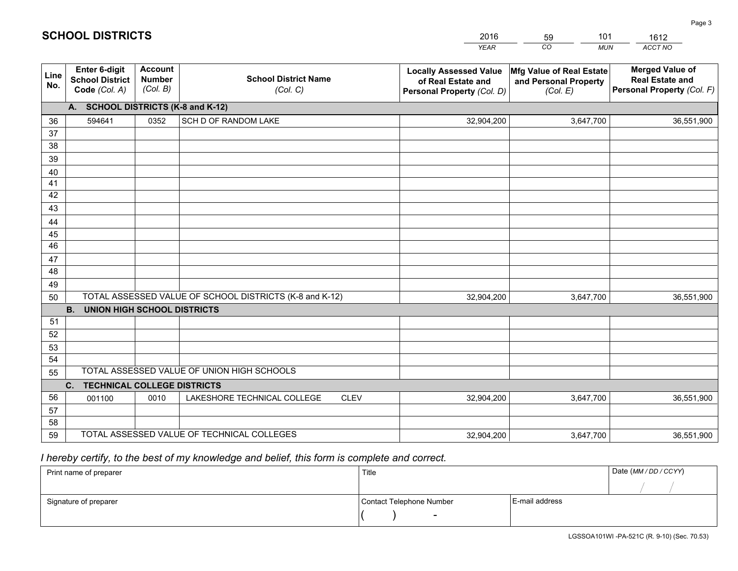|             |                                                                 |                                             |                                                         | <b>YEAR</b>                                                                       | CO<br><b>MUN</b>                                              | ACCT NO                                                                        |
|-------------|-----------------------------------------------------------------|---------------------------------------------|---------------------------------------------------------|-----------------------------------------------------------------------------------|---------------------------------------------------------------|--------------------------------------------------------------------------------|
| Line<br>No. | <b>Enter 6-digit</b><br><b>School District</b><br>Code (Col. A) | <b>Account</b><br><b>Number</b><br>(Col. B) | <b>School District Name</b><br>(Col. C)                 | <b>Locally Assessed Value</b><br>of Real Estate and<br>Personal Property (Col. D) | Mfg Value of Real Estate<br>and Personal Property<br>(Col. E) | <b>Merged Value of</b><br><b>Real Estate and</b><br>Personal Property (Col. F) |
|             | A. SCHOOL DISTRICTS (K-8 and K-12)                              |                                             |                                                         |                                                                                   |                                                               |                                                                                |
| 36          | 594641                                                          | 0352                                        | SCH D OF RANDOM LAKE                                    | 32,904,200                                                                        | 3,647,700                                                     | 36,551,900                                                                     |
| 37          |                                                                 |                                             |                                                         |                                                                                   |                                                               |                                                                                |
| 38          |                                                                 |                                             |                                                         |                                                                                   |                                                               |                                                                                |
| 39          |                                                                 |                                             |                                                         |                                                                                   |                                                               |                                                                                |
| 40          |                                                                 |                                             |                                                         |                                                                                   |                                                               |                                                                                |
| 41<br>42    |                                                                 |                                             |                                                         |                                                                                   |                                                               |                                                                                |
| 43          |                                                                 |                                             |                                                         |                                                                                   |                                                               |                                                                                |
|             |                                                                 |                                             |                                                         |                                                                                   |                                                               |                                                                                |
| 44<br>45    |                                                                 |                                             |                                                         |                                                                                   |                                                               |                                                                                |
| 46          |                                                                 |                                             |                                                         |                                                                                   |                                                               |                                                                                |
| 47          |                                                                 |                                             |                                                         |                                                                                   |                                                               |                                                                                |
| 48          |                                                                 |                                             |                                                         |                                                                                   |                                                               |                                                                                |
| 49          |                                                                 |                                             |                                                         |                                                                                   |                                                               |                                                                                |
| 50          |                                                                 |                                             | TOTAL ASSESSED VALUE OF SCHOOL DISTRICTS (K-8 and K-12) | 32,904,200                                                                        | 3,647,700                                                     | 36,551,900                                                                     |
|             | <b>B.</b><br>UNION HIGH SCHOOL DISTRICTS                        |                                             |                                                         |                                                                                   |                                                               |                                                                                |
| 51          |                                                                 |                                             |                                                         |                                                                                   |                                                               |                                                                                |
| 52          |                                                                 |                                             |                                                         |                                                                                   |                                                               |                                                                                |
| 53          |                                                                 |                                             |                                                         |                                                                                   |                                                               |                                                                                |
| 54          |                                                                 |                                             |                                                         |                                                                                   |                                                               |                                                                                |
| 55          |                                                                 |                                             | TOTAL ASSESSED VALUE OF UNION HIGH SCHOOLS              |                                                                                   |                                                               |                                                                                |
|             | C.<br><b>TECHNICAL COLLEGE DISTRICTS</b>                        |                                             |                                                         |                                                                                   |                                                               |                                                                                |
| 56          | 001100                                                          | 0010                                        | LAKESHORE TECHNICAL COLLEGE<br><b>CLEV</b>              | 32,904,200                                                                        | 3,647,700                                                     | 36,551,900                                                                     |
| 57<br>58    |                                                                 |                                             |                                                         |                                                                                   |                                                               |                                                                                |
| 59          |                                                                 |                                             | TOTAL ASSESSED VALUE OF TECHNICAL COLLEGES              | 32,904,200                                                                        | 3,647,700                                                     | 36,551,900                                                                     |
|             |                                                                 |                                             |                                                         |                                                                                   |                                                               |                                                                                |

59

101

 *I hereby certify, to the best of my knowledge and belief, this form is complete and correct.*

**SCHOOL DISTRICTS**

| Print name of preparer | Title                    |                | Date (MM / DD / CCYY) |
|------------------------|--------------------------|----------------|-----------------------|
|                        |                          |                |                       |
| Signature of preparer  | Contact Telephone Number | E-mail address |                       |
|                        | $\sim$                   |                |                       |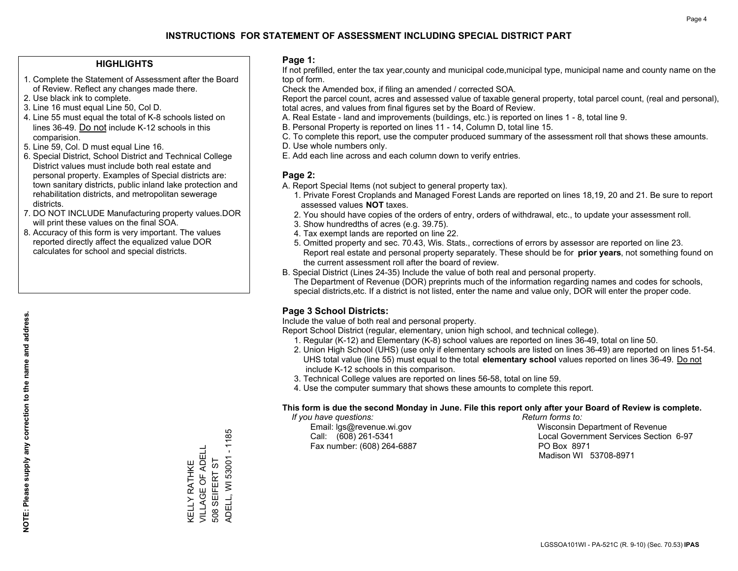#### **HIGHLIGHTS**

- 1. Complete the Statement of Assessment after the Board of Review. Reflect any changes made there.
- 2. Use black ink to complete.
- 3. Line 16 must equal Line 50, Col D.
- 4. Line 55 must equal the total of K-8 schools listed on lines 36-49. Do not include K-12 schools in this comparision.
- 5. Line 59, Col. D must equal Line 16.
- 6. Special District, School District and Technical College District values must include both real estate and personal property. Examples of Special districts are: town sanitary districts, public inland lake protection and rehabilitation districts, and metropolitan sewerage districts.
- 7. DO NOT INCLUDE Manufacturing property values.DOR will print these values on the final SOA.

KELLY RATHKE VILLAGE OF ADELL 508 SEIFERT ST

KELLY RATHKE<br>VILLAGE OF ADELL 508 SEIFERT ST ADELL, WI 53001 - 1185

ADELL, WI 53001 - 1185

 8. Accuracy of this form is very important. The values reported directly affect the equalized value DOR calculates for school and special districts.

#### **Page 1:**

 If not prefilled, enter the tax year,county and municipal code,municipal type, municipal name and county name on the top of form.

Check the Amended box, if filing an amended / corrected SOA.

 Report the parcel count, acres and assessed value of taxable general property, total parcel count, (real and personal), total acres, and values from final figures set by the Board of Review.

- A. Real Estate land and improvements (buildings, etc.) is reported on lines 1 8, total line 9.
- B. Personal Property is reported on lines 11 14, Column D, total line 15.
- C. To complete this report, use the computer produced summary of the assessment roll that shows these amounts.
- D. Use whole numbers only.
- E. Add each line across and each column down to verify entries.

#### **Page 2:**

- A. Report Special Items (not subject to general property tax).
- 1. Private Forest Croplands and Managed Forest Lands are reported on lines 18,19, 20 and 21. Be sure to report assessed values **NOT** taxes.
- 2. You should have copies of the orders of entry, orders of withdrawal, etc., to update your assessment roll.
	- 3. Show hundredths of acres (e.g. 39.75).
- 4. Tax exempt lands are reported on line 22.
- 5. Omitted property and sec. 70.43, Wis. Stats., corrections of errors by assessor are reported on line 23. Report real estate and personal property separately. These should be for **prior years**, not something found on the current assessment roll after the board of review.
- B. Special District (Lines 24-35) Include the value of both real and personal property.
- The Department of Revenue (DOR) preprints much of the information regarding names and codes for schools, special districts,etc. If a district is not listed, enter the name and value only, DOR will enter the proper code.

### **Page 3 School Districts:**

Include the value of both real and personal property.

Report School District (regular, elementary, union high school, and technical college).

- 1. Regular (K-12) and Elementary (K-8) school values are reported on lines 36-49, total on line 50.
- 2. Union High School (UHS) (use only if elementary schools are listed on lines 36-49) are reported on lines 51-54. UHS total value (line 55) must equal to the total **elementary school** values reported on lines 36-49. Do notinclude K-12 schools in this comparison.
- 3. Technical College values are reported on lines 56-58, total on line 59.
- 4. Use the computer summary that shows these amounts to complete this report.

#### **This form is due the second Monday in June. File this report only after your Board of Review is complete.**

 *If you have questions: Return forms to:*

Fax number: (608) 264-6887 PO Box 8971

 Email: lgs@revenue.wi.gov Wisconsin Department of Revenue Call: (608) 261-5341 Local Government Services Section 6-97Madison WI 53708-8971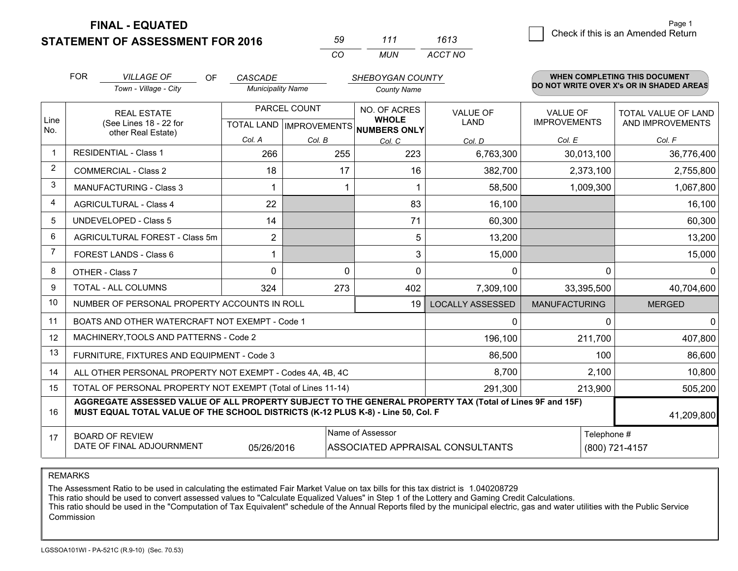**FINAL - EQUATED**

**STATEMENT OF ASSESSMENT FOR 2016** 

| 59       | 111   | 1613    |
|----------|-------|---------|
| $\alpha$ | MI IN | ACCT NO |

|                | <b>FOR</b>                                                                                                                                                                                   | <b>VILLAGE OF</b><br><b>OF</b>                               | CASCADE                  |              | SHEBOYGAN COUNTY                                                         |                                  |                                        | WHEN COMPLETING THIS DOCUMENT                  |
|----------------|----------------------------------------------------------------------------------------------------------------------------------------------------------------------------------------------|--------------------------------------------------------------|--------------------------|--------------|--------------------------------------------------------------------------|----------------------------------|----------------------------------------|------------------------------------------------|
|                |                                                                                                                                                                                              | Town - Village - City                                        | <b>Municipality Name</b> |              | <b>County Name</b>                                                       |                                  |                                        | DO NOT WRITE OVER X's OR IN SHADED AREAS       |
| Line<br>No.    | <b>REAL ESTATE</b><br>(See Lines 18 - 22 for                                                                                                                                                 |                                                              |                          | PARCEL COUNT | NO. OF ACRES<br><b>WHOLE</b><br>TOTAL LAND   IMPROVEMENTS   NUMBERS ONLY | <b>VALUE OF</b><br><b>LAND</b>   | <b>VALUE OF</b><br><b>IMPROVEMENTS</b> | <b>TOTAL VALUE OF LAND</b><br>AND IMPROVEMENTS |
|                |                                                                                                                                                                                              | other Real Estate)                                           | Col. A                   | Col. B       | Col. C                                                                   | Col. D                           | Col. E                                 | Col. F                                         |
| $\mathbf 1$    |                                                                                                                                                                                              | <b>RESIDENTIAL - Class 1</b>                                 | 266                      | 255          | 223                                                                      | 6,763,300                        | 30,013,100                             | 36,776,400                                     |
| 2              |                                                                                                                                                                                              | <b>COMMERCIAL - Class 2</b>                                  | 18                       | 17           | 16                                                                       | 382,700                          | 2,373,100                              | 2,755,800                                      |
| 3              |                                                                                                                                                                                              | <b>MANUFACTURING - Class 3</b>                               | 1                        |              |                                                                          | 58,500                           | 1,009,300                              | 1,067,800                                      |
| $\overline{4}$ |                                                                                                                                                                                              | <b>AGRICULTURAL - Class 4</b>                                | 22                       |              | 83                                                                       | 16,100                           |                                        | 16,100                                         |
| 5              |                                                                                                                                                                                              | <b>UNDEVELOPED - Class 5</b>                                 | 14                       |              | 71                                                                       | 60,300                           |                                        | 60,300                                         |
| 6              |                                                                                                                                                                                              | AGRICULTURAL FOREST - Class 5m                               | 2                        |              | 5                                                                        | 13,200                           |                                        | 13,200                                         |
| $\overline{7}$ |                                                                                                                                                                                              | FOREST LANDS - Class 6                                       | 1                        |              | 3                                                                        | 15,000                           |                                        | 15,000                                         |
| 8              |                                                                                                                                                                                              | OTHER - Class 7                                              | $\Omega$                 | $\Omega$     | $\Omega$                                                                 | 0                                | $\Omega$                               | $\Omega$                                       |
| 9              |                                                                                                                                                                                              | TOTAL - ALL COLUMNS                                          | 324                      | 273          | 402                                                                      | 7,309,100                        | 33,395,500                             | 40,704,600                                     |
| 10             |                                                                                                                                                                                              | NUMBER OF PERSONAL PROPERTY ACCOUNTS IN ROLL                 |                          |              | 19                                                                       | <b>LOCALLY ASSESSED</b>          | <b>MANUFACTURING</b>                   | <b>MERGED</b>                                  |
| 11             |                                                                                                                                                                                              | BOATS AND OTHER WATERCRAFT NOT EXEMPT - Code 1               |                          |              |                                                                          | 0                                | $\Omega$                               | $\mathbf 0$                                    |
| 12             |                                                                                                                                                                                              | MACHINERY, TOOLS AND PATTERNS - Code 2                       |                          |              |                                                                          | 196,100                          | 211,700                                | 407,800                                        |
| 13             |                                                                                                                                                                                              | FURNITURE, FIXTURES AND EQUIPMENT - Code 3                   |                          |              |                                                                          | 86,500                           | 100                                    | 86,600                                         |
| 14             |                                                                                                                                                                                              | ALL OTHER PERSONAL PROPERTY NOT EXEMPT - Codes 4A, 4B, 4C    |                          |              |                                                                          | 8,700                            | 2,100                                  | 10,800                                         |
| 15             |                                                                                                                                                                                              | TOTAL OF PERSONAL PROPERTY NOT EXEMPT (Total of Lines 11-14) |                          |              |                                                                          | 291,300                          | 213,900                                | 505,200                                        |
| 16             | AGGREGATE ASSESSED VALUE OF ALL PROPERTY SUBJECT TO THE GENERAL PROPERTY TAX (Total of Lines 9F and 15F)<br>MUST EQUAL TOTAL VALUE OF THE SCHOOL DISTRICTS (K-12 PLUS K-8) - Line 50, Col. F |                                                              |                          |              |                                                                          |                                  | 41,209,800                             |                                                |
| 17             |                                                                                                                                                                                              | <b>BOARD OF REVIEW</b><br>DATE OF FINAL ADJOURNMENT          | 05/26/2016               |              | Name of Assessor                                                         | ASSOCIATED APPRAISAL CONSULTANTS | Telephone #                            | (800) 721-4157                                 |

REMARKS

The Assessment Ratio to be used in calculating the estimated Fair Market Value on tax bills for this tax district is 1.040208729

This ratio should be used to convert assessed values to "Calculate Equalized Values" in Step 1 of the Lottery and Gaming Credit Calculations.<br>This ratio should be used in the "Computation of Tax Equivalent" schedule of the Commission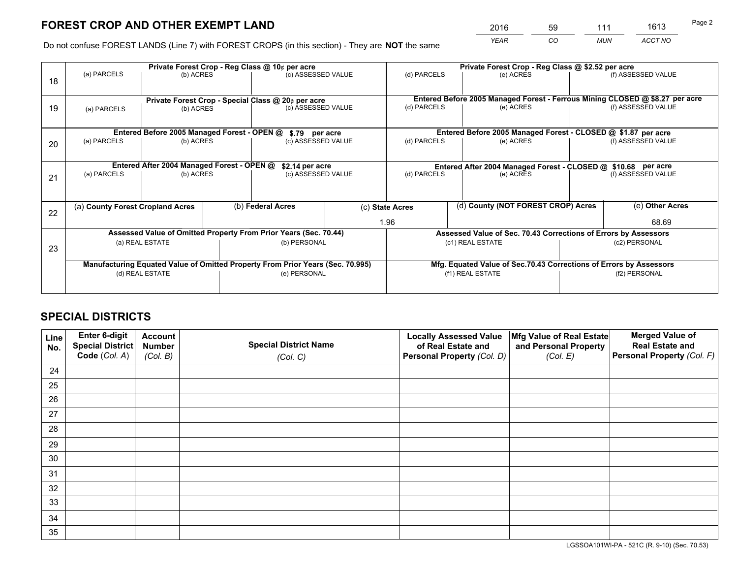*YEAR CO MUN ACCT NO* <sup>2016</sup> <sup>59</sup> <sup>111</sup> <sup>1613</sup>

Do not confuse FOREST LANDS (Line 7) with FOREST CROPS (in this section) - They are **NOT** the same

|    |                                                                                |                                             |  | Private Forest Crop - Reg Class @ 10¢ per acre                   |                                                                                  | Private Forest Crop - Reg Class @ \$2.52 per acre |                                                                    |  |                    |  |
|----|--------------------------------------------------------------------------------|---------------------------------------------|--|------------------------------------------------------------------|----------------------------------------------------------------------------------|---------------------------------------------------|--------------------------------------------------------------------|--|--------------------|--|
| 18 | (a) PARCELS                                                                    | (b) ACRES                                   |  | (c) ASSESSED VALUE                                               |                                                                                  | (d) PARCELS                                       | (e) ACRES                                                          |  | (f) ASSESSED VALUE |  |
|    |                                                                                |                                             |  |                                                                  |                                                                                  |                                                   |                                                                    |  |                    |  |
|    | Private Forest Crop - Special Class @ 20¢ per acre                             |                                             |  |                                                                  | Entered Before 2005 Managed Forest - Ferrous Mining CLOSED @ \$8.27 per acre     |                                                   |                                                                    |  |                    |  |
| 19 | (a) PARCELS                                                                    | (b) ACRES                                   |  | (c) ASSESSED VALUE                                               |                                                                                  | (d) PARCELS                                       | (e) ACRES                                                          |  | (f) ASSESSED VALUE |  |
|    |                                                                                |                                             |  |                                                                  |                                                                                  |                                                   |                                                                    |  |                    |  |
|    |                                                                                | Entered Before 2005 Managed Forest - OPEN @ |  | \$.79 per acre                                                   |                                                                                  |                                                   | Entered Before 2005 Managed Forest - CLOSED @ \$1.87 per acre      |  |                    |  |
| 20 | (a) PARCELS                                                                    | (b) ACRES                                   |  | (c) ASSESSED VALUE                                               |                                                                                  | (d) PARCELS                                       | (e) ACRES                                                          |  | (f) ASSESSED VALUE |  |
|    |                                                                                |                                             |  |                                                                  |                                                                                  |                                                   |                                                                    |  |                    |  |
|    | Entered After 2004 Managed Forest - OPEN @                                     |                                             |  |                                                                  | \$2.14 per acre<br>Entered After 2004 Managed Forest - CLOSED @ \$10.68 per acre |                                                   |                                                                    |  |                    |  |
| 21 | (a) PARCELS                                                                    | (b) ACRES                                   |  | (c) ASSESSED VALUE                                               |                                                                                  | (d) PARCELS<br>(e) ACRES                          |                                                                    |  | (f) ASSESSED VALUE |  |
|    |                                                                                |                                             |  |                                                                  |                                                                                  |                                                   |                                                                    |  |                    |  |
|    |                                                                                |                                             |  |                                                                  |                                                                                  | (d) County (NOT FOREST CROP) Acres                |                                                                    |  |                    |  |
| 22 | (a) County Forest Cropland Acres                                               |                                             |  | (b) Federal Acres                                                |                                                                                  | (c) State Acres                                   |                                                                    |  | (e) Other Acres    |  |
|    |                                                                                |                                             |  |                                                                  |                                                                                  | 1.96                                              |                                                                    |  | 68.69              |  |
|    |                                                                                |                                             |  | Assessed Value of Omitted Property From Prior Years (Sec. 70.44) |                                                                                  |                                                   | Assessed Value of Sec. 70.43 Corrections of Errors by Assessors    |  |                    |  |
| 23 |                                                                                | (a) REAL ESTATE                             |  | (b) PERSONAL                                                     |                                                                                  |                                                   | (c1) REAL ESTATE                                                   |  | (c2) PERSONAL      |  |
|    |                                                                                |                                             |  |                                                                  |                                                                                  |                                                   |                                                                    |  |                    |  |
|    | Manufacturing Equated Value of Omitted Property From Prior Years (Sec. 70.995) |                                             |  |                                                                  |                                                                                  |                                                   | Mfg. Equated Value of Sec.70.43 Corrections of Errors by Assessors |  |                    |  |
|    | (d) REAL ESTATE                                                                |                                             |  | (e) PERSONAL                                                     |                                                                                  |                                                   | (f1) REAL ESTATE                                                   |  | (f2) PERSONAL      |  |
|    |                                                                                |                                             |  |                                                                  |                                                                                  |                                                   |                                                                    |  |                    |  |

## **SPECIAL DISTRICTS**

| Line<br>No. | Enter 6-digit<br>Special District<br>Code (Col. A) | <b>Account</b><br><b>Number</b> | <b>Special District Name</b> | <b>Locally Assessed Value</b><br>of Real Estate and | Mfg Value of Real Estate<br>and Personal Property | <b>Merged Value of</b><br><b>Real Estate and</b><br>Personal Property (Col. F) |
|-------------|----------------------------------------------------|---------------------------------|------------------------------|-----------------------------------------------------|---------------------------------------------------|--------------------------------------------------------------------------------|
|             |                                                    | (Col. B)                        | (Col. C)                     | Personal Property (Col. D)                          | (Col. E)                                          |                                                                                |
| 24          |                                                    |                                 |                              |                                                     |                                                   |                                                                                |
| 25          |                                                    |                                 |                              |                                                     |                                                   |                                                                                |
| 26          |                                                    |                                 |                              |                                                     |                                                   |                                                                                |
| 27          |                                                    |                                 |                              |                                                     |                                                   |                                                                                |
| 28          |                                                    |                                 |                              |                                                     |                                                   |                                                                                |
| 29          |                                                    |                                 |                              |                                                     |                                                   |                                                                                |
| 30          |                                                    |                                 |                              |                                                     |                                                   |                                                                                |
| 31          |                                                    |                                 |                              |                                                     |                                                   |                                                                                |
| 32          |                                                    |                                 |                              |                                                     |                                                   |                                                                                |
| 33          |                                                    |                                 |                              |                                                     |                                                   |                                                                                |
| 34          |                                                    |                                 |                              |                                                     |                                                   |                                                                                |
| 35          |                                                    |                                 |                              |                                                     |                                                   |                                                                                |

LGSSOA101WI-PA - 521C (R. 9-10) (Sec. 70.53)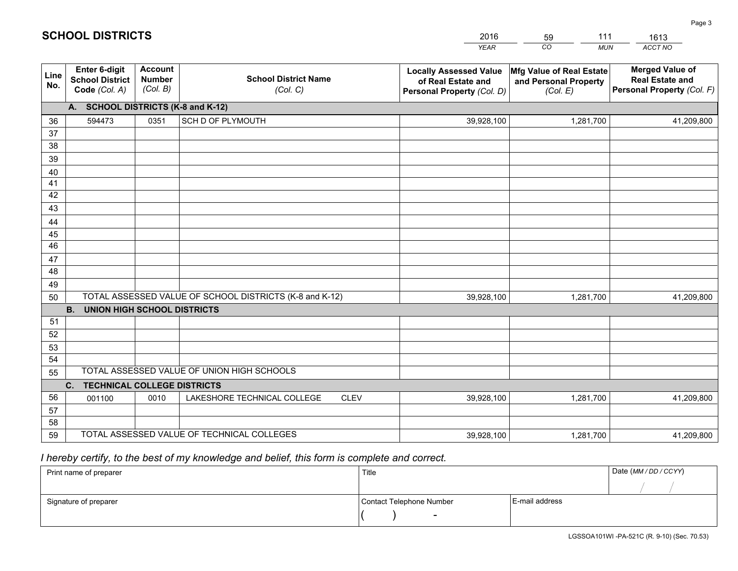|             |                                                          |                                             |                                                         | YEAR                                                                              | CO.<br><b>MUN</b>                                             | ACCT NO                                                                        |
|-------------|----------------------------------------------------------|---------------------------------------------|---------------------------------------------------------|-----------------------------------------------------------------------------------|---------------------------------------------------------------|--------------------------------------------------------------------------------|
| Line<br>No. | Enter 6-digit<br><b>School District</b><br>Code (Col. A) | <b>Account</b><br><b>Number</b><br>(Col. B) | <b>School District Name</b><br>(Col. C)                 | <b>Locally Assessed Value</b><br>of Real Estate and<br>Personal Property (Col. D) | Mfg Value of Real Estate<br>and Personal Property<br>(Col. E) | <b>Merged Value of</b><br><b>Real Estate and</b><br>Personal Property (Col. F) |
|             | A. SCHOOL DISTRICTS (K-8 and K-12)                       |                                             |                                                         |                                                                                   |                                                               |                                                                                |
| 36          | 594473                                                   | 0351                                        | SCH D OF PLYMOUTH                                       | 39,928,100                                                                        | 1,281,700                                                     | 41,209,800                                                                     |
| 37          |                                                          |                                             |                                                         |                                                                                   |                                                               |                                                                                |
| 38          |                                                          |                                             |                                                         |                                                                                   |                                                               |                                                                                |
| 39          |                                                          |                                             |                                                         |                                                                                   |                                                               |                                                                                |
| 40          |                                                          |                                             |                                                         |                                                                                   |                                                               |                                                                                |
| 41<br>42    |                                                          |                                             |                                                         |                                                                                   |                                                               |                                                                                |
| 43          |                                                          |                                             |                                                         |                                                                                   |                                                               |                                                                                |
| 44          |                                                          |                                             |                                                         |                                                                                   |                                                               |                                                                                |
| 45          |                                                          |                                             |                                                         |                                                                                   |                                                               |                                                                                |
| 46          |                                                          |                                             |                                                         |                                                                                   |                                                               |                                                                                |
| 47          |                                                          |                                             |                                                         |                                                                                   |                                                               |                                                                                |
| 48          |                                                          |                                             |                                                         |                                                                                   |                                                               |                                                                                |
| 49          |                                                          |                                             |                                                         |                                                                                   |                                                               |                                                                                |
| 50          |                                                          |                                             | TOTAL ASSESSED VALUE OF SCHOOL DISTRICTS (K-8 and K-12) | 39,928,100                                                                        | 1,281,700                                                     | 41,209,800                                                                     |
|             | <b>B.</b><br>UNION HIGH SCHOOL DISTRICTS                 |                                             |                                                         |                                                                                   |                                                               |                                                                                |
| 51          |                                                          |                                             |                                                         |                                                                                   |                                                               |                                                                                |
| 52          |                                                          |                                             |                                                         |                                                                                   |                                                               |                                                                                |
| 53          |                                                          |                                             |                                                         |                                                                                   |                                                               |                                                                                |
| 54          |                                                          |                                             | TOTAL ASSESSED VALUE OF UNION HIGH SCHOOLS              |                                                                                   |                                                               |                                                                                |
| 55          |                                                          |                                             |                                                         |                                                                                   |                                                               |                                                                                |
| 56          | C.<br><b>TECHNICAL COLLEGE DISTRICTS</b>                 | 0010                                        | LAKESHORE TECHNICAL COLLEGE<br><b>CLEV</b>              | 39,928,100                                                                        | 1,281,700                                                     |                                                                                |
| 57          | 001100                                                   |                                             |                                                         |                                                                                   |                                                               | 41,209,800                                                                     |
| 58          |                                                          |                                             |                                                         |                                                                                   |                                                               |                                                                                |
| 59          |                                                          |                                             | TOTAL ASSESSED VALUE OF TECHNICAL COLLEGES              | 39,928,100                                                                        | 1,281,700                                                     | 41,209,800                                                                     |
|             |                                                          |                                             |                                                         |                                                                                   |                                                               |                                                                                |

59

111

 *I hereby certify, to the best of my knowledge and belief, this form is complete and correct.*

**SCHOOL DISTRICTS**

| Print name of preparer | Title                    |                | Date (MM / DD / CCYY) |
|------------------------|--------------------------|----------------|-----------------------|
|                        |                          |                |                       |
| Signature of preparer  | Contact Telephone Number | E-mail address |                       |
|                        | $\sim$                   |                |                       |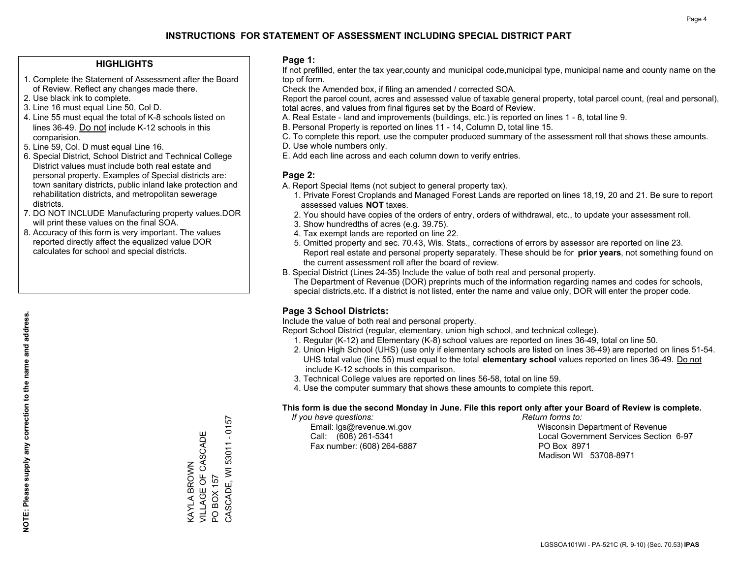#### **HIGHLIGHTS**

- 1. Complete the Statement of Assessment after the Board of Review. Reflect any changes made there.
- 2. Use black ink to complete.
- 3. Line 16 must equal Line 50, Col D.
- 4. Line 55 must equal the total of K-8 schools listed on lines 36-49. Do not include K-12 schools in this comparision.
- 5. Line 59, Col. D must equal Line 16.
- 6. Special District, School District and Technical College District values must include both real estate and personal property. Examples of Special districts are: town sanitary districts, public inland lake protection and rehabilitation districts, and metropolitan sewerage districts.
- 7. DO NOT INCLUDE Manufacturing property values.DOR will print these values on the final SOA.

KAYLA BROWN

VILLAGE OF CASCADE

VILLAGE OF CASCADE **VAYLA BROWN** 

PO BOX 157

PO BOX 157

CASCADE, WI 53011 - 0157

CASCADE, WI 53011 - 0157

 8. Accuracy of this form is very important. The values reported directly affect the equalized value DOR calculates for school and special districts.

#### **Page 1:**

 If not prefilled, enter the tax year,county and municipal code,municipal type, municipal name and county name on the top of form.

Check the Amended box, if filing an amended / corrected SOA.

 Report the parcel count, acres and assessed value of taxable general property, total parcel count, (real and personal), total acres, and values from final figures set by the Board of Review.

- A. Real Estate land and improvements (buildings, etc.) is reported on lines 1 8, total line 9.
- B. Personal Property is reported on lines 11 14, Column D, total line 15.
- C. To complete this report, use the computer produced summary of the assessment roll that shows these amounts.
- D. Use whole numbers only.
- E. Add each line across and each column down to verify entries.

#### **Page 2:**

- A. Report Special Items (not subject to general property tax).
- 1. Private Forest Croplands and Managed Forest Lands are reported on lines 18,19, 20 and 21. Be sure to report assessed values **NOT** taxes.
- 2. You should have copies of the orders of entry, orders of withdrawal, etc., to update your assessment roll.
	- 3. Show hundredths of acres (e.g. 39.75).
- 4. Tax exempt lands are reported on line 22.
- 5. Omitted property and sec. 70.43, Wis. Stats., corrections of errors by assessor are reported on line 23. Report real estate and personal property separately. These should be for **prior years**, not something found on the current assessment roll after the board of review.
- B. Special District (Lines 24-35) Include the value of both real and personal property.
- The Department of Revenue (DOR) preprints much of the information regarding names and codes for schools, special districts,etc. If a district is not listed, enter the name and value only, DOR will enter the proper code.

### **Page 3 School Districts:**

Include the value of both real and personal property.

Report School District (regular, elementary, union high school, and technical college).

- 1. Regular (K-12) and Elementary (K-8) school values are reported on lines 36-49, total on line 50.
- 2. Union High School (UHS) (use only if elementary schools are listed on lines 36-49) are reported on lines 51-54. UHS total value (line 55) must equal to the total **elementary school** values reported on lines 36-49. Do notinclude K-12 schools in this comparison.
- 3. Technical College values are reported on lines 56-58, total on line 59.
- 4. Use the computer summary that shows these amounts to complete this report.

#### **This form is due the second Monday in June. File this report only after your Board of Review is complete.**

 *If you have questions: Return forms to:*

Fax number: (608) 264-6887 PO Box 8971

 Email: lgs@revenue.wi.gov Wisconsin Department of Revenue Call: (608) 261-5341 Local Government Services Section 6-97Madison WI 53708-8971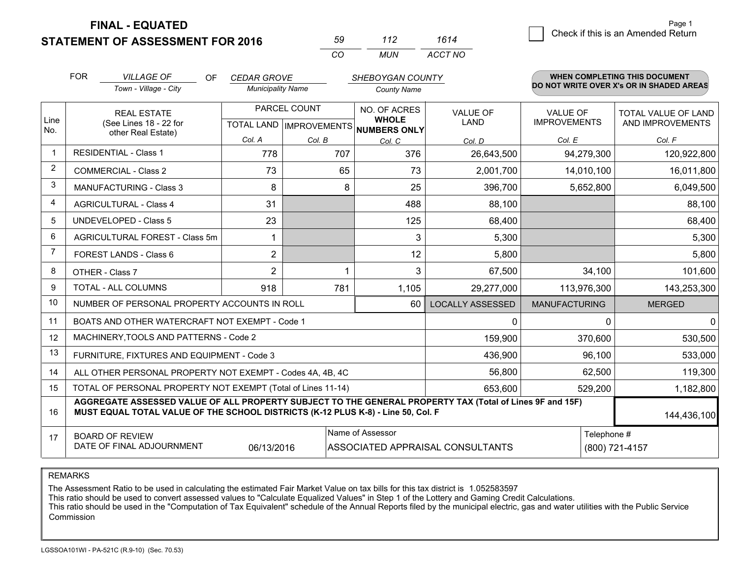**STATEMENT OF ASSESSMENT FOR 2016** 

**FINAL - EQUATED**

| .59 | 112 | 1614    |
|-----|-----|---------|
| ΓO  | MUN | ACCT NO |

|                | <b>FOR</b>                                                                                                                                                                                                  | <b>VILLAGE OF</b><br><b>OF</b>                            | <b>CEDAR GROVE</b>                                   |              | SHEBOYGAN COUNTY             |                                |                                        | WHEN COMPLETING THIS DOCUMENT                  |
|----------------|-------------------------------------------------------------------------------------------------------------------------------------------------------------------------------------------------------------|-----------------------------------------------------------|------------------------------------------------------|--------------|------------------------------|--------------------------------|----------------------------------------|------------------------------------------------|
|                |                                                                                                                                                                                                             | Town - Village - City                                     | <b>Municipality Name</b>                             |              | <b>County Name</b>           |                                |                                        | DO NOT WRITE OVER X's OR IN SHADED AREAS       |
| Line<br>No.    | <b>REAL ESTATE</b><br>(See Lines 18 - 22 for                                                                                                                                                                |                                                           | PARCEL COUNT<br>TOTAL LAND IMPROVEMENTS NUMBERS ONLY |              | NO. OF ACRES<br><b>WHOLE</b> | <b>VALUE OF</b><br><b>LAND</b> | <b>VALUE OF</b><br><b>IMPROVEMENTS</b> | <b>TOTAL VALUE OF LAND</b><br>AND IMPROVEMENTS |
|                |                                                                                                                                                                                                             | other Real Estate)                                        | Col. A                                               | Col. B       | Col. C                       | Col. D                         | Col. E                                 | Col. F                                         |
| $\mathbf 1$    |                                                                                                                                                                                                             | <b>RESIDENTIAL - Class 1</b>                              | 778                                                  | 707          | 376                          | 26,643,500                     | 94,279,300                             | 120,922,800                                    |
| 2              |                                                                                                                                                                                                             | <b>COMMERCIAL - Class 2</b>                               | 73                                                   | 65           | 73                           | 2,001,700                      | 14,010,100                             | 16,011,800                                     |
| 3              |                                                                                                                                                                                                             | <b>MANUFACTURING - Class 3</b>                            | 8                                                    | 8            | 25                           | 396,700                        | 5,652,800                              | 6,049,500                                      |
| 4              |                                                                                                                                                                                                             | <b>AGRICULTURAL - Class 4</b>                             | 31                                                   |              | 488                          | 88,100                         |                                        | 88,100                                         |
| 5              |                                                                                                                                                                                                             | <b>UNDEVELOPED - Class 5</b>                              | 23                                                   |              | 125                          | 68,400                         |                                        | 68,400                                         |
| 6              |                                                                                                                                                                                                             | AGRICULTURAL FOREST - Class 5m                            | 1                                                    |              | 3                            | 5,300                          |                                        | 5,300                                          |
| $\overline{7}$ | FOREST LANDS - Class 6                                                                                                                                                                                      |                                                           | $\overline{2}$                                       |              | 12                           | 5,800                          |                                        | 5,800                                          |
| 8              |                                                                                                                                                                                                             | OTHER - Class 7                                           | $\overline{2}$                                       | 1            | 3                            | 67,500                         | 34,100                                 | 101,600                                        |
| 9              | TOTAL - ALL COLUMNS                                                                                                                                                                                         |                                                           | 918                                                  | 781          | 1,105                        | 29,277,000                     | 113,976,300                            | 143,253,300                                    |
| 10             | NUMBER OF PERSONAL PROPERTY ACCOUNTS IN ROLL<br>60                                                                                                                                                          |                                                           |                                                      |              |                              | <b>LOCALLY ASSESSED</b>        | <b>MANUFACTURING</b>                   | <b>MERGED</b>                                  |
| 11             |                                                                                                                                                                                                             | BOATS AND OTHER WATERCRAFT NOT EXEMPT - Code 1            |                                                      | $\mathbf{0}$ | $\Omega$                     | $\mathbf{0}$                   |                                        |                                                |
| 12             |                                                                                                                                                                                                             | MACHINERY, TOOLS AND PATTERNS - Code 2                    |                                                      |              |                              | 159,900                        | 370,600                                | 530,500                                        |
| 13             |                                                                                                                                                                                                             | FURNITURE, FIXTURES AND EQUIPMENT - Code 3                |                                                      |              | 436,900                      | 96,100                         | 533,000                                |                                                |
| 14             |                                                                                                                                                                                                             | ALL OTHER PERSONAL PROPERTY NOT EXEMPT - Codes 4A, 4B, 4C |                                                      | 56,800       | 62,500                       | 119,300                        |                                        |                                                |
| 15             | TOTAL OF PERSONAL PROPERTY NOT EXEMPT (Total of Lines 11-14)                                                                                                                                                |                                                           |                                                      |              |                              |                                | 529,200                                | 1,182,800                                      |
| 16             | AGGREGATE ASSESSED VALUE OF ALL PROPERTY SUBJECT TO THE GENERAL PROPERTY TAX (Total of Lines 9F and 15F)<br>MUST EQUAL TOTAL VALUE OF THE SCHOOL DISTRICTS (K-12 PLUS K-8) - Line 50, Col. F<br>144,436,100 |                                                           |                                                      |              |                              |                                |                                        |                                                |
| 17             | Name of Assessor<br>Telephone #<br><b>BOARD OF REVIEW</b><br>DATE OF FINAL ADJOURNMENT<br>06/13/2016<br>ASSOCIATED APPRAISAL CONSULTANTS<br>(800) 721-4157                                                  |                                                           |                                                      |              |                              |                                |                                        |                                                |

REMARKS

The Assessment Ratio to be used in calculating the estimated Fair Market Value on tax bills for this tax district is 1.052583597<br>This ratio should be used to convert assessed values to "Calculate Equalized Values" in Step Commission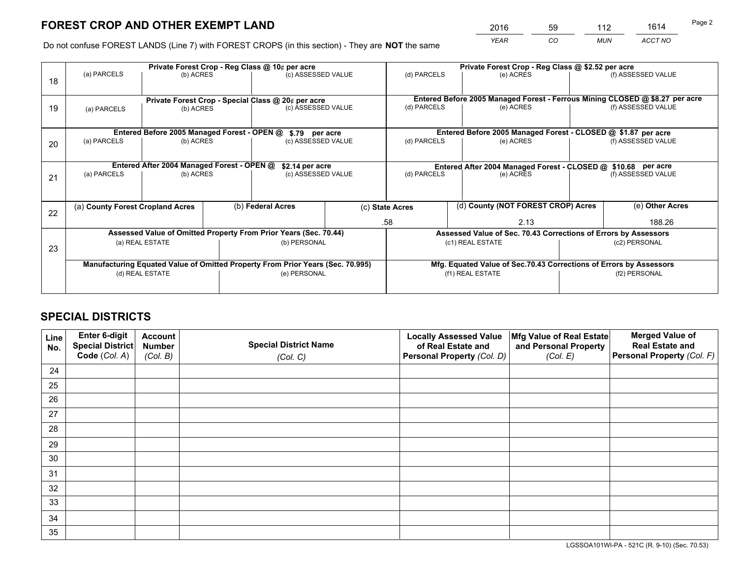*YEAR CO MUN ACCT NO* <sup>2016</sup> <sup>59</sup> <sup>112</sup> <sup>1614</sup>

Do not confuse FOREST LANDS (Line 7) with FOREST CROPS (in this section) - They are **NOT** the same

|                                                                  | Private Forest Crop - Reg Class @ 10¢ per acre                                                                                                       |                                             |  |                                                    |                                                                 | Private Forest Crop - Reg Class @ \$2.52 per acre |                                                               |  |                                                                              |  |
|------------------------------------------------------------------|------------------------------------------------------------------------------------------------------------------------------------------------------|---------------------------------------------|--|----------------------------------------------------|-----------------------------------------------------------------|---------------------------------------------------|---------------------------------------------------------------|--|------------------------------------------------------------------------------|--|
| 18                                                               | (a) PARCELS                                                                                                                                          | (b) ACRES                                   |  | (c) ASSESSED VALUE                                 |                                                                 | (d) PARCELS                                       | (e) ACRES                                                     |  | (f) ASSESSED VALUE                                                           |  |
|                                                                  |                                                                                                                                                      |                                             |  |                                                    |                                                                 |                                                   |                                                               |  |                                                                              |  |
|                                                                  |                                                                                                                                                      |                                             |  | Private Forest Crop - Special Class @ 20¢ per acre |                                                                 |                                                   |                                                               |  | Entered Before 2005 Managed Forest - Ferrous Mining CLOSED @ \$8.27 per acre |  |
| 19                                                               | (a) PARCELS                                                                                                                                          | (b) ACRES                                   |  | (c) ASSESSED VALUE                                 |                                                                 | (d) PARCELS                                       | (e) ACRES                                                     |  | (f) ASSESSED VALUE                                                           |  |
|                                                                  |                                                                                                                                                      |                                             |  |                                                    |                                                                 |                                                   |                                                               |  |                                                                              |  |
|                                                                  |                                                                                                                                                      | Entered Before 2005 Managed Forest - OPEN @ |  | \$.79 per acre                                     |                                                                 |                                                   | Entered Before 2005 Managed Forest - CLOSED @ \$1.87 per acre |  |                                                                              |  |
| 20                                                               | (a) PARCELS                                                                                                                                          | (b) ACRES                                   |  | (c) ASSESSED VALUE                                 |                                                                 | (d) PARCELS                                       | (e) ACRES                                                     |  | (f) ASSESSED VALUE                                                           |  |
|                                                                  |                                                                                                                                                      |                                             |  |                                                    |                                                                 |                                                   |                                                               |  |                                                                              |  |
| Entered After 2004 Managed Forest - OPEN @<br>\$2.14 per acre    |                                                                                                                                                      |                                             |  |                                                    |                                                                 |                                                   | Entered After 2004 Managed Forest - CLOSED @ \$10.68 per acre |  |                                                                              |  |
| 21                                                               | (a) PARCELS                                                                                                                                          | (b) ACRES                                   |  | (c) ASSESSED VALUE                                 |                                                                 | (d) PARCELS                                       | (e) ACRES                                                     |  |                                                                              |  |
|                                                                  |                                                                                                                                                      |                                             |  |                                                    |                                                                 |                                                   |                                                               |  |                                                                              |  |
|                                                                  |                                                                                                                                                      |                                             |  |                                                    |                                                                 |                                                   | (d) County (NOT FOREST CROP) Acres                            |  |                                                                              |  |
| 22                                                               | (a) County Forest Cropland Acres                                                                                                                     |                                             |  | (b) Federal Acres                                  |                                                                 | (c) State Acres                                   |                                                               |  | (e) Other Acres                                                              |  |
|                                                                  |                                                                                                                                                      |                                             |  |                                                    |                                                                 | .58<br>2.13                                       |                                                               |  | 188.26                                                                       |  |
| Assessed Value of Omitted Property From Prior Years (Sec. 70.44) |                                                                                                                                                      |                                             |  |                                                    | Assessed Value of Sec. 70.43 Corrections of Errors by Assessors |                                                   |                                                               |  |                                                                              |  |
| 23                                                               | (a) REAL ESTATE                                                                                                                                      |                                             |  | (b) PERSONAL                                       |                                                                 | (c1) REAL ESTATE                                  |                                                               |  | (c2) PERSONAL                                                                |  |
|                                                                  |                                                                                                                                                      |                                             |  |                                                    |                                                                 |                                                   |                                                               |  |                                                                              |  |
|                                                                  | Manufacturing Equated Value of Omitted Property From Prior Years (Sec. 70.995)<br>Mfg. Equated Value of Sec.70.43 Corrections of Errors by Assessors |                                             |  |                                                    |                                                                 |                                                   |                                                               |  |                                                                              |  |
|                                                                  | (d) REAL ESTATE                                                                                                                                      |                                             |  | (e) PERSONAL                                       |                                                                 | (f1) REAL ESTATE                                  |                                                               |  | (f2) PERSONAL                                                                |  |
|                                                                  |                                                                                                                                                      |                                             |  |                                                    |                                                                 |                                                   |                                                               |  |                                                                              |  |

## **SPECIAL DISTRICTS**

| Line<br>No. | Enter 6-digit<br>Special District<br>Code (Col. A) | <b>Account</b><br><b>Number</b> | <b>Special District Name</b> | <b>Locally Assessed Value</b><br>of Real Estate and | Mfg Value of Real Estate<br>and Personal Property | <b>Merged Value of</b><br><b>Real Estate and</b><br>Personal Property (Col. F) |
|-------------|----------------------------------------------------|---------------------------------|------------------------------|-----------------------------------------------------|---------------------------------------------------|--------------------------------------------------------------------------------|
|             |                                                    | (Col. B)                        | (Col. C)                     | Personal Property (Col. D)                          | (Col. E)                                          |                                                                                |
| 24          |                                                    |                                 |                              |                                                     |                                                   |                                                                                |
| 25          |                                                    |                                 |                              |                                                     |                                                   |                                                                                |
| 26          |                                                    |                                 |                              |                                                     |                                                   |                                                                                |
| 27          |                                                    |                                 |                              |                                                     |                                                   |                                                                                |
| 28          |                                                    |                                 |                              |                                                     |                                                   |                                                                                |
| 29          |                                                    |                                 |                              |                                                     |                                                   |                                                                                |
| 30          |                                                    |                                 |                              |                                                     |                                                   |                                                                                |
| 31          |                                                    |                                 |                              |                                                     |                                                   |                                                                                |
| 32          |                                                    |                                 |                              |                                                     |                                                   |                                                                                |
| 33          |                                                    |                                 |                              |                                                     |                                                   |                                                                                |
| 34          |                                                    |                                 |                              |                                                     |                                                   |                                                                                |
| 35          |                                                    |                                 |                              |                                                     |                                                   |                                                                                |

LGSSOA101WI-PA - 521C (R. 9-10) (Sec. 70.53)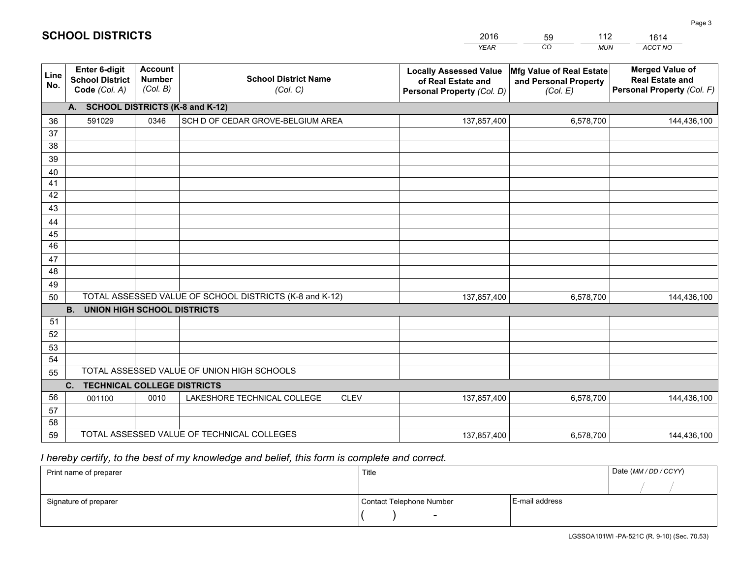|             |                                                          |                                             |                                                         | <b>YEAR</b>                                                                       | CO<br><b>MUN</b>                                              | ACCT NO                                                                        |  |  |
|-------------|----------------------------------------------------------|---------------------------------------------|---------------------------------------------------------|-----------------------------------------------------------------------------------|---------------------------------------------------------------|--------------------------------------------------------------------------------|--|--|
| Line<br>No. | Enter 6-digit<br><b>School District</b><br>Code (Col. A) | <b>Account</b><br><b>Number</b><br>(Col. B) | <b>School District Name</b><br>(Col. C)                 | <b>Locally Assessed Value</b><br>of Real Estate and<br>Personal Property (Col. D) | Mfg Value of Real Estate<br>and Personal Property<br>(Col. E) | <b>Merged Value of</b><br><b>Real Estate and</b><br>Personal Property (Col. F) |  |  |
|             | A. SCHOOL DISTRICTS (K-8 and K-12)                       |                                             |                                                         |                                                                                   |                                                               |                                                                                |  |  |
| 36          | 591029                                                   | 0346                                        | SCH D OF CEDAR GROVE-BELGIUM AREA                       | 137,857,400                                                                       | 6,578,700                                                     | 144,436,100                                                                    |  |  |
| 37          |                                                          |                                             |                                                         |                                                                                   |                                                               |                                                                                |  |  |
| 38          |                                                          |                                             |                                                         |                                                                                   |                                                               |                                                                                |  |  |
| 39          |                                                          |                                             |                                                         |                                                                                   |                                                               |                                                                                |  |  |
| 40          |                                                          |                                             |                                                         |                                                                                   |                                                               |                                                                                |  |  |
| 41<br>42    |                                                          |                                             |                                                         |                                                                                   |                                                               |                                                                                |  |  |
| 43          |                                                          |                                             |                                                         |                                                                                   |                                                               |                                                                                |  |  |
| 44          |                                                          |                                             |                                                         |                                                                                   |                                                               |                                                                                |  |  |
| 45          |                                                          |                                             |                                                         |                                                                                   |                                                               |                                                                                |  |  |
| 46          |                                                          |                                             |                                                         |                                                                                   |                                                               |                                                                                |  |  |
| 47          |                                                          |                                             |                                                         |                                                                                   |                                                               |                                                                                |  |  |
| 48          |                                                          |                                             |                                                         |                                                                                   |                                                               |                                                                                |  |  |
| 49          |                                                          |                                             |                                                         |                                                                                   |                                                               |                                                                                |  |  |
| 50          |                                                          |                                             | TOTAL ASSESSED VALUE OF SCHOOL DISTRICTS (K-8 and K-12) | 137,857,400                                                                       | 6,578,700                                                     | 144,436,100                                                                    |  |  |
|             | <b>B.</b><br><b>UNION HIGH SCHOOL DISTRICTS</b>          |                                             |                                                         |                                                                                   |                                                               |                                                                                |  |  |
| 51          |                                                          |                                             |                                                         |                                                                                   |                                                               |                                                                                |  |  |
| 52          |                                                          |                                             |                                                         |                                                                                   |                                                               |                                                                                |  |  |
| 53          |                                                          |                                             |                                                         |                                                                                   |                                                               |                                                                                |  |  |
| 54          |                                                          |                                             | TOTAL ASSESSED VALUE OF UNION HIGH SCHOOLS              |                                                                                   |                                                               |                                                                                |  |  |
|             | 55<br>C.<br><b>TECHNICAL COLLEGE DISTRICTS</b>           |                                             |                                                         |                                                                                   |                                                               |                                                                                |  |  |
| 56          | 001100                                                   | 0010                                        | LAKESHORE TECHNICAL COLLEGE<br><b>CLEV</b>              | 137,857,400                                                                       | 6,578,700                                                     | 144,436,100                                                                    |  |  |
| 57          |                                                          |                                             |                                                         |                                                                                   |                                                               |                                                                                |  |  |
| 58          |                                                          |                                             |                                                         |                                                                                   |                                                               |                                                                                |  |  |
| 59          |                                                          |                                             | TOTAL ASSESSED VALUE OF TECHNICAL COLLEGES              | 137,857,400                                                                       | 6,578,700                                                     | 144,436,100                                                                    |  |  |

59

112

 *I hereby certify, to the best of my knowledge and belief, this form is complete and correct.*

**SCHOOL DISTRICTS**

| Print name of preparer | Title                    | Date (MM / DD / CCYY) |  |
|------------------------|--------------------------|-----------------------|--|
|                        |                          |                       |  |
| Signature of preparer  | Contact Telephone Number | E-mail address        |  |
|                        | $\sim$                   |                       |  |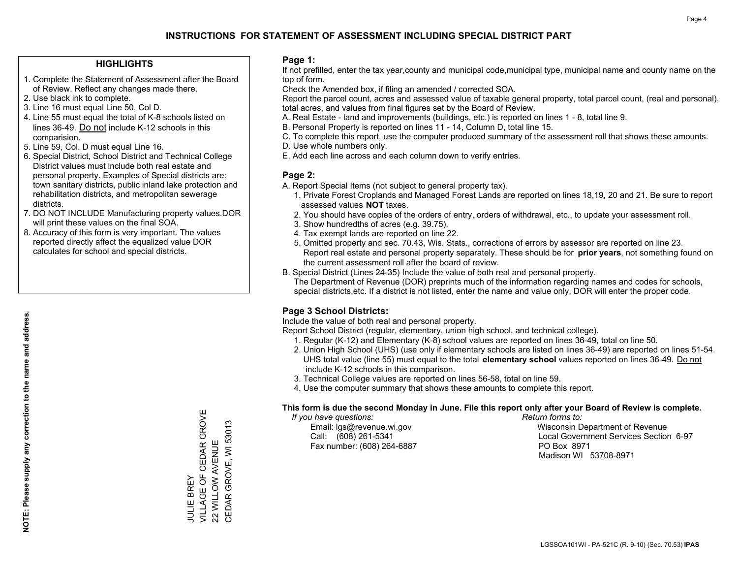#### **HIGHLIGHTS**

- 1. Complete the Statement of Assessment after the Board of Review. Reflect any changes made there.
- 2. Use black ink to complete.
- 3. Line 16 must equal Line 50, Col D.
- 4. Line 55 must equal the total of K-8 schools listed on lines 36-49. Do not include K-12 schools in this comparision.
- 5. Line 59, Col. D must equal Line 16.
- 6. Special District, School District and Technical College District values must include both real estate and personal property. Examples of Special districts are: town sanitary districts, public inland lake protection and rehabilitation districts, and metropolitan sewerage districts.
- 7. DO NOT INCLUDE Manufacturing property values.DOR will print these values on the final SOA.
- 8. Accuracy of this form is very important. The values reported directly affect the equalized value DOR calculates for school and special districts.

#### **Page 1:**

 If not prefilled, enter the tax year,county and municipal code,municipal type, municipal name and county name on the top of form.

Check the Amended box, if filing an amended / corrected SOA.

 Report the parcel count, acres and assessed value of taxable general property, total parcel count, (real and personal), total acres, and values from final figures set by the Board of Review.

- A. Real Estate land and improvements (buildings, etc.) is reported on lines 1 8, total line 9.
- B. Personal Property is reported on lines 11 14, Column D, total line 15.
- C. To complete this report, use the computer produced summary of the assessment roll that shows these amounts.
- D. Use whole numbers only.
- E. Add each line across and each column down to verify entries.

### **Page 2:**

- A. Report Special Items (not subject to general property tax).
- 1. Private Forest Croplands and Managed Forest Lands are reported on lines 18,19, 20 and 21. Be sure to report assessed values **NOT** taxes.
- 2. You should have copies of the orders of entry, orders of withdrawal, etc., to update your assessment roll.
	- 3. Show hundredths of acres (e.g. 39.75).
- 4. Tax exempt lands are reported on line 22.
- 5. Omitted property and sec. 70.43, Wis. Stats., corrections of errors by assessor are reported on line 23. Report real estate and personal property separately. These should be for **prior years**, not something found on the current assessment roll after the board of review.
- B. Special District (Lines 24-35) Include the value of both real and personal property.
- The Department of Revenue (DOR) preprints much of the information regarding names and codes for schools, special districts,etc. If a district is not listed, enter the name and value only, DOR will enter the proper code.

## **Page 3 School Districts:**

Include the value of both real and personal property.

Report School District (regular, elementary, union high school, and technical college).

- 1. Regular (K-12) and Elementary (K-8) school values are reported on lines 36-49, total on line 50.
- 2. Union High School (UHS) (use only if elementary schools are listed on lines 36-49) are reported on lines 51-54. UHS total value (line 55) must equal to the total **elementary school** values reported on lines 36-49. Do notinclude K-12 schools in this comparison.
- 3. Technical College values are reported on lines 56-58, total on line 59.
- 4. Use the computer summary that shows these amounts to complete this report.

#### **This form is due the second Monday in June. File this report only after your Board of Review is complete.**

 *If you have questions: Return forms to:*

Fax number: (608) 264-6887 PO Box 8971

 Email: lgs@revenue.wi.gov Wisconsin Department of Revenue Call: (608) 261-5341 Local Government Services Section 6-97Madison WI 53708-8971

VILLAGE OF CEDAR GROVE JULIE BREY<br>VILLAGE OF CEDAR GROVE CEDAR GROVE, WI 53013 CEDAR GROVE, WI 53013 22 WILLOW AVENUE 22 WILLOW AVENUE JULIE BREY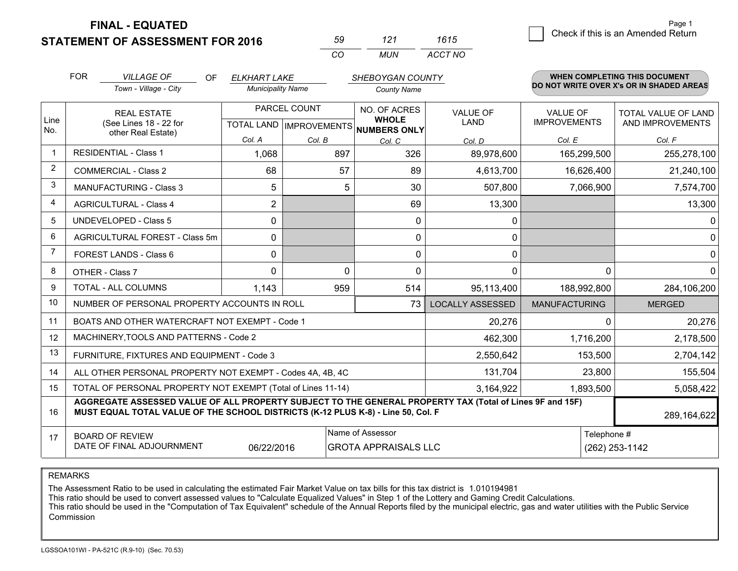**STATEMENT OF ASSESSMENT FOR 2016** 

**FINAL - EQUATED**

| 50 | 121 | 1615    |
|----|-----|---------|
| ΓO | MUN | ACCT NO |

|                | <b>FOR</b>                                                                                                                                                                                   | <b>VILLAGE OF</b><br><b>OF</b><br><b>ELKHART LAKE</b><br>SHEBOYGAN COUNTY |                                                      |          |                    | <b>WHEN COMPLETING THIS DOCUMENT</b> |                                |                                          |                                         |
|----------------|----------------------------------------------------------------------------------------------------------------------------------------------------------------------------------------------|---------------------------------------------------------------------------|------------------------------------------------------|----------|--------------------|--------------------------------------|--------------------------------|------------------------------------------|-----------------------------------------|
|                |                                                                                                                                                                                              | Town - Village - City                                                     | <b>Municipality Name</b>                             |          | <b>County Name</b> |                                      |                                | DO NOT WRITE OVER X's OR IN SHADED AREAS |                                         |
| Line<br>No.    | <b>REAL ESTATE</b><br>(See Lines 18 - 22 for                                                                                                                                                 |                                                                           | PARCEL COUNT<br>TOTAL LAND IMPROVEMENTS NUMBERS ONLY |          |                    | NO. OF ACRES<br><b>WHOLE</b>         | <b>VALUE OF</b><br><b>LAND</b> | <b>VALUE OF</b><br><b>IMPROVEMENTS</b>   | TOTAL VALUE OF LAND<br>AND IMPROVEMENTS |
|                |                                                                                                                                                                                              | other Real Estate)                                                        | Col. A                                               | Col. B   | Col. C             | Col. D                               | Col. E                         | Col. F                                   |                                         |
|                |                                                                                                                                                                                              | <b>RESIDENTIAL - Class 1</b>                                              | 1,068                                                | 897      | 326                | 89,978,600                           | 165,299,500                    | 255,278,100                              |                                         |
| $\overline{2}$ |                                                                                                                                                                                              | <b>COMMERCIAL - Class 2</b>                                               | 68                                                   | 57       | 89                 | 4,613,700                            | 16,626,400                     | 21,240,100                               |                                         |
| 3              |                                                                                                                                                                                              | <b>MANUFACTURING - Class 3</b>                                            | 5                                                    | 5        | 30                 | 507,800                              | 7,066,900                      | 7,574,700                                |                                         |
| $\overline{4}$ |                                                                                                                                                                                              | <b>AGRICULTURAL - Class 4</b>                                             | $\overline{2}$                                       |          | 69                 | 13,300                               |                                | 13,300                                   |                                         |
| 5              |                                                                                                                                                                                              | <b>UNDEVELOPED - Class 5</b>                                              | 0                                                    |          | $\mathbf{0}$       | 0                                    |                                | $\Omega$                                 |                                         |
| 6              |                                                                                                                                                                                              | AGRICULTURAL FOREST - Class 5m                                            | 0                                                    |          | $\mathbf{0}$       | 0                                    |                                | $\overline{0}$                           |                                         |
| 7              |                                                                                                                                                                                              | FOREST LANDS - Class 6                                                    | 0                                                    |          | $\Omega$           | 0                                    |                                | $\overline{0}$                           |                                         |
| 8              |                                                                                                                                                                                              | OTHER - Class 7                                                           | $\Omega$                                             | $\Omega$ | $\Omega$           | 0                                    | $\Omega$                       | $\overline{0}$                           |                                         |
| 9              |                                                                                                                                                                                              | TOTAL - ALL COLUMNS                                                       | 1,143                                                | 959      | 514                | 95,113,400                           | 188,992,800                    | 284,106,200                              |                                         |
| 10             |                                                                                                                                                                                              | NUMBER OF PERSONAL PROPERTY ACCOUNTS IN ROLL                              |                                                      |          | 73                 | <b>LOCALLY ASSESSED</b>              | <b>MANUFACTURING</b>           | <b>MERGED</b>                            |                                         |
| 11             |                                                                                                                                                                                              | BOATS AND OTHER WATERCRAFT NOT EXEMPT - Code 1                            |                                                      |          |                    | 20,276                               | 0                              | 20,276                                   |                                         |
| 12             |                                                                                                                                                                                              | MACHINERY, TOOLS AND PATTERNS - Code 2                                    |                                                      |          |                    | 462,300                              | 1,716,200                      | 2,178,500                                |                                         |
| 13             |                                                                                                                                                                                              | FURNITURE, FIXTURES AND EQUIPMENT - Code 3                                |                                                      |          |                    | 2,550,642                            | 153,500                        | 2,704,142                                |                                         |
| 14             |                                                                                                                                                                                              | ALL OTHER PERSONAL PROPERTY NOT EXEMPT - Codes 4A, 4B, 4C                 |                                                      |          |                    | 131,704                              | 23,800                         | 155,504                                  |                                         |
| 15             | TOTAL OF PERSONAL PROPERTY NOT EXEMPT (Total of Lines 11-14)<br>3,164,922<br>1,893,500                                                                                                       |                                                                           |                                                      |          |                    |                                      |                                | 5,058,422                                |                                         |
| 16             | AGGREGATE ASSESSED VALUE OF ALL PROPERTY SUBJECT TO THE GENERAL PROPERTY TAX (Total of Lines 9F and 15F)<br>MUST EQUAL TOTAL VALUE OF THE SCHOOL DISTRICTS (K-12 PLUS K-8) - Line 50, Col. F |                                                                           |                                                      |          |                    |                                      |                                | 289,164,622                              |                                         |
| 17             | Name of Assessor<br>Telephone #<br><b>BOARD OF REVIEW</b><br>DATE OF FINAL ADJOURNMENT<br>06/22/2016<br><b>GROTA APPRAISALS LLC</b>                                                          |                                                                           |                                                      |          |                    |                                      | (262) 253-1142                 |                                          |                                         |
|                |                                                                                                                                                                                              |                                                                           |                                                      |          |                    |                                      |                                |                                          |                                         |

REMARKS

The Assessment Ratio to be used in calculating the estimated Fair Market Value on tax bills for this tax district is 1.010194981

This ratio should be used to convert assessed values to "Calculate Equalized Values" in Step 1 of the Lottery and Gaming Credit Calculations.<br>This ratio should be used in the "Computation of Tax Equivalent" schedule of the Commission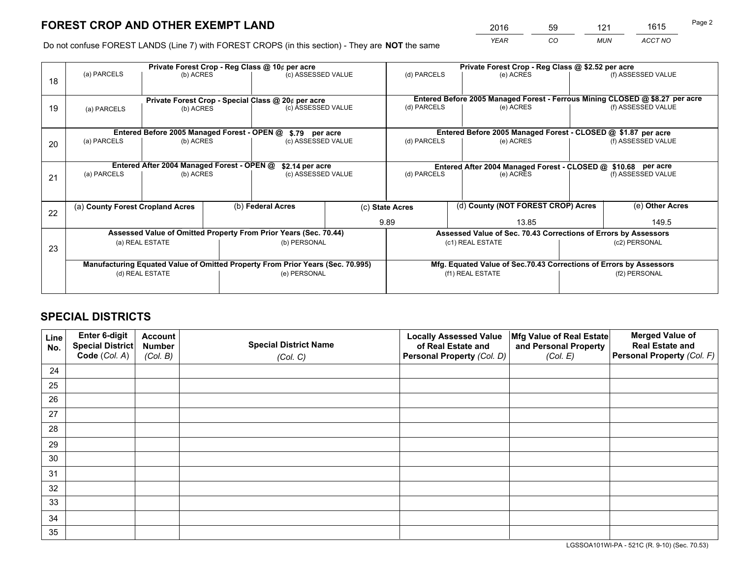*YEAR CO MUN ACCT NO* <sup>2016</sup> <sup>59</sup> <sup>121</sup> <sup>1615</sup>

Do not confuse FOREST LANDS (Line 7) with FOREST CROPS (in this section) - They are **NOT** the same

|    |                                                                                |                                             |  | Private Forest Crop - Reg Class @ 10¢ per acre                   |  | Private Forest Crop - Reg Class @ \$2.52 per acre                            |                                                                 |               |                    |  |
|----|--------------------------------------------------------------------------------|---------------------------------------------|--|------------------------------------------------------------------|--|------------------------------------------------------------------------------|-----------------------------------------------------------------|---------------|--------------------|--|
| 18 | (a) PARCELS                                                                    | (b) ACRES                                   |  | (c) ASSESSED VALUE                                               |  | (d) PARCELS                                                                  | (e) ACRES                                                       |               | (f) ASSESSED VALUE |  |
|    |                                                                                |                                             |  | Private Forest Crop - Special Class @ 20¢ per acre               |  | Entered Before 2005 Managed Forest - Ferrous Mining CLOSED @ \$8.27 per acre |                                                                 |               |                    |  |
| 19 | (a) PARCELS                                                                    | (b) ACRES                                   |  | (c) ASSESSED VALUE                                               |  | (d) PARCELS                                                                  | (e) ACRES                                                       |               | (f) ASSESSED VALUE |  |
|    |                                                                                | Entered Before 2005 Managed Forest - OPEN @ |  | \$.79 per acre                                                   |  |                                                                              | Entered Before 2005 Managed Forest - CLOSED @ \$1.87 per acre   |               |                    |  |
| 20 | (a) PARCELS                                                                    | (b) ACRES                                   |  | (c) ASSESSED VALUE                                               |  | (d) PARCELS                                                                  | (e) ACRES                                                       |               | (f) ASSESSED VALUE |  |
|    |                                                                                | Entered After 2004 Managed Forest - OPEN @  |  | \$2.14 per acre                                                  |  | Entered After 2004 Managed Forest - CLOSED @ \$10.68 per acre                |                                                                 |               |                    |  |
| 21 | (a) PARCELS                                                                    | (b) ACRES                                   |  | (c) ASSESSED VALUE                                               |  | (d) PARCELS                                                                  | (e) ACRES                                                       |               | (f) ASSESSED VALUE |  |
| 22 | (a) County Forest Cropland Acres                                               |                                             |  | (b) Federal Acres                                                |  | (c) State Acres                                                              | (d) County (NOT FOREST CROP) Acres                              |               | (e) Other Acres    |  |
|    |                                                                                |                                             |  |                                                                  |  | 9.89                                                                         | 13.85                                                           |               | 149.5              |  |
|    |                                                                                |                                             |  | Assessed Value of Omitted Property From Prior Years (Sec. 70.44) |  |                                                                              | Assessed Value of Sec. 70.43 Corrections of Errors by Assessors |               |                    |  |
| 23 | (a) REAL ESTATE                                                                |                                             |  | (b) PERSONAL                                                     |  | (c1) REAL ESTATE                                                             |                                                                 |               | (c2) PERSONAL      |  |
|    | Manufacturing Equated Value of Omitted Property From Prior Years (Sec. 70.995) |                                             |  |                                                                  |  | Mfg. Equated Value of Sec.70.43 Corrections of Errors by Assessors           |                                                                 |               |                    |  |
|    | (d) REAL ESTATE                                                                |                                             |  | (e) PERSONAL                                                     |  |                                                                              | (f1) REAL ESTATE                                                | (f2) PERSONAL |                    |  |
|    |                                                                                |                                             |  |                                                                  |  |                                                                              |                                                                 |               |                    |  |

## **SPECIAL DISTRICTS**

| Line<br>No. | Enter 6-digit<br><b>Special District</b> | <b>Account</b><br><b>Number</b> | <b>Special District Name</b> | <b>Locally Assessed Value</b><br>of Real Estate and | Mfg Value of Real Estate<br>and Personal Property | <b>Merged Value of</b><br><b>Real Estate and</b> |
|-------------|------------------------------------------|---------------------------------|------------------------------|-----------------------------------------------------|---------------------------------------------------|--------------------------------------------------|
|             | Code (Col. A)                            | (Col. B)                        | (Col. C)                     | Personal Property (Col. D)                          | (Col. E)                                          | Personal Property (Col. F)                       |
| 24          |                                          |                                 |                              |                                                     |                                                   |                                                  |
| 25          |                                          |                                 |                              |                                                     |                                                   |                                                  |
| 26          |                                          |                                 |                              |                                                     |                                                   |                                                  |
| 27          |                                          |                                 |                              |                                                     |                                                   |                                                  |
| 28          |                                          |                                 |                              |                                                     |                                                   |                                                  |
| 29          |                                          |                                 |                              |                                                     |                                                   |                                                  |
| 30          |                                          |                                 |                              |                                                     |                                                   |                                                  |
| 31          |                                          |                                 |                              |                                                     |                                                   |                                                  |
| 32          |                                          |                                 |                              |                                                     |                                                   |                                                  |
| 33          |                                          |                                 |                              |                                                     |                                                   |                                                  |
| 34          |                                          |                                 |                              |                                                     |                                                   |                                                  |
| 35          |                                          |                                 |                              |                                                     |                                                   |                                                  |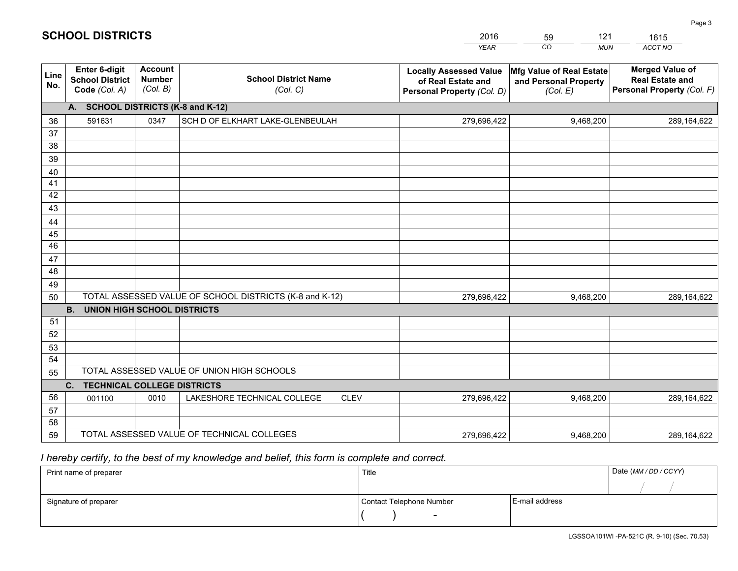|             |                                                                 |                                             |                                                         | <b>YEAR</b>                                                                       | CO<br><b>MUN</b>                                              | <b>ACCT NO</b>                                                                 |
|-------------|-----------------------------------------------------------------|---------------------------------------------|---------------------------------------------------------|-----------------------------------------------------------------------------------|---------------------------------------------------------------|--------------------------------------------------------------------------------|
| Line<br>No. | <b>Enter 6-digit</b><br><b>School District</b><br>Code (Col. A) | <b>Account</b><br><b>Number</b><br>(Col. B) | <b>School District Name</b><br>(Col. C)                 | <b>Locally Assessed Value</b><br>of Real Estate and<br>Personal Property (Col. D) | Mfg Value of Real Estate<br>and Personal Property<br>(Col. E) | <b>Merged Value of</b><br><b>Real Estate and</b><br>Personal Property (Col. F) |
|             | A. SCHOOL DISTRICTS (K-8 and K-12)                              |                                             |                                                         |                                                                                   |                                                               |                                                                                |
| 36          | 591631                                                          | 0347                                        | SCH D OF ELKHART LAKE-GLENBEULAH                        | 279,696,422                                                                       | 9,468,200                                                     | 289, 164, 622                                                                  |
| 37          |                                                                 |                                             |                                                         |                                                                                   |                                                               |                                                                                |
| 38          |                                                                 |                                             |                                                         |                                                                                   |                                                               |                                                                                |
| 39          |                                                                 |                                             |                                                         |                                                                                   |                                                               |                                                                                |
| 40          |                                                                 |                                             |                                                         |                                                                                   |                                                               |                                                                                |
| 41<br>42    |                                                                 |                                             |                                                         |                                                                                   |                                                               |                                                                                |
| 43          |                                                                 |                                             |                                                         |                                                                                   |                                                               |                                                                                |
| 44          |                                                                 |                                             |                                                         |                                                                                   |                                                               |                                                                                |
| 45          |                                                                 |                                             |                                                         |                                                                                   |                                                               |                                                                                |
| 46          |                                                                 |                                             |                                                         |                                                                                   |                                                               |                                                                                |
| 47          |                                                                 |                                             |                                                         |                                                                                   |                                                               |                                                                                |
| 48          |                                                                 |                                             |                                                         |                                                                                   |                                                               |                                                                                |
| 49          |                                                                 |                                             |                                                         |                                                                                   |                                                               |                                                                                |
| 50          |                                                                 |                                             | TOTAL ASSESSED VALUE OF SCHOOL DISTRICTS (K-8 and K-12) | 279,696,422                                                                       | 9,468,200                                                     | 289,164,622                                                                    |
|             | <b>B.</b><br><b>UNION HIGH SCHOOL DISTRICTS</b>                 |                                             |                                                         |                                                                                   |                                                               |                                                                                |
| 51          |                                                                 |                                             |                                                         |                                                                                   |                                                               |                                                                                |
| 52          |                                                                 |                                             |                                                         |                                                                                   |                                                               |                                                                                |
| 53          |                                                                 |                                             |                                                         |                                                                                   |                                                               |                                                                                |
| 54          |                                                                 |                                             | TOTAL ASSESSED VALUE OF UNION HIGH SCHOOLS              |                                                                                   |                                                               |                                                                                |
| 55          | C.<br><b>TECHNICAL COLLEGE DISTRICTS</b>                        |                                             |                                                         |                                                                                   |                                                               |                                                                                |
| 56          | 001100                                                          | 0010                                        | LAKESHORE TECHNICAL COLLEGE<br><b>CLEV</b>              | 279,696,422                                                                       | 9,468,200                                                     | 289,164,622                                                                    |
| 57          |                                                                 |                                             |                                                         |                                                                                   |                                                               |                                                                                |
| 58          |                                                                 |                                             |                                                         |                                                                                   |                                                               |                                                                                |
| 59          |                                                                 |                                             | TOTAL ASSESSED VALUE OF TECHNICAL COLLEGES              | 279,696,422                                                                       | 9,468,200                                                     | 289,164,622                                                                    |

59

121

 *I hereby certify, to the best of my knowledge and belief, this form is complete and correct.*

**SCHOOL DISTRICTS**

| Print name of preparer | Title                    |                | Date (MM / DD / CCYY) |
|------------------------|--------------------------|----------------|-----------------------|
|                        |                          |                |                       |
| Signature of preparer  | Contact Telephone Number | E-mail address |                       |
|                        | $\sim$                   |                |                       |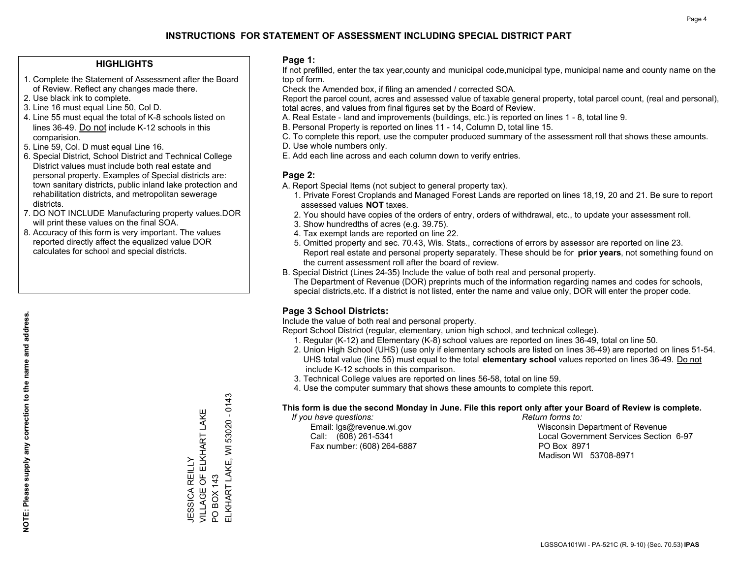#### **HIGHLIGHTS**

- 1. Complete the Statement of Assessment after the Board of Review. Reflect any changes made there.
- 2. Use black ink to complete.
- 3. Line 16 must equal Line 50, Col D.
- 4. Line 55 must equal the total of K-8 schools listed on lines 36-49. Do not include K-12 schools in this comparision.
- 5. Line 59, Col. D must equal Line 16.
- 6. Special District, School District and Technical College District values must include both real estate and personal property. Examples of Special districts are: town sanitary districts, public inland lake protection and rehabilitation districts, and metropolitan sewerage districts.
- 7. DO NOT INCLUDE Manufacturing property values.DOR will print these values on the final SOA.

JESSICA REILLY

VILLAGE OF ELKHART LAKE

JESSICA REILLY<br>VILLAGE OF ELKHART LAKE

PO BOX 143

PO BOX 143

ELKHART LAKE, WI 53020 - 0143

ELKHART LAKE, WI

53020 - 0143

 8. Accuracy of this form is very important. The values reported directly affect the equalized value DOR calculates for school and special districts.

#### **Page 1:**

 If not prefilled, enter the tax year,county and municipal code,municipal type, municipal name and county name on the top of form.

Check the Amended box, if filing an amended / corrected SOA.

 Report the parcel count, acres and assessed value of taxable general property, total parcel count, (real and personal), total acres, and values from final figures set by the Board of Review.

- A. Real Estate land and improvements (buildings, etc.) is reported on lines 1 8, total line 9.
- B. Personal Property is reported on lines 11 14, Column D, total line 15.
- C. To complete this report, use the computer produced summary of the assessment roll that shows these amounts.
- D. Use whole numbers only.
- E. Add each line across and each column down to verify entries.

#### **Page 2:**

- A. Report Special Items (not subject to general property tax).
- 1. Private Forest Croplands and Managed Forest Lands are reported on lines 18,19, 20 and 21. Be sure to report assessed values **NOT** taxes.
- 2. You should have copies of the orders of entry, orders of withdrawal, etc., to update your assessment roll.
	- 3. Show hundredths of acres (e.g. 39.75).
- 4. Tax exempt lands are reported on line 22.
- 5. Omitted property and sec. 70.43, Wis. Stats., corrections of errors by assessor are reported on line 23. Report real estate and personal property separately. These should be for **prior years**, not something found on the current assessment roll after the board of review.
- B. Special District (Lines 24-35) Include the value of both real and personal property.
- The Department of Revenue (DOR) preprints much of the information regarding names and codes for schools, special districts,etc. If a district is not listed, enter the name and value only, DOR will enter the proper code.

### **Page 3 School Districts:**

Include the value of both real and personal property.

Report School District (regular, elementary, union high school, and technical college).

- 1. Regular (K-12) and Elementary (K-8) school values are reported on lines 36-49, total on line 50.
- 2. Union High School (UHS) (use only if elementary schools are listed on lines 36-49) are reported on lines 51-54. UHS total value (line 55) must equal to the total **elementary school** values reported on lines 36-49. Do notinclude K-12 schools in this comparison.
- 3. Technical College values are reported on lines 56-58, total on line 59.
- 4. Use the computer summary that shows these amounts to complete this report.

#### **This form is due the second Monday in June. File this report only after your Board of Review is complete.**

 *If you have questions: Return forms to:*

Fax number: (608) 264-6887 PO Box 8971

 Email: lgs@revenue.wi.gov Wisconsin Department of Revenue Call: (608) 261-5341 Local Government Services Section 6-97Madison WI 53708-8971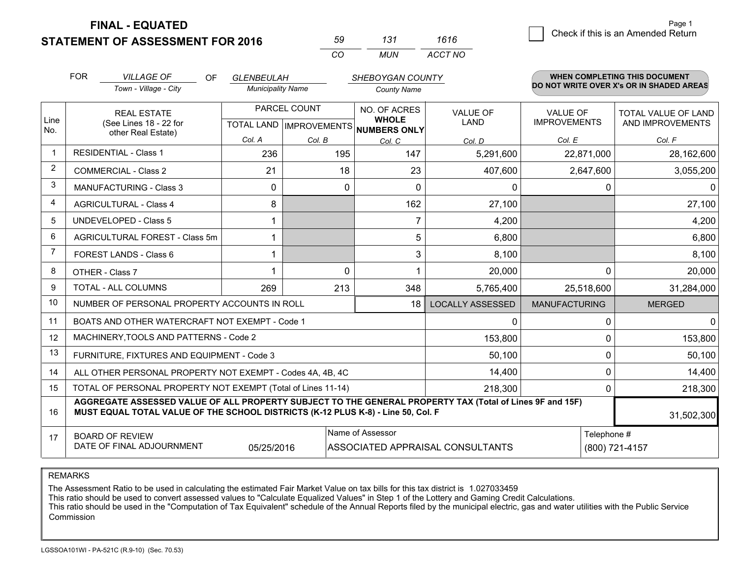**STATEMENT OF ASSESSMENT FOR 2016** 

**FINAL - EQUATED**

| 59 | 131 | 1616    |
|----|-----|---------|
| (  | MUN | ACCT NO |

|                | <b>FOR</b>                                                                                                                                                                                   | <b>VILLAGE OF</b><br><b>OF</b>                                                                                                       | <b>GLENBEULAH</b>        |                                | <b>SHEBOYGAN COUNTY</b>         |                                         |                      | <b>WHEN COMPLETING THIS DOCUMENT</b>     |
|----------------|----------------------------------------------------------------------------------------------------------------------------------------------------------------------------------------------|--------------------------------------------------------------------------------------------------------------------------------------|--------------------------|--------------------------------|---------------------------------|-----------------------------------------|----------------------|------------------------------------------|
|                |                                                                                                                                                                                              | Town - Village - City                                                                                                                | <b>Municipality Name</b> |                                | <b>County Name</b>              |                                         |                      | DO NOT WRITE OVER X's OR IN SHADED AREAS |
| Line<br>No.    |                                                                                                                                                                                              | PARCEL COUNT<br>NO. OF ACRES<br><b>REAL ESTATE</b><br><b>WHOLE</b><br>(See Lines 18 - 22 for<br>TOTAL LAND IMPROVEMENTS NUMBERS ONLY |                          | <b>VALUE OF</b><br><b>LAND</b> | VALUE OF<br><b>IMPROVEMENTS</b> | TOTAL VALUE OF LAND<br>AND IMPROVEMENTS |                      |                                          |
|                |                                                                                                                                                                                              | other Real Estate)                                                                                                                   | Col. A                   | Col. B                         | Col. C                          | Col. D                                  | Col. E               | Col. F                                   |
| -1             |                                                                                                                                                                                              | <b>RESIDENTIAL - Class 1</b>                                                                                                         | 236                      | 195                            | 147                             | 5,291,600                               | 22,871,000           | 28,162,600                               |
| $\overline{2}$ |                                                                                                                                                                                              | <b>COMMERCIAL - Class 2</b>                                                                                                          | 21                       | 18                             | 23                              | 407,600                                 | 2,647,600            | 3,055,200                                |
| 3              |                                                                                                                                                                                              | <b>MANUFACTURING - Class 3</b>                                                                                                       | 0                        | $\Omega$                       | $\Omega$                        | 0                                       | 0                    | $\Omega$                                 |
| 4              |                                                                                                                                                                                              | <b>AGRICULTURAL - Class 4</b>                                                                                                        | 8                        |                                | 162                             | 27,100                                  |                      | 27,100                                   |
| 5              |                                                                                                                                                                                              | <b>UNDEVELOPED - Class 5</b>                                                                                                         |                          |                                | 7                               | 4,200                                   |                      | 4,200                                    |
| 6              |                                                                                                                                                                                              | AGRICULTURAL FOREST - Class 5m                                                                                                       |                          |                                | 5                               | 6,800                                   |                      | 6,800                                    |
| $\overline{7}$ |                                                                                                                                                                                              | FOREST LANDS - Class 6                                                                                                               |                          |                                | 3                               | 8,100                                   |                      | 8,100                                    |
| 8              |                                                                                                                                                                                              | OTHER - Class 7                                                                                                                      |                          | $\Omega$                       |                                 | 20,000                                  | $\Omega$             | 20,000                                   |
| 9              |                                                                                                                                                                                              | TOTAL - ALL COLUMNS                                                                                                                  | 269                      | 213                            | 348                             | 5,765,400                               | 25,518,600           | 31,284,000                               |
| 10             |                                                                                                                                                                                              | NUMBER OF PERSONAL PROPERTY ACCOUNTS IN ROLL                                                                                         |                          |                                | 18                              | <b>LOCALLY ASSESSED</b>                 | <b>MANUFACTURING</b> | <b>MERGED</b>                            |
| 11             |                                                                                                                                                                                              | BOATS AND OTHER WATERCRAFT NOT EXEMPT - Code 1                                                                                       |                          |                                |                                 | 0                                       | 0                    | $\overline{0}$                           |
| 12             |                                                                                                                                                                                              | MACHINERY, TOOLS AND PATTERNS - Code 2                                                                                               |                          |                                |                                 | 153,800                                 | $\Omega$             | 153,800                                  |
| 13             |                                                                                                                                                                                              | FURNITURE, FIXTURES AND EQUIPMENT - Code 3                                                                                           |                          |                                |                                 | 50,100                                  | 0                    | 50,100                                   |
| 14             | 14,400<br>ALL OTHER PERSONAL PROPERTY NOT EXEMPT - Codes 4A, 4B, 4C                                                                                                                          |                                                                                                                                      |                          |                                |                                 |                                         |                      | 14,400                                   |
| 15             | TOTAL OF PERSONAL PROPERTY NOT EXEMPT (Total of Lines 11-14)<br>218,300                                                                                                                      |                                                                                                                                      |                          |                                |                                 |                                         | 0                    | 218,300                                  |
| 16             | AGGREGATE ASSESSED VALUE OF ALL PROPERTY SUBJECT TO THE GENERAL PROPERTY TAX (Total of Lines 9F and 15F)<br>MUST EQUAL TOTAL VALUE OF THE SCHOOL DISTRICTS (K-12 PLUS K-8) - Line 50, Col. F |                                                                                                                                      |                          |                                |                                 |                                         | 31,502,300           |                                          |
| 17             | Name of Assessor<br>Telephone #<br><b>BOARD OF REVIEW</b><br>DATE OF FINAL ADJOURNMENT<br>05/25/2016<br>ASSOCIATED APPRAISAL CONSULTANTS<br>(800) 721-4157                                   |                                                                                                                                      |                          |                                |                                 |                                         |                      |                                          |

REMARKS

The Assessment Ratio to be used in calculating the estimated Fair Market Value on tax bills for this tax district is 1.027033459

This ratio should be used to convert assessed values to "Calculate Equalized Values" in Step 1 of the Lottery and Gaming Credit Calculations.<br>This ratio should be used in the "Computation of Tax Equivalent" schedule of the Commission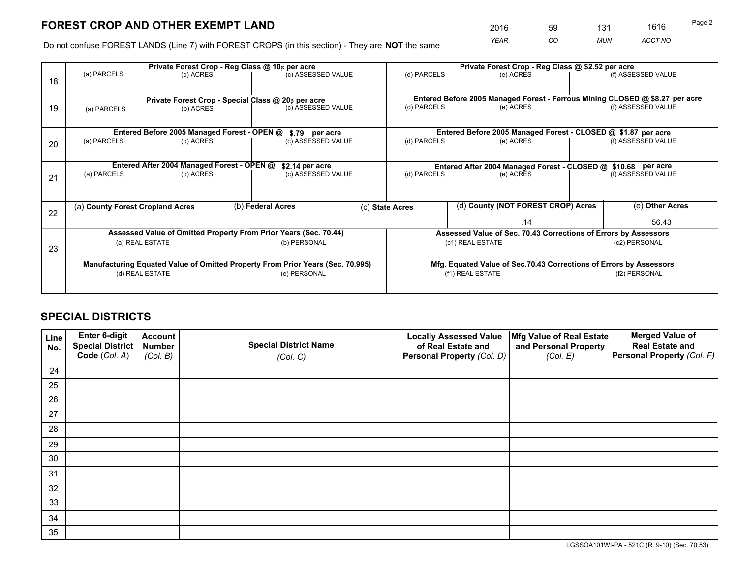*YEAR CO MUN ACCT NO* <sup>2016</sup> <sup>59</sup> <sup>131</sup> <sup>1616</sup>

Do not confuse FOREST LANDS (Line 7) with FOREST CROPS (in this section) - They are **NOT** the same

|    |                                                                                |                                             |  | Private Forest Crop - Reg Class @ 10¢ per acre                   |  | Private Forest Crop - Reg Class @ \$2.52 per acre                            |                                                                    |                                                                 |                    |                    |
|----|--------------------------------------------------------------------------------|---------------------------------------------|--|------------------------------------------------------------------|--|------------------------------------------------------------------------------|--------------------------------------------------------------------|-----------------------------------------------------------------|--------------------|--------------------|
| 18 | (a) PARCELS                                                                    | (b) ACRES                                   |  | (c) ASSESSED VALUE                                               |  | (d) PARCELS                                                                  |                                                                    | (e) ACRES                                                       |                    | (f) ASSESSED VALUE |
|    |                                                                                |                                             |  | Private Forest Crop - Special Class @ 20¢ per acre               |  | Entered Before 2005 Managed Forest - Ferrous Mining CLOSED @ \$8.27 per acre |                                                                    |                                                                 |                    |                    |
| 19 | (a) PARCELS                                                                    | (b) ACRES                                   |  | (c) ASSESSED VALUE                                               |  | (d) PARCELS                                                                  |                                                                    | (e) ACRES                                                       |                    | (f) ASSESSED VALUE |
|    |                                                                                | Entered Before 2005 Managed Forest - OPEN @ |  | \$.79 per acre                                                   |  |                                                                              |                                                                    | Entered Before 2005 Managed Forest - CLOSED @ \$1.87 per acre   |                    |                    |
| 20 | (a) PARCELS                                                                    | (b) ACRES                                   |  | (c) ASSESSED VALUE                                               |  | (d) PARCELS                                                                  |                                                                    | (e) ACRES                                                       |                    | (f) ASSESSED VALUE |
|    |                                                                                |                                             |  |                                                                  |  |                                                                              |                                                                    |                                                                 |                    |                    |
|    | Entered After 2004 Managed Forest - OPEN @<br>\$2.14 per acre                  |                                             |  |                                                                  |  | Entered After 2004 Managed Forest - CLOSED @ \$10.68 per acre                |                                                                    |                                                                 |                    |                    |
| 21 | (a) PARCELS                                                                    | (b) ACRES                                   |  | (c) ASSESSED VALUE                                               |  | (d) PARCELS<br>(e) ACRES                                                     |                                                                    |                                                                 | (f) ASSESSED VALUE |                    |
|    |                                                                                |                                             |  |                                                                  |  |                                                                              |                                                                    |                                                                 |                    |                    |
|    | (a) County Forest Cropland Acres                                               |                                             |  | (b) Federal Acres                                                |  | (c) State Acres                                                              |                                                                    | (d) County (NOT FOREST CROP) Acres                              |                    | (e) Other Acres    |
| 22 |                                                                                |                                             |  |                                                                  |  |                                                                              |                                                                    | .14                                                             |                    | 56.43              |
|    |                                                                                |                                             |  | Assessed Value of Omitted Property From Prior Years (Sec. 70.44) |  |                                                                              |                                                                    | Assessed Value of Sec. 70.43 Corrections of Errors by Assessors |                    |                    |
|    |                                                                                | (a) REAL ESTATE                             |  | (b) PERSONAL                                                     |  | (c1) REAL ESTATE                                                             |                                                                    | (c2) PERSONAL                                                   |                    |                    |
| 23 |                                                                                |                                             |  |                                                                  |  |                                                                              |                                                                    |                                                                 |                    |                    |
|    | Manufacturing Equated Value of Omitted Property From Prior Years (Sec. 70.995) |                                             |  |                                                                  |  |                                                                              | Mfg. Equated Value of Sec.70.43 Corrections of Errors by Assessors |                                                                 |                    |                    |
|    |                                                                                | (d) REAL ESTATE                             |  | (e) PERSONAL                                                     |  |                                                                              | (f1) REAL ESTATE                                                   |                                                                 |                    | (f2) PERSONAL      |
|    |                                                                                |                                             |  |                                                                  |  |                                                                              |                                                                    |                                                                 |                    |                    |

## **SPECIAL DISTRICTS**

| Line<br>No. | Enter 6-digit<br>Special District<br>Code (Col. A) | <b>Account</b><br><b>Number</b> | <b>Special District Name</b> | <b>Locally Assessed Value</b><br>of Real Estate and | Mfg Value of Real Estate<br>and Personal Property | <b>Merged Value of</b><br><b>Real Estate and</b><br>Personal Property (Col. F) |
|-------------|----------------------------------------------------|---------------------------------|------------------------------|-----------------------------------------------------|---------------------------------------------------|--------------------------------------------------------------------------------|
|             |                                                    | (Col. B)                        | (Col. C)                     | Personal Property (Col. D)                          | (Col. E)                                          |                                                                                |
| 24          |                                                    |                                 |                              |                                                     |                                                   |                                                                                |
| 25          |                                                    |                                 |                              |                                                     |                                                   |                                                                                |
| 26          |                                                    |                                 |                              |                                                     |                                                   |                                                                                |
| 27          |                                                    |                                 |                              |                                                     |                                                   |                                                                                |
| 28          |                                                    |                                 |                              |                                                     |                                                   |                                                                                |
| 29          |                                                    |                                 |                              |                                                     |                                                   |                                                                                |
| 30          |                                                    |                                 |                              |                                                     |                                                   |                                                                                |
| 31          |                                                    |                                 |                              |                                                     |                                                   |                                                                                |
| 32          |                                                    |                                 |                              |                                                     |                                                   |                                                                                |
| 33          |                                                    |                                 |                              |                                                     |                                                   |                                                                                |
| 34          |                                                    |                                 |                              |                                                     |                                                   |                                                                                |
| 35          |                                                    |                                 |                              |                                                     |                                                   |                                                                                |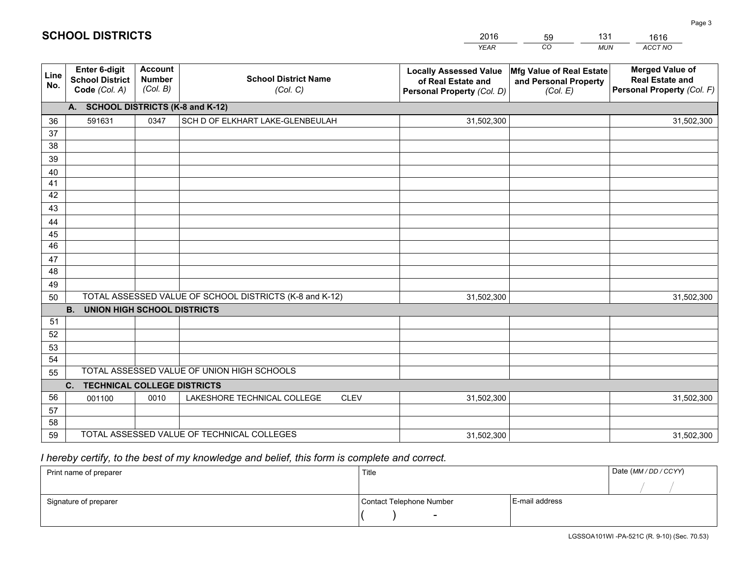| <b>Account</b><br>Enter 6-digit<br><b>Merged Value of</b><br>Mfg Value of Real Estate<br><b>Locally Assessed Value</b><br>Line<br><b>School District Name</b><br><b>Number</b><br><b>School District</b><br><b>Real Estate and</b><br>of Real Estate and<br>and Personal Property<br>No.<br>(Col. B) | Personal Property (Col. F) |
|------------------------------------------------------------------------------------------------------------------------------------------------------------------------------------------------------------------------------------------------------------------------------------------------------|----------------------------|
| Code (Col. A)<br>(Col. C)<br>Personal Property (Col. D)<br>(Col. E)                                                                                                                                                                                                                                  |                            |
| A. SCHOOL DISTRICTS (K-8 and K-12)                                                                                                                                                                                                                                                                   |                            |
| 591631<br>0347<br>SCH D OF ELKHART LAKE-GLENBEULAH<br>36<br>31,502,300                                                                                                                                                                                                                               | 31,502,300                 |
| 37                                                                                                                                                                                                                                                                                                   |                            |
| 38                                                                                                                                                                                                                                                                                                   |                            |
| 39                                                                                                                                                                                                                                                                                                   |                            |
| 40                                                                                                                                                                                                                                                                                                   |                            |
| 41<br>42                                                                                                                                                                                                                                                                                             |                            |
| 43                                                                                                                                                                                                                                                                                                   |                            |
| 44                                                                                                                                                                                                                                                                                                   |                            |
| 45                                                                                                                                                                                                                                                                                                   |                            |
| 46                                                                                                                                                                                                                                                                                                   |                            |
| 47                                                                                                                                                                                                                                                                                                   |                            |
| 48                                                                                                                                                                                                                                                                                                   |                            |
| 49                                                                                                                                                                                                                                                                                                   |                            |
| TOTAL ASSESSED VALUE OF SCHOOL DISTRICTS (K-8 and K-12)<br>31,502,300<br>50                                                                                                                                                                                                                          | 31,502,300                 |
| <b>B.</b><br><b>UNION HIGH SCHOOL DISTRICTS</b>                                                                                                                                                                                                                                                      |                            |
| 51                                                                                                                                                                                                                                                                                                   |                            |
| 52                                                                                                                                                                                                                                                                                                   |                            |
| 53                                                                                                                                                                                                                                                                                                   |                            |
| 54<br>TOTAL ASSESSED VALUE OF UNION HIGH SCHOOLS                                                                                                                                                                                                                                                     |                            |
| 55                                                                                                                                                                                                                                                                                                   |                            |
| C. TECHNICAL COLLEGE DISTRICTS                                                                                                                                                                                                                                                                       |                            |
| 56<br>LAKESHORE TECHNICAL COLLEGE<br>0010<br><b>CLEV</b><br>31,502,300<br>001100<br>57                                                                                                                                                                                                               | 31,502,300                 |
| 58                                                                                                                                                                                                                                                                                                   |                            |
| TOTAL ASSESSED VALUE OF TECHNICAL COLLEGES<br>59<br>31,502,300                                                                                                                                                                                                                                       | 31,502,300                 |

59

131

## *I hereby certify, to the best of my knowledge and belief, this form is complete and correct.*

**SCHOOL DISTRICTS**

| Print name of preparer | Title                    |                | Date (MM / DD / CCYY) |
|------------------------|--------------------------|----------------|-----------------------|
|                        |                          |                |                       |
| Signature of preparer  | Contact Telephone Number | E-mail address |                       |
|                        | $\sim$                   |                |                       |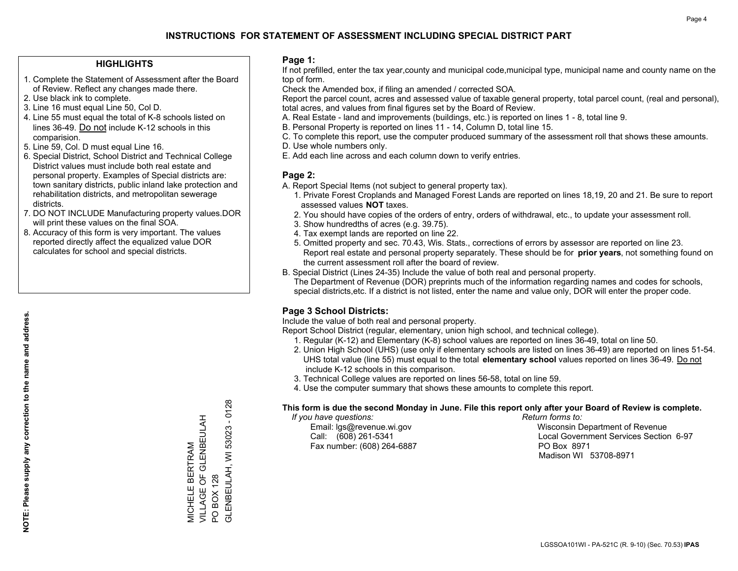#### **HIGHLIGHTS**

- 1. Complete the Statement of Assessment after the Board of Review. Reflect any changes made there.
- 2. Use black ink to complete.
- 3. Line 16 must equal Line 50, Col D.
- 4. Line 55 must equal the total of K-8 schools listed on lines 36-49. Do not include K-12 schools in this comparision.
- 5. Line 59, Col. D must equal Line 16.
- 6. Special District, School District and Technical College District values must include both real estate and personal property. Examples of Special districts are: town sanitary districts, public inland lake protection and rehabilitation districts, and metropolitan sewerage districts.
- 7. DO NOT INCLUDE Manufacturing property values.DOR will print these values on the final SOA.

MICHELE BERTRAM

VILLAGE OF GLENBEULAH

MICHELE BERTRAM<br>VILLAGE OF GLENBEULAH<br>PO BOX 128

PO BOX 128

GLENBEULAH, WI 53023 - 0128

GLENBEULAH, WI 53023

 $-0128$ 

 8. Accuracy of this form is very important. The values reported directly affect the equalized value DOR calculates for school and special districts.

#### **Page 1:**

 If not prefilled, enter the tax year,county and municipal code,municipal type, municipal name and county name on the top of form.

Check the Amended box, if filing an amended / corrected SOA.

 Report the parcel count, acres and assessed value of taxable general property, total parcel count, (real and personal), total acres, and values from final figures set by the Board of Review.

- A. Real Estate land and improvements (buildings, etc.) is reported on lines 1 8, total line 9.
- B. Personal Property is reported on lines 11 14, Column D, total line 15.
- C. To complete this report, use the computer produced summary of the assessment roll that shows these amounts.
- D. Use whole numbers only.
- E. Add each line across and each column down to verify entries.

#### **Page 2:**

- A. Report Special Items (not subject to general property tax).
- 1. Private Forest Croplands and Managed Forest Lands are reported on lines 18,19, 20 and 21. Be sure to report assessed values **NOT** taxes.
- 2. You should have copies of the orders of entry, orders of withdrawal, etc., to update your assessment roll.
	- 3. Show hundredths of acres (e.g. 39.75).
- 4. Tax exempt lands are reported on line 22.
- 5. Omitted property and sec. 70.43, Wis. Stats., corrections of errors by assessor are reported on line 23. Report real estate and personal property separately. These should be for **prior years**, not something found on the current assessment roll after the board of review.
- B. Special District (Lines 24-35) Include the value of both real and personal property.
- The Department of Revenue (DOR) preprints much of the information regarding names and codes for schools, special districts,etc. If a district is not listed, enter the name and value only, DOR will enter the proper code.

### **Page 3 School Districts:**

Include the value of both real and personal property.

Report School District (regular, elementary, union high school, and technical college).

- 1. Regular (K-12) and Elementary (K-8) school values are reported on lines 36-49, total on line 50.
- 2. Union High School (UHS) (use only if elementary schools are listed on lines 36-49) are reported on lines 51-54. UHS total value (line 55) must equal to the total **elementary school** values reported on lines 36-49. Do notinclude K-12 schools in this comparison.
- 3. Technical College values are reported on lines 56-58, total on line 59.
- 4. Use the computer summary that shows these amounts to complete this report.

#### **This form is due the second Monday in June. File this report only after your Board of Review is complete.**

 *If you have questions: Return forms to:*

Fax number: (608) 264-6887 PO Box 8971

 Email: lgs@revenue.wi.gov Wisconsin Department of Revenue Call: (608) 261-5341 Local Government Services Section 6-97Madison WI 53708-8971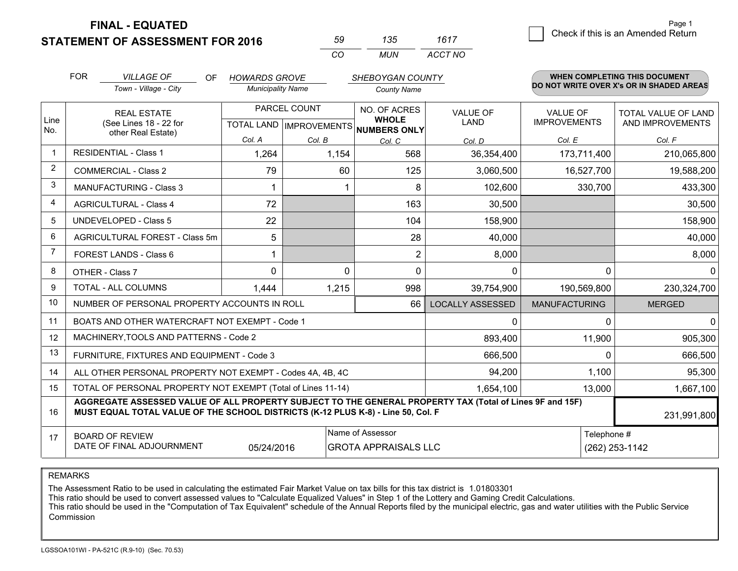**STATEMENT OF ASSESSMENT FOR 2016** 

**FINAL - EQUATED**

| 59. | 135. | 1617    |
|-----|------|---------|
| rη  | MUN  | ACCT NO |

|                | <b>FOR</b><br><b>VILLAGE OF</b><br>OF.<br><b>HOWARDS GROVE</b><br><b>SHEBOYGAN COUNTY</b>                                                                                                    |                                                              |                          |                                           |                              |                                |                                        | WHEN COMPLETING THIS DOCUMENT            |
|----------------|----------------------------------------------------------------------------------------------------------------------------------------------------------------------------------------------|--------------------------------------------------------------|--------------------------|-------------------------------------------|------------------------------|--------------------------------|----------------------------------------|------------------------------------------|
|                |                                                                                                                                                                                              | Town - Village - City                                        | <b>Municipality Name</b> |                                           | <b>County Name</b>           |                                |                                        | DO NOT WRITE OVER X's OR IN SHADED AREAS |
| Line           | <b>REAL ESTATE</b><br>(See Lines 18 - 22 for                                                                                                                                                 |                                                              |                          | PARCEL COUNT<br>TOTAL LAND   IMPROVEMENTS | NO. OF ACRES<br><b>WHOLE</b> | <b>VALUE OF</b><br><b>LAND</b> | <b>VALUE OF</b><br><b>IMPROVEMENTS</b> | TOTAL VALUE OF LAND<br>AND IMPROVEMENTS  |
| No.            |                                                                                                                                                                                              | other Real Estate)                                           | Col. A                   | Col. B                                    | NUMBERS ONLY<br>Col. C       | Col. D                         | Col. E                                 | Col. F                                   |
| $\mathbf 1$    |                                                                                                                                                                                              | <b>RESIDENTIAL - Class 1</b>                                 | 1,264                    | 1,154                                     | 568                          | 36,354,400                     | 173,711,400                            | 210,065,800                              |
| $\overline{2}$ |                                                                                                                                                                                              | <b>COMMERCIAL - Class 2</b>                                  | 79                       | 60                                        | 125                          | 3,060,500                      | 16,527,700                             | 19,588,200                               |
| 3              |                                                                                                                                                                                              | <b>MANUFACTURING - Class 3</b>                               |                          |                                           | 8                            | 102,600                        | 330,700                                | 433,300                                  |
| $\overline{4}$ |                                                                                                                                                                                              | <b>AGRICULTURAL - Class 4</b>                                | 72                       |                                           | 163                          | 30,500                         |                                        | 30,500                                   |
| 5              |                                                                                                                                                                                              | <b>UNDEVELOPED - Class 5</b>                                 | 22                       |                                           | 104                          | 158,900                        |                                        | 158,900                                  |
| 6              |                                                                                                                                                                                              | AGRICULTURAL FOREST - Class 5m                               | 5                        |                                           | 28                           | 40,000                         |                                        | 40,000                                   |
| 7              |                                                                                                                                                                                              | FOREST LANDS - Class 6                                       |                          |                                           | $\overline{2}$               | 8,000                          |                                        | 8,000                                    |
| 8              | OTHER - Class 7                                                                                                                                                                              |                                                              | 0                        | 0                                         | 0                            | 0                              | $\Omega$                               | $\mathbf{0}$                             |
| 9              | TOTAL - ALL COLUMNS<br>1,444                                                                                                                                                                 |                                                              |                          |                                           | 1,215<br>998                 | 39,754,900                     | 190,569,800                            | 230,324,700                              |
| 10             |                                                                                                                                                                                              | NUMBER OF PERSONAL PROPERTY ACCOUNTS IN ROLL                 |                          |                                           | 66                           | <b>LOCALLY ASSESSED</b>        | <b>MANUFACTURING</b>                   | <b>MERGED</b>                            |
| 11             |                                                                                                                                                                                              | BOATS AND OTHER WATERCRAFT NOT EXEMPT - Code 1               |                          |                                           |                              | 0                              | <sup>0</sup>                           | $\mathbf{0}$                             |
| 12             |                                                                                                                                                                                              | MACHINERY, TOOLS AND PATTERNS - Code 2                       |                          |                                           |                              | 893,400                        | 11,900                                 | 905,300                                  |
| 13             |                                                                                                                                                                                              | FURNITURE, FIXTURES AND EQUIPMENT - Code 3                   |                          |                                           |                              | 666,500                        | $\Omega$                               | 666,500                                  |
| 14             |                                                                                                                                                                                              | ALL OTHER PERSONAL PROPERTY NOT EXEMPT - Codes 4A, 4B, 4C    |                          |                                           |                              | 94,200                         | 1,100                                  | 95,300                                   |
| 15             |                                                                                                                                                                                              | TOTAL OF PERSONAL PROPERTY NOT EXEMPT (Total of Lines 11-14) | 1,654,100                | 13,000                                    | 1,667,100                    |                                |                                        |                                          |
| 16             | AGGREGATE ASSESSED VALUE OF ALL PROPERTY SUBJECT TO THE GENERAL PROPERTY TAX (Total of Lines 9F and 15F)<br>MUST EQUAL TOTAL VALUE OF THE SCHOOL DISTRICTS (K-12 PLUS K-8) - Line 50, Col. F |                                                              |                          |                                           |                              |                                |                                        | 231,991,800                              |
| 17             | Name of Assessor<br>Telephone #<br><b>BOARD OF REVIEW</b><br>DATE OF FINAL ADJOURNMENT<br>05/24/2016<br><b>GROTA APPRAISALS LLC</b>                                                          |                                                              |                          |                                           |                              |                                | (262) 253-1142                         |                                          |

REMARKS

The Assessment Ratio to be used in calculating the estimated Fair Market Value on tax bills for this tax district is 1.01803301<br>This ratio should be used to convert assessed values to "Calculate Equalized Values" in Step 1 Commission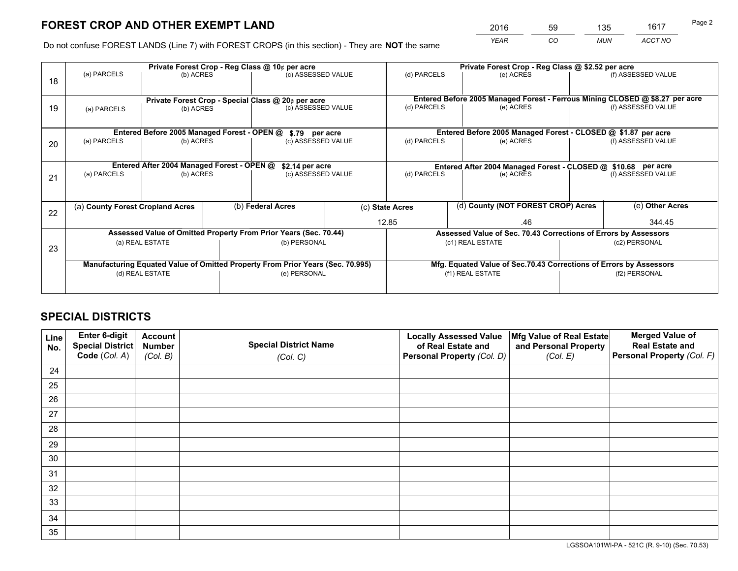*YEAR CO MUN ACCT NO* <sup>2016</sup> <sup>59</sup> <sup>135</sup> <sup>1617</sup>

Do not confuse FOREST LANDS (Line 7) with FOREST CROPS (in this section) - They are **NOT** the same

|    |                                                                                |                                             |  | Private Forest Crop - Reg Class @ 10¢ per acre                   |  | Private Forest Crop - Reg Class @ \$2.52 per acre                            |                                                                    |  |                    |  |
|----|--------------------------------------------------------------------------------|---------------------------------------------|--|------------------------------------------------------------------|--|------------------------------------------------------------------------------|--------------------------------------------------------------------|--|--------------------|--|
| 18 | (a) PARCELS                                                                    | (b) ACRES                                   |  | (c) ASSESSED VALUE                                               |  | (d) PARCELS                                                                  | (e) ACRES                                                          |  | (f) ASSESSED VALUE |  |
|    | Private Forest Crop - Special Class @ 20¢ per acre                             |                                             |  |                                                                  |  | Entered Before 2005 Managed Forest - Ferrous Mining CLOSED @ \$8.27 per acre |                                                                    |  |                    |  |
| 19 | (a) PARCELS                                                                    | (b) ACRES                                   |  | (c) ASSESSED VALUE                                               |  | (d) PARCELS                                                                  | (e) ACRES                                                          |  | (f) ASSESSED VALUE |  |
|    |                                                                                | Entered Before 2005 Managed Forest - OPEN @ |  |                                                                  |  | Entered Before 2005 Managed Forest - CLOSED @ \$1.87 per acre                |                                                                    |  |                    |  |
| 20 | (a) PARCELS<br>(b) ACRES                                                       |                                             |  | \$.79 per acre<br>(c) ASSESSED VALUE                             |  | (d) PARCELS                                                                  | (e) ACRES                                                          |  | (f) ASSESSED VALUE |  |
|    |                                                                                | Entered After 2004 Managed Forest - OPEN @  |  | \$2.14 per acre                                                  |  |                                                                              | Entered After 2004 Managed Forest - CLOSED @ \$10.68 per acre      |  |                    |  |
| 21 | (a) PARCELS<br>(b) ACRES                                                       |                                             |  | (c) ASSESSED VALUE                                               |  | (d) PARCELS                                                                  | (e) ACRES                                                          |  | (f) ASSESSED VALUE |  |
| 22 | (a) County Forest Cropland Acres                                               |                                             |  | (b) Federal Acres                                                |  | (c) State Acres                                                              | (d) County (NOT FOREST CROP) Acres                                 |  | (e) Other Acres    |  |
|    |                                                                                |                                             |  |                                                                  |  | 12.85                                                                        | .46                                                                |  | 344.45             |  |
|    |                                                                                |                                             |  | Assessed Value of Omitted Property From Prior Years (Sec. 70.44) |  |                                                                              | Assessed Value of Sec. 70.43 Corrections of Errors by Assessors    |  |                    |  |
| 23 | (a) REAL ESTATE                                                                |                                             |  | (b) PERSONAL                                                     |  | (c1) REAL ESTATE                                                             |                                                                    |  | (c2) PERSONAL      |  |
|    | Manufacturing Equated Value of Omitted Property From Prior Years (Sec. 70.995) |                                             |  |                                                                  |  |                                                                              | Mfg. Equated Value of Sec.70.43 Corrections of Errors by Assessors |  |                    |  |
|    |                                                                                | (d) REAL ESTATE                             |  | (e) PERSONAL                                                     |  |                                                                              | (f1) REAL ESTATE                                                   |  | (f2) PERSONAL      |  |
|    |                                                                                |                                             |  |                                                                  |  |                                                                              |                                                                    |  |                    |  |

## **SPECIAL DISTRICTS**

| Line<br>No. | Enter 6-digit<br>Special District<br>Code (Col. A) | <b>Account</b><br><b>Number</b> | <b>Special District Name</b> | <b>Locally Assessed Value</b><br>of Real Estate and | Mfg Value of Real Estate<br>and Personal Property | <b>Merged Value of</b><br><b>Real Estate and</b><br>Personal Property (Col. F) |
|-------------|----------------------------------------------------|---------------------------------|------------------------------|-----------------------------------------------------|---------------------------------------------------|--------------------------------------------------------------------------------|
|             |                                                    | (Col. B)                        | (Col. C)                     | Personal Property (Col. D)                          | (Col. E)                                          |                                                                                |
| 24          |                                                    |                                 |                              |                                                     |                                                   |                                                                                |
| 25          |                                                    |                                 |                              |                                                     |                                                   |                                                                                |
| 26          |                                                    |                                 |                              |                                                     |                                                   |                                                                                |
| 27          |                                                    |                                 |                              |                                                     |                                                   |                                                                                |
| 28          |                                                    |                                 |                              |                                                     |                                                   |                                                                                |
| 29          |                                                    |                                 |                              |                                                     |                                                   |                                                                                |
| 30          |                                                    |                                 |                              |                                                     |                                                   |                                                                                |
| 31          |                                                    |                                 |                              |                                                     |                                                   |                                                                                |
| 32          |                                                    |                                 |                              |                                                     |                                                   |                                                                                |
| 33          |                                                    |                                 |                              |                                                     |                                                   |                                                                                |
| 34          |                                                    |                                 |                              |                                                     |                                                   |                                                                                |
| 35          |                                                    |                                 |                              |                                                     |                                                   |                                                                                |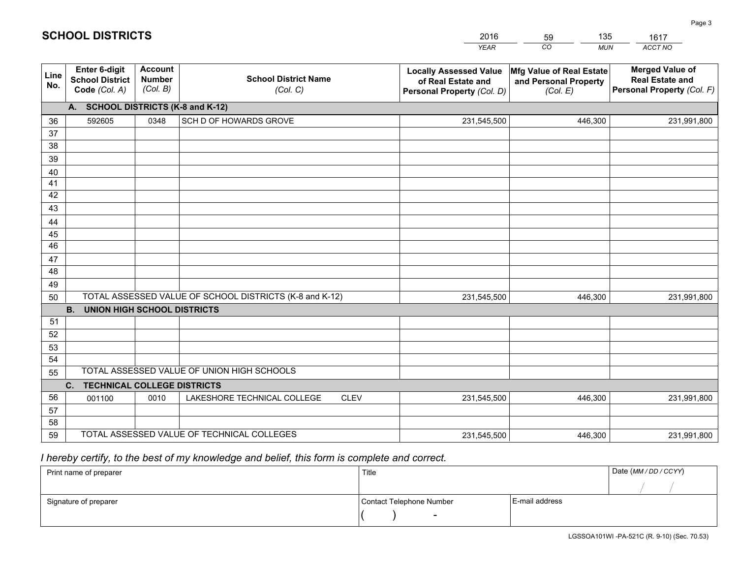|                 |                                                          |                                             |                                                         | <b>YEAR</b>                                                                       | $\overline{co}$<br><b>MUN</b>                                 | ACCT NO                                                                        |
|-----------------|----------------------------------------------------------|---------------------------------------------|---------------------------------------------------------|-----------------------------------------------------------------------------------|---------------------------------------------------------------|--------------------------------------------------------------------------------|
| Line<br>No.     | Enter 6-digit<br><b>School District</b><br>Code (Col. A) | <b>Account</b><br><b>Number</b><br>(Col. B) | <b>School District Name</b><br>(Col. C)                 | <b>Locally Assessed Value</b><br>of Real Estate and<br>Personal Property (Col. D) | Mfg Value of Real Estate<br>and Personal Property<br>(Col. E) | <b>Merged Value of</b><br><b>Real Estate and</b><br>Personal Property (Col. F) |
|                 | A. SCHOOL DISTRICTS (K-8 and K-12)                       |                                             |                                                         |                                                                                   |                                                               |                                                                                |
| 36              | 592605                                                   | 0348                                        | SCH D OF HOWARDS GROVE                                  | 231,545,500                                                                       | 446,300                                                       | 231,991,800                                                                    |
| 37              |                                                          |                                             |                                                         |                                                                                   |                                                               |                                                                                |
| 38              |                                                          |                                             |                                                         |                                                                                   |                                                               |                                                                                |
| 39              |                                                          |                                             |                                                         |                                                                                   |                                                               |                                                                                |
| 40              |                                                          |                                             |                                                         |                                                                                   |                                                               |                                                                                |
| 41              |                                                          |                                             |                                                         |                                                                                   |                                                               |                                                                                |
| 42<br>43        |                                                          |                                             |                                                         |                                                                                   |                                                               |                                                                                |
| 44              |                                                          |                                             |                                                         |                                                                                   |                                                               |                                                                                |
| 45              |                                                          |                                             |                                                         |                                                                                   |                                                               |                                                                                |
| $\overline{46}$ |                                                          |                                             |                                                         |                                                                                   |                                                               |                                                                                |
| 47              |                                                          |                                             |                                                         |                                                                                   |                                                               |                                                                                |
| 48              |                                                          |                                             |                                                         |                                                                                   |                                                               |                                                                                |
| 49              |                                                          |                                             |                                                         |                                                                                   |                                                               |                                                                                |
| 50              |                                                          |                                             | TOTAL ASSESSED VALUE OF SCHOOL DISTRICTS (K-8 and K-12) | 231,545,500                                                                       | 446,300                                                       | 231,991,800                                                                    |
|                 | <b>B.</b><br><b>UNION HIGH SCHOOL DISTRICTS</b>          |                                             |                                                         |                                                                                   |                                                               |                                                                                |
| 51              |                                                          |                                             |                                                         |                                                                                   |                                                               |                                                                                |
| 52              |                                                          |                                             |                                                         |                                                                                   |                                                               |                                                                                |
| 53              |                                                          |                                             |                                                         |                                                                                   |                                                               |                                                                                |
| 54              |                                                          |                                             |                                                         |                                                                                   |                                                               |                                                                                |
| 55              |                                                          |                                             | TOTAL ASSESSED VALUE OF UNION HIGH SCHOOLS              |                                                                                   |                                                               |                                                                                |
|                 | C.<br><b>TECHNICAL COLLEGE DISTRICTS</b>                 |                                             |                                                         |                                                                                   |                                                               |                                                                                |
| 56              | 001100                                                   | 0010                                        | LAKESHORE TECHNICAL COLLEGE<br><b>CLEV</b>              | 231,545,500                                                                       | 446,300                                                       | 231,991,800                                                                    |
| 57<br>58        |                                                          |                                             |                                                         |                                                                                   |                                                               |                                                                                |
| 59              |                                                          |                                             | TOTAL ASSESSED VALUE OF TECHNICAL COLLEGES              | 231,545,500                                                                       | 446,300                                                       | 231,991,800                                                                    |
|                 |                                                          |                                             |                                                         |                                                                                   |                                                               |                                                                                |

59

135

 *I hereby certify, to the best of my knowledge and belief, this form is complete and correct.*

**SCHOOL DISTRICTS**

| Print name of preparer | Title                    |                | Date (MM/DD/CCYY) |
|------------------------|--------------------------|----------------|-------------------|
|                        |                          |                |                   |
| Signature of preparer  | Contact Telephone Number | E-mail address |                   |
|                        | $\overline{\phantom{a}}$ |                |                   |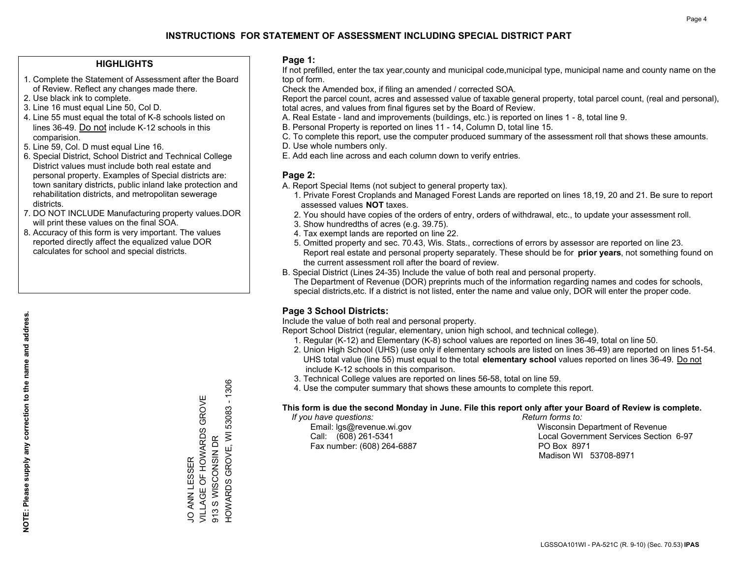#### **HIGHLIGHTS**

- 1. Complete the Statement of Assessment after the Board of Review. Reflect any changes made there.
- 2. Use black ink to complete.
- 3. Line 16 must equal Line 50, Col D.
- 4. Line 55 must equal the total of K-8 schools listed on lines 36-49. Do not include K-12 schools in this comparision.
- 5. Line 59, Col. D must equal Line 16.
- 6. Special District, School District and Technical College District values must include both real estate and personal property. Examples of Special districts are: town sanitary districts, public inland lake protection and rehabilitation districts, and metropolitan sewerage districts.
- 7. DO NOT INCLUDE Manufacturing property values.DOR will print these values on the final SOA.

JO ANN LESSER

VILLAGE OF HOWARDS GROVE

JO ANN LESSER<br>VILLAGE OF HOWARDS GROVE

913 S WISCONSIN DR

913 S WISCONSIN DR

HOWARDS GROVE, WI 53083 - 1306

HOWARDS GROVE, WI 53083 - 1306

 8. Accuracy of this form is very important. The values reported directly affect the equalized value DOR calculates for school and special districts.

#### **Page 1:**

 If not prefilled, enter the tax year,county and municipal code,municipal type, municipal name and county name on the top of form.

Check the Amended box, if filing an amended / corrected SOA.

 Report the parcel count, acres and assessed value of taxable general property, total parcel count, (real and personal), total acres, and values from final figures set by the Board of Review.

- A. Real Estate land and improvements (buildings, etc.) is reported on lines 1 8, total line 9.
- B. Personal Property is reported on lines 11 14, Column D, total line 15.
- C. To complete this report, use the computer produced summary of the assessment roll that shows these amounts.
- D. Use whole numbers only.
- E. Add each line across and each column down to verify entries.

#### **Page 2:**

- A. Report Special Items (not subject to general property tax).
- 1. Private Forest Croplands and Managed Forest Lands are reported on lines 18,19, 20 and 21. Be sure to report assessed values **NOT** taxes.
- 2. You should have copies of the orders of entry, orders of withdrawal, etc., to update your assessment roll.
	- 3. Show hundredths of acres (e.g. 39.75).
- 4. Tax exempt lands are reported on line 22.
- 5. Omitted property and sec. 70.43, Wis. Stats., corrections of errors by assessor are reported on line 23. Report real estate and personal property separately. These should be for **prior years**, not something found on the current assessment roll after the board of review.
- B. Special District (Lines 24-35) Include the value of both real and personal property.
- The Department of Revenue (DOR) preprints much of the information regarding names and codes for schools, special districts,etc. If a district is not listed, enter the name and value only, DOR will enter the proper code.

### **Page 3 School Districts:**

Include the value of both real and personal property.

Report School District (regular, elementary, union high school, and technical college).

- 1. Regular (K-12) and Elementary (K-8) school values are reported on lines 36-49, total on line 50.
- 2. Union High School (UHS) (use only if elementary schools are listed on lines 36-49) are reported on lines 51-54. UHS total value (line 55) must equal to the total **elementary school** values reported on lines 36-49. Do notinclude K-12 schools in this comparison.
- 3. Technical College values are reported on lines 56-58, total on line 59.
- 4. Use the computer summary that shows these amounts to complete this report.

#### **This form is due the second Monday in June. File this report only after your Board of Review is complete.**

 *If you have questions: Return forms to:*

Fax number: (608) 264-6887 PO Box 8971

 Email: lgs@revenue.wi.gov Wisconsin Department of Revenue Call: (608) 261-5341 Local Government Services Section 6-97Madison WI 53708-8971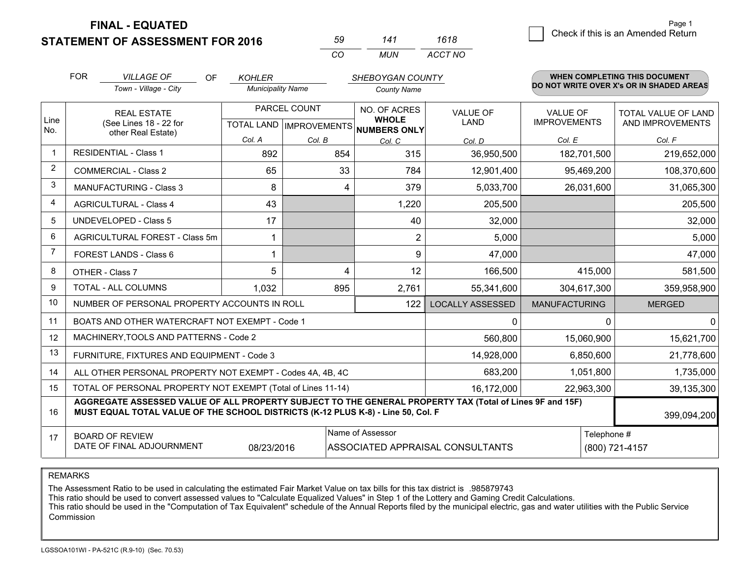**FINAL - EQUATED**

**STATEMENT OF ASSESSMENT FOR 2016** 

| 59 | 141   | 1618    |
|----|-------|---------|
| (  | MI IN | ACCT NO |

|      | <b>FOR</b>                                                                                                                                                                                   | <b>VILLAGE OF</b><br><b>OF</b>                               | <b>KOHLER</b>            |              | SHEBOYGAN COUNTY                     |                                  |                                        | <b>WHEN COMPLETING THIS DOCUMENT</b>     |
|------|----------------------------------------------------------------------------------------------------------------------------------------------------------------------------------------------|--------------------------------------------------------------|--------------------------|--------------|--------------------------------------|----------------------------------|----------------------------------------|------------------------------------------|
|      |                                                                                                                                                                                              | Town - Village - City                                        | <b>Municipality Name</b> |              | <b>County Name</b>                   |                                  |                                        | DO NOT WRITE OVER X's OR IN SHADED AREAS |
| Line |                                                                                                                                                                                              | <b>REAL ESTATE</b><br>(See Lines 18 - 22 for                 |                          | PARCEL COUNT | <b>NO. OF ACRES</b><br><b>WHOLE</b>  | <b>VALUE OF</b><br>LAND          | <b>VALUE OF</b><br><b>IMPROVEMENTS</b> | TOTAL VALUE OF LAND<br>AND IMPROVEMENTS  |
| No.  |                                                                                                                                                                                              | other Real Estate)                                           |                          |              | TOTAL LAND IMPROVEMENTS NUMBERS ONLY |                                  |                                        |                                          |
|      |                                                                                                                                                                                              | <b>RESIDENTIAL - Class 1</b>                                 | Col. A                   | Col. B       | Col. C                               | Col. D                           | Col. E                                 | Col. F                                   |
|      |                                                                                                                                                                                              |                                                              | 892                      | 854          | 315                                  | 36,950,500                       | 182,701,500                            | 219,652,000                              |
| 2    |                                                                                                                                                                                              | <b>COMMERCIAL - Class 2</b>                                  | 65                       | 33           | 784                                  | 12,901,400                       | 95,469,200                             | 108,370,600                              |
| 3    |                                                                                                                                                                                              | <b>MANUFACTURING - Class 3</b>                               | 8                        | 4            | 379                                  | 5,033,700                        | 26,031,600                             | 31,065,300                               |
| 4    |                                                                                                                                                                                              | <b>AGRICULTURAL - Class 4</b>                                | 43                       |              | 1,220                                | 205,500                          |                                        | 205,500                                  |
| 5    |                                                                                                                                                                                              | <b>UNDEVELOPED - Class 5</b>                                 | 17                       |              | 40                                   | 32,000                           |                                        | 32,000                                   |
| 6    |                                                                                                                                                                                              | AGRICULTURAL FOREST - Class 5m                               |                          |              | $\overline{2}$                       | 5,000                            |                                        | 5,000                                    |
| 7    | FOREST LANDS - Class 6                                                                                                                                                                       |                                                              |                          |              | 9                                    | 47,000                           |                                        | 47,000                                   |
| 8    | OTHER - Class 7                                                                                                                                                                              |                                                              | 5                        | 4            | 12                                   | 166,500                          | 415,000                                | 581,500                                  |
| 9    | TOTAL - ALL COLUMNS<br>1,032<br>895                                                                                                                                                          |                                                              |                          |              | 2,761                                | 55,341,600                       | 304,617,300                            | 359,958,900                              |
| 10   |                                                                                                                                                                                              | NUMBER OF PERSONAL PROPERTY ACCOUNTS IN ROLL                 |                          |              | 122                                  | <b>LOCALLY ASSESSED</b>          | <b>MANUFACTURING</b>                   | <b>MERGED</b>                            |
| 11   |                                                                                                                                                                                              | BOATS AND OTHER WATERCRAFT NOT EXEMPT - Code 1               |                          |              |                                      | 0                                |                                        | $\Omega$<br>$\Omega$                     |
| 12   |                                                                                                                                                                                              | MACHINERY, TOOLS AND PATTERNS - Code 2                       |                          |              |                                      | 560,800                          | 15,060,900                             | 15,621,700                               |
| 13   |                                                                                                                                                                                              | FURNITURE, FIXTURES AND EQUIPMENT - Code 3                   |                          |              |                                      | 14,928,000                       | 6,850,600                              | 21,778,600                               |
| 14   |                                                                                                                                                                                              | ALL OTHER PERSONAL PROPERTY NOT EXEMPT - Codes 4A, 4B, 4C    |                          |              | 683,200                              | 1,051,800                        | 1,735,000                              |                                          |
| 15   |                                                                                                                                                                                              | TOTAL OF PERSONAL PROPERTY NOT EXEMPT (Total of Lines 11-14) |                          |              | 16,172,000                           | 22,963,300                       | 39,135,300                             |                                          |
| 16   | AGGREGATE ASSESSED VALUE OF ALL PROPERTY SUBJECT TO THE GENERAL PROPERTY TAX (Total of Lines 9F and 15F)<br>MUST EQUAL TOTAL VALUE OF THE SCHOOL DISTRICTS (K-12 PLUS K-8) - Line 50, Col. F |                                                              |                          |              |                                      |                                  | 399,094,200                            |                                          |
| 17   |                                                                                                                                                                                              | <b>BOARD OF REVIEW</b>                                       |                          |              | Name of Assessor                     |                                  |                                        | Telephone #                              |
|      |                                                                                                                                                                                              | DATE OF FINAL ADJOURNMENT                                    | 08/23/2016               |              |                                      | ASSOCIATED APPRAISAL CONSULTANTS |                                        | (800) 721-4157                           |

REMARKS

The Assessment Ratio to be used in calculating the estimated Fair Market Value on tax bills for this tax district is .985879743

This ratio should be used to convert assessed values to "Calculate Equalized Values" in Step 1 of the Lottery and Gaming Credit Calculations.<br>This ratio should be used in the "Computation of Tax Equivalent" schedule of the Commission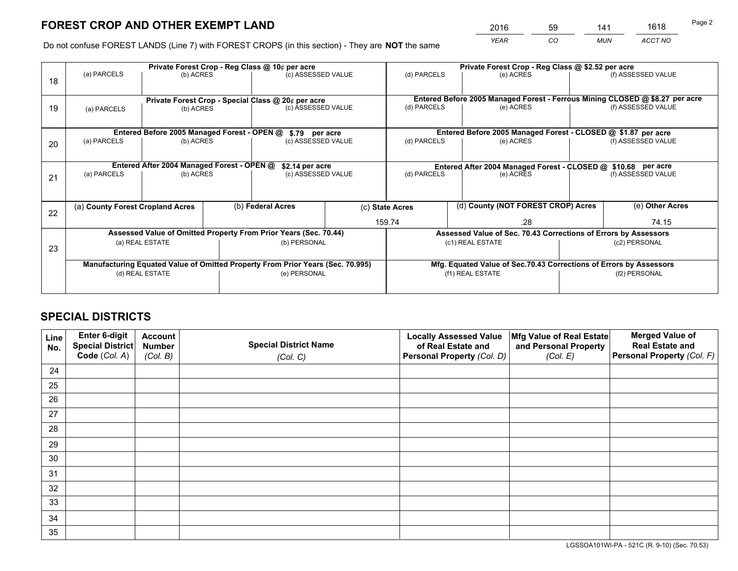*YEAR CO MUN ACCT NO* <sup>2016</sup> <sup>59</sup> <sup>141</sup> <sup>1618</sup>

Do not confuse FOREST LANDS (Line 7) with FOREST CROPS (in this section) - They are **NOT** the same

|    |                                                                                |                                             |  | Private Forest Crop - Reg Class @ 10¢ per acre     |  | Private Forest Crop - Reg Class @ \$2.52 per acre                            |                                                                 |               |                    |
|----|--------------------------------------------------------------------------------|---------------------------------------------|--|----------------------------------------------------|--|------------------------------------------------------------------------------|-----------------------------------------------------------------|---------------|--------------------|
| 18 | (a) PARCELS                                                                    | (b) ACRES                                   |  | (c) ASSESSED VALUE                                 |  | (d) PARCELS                                                                  | (e) ACRES                                                       |               | (f) ASSESSED VALUE |
|    |                                                                                |                                             |  |                                                    |  |                                                                              |                                                                 |               |                    |
|    |                                                                                |                                             |  | Private Forest Crop - Special Class @ 20¢ per acre |  | Entered Before 2005 Managed Forest - Ferrous Mining CLOSED @ \$8.27 per acre |                                                                 |               |                    |
| 19 | (a) PARCELS                                                                    | (b) ACRES                                   |  | (c) ASSESSED VALUE                                 |  | (d) PARCELS                                                                  | (e) ACRES                                                       |               | (f) ASSESSED VALUE |
|    |                                                                                |                                             |  |                                                    |  |                                                                              |                                                                 |               |                    |
|    |                                                                                | Entered Before 2005 Managed Forest - OPEN @ |  | \$.79 per acre                                     |  |                                                                              | Entered Before 2005 Managed Forest - CLOSED @ \$1.87 per acre   |               |                    |
| 20 | (a) PARCELS                                                                    | (b) ACRES                                   |  | (c) ASSESSED VALUE                                 |  | (d) PARCELS                                                                  | (e) ACRES                                                       |               | (f) ASSESSED VALUE |
|    |                                                                                |                                             |  |                                                    |  |                                                                              |                                                                 |               |                    |
|    | Entered After 2004 Managed Forest - OPEN @<br>\$2.14 per acre                  |                                             |  |                                                    |  |                                                                              | Entered After 2004 Managed Forest - CLOSED @ \$10.68 per acre   |               |                    |
| 21 | (a) PARCELS<br>(b) ACRES                                                       |                                             |  | (c) ASSESSED VALUE                                 |  | (d) PARCELS<br>(e) ACRES                                                     |                                                                 |               | (f) ASSESSED VALUE |
|    |                                                                                |                                             |  |                                                    |  |                                                                              |                                                                 |               |                    |
|    |                                                                                |                                             |  |                                                    |  |                                                                              | (d) County (NOT FOREST CROP) Acres                              |               | (e) Other Acres    |
| 22 | (b) Federal Acres<br>(a) County Forest Cropland Acres                          |                                             |  | (c) State Acres                                    |  |                                                                              |                                                                 |               |                    |
|    |                                                                                |                                             |  |                                                    |  | 159.74                                                                       | .28                                                             |               | 74.15              |
|    | Assessed Value of Omitted Property From Prior Years (Sec. 70.44)               |                                             |  |                                                    |  |                                                                              | Assessed Value of Sec. 70.43 Corrections of Errors by Assessors |               |                    |
| 23 | (a) REAL ESTATE                                                                |                                             |  | (b) PERSONAL                                       |  |                                                                              | (c1) REAL ESTATE                                                |               | (c2) PERSONAL      |
|    |                                                                                |                                             |  |                                                    |  |                                                                              |                                                                 |               |                    |
|    | Manufacturing Equated Value of Omitted Property From Prior Years (Sec. 70.995) |                                             |  |                                                    |  | Mfg. Equated Value of Sec.70.43 Corrections of Errors by Assessors           |                                                                 |               |                    |
|    |                                                                                | (d) REAL ESTATE                             |  | (e) PERSONAL                                       |  |                                                                              | (f1) REAL ESTATE                                                | (f2) PERSONAL |                    |
|    |                                                                                |                                             |  |                                                    |  |                                                                              |                                                                 |               |                    |

## **SPECIAL DISTRICTS**

| Line<br>No. | Enter 6-digit<br>Special District<br>Code (Col. A) | <b>Account</b><br><b>Number</b><br>(Col. B) | <b>Special District Name</b><br>(Col. C) | <b>Locally Assessed Value</b><br>of Real Estate and<br>Personal Property (Col. D) | Mfg Value of Real Estate<br>and Personal Property<br>(Col. E) | <b>Merged Value of</b><br><b>Real Estate and</b><br>Personal Property (Col. F) |
|-------------|----------------------------------------------------|---------------------------------------------|------------------------------------------|-----------------------------------------------------------------------------------|---------------------------------------------------------------|--------------------------------------------------------------------------------|
| 24          |                                                    |                                             |                                          |                                                                                   |                                                               |                                                                                |
| 25          |                                                    |                                             |                                          |                                                                                   |                                                               |                                                                                |
| 26          |                                                    |                                             |                                          |                                                                                   |                                                               |                                                                                |
| 27          |                                                    |                                             |                                          |                                                                                   |                                                               |                                                                                |
| 28          |                                                    |                                             |                                          |                                                                                   |                                                               |                                                                                |
| 29          |                                                    |                                             |                                          |                                                                                   |                                                               |                                                                                |
| 30          |                                                    |                                             |                                          |                                                                                   |                                                               |                                                                                |
| 31          |                                                    |                                             |                                          |                                                                                   |                                                               |                                                                                |
| 32          |                                                    |                                             |                                          |                                                                                   |                                                               |                                                                                |
| 33          |                                                    |                                             |                                          |                                                                                   |                                                               |                                                                                |
| 34          |                                                    |                                             |                                          |                                                                                   |                                                               |                                                                                |
| 35          |                                                    |                                             |                                          |                                                                                   |                                                               |                                                                                |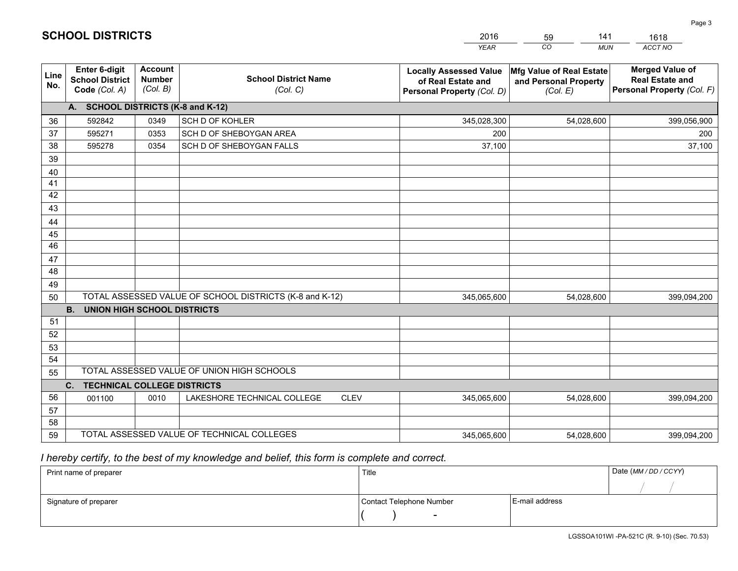| <b>Account</b><br><b>Enter 6-digit</b><br><b>Merged Value of</b><br>Mfg Value of Real Estate<br><b>Locally Assessed Value</b><br>Line<br><b>School District Name</b><br><b>Number</b><br><b>School District</b><br><b>Real Estate and</b><br>of Real Estate and<br>and Personal Property<br>No.<br>(Col. B)<br>Code (Col. A)<br>(Col. C)<br>Personal Property (Col. F)<br>Personal Property (Col. D)<br>(Col. E)<br>A. SCHOOL DISTRICTS (K-8 and K-12)<br>0349<br>SCH D OF KOHLER<br>36<br>592842<br>345,028,300<br>54,028,600<br>399,056,900<br>SCH D OF SHEBOYGAN AREA<br>37<br>595271<br>0353<br>200<br>200<br>38<br>595278<br>0354<br>SCH D OF SHEBOYGAN FALLS<br>37,100<br>37,100<br>39<br>40<br>41<br>42<br>43<br>44<br>45<br>46<br>47<br>48<br>49<br>TOTAL ASSESSED VALUE OF SCHOOL DISTRICTS (K-8 and K-12)<br>50<br>345,065,600<br>54,028,600<br>399,094,200<br><b>B.</b><br><b>UNION HIGH SCHOOL DISTRICTS</b><br>51<br>52<br>53<br>54 |  |  | <b>YEAR</b> | CO<br><b>MUN</b> | ACCT NO |
|--------------------------------------------------------------------------------------------------------------------------------------------------------------------------------------------------------------------------------------------------------------------------------------------------------------------------------------------------------------------------------------------------------------------------------------------------------------------------------------------------------------------------------------------------------------------------------------------------------------------------------------------------------------------------------------------------------------------------------------------------------------------------------------------------------------------------------------------------------------------------------------------------------------------------------------------------|--|--|-------------|------------------|---------|
|                                                                                                                                                                                                                                                                                                                                                                                                                                                                                                                                                                                                                                                                                                                                                                                                                                                                                                                                                  |  |  |             |                  |         |
|                                                                                                                                                                                                                                                                                                                                                                                                                                                                                                                                                                                                                                                                                                                                                                                                                                                                                                                                                  |  |  |             |                  |         |
|                                                                                                                                                                                                                                                                                                                                                                                                                                                                                                                                                                                                                                                                                                                                                                                                                                                                                                                                                  |  |  |             |                  |         |
|                                                                                                                                                                                                                                                                                                                                                                                                                                                                                                                                                                                                                                                                                                                                                                                                                                                                                                                                                  |  |  |             |                  |         |
|                                                                                                                                                                                                                                                                                                                                                                                                                                                                                                                                                                                                                                                                                                                                                                                                                                                                                                                                                  |  |  |             |                  |         |
|                                                                                                                                                                                                                                                                                                                                                                                                                                                                                                                                                                                                                                                                                                                                                                                                                                                                                                                                                  |  |  |             |                  |         |
|                                                                                                                                                                                                                                                                                                                                                                                                                                                                                                                                                                                                                                                                                                                                                                                                                                                                                                                                                  |  |  |             |                  |         |
|                                                                                                                                                                                                                                                                                                                                                                                                                                                                                                                                                                                                                                                                                                                                                                                                                                                                                                                                                  |  |  |             |                  |         |
|                                                                                                                                                                                                                                                                                                                                                                                                                                                                                                                                                                                                                                                                                                                                                                                                                                                                                                                                                  |  |  |             |                  |         |
|                                                                                                                                                                                                                                                                                                                                                                                                                                                                                                                                                                                                                                                                                                                                                                                                                                                                                                                                                  |  |  |             |                  |         |
|                                                                                                                                                                                                                                                                                                                                                                                                                                                                                                                                                                                                                                                                                                                                                                                                                                                                                                                                                  |  |  |             |                  |         |
|                                                                                                                                                                                                                                                                                                                                                                                                                                                                                                                                                                                                                                                                                                                                                                                                                                                                                                                                                  |  |  |             |                  |         |
|                                                                                                                                                                                                                                                                                                                                                                                                                                                                                                                                                                                                                                                                                                                                                                                                                                                                                                                                                  |  |  |             |                  |         |
|                                                                                                                                                                                                                                                                                                                                                                                                                                                                                                                                                                                                                                                                                                                                                                                                                                                                                                                                                  |  |  |             |                  |         |
|                                                                                                                                                                                                                                                                                                                                                                                                                                                                                                                                                                                                                                                                                                                                                                                                                                                                                                                                                  |  |  |             |                  |         |
|                                                                                                                                                                                                                                                                                                                                                                                                                                                                                                                                                                                                                                                                                                                                                                                                                                                                                                                                                  |  |  |             |                  |         |
|                                                                                                                                                                                                                                                                                                                                                                                                                                                                                                                                                                                                                                                                                                                                                                                                                                                                                                                                                  |  |  |             |                  |         |
|                                                                                                                                                                                                                                                                                                                                                                                                                                                                                                                                                                                                                                                                                                                                                                                                                                                                                                                                                  |  |  |             |                  |         |
|                                                                                                                                                                                                                                                                                                                                                                                                                                                                                                                                                                                                                                                                                                                                                                                                                                                                                                                                                  |  |  |             |                  |         |
|                                                                                                                                                                                                                                                                                                                                                                                                                                                                                                                                                                                                                                                                                                                                                                                                                                                                                                                                                  |  |  |             |                  |         |
|                                                                                                                                                                                                                                                                                                                                                                                                                                                                                                                                                                                                                                                                                                                                                                                                                                                                                                                                                  |  |  |             |                  |         |
| TOTAL ASSESSED VALUE OF UNION HIGH SCHOOLS<br>55                                                                                                                                                                                                                                                                                                                                                                                                                                                                                                                                                                                                                                                                                                                                                                                                                                                                                                 |  |  |             |                  |         |
| C.<br><b>TECHNICAL COLLEGE DISTRICTS</b>                                                                                                                                                                                                                                                                                                                                                                                                                                                                                                                                                                                                                                                                                                                                                                                                                                                                                                         |  |  |             |                  |         |
| 56<br>LAKESHORE TECHNICAL COLLEGE<br><b>CLEV</b><br>0010<br>345,065,600<br>54,028,600<br>001100<br>399,094,200                                                                                                                                                                                                                                                                                                                                                                                                                                                                                                                                                                                                                                                                                                                                                                                                                                   |  |  |             |                  |         |
| 57                                                                                                                                                                                                                                                                                                                                                                                                                                                                                                                                                                                                                                                                                                                                                                                                                                                                                                                                               |  |  |             |                  |         |
| 58                                                                                                                                                                                                                                                                                                                                                                                                                                                                                                                                                                                                                                                                                                                                                                                                                                                                                                                                               |  |  |             |                  |         |
| TOTAL ASSESSED VALUE OF TECHNICAL COLLEGES<br>59<br>345,065,600<br>54,028,600<br>399,094,200                                                                                                                                                                                                                                                                                                                                                                                                                                                                                                                                                                                                                                                                                                                                                                                                                                                     |  |  |             |                  |         |

59

141

1618

 *I hereby certify, to the best of my knowledge and belief, this form is complete and correct.*

**SCHOOL DISTRICTS**

| Print name of preparer | Title                    |                | Date (MM/DD/CCYY) |
|------------------------|--------------------------|----------------|-------------------|
|                        |                          |                |                   |
| Signature of preparer  | Contact Telephone Number | E-mail address |                   |
|                        | $\overline{\phantom{0}}$ |                |                   |

Page 3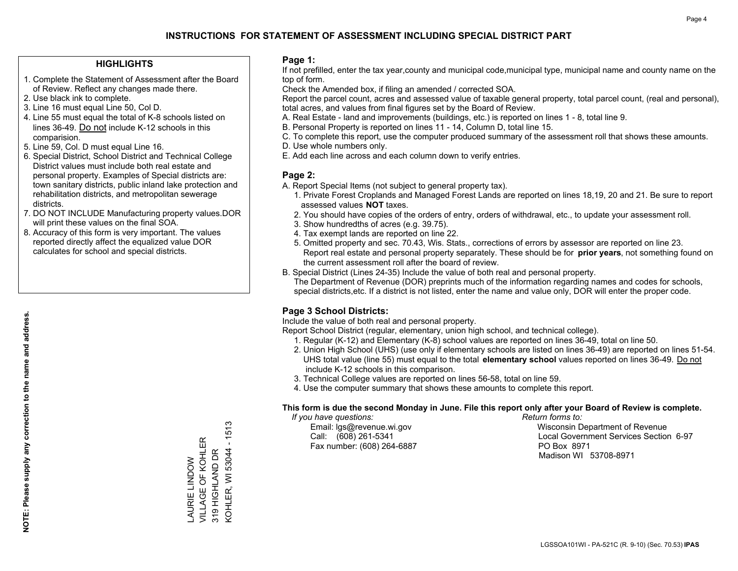#### **HIGHLIGHTS**

- 1. Complete the Statement of Assessment after the Board of Review. Reflect any changes made there.
- 2. Use black ink to complete.
- 3. Line 16 must equal Line 50, Col D.
- 4. Line 55 must equal the total of K-8 schools listed on lines 36-49. Do not include K-12 schools in this comparision.
- 5. Line 59, Col. D must equal Line 16.
- 6. Special District, School District and Technical College District values must include both real estate and personal property. Examples of Special districts are: town sanitary districts, public inland lake protection and rehabilitation districts, and metropolitan sewerage districts.
- 7. DO NOT INCLUDE Manufacturing property values.DOR will print these values on the final SOA.

LAURIE LINDOW VILLAGE OF KOHLER 319 HIGHLAND DR

LAURIE LINDOW<br>VILLAGE OF KOHLER

KOHLER, WI 53044 - 1513

KOHLER, WI 53044 319 HIGHLAND DR

 $-1513$ 

 8. Accuracy of this form is very important. The values reported directly affect the equalized value DOR calculates for school and special districts.

#### **Page 1:**

 If not prefilled, enter the tax year,county and municipal code,municipal type, municipal name and county name on the top of form.

Check the Amended box, if filing an amended / corrected SOA.

 Report the parcel count, acres and assessed value of taxable general property, total parcel count, (real and personal), total acres, and values from final figures set by the Board of Review.

- A. Real Estate land and improvements (buildings, etc.) is reported on lines 1 8, total line 9.
- B. Personal Property is reported on lines 11 14, Column D, total line 15.
- C. To complete this report, use the computer produced summary of the assessment roll that shows these amounts.
- D. Use whole numbers only.
- E. Add each line across and each column down to verify entries.

#### **Page 2:**

- A. Report Special Items (not subject to general property tax).
- 1. Private Forest Croplands and Managed Forest Lands are reported on lines 18,19, 20 and 21. Be sure to report assessed values **NOT** taxes.
- 2. You should have copies of the orders of entry, orders of withdrawal, etc., to update your assessment roll.
	- 3. Show hundredths of acres (e.g. 39.75).
- 4. Tax exempt lands are reported on line 22.
- 5. Omitted property and sec. 70.43, Wis. Stats., corrections of errors by assessor are reported on line 23. Report real estate and personal property separately. These should be for **prior years**, not something found on the current assessment roll after the board of review.
- B. Special District (Lines 24-35) Include the value of both real and personal property.
- The Department of Revenue (DOR) preprints much of the information regarding names and codes for schools, special districts,etc. If a district is not listed, enter the name and value only, DOR will enter the proper code.

### **Page 3 School Districts:**

Include the value of both real and personal property.

Report School District (regular, elementary, union high school, and technical college).

- 1. Regular (K-12) and Elementary (K-8) school values are reported on lines 36-49, total on line 50.
- 2. Union High School (UHS) (use only if elementary schools are listed on lines 36-49) are reported on lines 51-54. UHS total value (line 55) must equal to the total **elementary school** values reported on lines 36-49. Do notinclude K-12 schools in this comparison.
- 3. Technical College values are reported on lines 56-58, total on line 59.
- 4. Use the computer summary that shows these amounts to complete this report.

#### **This form is due the second Monday in June. File this report only after your Board of Review is complete.**

 *If you have questions: Return forms to:*

Fax number: (608) 264-6887 PO Box 8971

 Email: lgs@revenue.wi.gov Wisconsin Department of Revenue Call: (608) 261-5341 Local Government Services Section 6-97Madison WI 53708-8971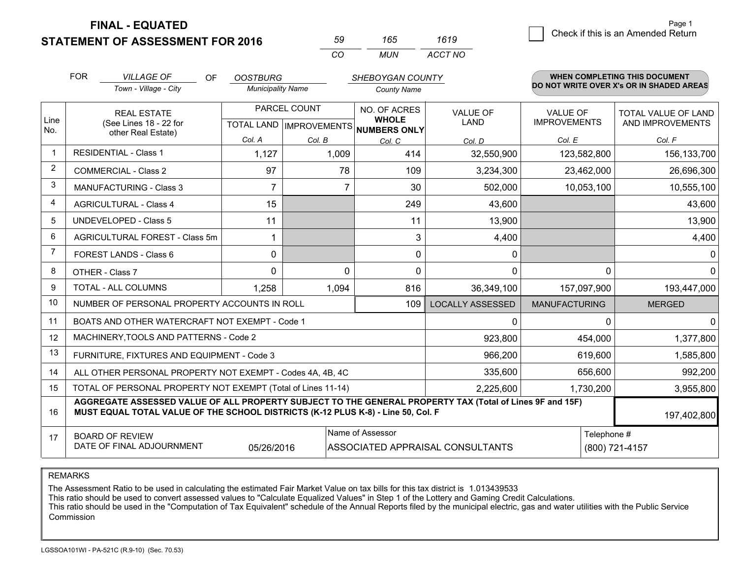**STATEMENT OF ASSESSMENT FOR 2016 FINAL - EQUATED**

g **Check if this is an Amended Return** Page 1

|      | <b>FOR</b>                                                                                                                                                                                   | <b>VILLAGE OF</b><br>OF                                      | <b>OOSTBURG</b>          |              | SHEBOYGAN COUNTY                                                    |                                  |                                        | <b>WHEN COMPLETING THIS DOCUMENT</b>           |
|------|----------------------------------------------------------------------------------------------------------------------------------------------------------------------------------------------|--------------------------------------------------------------|--------------------------|--------------|---------------------------------------------------------------------|----------------------------------|----------------------------------------|------------------------------------------------|
|      |                                                                                                                                                                                              | Town - Village - City                                        | <b>Municipality Name</b> |              | <b>County Name</b>                                                  |                                  |                                        | DO NOT WRITE OVER X's OR IN SHADED AREAS       |
| Line |                                                                                                                                                                                              | <b>REAL ESTATE</b><br>(See Lines 18 - 22 for                 |                          | PARCEL COUNT | NO. OF ACRES<br><b>WHOLE</b><br>TOTAL LAND MPROVEMENTS NUMBERS ONLY | <b>VALUE OF</b><br>LAND          | <b>VALUE OF</b><br><b>IMPROVEMENTS</b> | <b>TOTAL VALUE OF LAND</b><br>AND IMPROVEMENTS |
| No.  |                                                                                                                                                                                              | other Real Estate)                                           | Col. A                   | Col. B       | Col. C                                                              | Col. D                           | Col. E                                 | Col. F                                         |
|      |                                                                                                                                                                                              | <b>RESIDENTIAL - Class 1</b>                                 | 1,127                    | 1,009        | 414                                                                 | 32,550,900                       | 123,582,800                            | 156,133,700                                    |
| 2    |                                                                                                                                                                                              | <b>COMMERCIAL - Class 2</b>                                  | 97                       | 78           | 109                                                                 | 3,234,300                        | 23,462,000                             | 26,696,300                                     |
| 3    |                                                                                                                                                                                              | <b>MANUFACTURING - Class 3</b>                               | 7                        | 7            | 30                                                                  | 502,000                          | 10,053,100                             | 10,555,100                                     |
| 4    |                                                                                                                                                                                              | <b>AGRICULTURAL - Class 4</b>                                | 15                       |              | 249                                                                 | 43,600                           |                                        | 43,600                                         |
| 5    |                                                                                                                                                                                              | <b>UNDEVELOPED - Class 5</b>                                 | 11                       |              | 11                                                                  | 13,900                           |                                        | 13,900                                         |
| 6    |                                                                                                                                                                                              | AGRICULTURAL FOREST - Class 5m                               | 1                        |              | 3                                                                   | 4,400                            |                                        | 4,400                                          |
| 7    |                                                                                                                                                                                              | FOREST LANDS - Class 6                                       | 0                        |              | $\mathbf 0$                                                         | 0                                |                                        |                                                |
| 8    |                                                                                                                                                                                              | OTHER - Class 7                                              | 0                        | $\Omega$     | $\mathbf{0}$                                                        | 0                                | 0                                      | <sup>n</sup>                                   |
| 9    |                                                                                                                                                                                              | TOTAL - ALL COLUMNS                                          | 1,258                    | 1,094        | 816                                                                 | 36,349,100                       | 157,097,900                            | 193,447,000                                    |
| 10   |                                                                                                                                                                                              | NUMBER OF PERSONAL PROPERTY ACCOUNTS IN ROLL                 |                          |              | 109                                                                 | <b>LOCALLY ASSESSED</b>          | <b>MANUFACTURING</b>                   | <b>MERGED</b>                                  |
| 11   |                                                                                                                                                                                              | BOATS AND OTHER WATERCRAFT NOT EXEMPT - Code 1               |                          |              |                                                                     | $\Omega$                         | $\Omega$                               | n                                              |
| 12   |                                                                                                                                                                                              | MACHINERY, TOOLS AND PATTERNS - Code 2                       |                          |              |                                                                     | 923,800                          | 454,000                                | 1,377,800                                      |
| 13   |                                                                                                                                                                                              | FURNITURE, FIXTURES AND EQUIPMENT - Code 3                   |                          |              |                                                                     | 966,200                          | 619,600                                | 1,585,800                                      |
| 14   |                                                                                                                                                                                              | ALL OTHER PERSONAL PROPERTY NOT EXEMPT - Codes 4A, 4B, 4C    |                          |              |                                                                     | 335,600                          | 656,600                                | 992,200                                        |
| 15   |                                                                                                                                                                                              | TOTAL OF PERSONAL PROPERTY NOT EXEMPT (Total of Lines 11-14) |                          |              |                                                                     | 2,225,600                        | 1,730,200                              | 3,955,800                                      |
| 16   | AGGREGATE ASSESSED VALUE OF ALL PROPERTY SUBJECT TO THE GENERAL PROPERTY TAX (Total of Lines 9F and 15F)<br>MUST EQUAL TOTAL VALUE OF THE SCHOOL DISTRICTS (K-12 PLUS K-8) - Line 50, Col. F |                                                              |                          |              |                                                                     |                                  | 197,402,800                            |                                                |
| 17   |                                                                                                                                                                                              | <b>BOARD OF REVIEW</b><br>DATE OF FINAL ADJOURNMENT          | 05/26/2016               |              | Name of Assessor                                                    | ASSOCIATED APPRAISAL CONSULTANTS | Telephone #                            | (800) 721-4157                                 |

*MUN*

*ACCT NO1619*

*<sup>59</sup> <sup>165</sup>*

*CO*

REMARKS

The Assessment Ratio to be used in calculating the estimated Fair Market Value on tax bills for this tax district is 1.013439533<br>This ratio should be used to convert assessed values to "Calculate Equalized Values" in Step Commission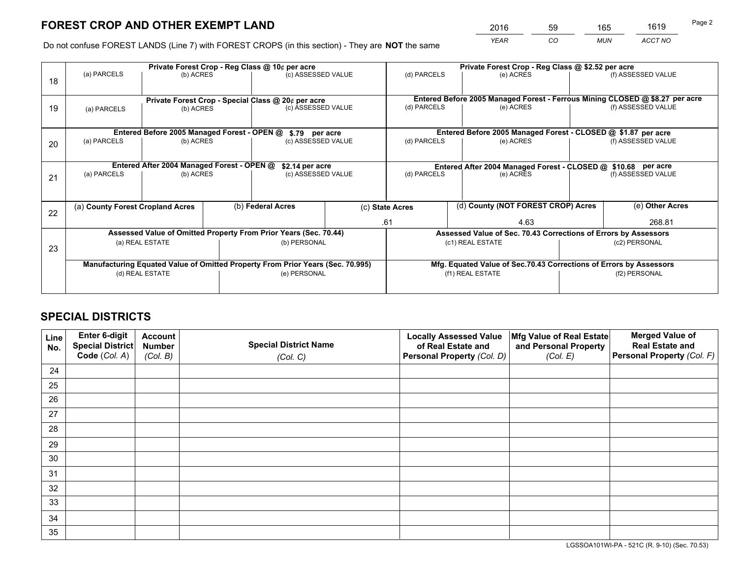*YEAR CO MUN ACCT NO* <sup>2016</sup> <sup>59</sup> <sup>165</sup> <sup>1619</sup>

Do not confuse FOREST LANDS (Line 7) with FOREST CROPS (in this section) - They are **NOT** the same

|    | Private Forest Crop - Reg Class @ 10¢ per acre                |                                             |  |                                                                                |                                                               | Private Forest Crop - Reg Class @ \$2.52 per acre |                                                                              |                    |                    |  |
|----|---------------------------------------------------------------|---------------------------------------------|--|--------------------------------------------------------------------------------|---------------------------------------------------------------|---------------------------------------------------|------------------------------------------------------------------------------|--------------------|--------------------|--|
| 18 | (a) PARCELS                                                   | (b) ACRES                                   |  | (c) ASSESSED VALUE                                                             |                                                               | (d) PARCELS                                       | (e) ACRES                                                                    |                    | (f) ASSESSED VALUE |  |
|    |                                                               |                                             |  |                                                                                |                                                               |                                                   |                                                                              |                    |                    |  |
|    |                                                               |                                             |  | Private Forest Crop - Special Class @ 20¢ per acre                             |                                                               |                                                   | Entered Before 2005 Managed Forest - Ferrous Mining CLOSED @ \$8.27 per acre |                    |                    |  |
| 19 | (a) PARCELS                                                   | (b) ACRES                                   |  | (c) ASSESSED VALUE                                                             |                                                               | (d) PARCELS                                       | (e) ACRES                                                                    |                    | (f) ASSESSED VALUE |  |
|    |                                                               |                                             |  |                                                                                |                                                               |                                                   |                                                                              |                    |                    |  |
|    |                                                               | Entered Before 2005 Managed Forest - OPEN @ |  | \$.79 per acre                                                                 |                                                               |                                                   | Entered Before 2005 Managed Forest - CLOSED @ \$1.87 per acre                |                    |                    |  |
| 20 | (a) PARCELS                                                   | (b) ACRES                                   |  | (c) ASSESSED VALUE                                                             |                                                               | (d) PARCELS                                       | (e) ACRES                                                                    |                    | (f) ASSESSED VALUE |  |
|    |                                                               |                                             |  |                                                                                |                                                               |                                                   |                                                                              |                    |                    |  |
|    | Entered After 2004 Managed Forest - OPEN @<br>\$2.14 per acre |                                             |  |                                                                                | Entered After 2004 Managed Forest - CLOSED @ \$10.68 per acre |                                                   |                                                                              |                    |                    |  |
| 21 | (a) PARCELS                                                   | (b) ACRES                                   |  | (c) ASSESSED VALUE                                                             |                                                               | (d) PARCELS<br>(e) ACRES                          |                                                                              | (f) ASSESSED VALUE |                    |  |
|    |                                                               |                                             |  |                                                                                |                                                               |                                                   |                                                                              |                    |                    |  |
|    |                                                               |                                             |  |                                                                                |                                                               |                                                   |                                                                              |                    |                    |  |
|    |                                                               | (a) County Forest Cropland Acres            |  | (b) Federal Acres                                                              |                                                               | (c) State Acres                                   | (d) County (NOT FOREST CROP) Acres                                           |                    | (e) Other Acres    |  |
| 22 |                                                               |                                             |  |                                                                                |                                                               |                                                   |                                                                              |                    |                    |  |
|    |                                                               |                                             |  |                                                                                |                                                               | .61                                               | 4.63                                                                         |                    | 268.81             |  |
|    |                                                               |                                             |  | Assessed Value of Omitted Property From Prior Years (Sec. 70.44)               |                                                               |                                                   | Assessed Value of Sec. 70.43 Corrections of Errors by Assessors              |                    |                    |  |
| 23 |                                                               | (a) REAL ESTATE                             |  | (b) PERSONAL                                                                   |                                                               |                                                   | (c1) REAL ESTATE                                                             |                    | (c2) PERSONAL      |  |
|    |                                                               |                                             |  |                                                                                |                                                               |                                                   |                                                                              |                    |                    |  |
|    |                                                               |                                             |  | Manufacturing Equated Value of Omitted Property From Prior Years (Sec. 70.995) |                                                               |                                                   | Mfg. Equated Value of Sec.70.43 Corrections of Errors by Assessors           |                    |                    |  |
|    |                                                               | (d) REAL ESTATE                             |  | (e) PERSONAL                                                                   |                                                               | (f1) REAL ESTATE                                  |                                                                              |                    | (f2) PERSONAL      |  |
|    |                                                               |                                             |  |                                                                                |                                                               |                                                   |                                                                              |                    |                    |  |
|    |                                                               |                                             |  |                                                                                |                                                               |                                                   |                                                                              |                    |                    |  |

## **SPECIAL DISTRICTS**

| Line<br>No. | Enter 6-digit<br><b>Special District</b> | <b>Account</b><br><b>Number</b> | <b>Special District Name</b> | <b>Locally Assessed Value</b><br>of Real Estate and | Mfg Value of Real Estate<br>and Personal Property | <b>Merged Value of</b><br><b>Real Estate and</b> |
|-------------|------------------------------------------|---------------------------------|------------------------------|-----------------------------------------------------|---------------------------------------------------|--------------------------------------------------|
|             | Code (Col. A)                            | (Col. B)                        | (Col. C)                     | Personal Property (Col. D)                          | (Col. E)                                          | Personal Property (Col. F)                       |
| 24          |                                          |                                 |                              |                                                     |                                                   |                                                  |
| 25          |                                          |                                 |                              |                                                     |                                                   |                                                  |
| 26          |                                          |                                 |                              |                                                     |                                                   |                                                  |
| 27          |                                          |                                 |                              |                                                     |                                                   |                                                  |
| 28          |                                          |                                 |                              |                                                     |                                                   |                                                  |
| 29          |                                          |                                 |                              |                                                     |                                                   |                                                  |
| 30          |                                          |                                 |                              |                                                     |                                                   |                                                  |
| 31          |                                          |                                 |                              |                                                     |                                                   |                                                  |
| 32          |                                          |                                 |                              |                                                     |                                                   |                                                  |
| 33          |                                          |                                 |                              |                                                     |                                                   |                                                  |
| 34          |                                          |                                 |                              |                                                     |                                                   |                                                  |
| 35          |                                          |                                 |                              |                                                     |                                                   |                                                  |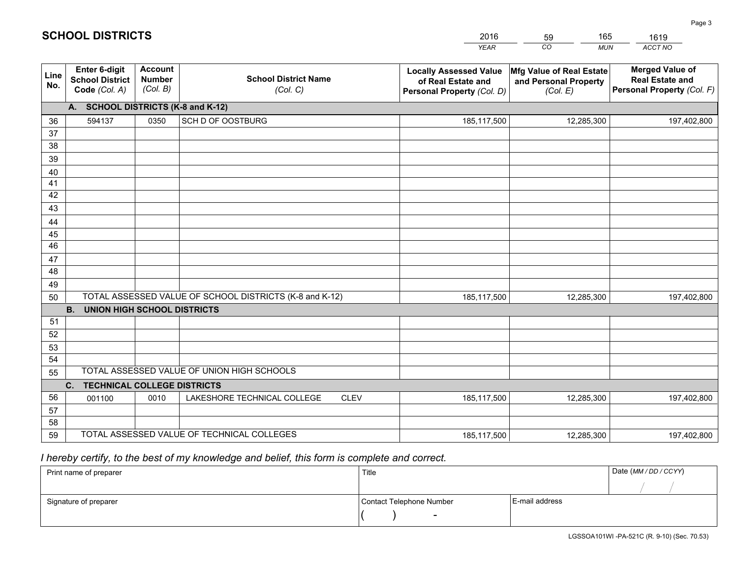|             |                                                                 |                                             |                                                         | <b>YEAR</b>                                                                       | CO<br><b>MUN</b>                                              | ACCT NO                                                                        |
|-------------|-----------------------------------------------------------------|---------------------------------------------|---------------------------------------------------------|-----------------------------------------------------------------------------------|---------------------------------------------------------------|--------------------------------------------------------------------------------|
| Line<br>No. | <b>Enter 6-digit</b><br><b>School District</b><br>Code (Col. A) | <b>Account</b><br><b>Number</b><br>(Col. B) | <b>School District Name</b><br>(Col. C)                 | <b>Locally Assessed Value</b><br>of Real Estate and<br>Personal Property (Col. D) | Mfg Value of Real Estate<br>and Personal Property<br>(Col. E) | <b>Merged Value of</b><br><b>Real Estate and</b><br>Personal Property (Col. F) |
|             | A. SCHOOL DISTRICTS (K-8 and K-12)                              |                                             |                                                         |                                                                                   |                                                               |                                                                                |
| 36          | 594137                                                          | 0350                                        | SCH D OF OOSTBURG                                       | 185,117,500                                                                       | 12,285,300                                                    | 197,402,800                                                                    |
| 37          |                                                                 |                                             |                                                         |                                                                                   |                                                               |                                                                                |
| 38          |                                                                 |                                             |                                                         |                                                                                   |                                                               |                                                                                |
| 39          |                                                                 |                                             |                                                         |                                                                                   |                                                               |                                                                                |
| 40          |                                                                 |                                             |                                                         |                                                                                   |                                                               |                                                                                |
| 41<br>42    |                                                                 |                                             |                                                         |                                                                                   |                                                               |                                                                                |
| 43          |                                                                 |                                             |                                                         |                                                                                   |                                                               |                                                                                |
|             |                                                                 |                                             |                                                         |                                                                                   |                                                               |                                                                                |
| 44<br>45    |                                                                 |                                             |                                                         |                                                                                   |                                                               |                                                                                |
| 46          |                                                                 |                                             |                                                         |                                                                                   |                                                               |                                                                                |
| 47          |                                                                 |                                             |                                                         |                                                                                   |                                                               |                                                                                |
| 48          |                                                                 |                                             |                                                         |                                                                                   |                                                               |                                                                                |
| 49          |                                                                 |                                             |                                                         |                                                                                   |                                                               |                                                                                |
| 50          |                                                                 |                                             | TOTAL ASSESSED VALUE OF SCHOOL DISTRICTS (K-8 and K-12) | 185,117,500                                                                       | 12,285,300                                                    | 197,402,800                                                                    |
|             | <b>B.</b><br><b>UNION HIGH SCHOOL DISTRICTS</b>                 |                                             |                                                         |                                                                                   |                                                               |                                                                                |
| 51          |                                                                 |                                             |                                                         |                                                                                   |                                                               |                                                                                |
| 52          |                                                                 |                                             |                                                         |                                                                                   |                                                               |                                                                                |
| 53          |                                                                 |                                             |                                                         |                                                                                   |                                                               |                                                                                |
| 54          |                                                                 |                                             |                                                         |                                                                                   |                                                               |                                                                                |
| 55          |                                                                 |                                             | TOTAL ASSESSED VALUE OF UNION HIGH SCHOOLS              |                                                                                   |                                                               |                                                                                |
|             | C.<br><b>TECHNICAL COLLEGE DISTRICTS</b>                        |                                             |                                                         |                                                                                   |                                                               |                                                                                |
| 56          | 001100                                                          | 0010                                        | LAKESHORE TECHNICAL COLLEGE<br><b>CLEV</b>              | 185,117,500                                                                       | 12,285,300                                                    | 197,402,800                                                                    |
| 57          |                                                                 |                                             |                                                         |                                                                                   |                                                               |                                                                                |
| 58<br>59    |                                                                 |                                             | TOTAL ASSESSED VALUE OF TECHNICAL COLLEGES              |                                                                                   | 12,285,300                                                    |                                                                                |
|             |                                                                 |                                             |                                                         | 185,117,500                                                                       |                                                               | 197,402,800                                                                    |

59

165

 *I hereby certify, to the best of my knowledge and belief, this form is complete and correct.*

**SCHOOL DISTRICTS**

| Print name of preparer | Title                    |                | Date (MM / DD / CCYY) |
|------------------------|--------------------------|----------------|-----------------------|
|                        |                          |                |                       |
| Signature of preparer  | Contact Telephone Number | E-mail address |                       |
|                        |                          |                |                       |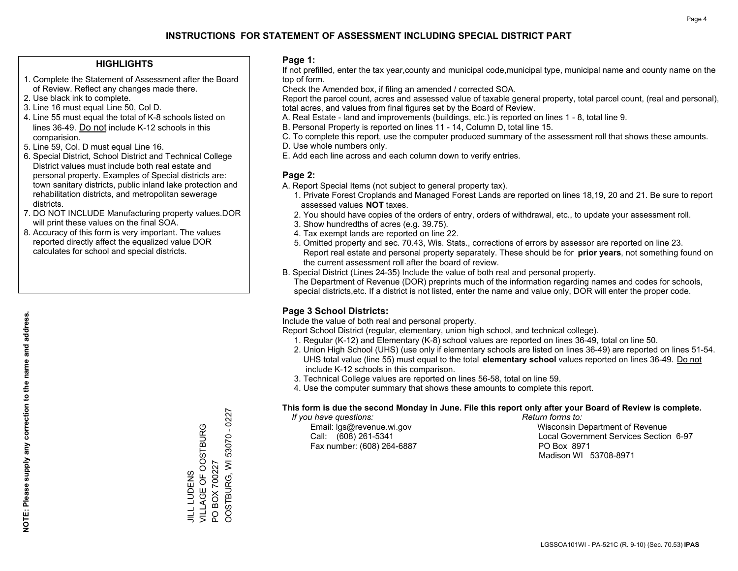#### **HIGHLIGHTS**

- 1. Complete the Statement of Assessment after the Board of Review. Reflect any changes made there.
- 2. Use black ink to complete.
- 3. Line 16 must equal Line 50, Col D.
- 4. Line 55 must equal the total of K-8 schools listed on lines 36-49. Do not include K-12 schools in this comparision.
- 5. Line 59, Col. D must equal Line 16.
- 6. Special District, School District and Technical College District values must include both real estate and personal property. Examples of Special districts are: town sanitary districts, public inland lake protection and rehabilitation districts, and metropolitan sewerage districts.
- 7. DO NOT INCLUDE Manufacturing property values.DOR will print these values on the final SOA.

JILL LUDENS

VILLAGE OF OOSTBURG

JILL LUDENS<br>VILLAGE OF OOSTBURG

PO BOX 700227

 $\overline{S}$ 

BOX 700227

OOSTBURG, WI 53070 - 0227

OOSTBURG, WI 53070 - 0227

 8. Accuracy of this form is very important. The values reported directly affect the equalized value DOR calculates for school and special districts.

#### **Page 1:**

 If not prefilled, enter the tax year,county and municipal code,municipal type, municipal name and county name on the top of form.

Check the Amended box, if filing an amended / corrected SOA.

 Report the parcel count, acres and assessed value of taxable general property, total parcel count, (real and personal), total acres, and values from final figures set by the Board of Review.

- A. Real Estate land and improvements (buildings, etc.) is reported on lines 1 8, total line 9.
- B. Personal Property is reported on lines 11 14, Column D, total line 15.
- C. To complete this report, use the computer produced summary of the assessment roll that shows these amounts.
- D. Use whole numbers only.
- E. Add each line across and each column down to verify entries.

### **Page 2:**

- A. Report Special Items (not subject to general property tax).
- 1. Private Forest Croplands and Managed Forest Lands are reported on lines 18,19, 20 and 21. Be sure to report assessed values **NOT** taxes.
- 2. You should have copies of the orders of entry, orders of withdrawal, etc., to update your assessment roll.
	- 3. Show hundredths of acres (e.g. 39.75).
- 4. Tax exempt lands are reported on line 22.
- 5. Omitted property and sec. 70.43, Wis. Stats., corrections of errors by assessor are reported on line 23. Report real estate and personal property separately. These should be for **prior years**, not something found on the current assessment roll after the board of review.
- B. Special District (Lines 24-35) Include the value of both real and personal property.
- The Department of Revenue (DOR) preprints much of the information regarding names and codes for schools, special districts,etc. If a district is not listed, enter the name and value only, DOR will enter the proper code.

### **Page 3 School Districts:**

Include the value of both real and personal property.

Report School District (regular, elementary, union high school, and technical college).

- 1. Regular (K-12) and Elementary (K-8) school values are reported on lines 36-49, total on line 50.
- 2. Union High School (UHS) (use only if elementary schools are listed on lines 36-49) are reported on lines 51-54. UHS total value (line 55) must equal to the total **elementary school** values reported on lines 36-49. Do notinclude K-12 schools in this comparison.
- 3. Technical College values are reported on lines 56-58, total on line 59.
- 4. Use the computer summary that shows these amounts to complete this report.

#### **This form is due the second Monday in June. File this report only after your Board of Review is complete.**

 *If you have questions: Return forms to:*

Fax number: (608) 264-6887 PO Box 8971

 Email: lgs@revenue.wi.gov Wisconsin Department of Revenue Call: (608) 261-5341 Local Government Services Section 6-97Madison WI 53708-8971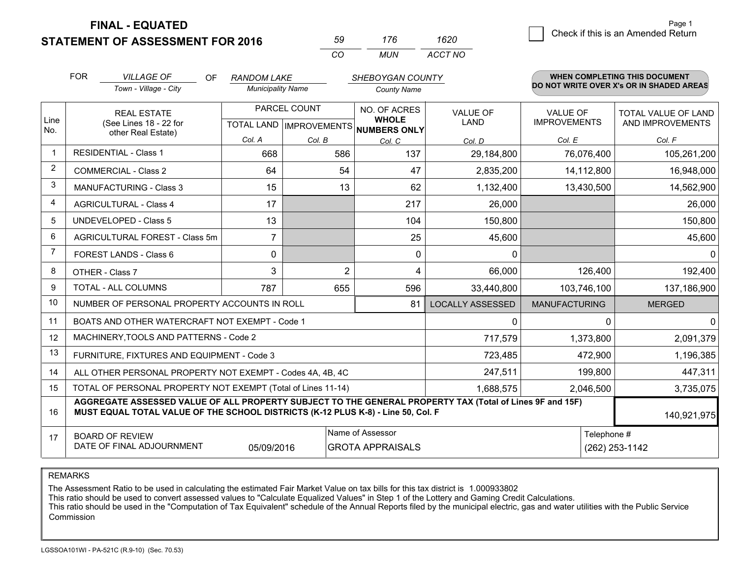**STATEMENT OF ASSESSMENT FOR 2016** 

**FINAL - EQUATED**

| 50  | 176   | 1620    |
|-----|-------|---------|
| CO. | MI IN | ACCT NO |

|                | <b>FOR</b> | <b>VILLAGE OF</b><br>OF                                                                                                                                                                      | <b>RANDOM LAKE</b>       |                | SHEBOYGAN COUNTY                                                     |                                |                                        | WHEN COMPLETING THIS DOCUMENT            |
|----------------|------------|----------------------------------------------------------------------------------------------------------------------------------------------------------------------------------------------|--------------------------|----------------|----------------------------------------------------------------------|--------------------------------|----------------------------------------|------------------------------------------|
|                |            | Town - Village - City                                                                                                                                                                        | <b>Municipality Name</b> |                | <b>County Name</b>                                                   |                                |                                        | DO NOT WRITE OVER X's OR IN SHADED AREAS |
| Line           |            | <b>REAL ESTATE</b><br>(See Lines 18 - 22 for                                                                                                                                                 |                          | PARCEL COUNT   | NO. OF ACRES<br><b>WHOLE</b><br>TOTAL LAND IMPROVEMENTS NUMBERS ONLY | <b>VALUE OF</b><br><b>LAND</b> | <b>VALUE OF</b><br><b>IMPROVEMENTS</b> | TOTAL VALUE OF LAND<br>AND IMPROVEMENTS  |
| No.            |            | other Real Estate)                                                                                                                                                                           | Col. A                   | Col. B         | Col. C                                                               | Col. D                         | Col. E                                 | Col. F                                   |
| $\mathbf 1$    |            | <b>RESIDENTIAL - Class 1</b>                                                                                                                                                                 | 668                      | 586            | 137                                                                  | 29,184,800                     | 76,076,400                             | 105,261,200                              |
| $\overline{2}$ |            | <b>COMMERCIAL - Class 2</b>                                                                                                                                                                  | 64                       | 54             | 47                                                                   | 2,835,200                      | 14,112,800                             | 16,948,000                               |
| 3              |            | <b>MANUFACTURING - Class 3</b>                                                                                                                                                               | 15                       | 13             | 62                                                                   | 1,132,400                      | 13,430,500                             | 14,562,900                               |
| $\overline{4}$ |            | <b>AGRICULTURAL - Class 4</b>                                                                                                                                                                | 17                       |                | 217                                                                  | 26,000                         |                                        | 26,000                                   |
| 5              |            | <b>UNDEVELOPED - Class 5</b>                                                                                                                                                                 | 13                       |                | 104                                                                  | 150,800                        |                                        | 150,800                                  |
| 6              |            | AGRICULTURAL FOREST - Class 5m                                                                                                                                                               | $\overline{7}$           |                | 25                                                                   | 45,600                         |                                        | 45,600                                   |
| $\overline{7}$ |            | <b>FOREST LANDS - Class 6</b>                                                                                                                                                                | 0                        |                | $\Omega$                                                             | $\Omega$                       |                                        | $\Omega$                                 |
| 8              |            | OTHER - Class 7                                                                                                                                                                              | 3                        | $\overline{2}$ | 4                                                                    | 66,000                         | 126,400                                | 192,400                                  |
| 9              |            | TOTAL - ALL COLUMNS                                                                                                                                                                          | 787                      | 655            | 596                                                                  | 33,440,800                     | 103,746,100                            | 137,186,900                              |
| 10             |            | NUMBER OF PERSONAL PROPERTY ACCOUNTS IN ROLL                                                                                                                                                 |                          |                | 81                                                                   | <b>LOCALLY ASSESSED</b>        | <b>MANUFACTURING</b>                   | <b>MERGED</b>                            |
| 11             |            | BOATS AND OTHER WATERCRAFT NOT EXEMPT - Code 1                                                                                                                                               |                          |                |                                                                      | 0                              | $\Omega$                               | $\mathbf{0}$                             |
| 12             |            | MACHINERY, TOOLS AND PATTERNS - Code 2                                                                                                                                                       |                          |                |                                                                      | 717,579                        | 1,373,800                              | 2,091,379                                |
| 13             |            | FURNITURE, FIXTURES AND EQUIPMENT - Code 3                                                                                                                                                   |                          |                |                                                                      | 723,485                        | 472,900                                | 1,196,385                                |
| 14             |            | ALL OTHER PERSONAL PROPERTY NOT EXEMPT - Codes 4A, 4B, 4C                                                                                                                                    |                          |                |                                                                      | 247,511                        | 199,800                                | 447,311                                  |
| 15             |            | TOTAL OF PERSONAL PROPERTY NOT EXEMPT (Total of Lines 11-14)                                                                                                                                 |                          |                | 1,688,575                                                            | 2,046,500                      | 3,735,075                              |                                          |
| 16             |            | AGGREGATE ASSESSED VALUE OF ALL PROPERTY SUBJECT TO THE GENERAL PROPERTY TAX (Total of Lines 9F and 15F)<br>MUST EQUAL TOTAL VALUE OF THE SCHOOL DISTRICTS (K-12 PLUS K-8) - Line 50, Col. F |                          |                |                                                                      |                                | 140,921,975                            |                                          |
| 17             |            | <b>BOARD OF REVIEW</b>                                                                                                                                                                       |                          |                | Name of Assessor                                                     |                                | Telephone #                            |                                          |
|                |            | DATE OF FINAL ADJOURNMENT                                                                                                                                                                    | 05/09/2016               |                | <b>GROTA APPRAISALS</b>                                              |                                |                                        | (262) 253-1142                           |

REMARKS

The Assessment Ratio to be used in calculating the estimated Fair Market Value on tax bills for this tax district is 1.000933802

This ratio should be used to convert assessed values to "Calculate Equalized Values" in Step 1 of the Lottery and Gaming Credit Calculations.<br>This ratio should be used in the "Computation of Tax Equivalent" schedule of the Commission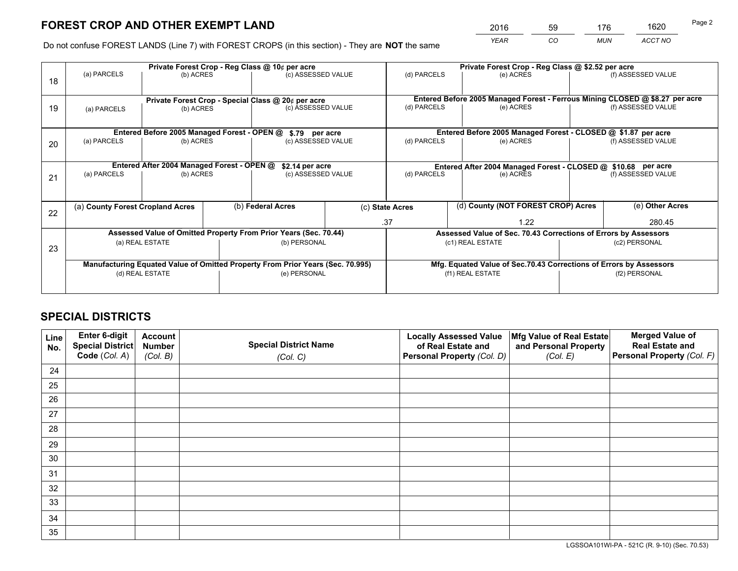*YEAR CO MUN ACCT NO* <sup>2016</sup> <sup>59</sup> <sup>176</sup> <sup>1620</sup>

Do not confuse FOREST LANDS (Line 7) with FOREST CROPS (in this section) - They are **NOT** the same

|    | Private Forest Crop - Reg Class @ 10¢ per acre                |                                             |  |                                                                                |                                                               | Private Forest Crop - Reg Class @ \$2.52 per acre |                                                                              |               |                    |
|----|---------------------------------------------------------------|---------------------------------------------|--|--------------------------------------------------------------------------------|---------------------------------------------------------------|---------------------------------------------------|------------------------------------------------------------------------------|---------------|--------------------|
| 18 | (a) PARCELS                                                   | (b) ACRES                                   |  | (c) ASSESSED VALUE                                                             |                                                               | (d) PARCELS                                       | (e) ACRES                                                                    |               | (f) ASSESSED VALUE |
|    |                                                               |                                             |  | Private Forest Crop - Special Class @ 20¢ per acre                             |                                                               |                                                   | Entered Before 2005 Managed Forest - Ferrous Mining CLOSED @ \$8.27 per acre |               |                    |
| 19 | (a) PARCELS                                                   | (b) ACRES                                   |  | (c) ASSESSED VALUE                                                             |                                                               | (d) PARCELS                                       | (e) ACRES                                                                    |               | (f) ASSESSED VALUE |
|    |                                                               | Entered Before 2005 Managed Forest - OPEN @ |  | \$.79 per acre                                                                 |                                                               |                                                   | Entered Before 2005 Managed Forest - CLOSED @ \$1.87 per acre                |               |                    |
|    | (a) PARCELS                                                   | (b) ACRES                                   |  | (c) ASSESSED VALUE                                                             |                                                               | (d) PARCELS                                       | (e) ACRES                                                                    |               | (f) ASSESSED VALUE |
| 20 |                                                               |                                             |  |                                                                                |                                                               |                                                   |                                                                              |               |                    |
|    | Entered After 2004 Managed Forest - OPEN @<br>\$2.14 per acre |                                             |  |                                                                                | Entered After 2004 Managed Forest - CLOSED @ \$10.68 per acre |                                                   |                                                                              |               |                    |
| 21 | (a) PARCELS                                                   | (b) ACRES                                   |  | (c) ASSESSED VALUE                                                             |                                                               | (d) PARCELS<br>(e) ACRES                          |                                                                              |               | (f) ASSESSED VALUE |
|    |                                                               |                                             |  |                                                                                |                                                               |                                                   |                                                                              |               |                    |
| 22 | (a) County Forest Cropland Acres                              |                                             |  | (b) Federal Acres                                                              |                                                               | (c) State Acres                                   | (d) County (NOT FOREST CROP) Acres                                           |               | (e) Other Acres    |
|    |                                                               |                                             |  |                                                                                |                                                               | .37                                               | 1.22                                                                         |               | 280.45             |
|    |                                                               |                                             |  | Assessed Value of Omitted Property From Prior Years (Sec. 70.44)               |                                                               |                                                   | Assessed Value of Sec. 70.43 Corrections of Errors by Assessors              |               |                    |
| 23 |                                                               | (a) REAL ESTATE                             |  | (b) PERSONAL                                                                   |                                                               |                                                   | (c1) REAL ESTATE                                                             |               | (c2) PERSONAL      |
|    |                                                               |                                             |  |                                                                                |                                                               |                                                   |                                                                              |               |                    |
|    |                                                               |                                             |  | Manufacturing Equated Value of Omitted Property From Prior Years (Sec. 70.995) |                                                               |                                                   | Mfg. Equated Value of Sec.70.43 Corrections of Errors by Assessors           |               |                    |
|    | (d) REAL ESTATE                                               |                                             |  | (e) PERSONAL                                                                   |                                                               | (f1) REAL ESTATE                                  |                                                                              | (f2) PERSONAL |                    |
|    |                                                               |                                             |  |                                                                                |                                                               |                                                   |                                                                              |               |                    |

## **SPECIAL DISTRICTS**

| Line<br>No. | Enter 6-digit<br>Special District<br>Code (Col. A) | <b>Account</b><br><b>Number</b><br>(Col. B) | <b>Special District Name</b><br>(Col. C) | <b>Locally Assessed Value</b><br>of Real Estate and<br>Personal Property (Col. D) | Mfg Value of Real Estate<br>and Personal Property<br>(Col. E) | <b>Merged Value of</b><br><b>Real Estate and</b><br>Personal Property (Col. F) |
|-------------|----------------------------------------------------|---------------------------------------------|------------------------------------------|-----------------------------------------------------------------------------------|---------------------------------------------------------------|--------------------------------------------------------------------------------|
| 24          |                                                    |                                             |                                          |                                                                                   |                                                               |                                                                                |
| 25          |                                                    |                                             |                                          |                                                                                   |                                                               |                                                                                |
| 26          |                                                    |                                             |                                          |                                                                                   |                                                               |                                                                                |
| 27          |                                                    |                                             |                                          |                                                                                   |                                                               |                                                                                |
| 28          |                                                    |                                             |                                          |                                                                                   |                                                               |                                                                                |
| 29          |                                                    |                                             |                                          |                                                                                   |                                                               |                                                                                |
| 30          |                                                    |                                             |                                          |                                                                                   |                                                               |                                                                                |
| 31          |                                                    |                                             |                                          |                                                                                   |                                                               |                                                                                |
| 32          |                                                    |                                             |                                          |                                                                                   |                                                               |                                                                                |
| 33          |                                                    |                                             |                                          |                                                                                   |                                                               |                                                                                |
| 34          |                                                    |                                             |                                          |                                                                                   |                                                               |                                                                                |
| 35          |                                                    |                                             |                                          |                                                                                   |                                                               |                                                                                |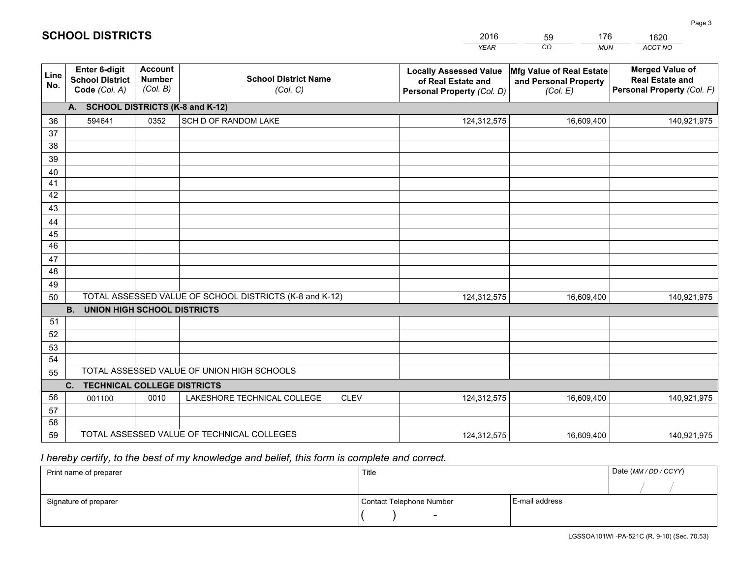|             |                                                                 |                                             |                                                         | <b>YEAR</b>                                                                       | CO<br><b>MUN</b>                                              | ACCT NO                                                                        |
|-------------|-----------------------------------------------------------------|---------------------------------------------|---------------------------------------------------------|-----------------------------------------------------------------------------------|---------------------------------------------------------------|--------------------------------------------------------------------------------|
| Line<br>No. | <b>Enter 6-digit</b><br><b>School District</b><br>Code (Col. A) | <b>Account</b><br><b>Number</b><br>(Col. B) | <b>School District Name</b><br>(Col. C)                 | <b>Locally Assessed Value</b><br>of Real Estate and<br>Personal Property (Col. D) | Mfg Value of Real Estate<br>and Personal Property<br>(Col. E) | <b>Merged Value of</b><br><b>Real Estate and</b><br>Personal Property (Col. F) |
|             | A. SCHOOL DISTRICTS (K-8 and K-12)                              |                                             |                                                         |                                                                                   |                                                               |                                                                                |
| 36          | 594641                                                          | 0352                                        | SCH D OF RANDOM LAKE                                    | 124,312,575                                                                       | 16,609,400                                                    | 140,921,975                                                                    |
| 37          |                                                                 |                                             |                                                         |                                                                                   |                                                               |                                                                                |
| 38          |                                                                 |                                             |                                                         |                                                                                   |                                                               |                                                                                |
| 39          |                                                                 |                                             |                                                         |                                                                                   |                                                               |                                                                                |
| 40          |                                                                 |                                             |                                                         |                                                                                   |                                                               |                                                                                |
| 41<br>42    |                                                                 |                                             |                                                         |                                                                                   |                                                               |                                                                                |
| 43          |                                                                 |                                             |                                                         |                                                                                   |                                                               |                                                                                |
| 44          |                                                                 |                                             |                                                         |                                                                                   |                                                               |                                                                                |
| 45          |                                                                 |                                             |                                                         |                                                                                   |                                                               |                                                                                |
| 46          |                                                                 |                                             |                                                         |                                                                                   |                                                               |                                                                                |
| 47          |                                                                 |                                             |                                                         |                                                                                   |                                                               |                                                                                |
| 48          |                                                                 |                                             |                                                         |                                                                                   |                                                               |                                                                                |
| 49          |                                                                 |                                             |                                                         |                                                                                   |                                                               |                                                                                |
| 50          |                                                                 |                                             | TOTAL ASSESSED VALUE OF SCHOOL DISTRICTS (K-8 and K-12) | 124,312,575                                                                       | 16,609,400                                                    | 140,921,975                                                                    |
|             | <b>B.</b><br><b>UNION HIGH SCHOOL DISTRICTS</b>                 |                                             |                                                         |                                                                                   |                                                               |                                                                                |
| 51          |                                                                 |                                             |                                                         |                                                                                   |                                                               |                                                                                |
| 52          |                                                                 |                                             |                                                         |                                                                                   |                                                               |                                                                                |
| 53          |                                                                 |                                             |                                                         |                                                                                   |                                                               |                                                                                |
| 54          |                                                                 |                                             |                                                         |                                                                                   |                                                               |                                                                                |
| 55          |                                                                 |                                             | TOTAL ASSESSED VALUE OF UNION HIGH SCHOOLS              |                                                                                   |                                                               |                                                                                |
|             | C.<br><b>TECHNICAL COLLEGE DISTRICTS</b>                        |                                             |                                                         |                                                                                   |                                                               |                                                                                |
| 56          | 001100                                                          | 0010                                        | LAKESHORE TECHNICAL COLLEGE<br><b>CLEV</b>              | 124,312,575                                                                       | 16,609,400                                                    | 140,921,975                                                                    |
| 57<br>58    |                                                                 |                                             |                                                         |                                                                                   |                                                               |                                                                                |
| 59          |                                                                 |                                             | TOTAL ASSESSED VALUE OF TECHNICAL COLLEGES              | 124,312,575                                                                       | 16,609,400                                                    | 140,921,975                                                                    |
|             |                                                                 |                                             |                                                         |                                                                                   |                                                               |                                                                                |

59

176

 *I hereby certify, to the best of my knowledge and belief, this form is complete and correct.*

**SCHOOL DISTRICTS**

| Print name of preparer | Title                    |                | Date (MM / DD / CCYY) |
|------------------------|--------------------------|----------------|-----------------------|
|                        |                          |                |                       |
| Signature of preparer  | Contact Telephone Number | E-mail address |                       |
|                        | $\sim$                   |                |                       |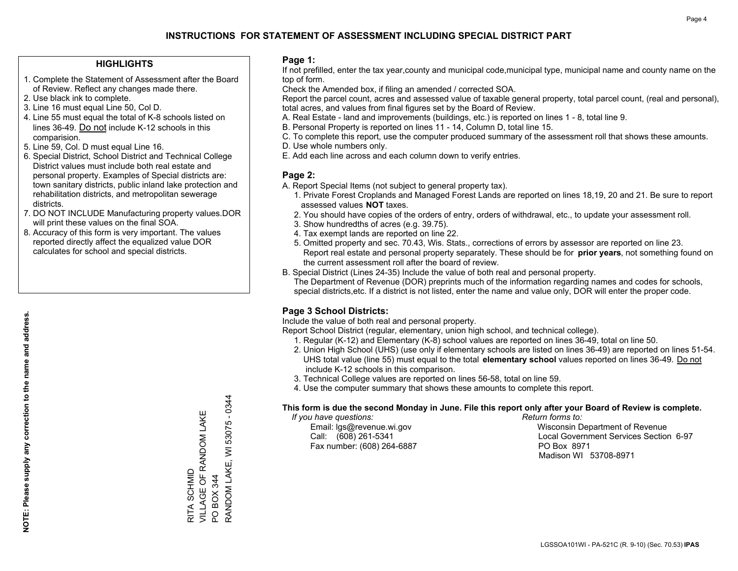#### **HIGHLIGHTS**

- 1. Complete the Statement of Assessment after the Board of Review. Reflect any changes made there.
- 2. Use black ink to complete.
- 3. Line 16 must equal Line 50, Col D.
- 4. Line 55 must equal the total of K-8 schools listed on lines 36-49. Do not include K-12 schools in this comparision.
- 5. Line 59, Col. D must equal Line 16.
- 6. Special District, School District and Technical College District values must include both real estate and personal property. Examples of Special districts are: town sanitary districts, public inland lake protection and rehabilitation districts, and metropolitan sewerage districts.
- 7. DO NOT INCLUDE Manufacturing property values.DOR will print these values on the final SOA.
- 8. Accuracy of this form is very important. The values reported directly affect the equalized value DOR calculates for school and special districts.

#### **Page 1:**

 If not prefilled, enter the tax year,county and municipal code,municipal type, municipal name and county name on the top of form.

Check the Amended box, if filing an amended / corrected SOA.

 Report the parcel count, acres and assessed value of taxable general property, total parcel count, (real and personal), total acres, and values from final figures set by the Board of Review.

- A. Real Estate land and improvements (buildings, etc.) is reported on lines 1 8, total line 9.
- B. Personal Property is reported on lines 11 14, Column D, total line 15.
- C. To complete this report, use the computer produced summary of the assessment roll that shows these amounts.
- D. Use whole numbers only.
- E. Add each line across and each column down to verify entries.

#### **Page 2:**

- A. Report Special Items (not subject to general property tax).
- 1. Private Forest Croplands and Managed Forest Lands are reported on lines 18,19, 20 and 21. Be sure to report assessed values **NOT** taxes.
- 2. You should have copies of the orders of entry, orders of withdrawal, etc., to update your assessment roll.
	- 3. Show hundredths of acres (e.g. 39.75).
- 4. Tax exempt lands are reported on line 22.
- 5. Omitted property and sec. 70.43, Wis. Stats., corrections of errors by assessor are reported on line 23. Report real estate and personal property separately. These should be for **prior years**, not something found on the current assessment roll after the board of review.
- B. Special District (Lines 24-35) Include the value of both real and personal property.
- The Department of Revenue (DOR) preprints much of the information regarding names and codes for schools, special districts,etc. If a district is not listed, enter the name and value only, DOR will enter the proper code.

### **Page 3 School Districts:**

Include the value of both real and personal property.

Report School District (regular, elementary, union high school, and technical college).

- 1. Regular (K-12) and Elementary (K-8) school values are reported on lines 36-49, total on line 50.
- 2. Union High School (UHS) (use only if elementary schools are listed on lines 36-49) are reported on lines 51-54. UHS total value (line 55) must equal to the total **elementary school** values reported on lines 36-49. Do notinclude K-12 schools in this comparison.
- 3. Technical College values are reported on lines 56-58, total on line 59.
- 4. Use the computer summary that shows these amounts to complete this report.

#### **This form is due the second Monday in June. File this report only after your Board of Review is complete.**

 *If you have questions: Return forms to:*

Fax number: (608) 264-6887 PO Box 8971

 Email: lgs@revenue.wi.gov Wisconsin Department of Revenue Call: (608) 261-5341 Local Government Services Section 6-97Madison WI 53708-8971

RANDOM LAKE, WI 53075 - 0344 RANDOM LAKE, WI 53075 - 0344 VILLAGE OF RANDOM LAKE VILLAGE OF RANDOM LAKE RITA SCHMID RITA SCHMID PO BOX 344 PO BOX 344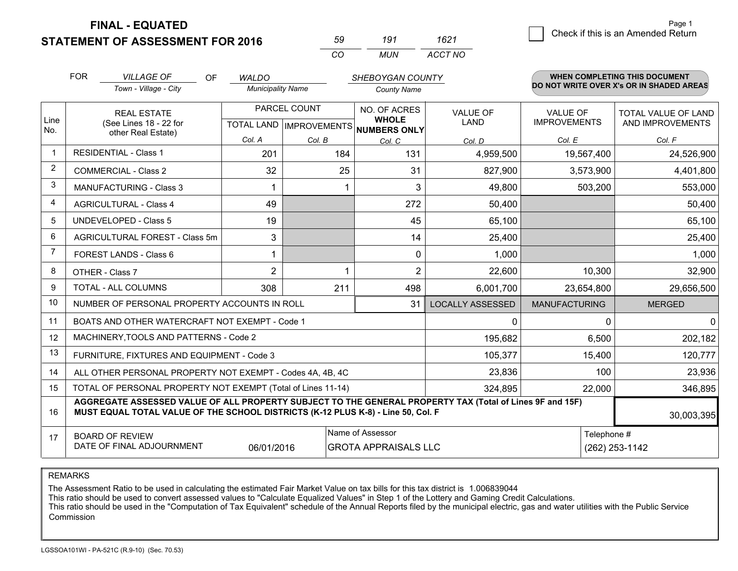**FINAL - EQUATED**

**STATEMENT OF ASSESSMENT FOR 2016** 

| っし       | 191 | '621    |
|----------|-----|---------|
| $\cdots$ | MUN | ACCT NO |

|                | <b>FOR</b>                                                                                                                                                                                   | <b>VILLAGE OF</b><br><b>OF</b>                               | <b>WALDO</b>             |              | SHEBOYGAN COUNTY                                                         |                                |                                        | WHEN COMPLETING THIS DOCUMENT            |
|----------------|----------------------------------------------------------------------------------------------------------------------------------------------------------------------------------------------|--------------------------------------------------------------|--------------------------|--------------|--------------------------------------------------------------------------|--------------------------------|----------------------------------------|------------------------------------------|
|                |                                                                                                                                                                                              | Town - Village - City                                        | <b>Municipality Name</b> |              | <b>County Name</b>                                                       |                                |                                        | DO NOT WRITE OVER X's OR IN SHADED AREAS |
| Line<br>No.    |                                                                                                                                                                                              | <b>REAL ESTATE</b><br>(See Lines 18 - 22 for                 |                          | PARCEL COUNT | NO. OF ACRES<br><b>WHOLE</b><br>TOTAL LAND   IMPROVEMENTS   NUMBERS ONLY | <b>VALUE OF</b><br><b>LAND</b> | <b>VALUE OF</b><br><b>IMPROVEMENTS</b> | TOTAL VALUE OF LAND<br>AND IMPROVEMENTS  |
|                |                                                                                                                                                                                              | other Real Estate)                                           | Col. A                   | Col. B       | Col. C                                                                   | Col. D                         | Col. E                                 | Col. F                                   |
| $\mathbf 1$    |                                                                                                                                                                                              | <b>RESIDENTIAL - Class 1</b>                                 | 201                      | 184          | 131                                                                      | 4,959,500                      | 19,567,400                             | 24,526,900                               |
| 2              |                                                                                                                                                                                              | <b>COMMERCIAL - Class 2</b>                                  | 32                       | 25           | 31                                                                       | 827,900                        | 3,573,900                              | 4,401,800                                |
| 3              |                                                                                                                                                                                              | <b>MANUFACTURING - Class 3</b>                               |                          |              | 3                                                                        | 49,800                         | 503,200                                | 553,000                                  |
| 4              |                                                                                                                                                                                              | <b>AGRICULTURAL - Class 4</b>                                | 49                       |              | 272                                                                      | 50,400                         |                                        | 50,400                                   |
| 5              |                                                                                                                                                                                              | <b>UNDEVELOPED - Class 5</b>                                 | 19                       |              | 45                                                                       | 65,100                         |                                        | 65,100                                   |
| 6              |                                                                                                                                                                                              | AGRICULTURAL FOREST - Class 5m                               | 3                        |              | 14                                                                       | 25,400                         |                                        | 25,400                                   |
| $\overline{7}$ |                                                                                                                                                                                              | FOREST LANDS - Class 6                                       | 1                        |              | $\Omega$                                                                 | 1,000                          |                                        | 1,000                                    |
| 8              |                                                                                                                                                                                              | OTHER - Class 7                                              | $\overline{2}$           |              | 2                                                                        | 22,600                         | 10,300                                 | 32,900                                   |
| 9              |                                                                                                                                                                                              | TOTAL - ALL COLUMNS                                          | 308                      | 211          | 498                                                                      | 6,001,700                      | 23,654,800                             | 29,656,500                               |
| 10             |                                                                                                                                                                                              | NUMBER OF PERSONAL PROPERTY ACCOUNTS IN ROLL                 |                          |              | 31                                                                       | <b>LOCALLY ASSESSED</b>        | <b>MANUFACTURING</b>                   | <b>MERGED</b>                            |
| 11             |                                                                                                                                                                                              | BOATS AND OTHER WATERCRAFT NOT EXEMPT - Code 1               |                          |              |                                                                          | 0                              | $\Omega$                               | $\mathbf{0}$                             |
| 12             |                                                                                                                                                                                              | MACHINERY, TOOLS AND PATTERNS - Code 2                       |                          |              |                                                                          | 195,682                        | 6,500                                  | 202,182                                  |
| 13             |                                                                                                                                                                                              | FURNITURE, FIXTURES AND EQUIPMENT - Code 3                   |                          |              |                                                                          | 105,377                        | 15,400                                 | 120,777                                  |
| 14             |                                                                                                                                                                                              | ALL OTHER PERSONAL PROPERTY NOT EXEMPT - Codes 4A, 4B, 4C    |                          |              |                                                                          | 23,836                         | 100                                    | 23,936                                   |
| 15             |                                                                                                                                                                                              | TOTAL OF PERSONAL PROPERTY NOT EXEMPT (Total of Lines 11-14) |                          |              | 324,895                                                                  | 22,000                         | 346,895                                |                                          |
| 16             | AGGREGATE ASSESSED VALUE OF ALL PROPERTY SUBJECT TO THE GENERAL PROPERTY TAX (Total of Lines 9F and 15F)<br>MUST EQUAL TOTAL VALUE OF THE SCHOOL DISTRICTS (K-12 PLUS K-8) - Line 50, Col. F |                                                              |                          |              |                                                                          |                                |                                        | 30,003,395                               |
| 17             |                                                                                                                                                                                              | <b>BOARD OF REVIEW</b>                                       |                          |              | Name of Assessor                                                         |                                | Telephone #                            |                                          |
|                | DATE OF FINAL ADJOURNMENT<br>06/01/2016<br><b>GROTA APPRAISALS LLC</b>                                                                                                                       |                                                              |                          |              |                                                                          |                                | (262) 253-1142                         |                                          |

REMARKS

The Assessment Ratio to be used in calculating the estimated Fair Market Value on tax bills for this tax district is 1.006839044<br>This ratio should be used to convert assessed values to "Calculate Equalized Values" in Step Commission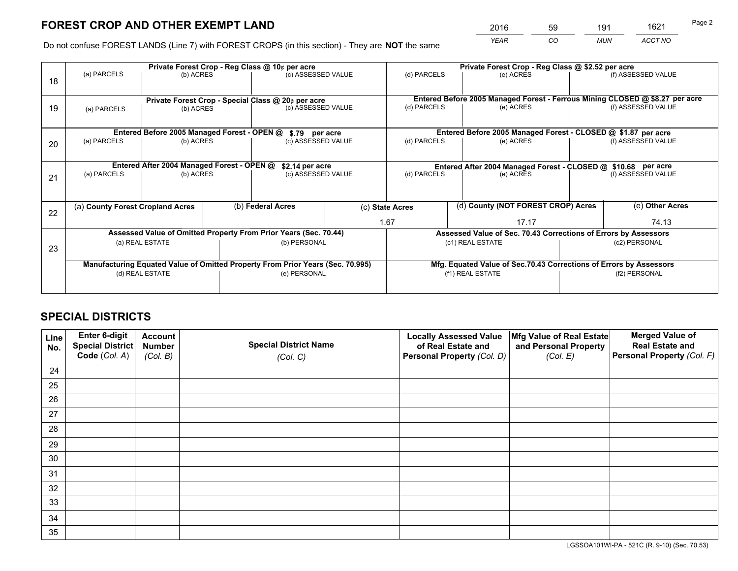*YEAR CO MUN ACCT NO* <sup>2016</sup> <sup>59</sup> <sup>191</sup> <sup>1621</sup>

Do not confuse FOREST LANDS (Line 7) with FOREST CROPS (in this section) - They are **NOT** the same

|    | Private Forest Crop - Reg Class @ 10¢ per acre |                                             |  |                                                                                |              | Private Forest Crop - Reg Class @ \$2.52 per acre             |  |                                                                    |                    |                                                                              |
|----|------------------------------------------------|---------------------------------------------|--|--------------------------------------------------------------------------------|--------------|---------------------------------------------------------------|--|--------------------------------------------------------------------|--------------------|------------------------------------------------------------------------------|
| 18 | (a) PARCELS                                    | (b) ACRES                                   |  | (c) ASSESSED VALUE                                                             |              | (d) PARCELS                                                   |  | (e) ACRES                                                          |                    | (f) ASSESSED VALUE                                                           |
|    |                                                |                                             |  | Private Forest Crop - Special Class @ 20¢ per acre                             |              |                                                               |  |                                                                    |                    | Entered Before 2005 Managed Forest - Ferrous Mining CLOSED @ \$8.27 per acre |
| 19 | (a) PARCELS                                    | (b) ACRES                                   |  | (c) ASSESSED VALUE                                                             |              | (d) PARCELS                                                   |  | (e) ACRES                                                          |                    | (f) ASSESSED VALUE                                                           |
|    |                                                | Entered Before 2005 Managed Forest - OPEN @ |  | \$.79 per acre                                                                 |              |                                                               |  | Entered Before 2005 Managed Forest - CLOSED @ \$1.87 per acre      |                    |                                                                              |
| 20 | (a) PARCELS<br>(b) ACRES                       |                                             |  | (c) ASSESSED VALUE                                                             |              | (d) PARCELS<br>(e) ACRES                                      |  |                                                                    | (f) ASSESSED VALUE |                                                                              |
|    | Entered After 2004 Managed Forest - OPEN @     |                                             |  | \$2.14 per acre                                                                |              | Entered After 2004 Managed Forest - CLOSED @ \$10.68 per acre |  |                                                                    |                    |                                                                              |
| 21 | (a) PARCELS                                    | (b) ACRES                                   |  | (c) ASSESSED VALUE                                                             |              | (d) PARCELS                                                   |  | (e) ACRES                                                          |                    | (f) ASSESSED VALUE                                                           |
|    |                                                |                                             |  |                                                                                |              |                                                               |  |                                                                    |                    |                                                                              |
| 22 | (a) County Forest Cropland Acres               |                                             |  | (b) Federal Acres                                                              |              | (c) State Acres                                               |  | (d) County (NOT FOREST CROP) Acres                                 |                    | (e) Other Acres                                                              |
|    |                                                |                                             |  |                                                                                |              | 1.67                                                          |  | 17.17                                                              |                    | 74.13                                                                        |
|    |                                                |                                             |  | Assessed Value of Omitted Property From Prior Years (Sec. 70.44)               |              |                                                               |  | Assessed Value of Sec. 70.43 Corrections of Errors by Assessors    |                    |                                                                              |
| 23 |                                                | (a) REAL ESTATE                             |  |                                                                                | (b) PERSONAL |                                                               |  | (c1) REAL ESTATE                                                   | (c2) PERSONAL      |                                                                              |
|    |                                                |                                             |  | Manufacturing Equated Value of Omitted Property From Prior Years (Sec. 70.995) |              |                                                               |  | Mfg. Equated Value of Sec.70.43 Corrections of Errors by Assessors |                    |                                                                              |
|    | (d) REAL ESTATE                                |                                             |  | (e) PERSONAL                                                                   |              | (f1) REAL ESTATE                                              |  |                                                                    | (f2) PERSONAL      |                                                                              |
|    |                                                |                                             |  |                                                                                |              |                                                               |  |                                                                    |                    |                                                                              |

## **SPECIAL DISTRICTS**

| Line<br>No. | Enter 6-digit<br>Special District<br>Code (Col. A) | <b>Account</b><br><b>Number</b><br>(Col. B) | <b>Special District Name</b><br>(Col. C) | <b>Locally Assessed Value</b><br>of Real Estate and<br>Personal Property (Col. D) | Mfg Value of Real Estate<br>and Personal Property<br>(Col. E) | <b>Merged Value of</b><br><b>Real Estate and</b><br>Personal Property (Col. F) |
|-------------|----------------------------------------------------|---------------------------------------------|------------------------------------------|-----------------------------------------------------------------------------------|---------------------------------------------------------------|--------------------------------------------------------------------------------|
| 24          |                                                    |                                             |                                          |                                                                                   |                                                               |                                                                                |
| 25          |                                                    |                                             |                                          |                                                                                   |                                                               |                                                                                |
| 26          |                                                    |                                             |                                          |                                                                                   |                                                               |                                                                                |
| 27          |                                                    |                                             |                                          |                                                                                   |                                                               |                                                                                |
| 28          |                                                    |                                             |                                          |                                                                                   |                                                               |                                                                                |
| 29          |                                                    |                                             |                                          |                                                                                   |                                                               |                                                                                |
| 30          |                                                    |                                             |                                          |                                                                                   |                                                               |                                                                                |
| 31          |                                                    |                                             |                                          |                                                                                   |                                                               |                                                                                |
| 32          |                                                    |                                             |                                          |                                                                                   |                                                               |                                                                                |
| 33          |                                                    |                                             |                                          |                                                                                   |                                                               |                                                                                |
| 34          |                                                    |                                             |                                          |                                                                                   |                                                               |                                                                                |
| 35          |                                                    |                                             |                                          |                                                                                   |                                                               |                                                                                |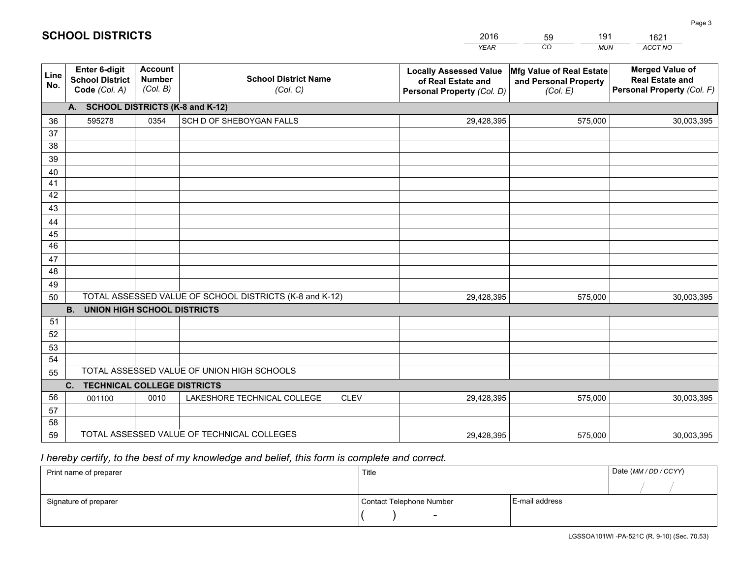|             |                                                                 |                                             |                                                         | <b>YEAR</b>                                                                       | CO<br><b>MUN</b>                                              | ACCT NO                                                                        |
|-------------|-----------------------------------------------------------------|---------------------------------------------|---------------------------------------------------------|-----------------------------------------------------------------------------------|---------------------------------------------------------------|--------------------------------------------------------------------------------|
| Line<br>No. | <b>Enter 6-digit</b><br><b>School District</b><br>Code (Col. A) | <b>Account</b><br><b>Number</b><br>(Col. B) | <b>School District Name</b><br>(Col. C)                 | <b>Locally Assessed Value</b><br>of Real Estate and<br>Personal Property (Col. D) | Mfg Value of Real Estate<br>and Personal Property<br>(Col. E) | <b>Merged Value of</b><br><b>Real Estate and</b><br>Personal Property (Col. F) |
|             | A. SCHOOL DISTRICTS (K-8 and K-12)                              |                                             |                                                         |                                                                                   |                                                               |                                                                                |
| 36          | 595278                                                          | 0354                                        | SCH D OF SHEBOYGAN FALLS                                | 29,428,395                                                                        | 575,000                                                       | 30,003,395                                                                     |
| 37          |                                                                 |                                             |                                                         |                                                                                   |                                                               |                                                                                |
| 38          |                                                                 |                                             |                                                         |                                                                                   |                                                               |                                                                                |
| 39          |                                                                 |                                             |                                                         |                                                                                   |                                                               |                                                                                |
| 40          |                                                                 |                                             |                                                         |                                                                                   |                                                               |                                                                                |
| 41<br>42    |                                                                 |                                             |                                                         |                                                                                   |                                                               |                                                                                |
| 43          |                                                                 |                                             |                                                         |                                                                                   |                                                               |                                                                                |
| 44          |                                                                 |                                             |                                                         |                                                                                   |                                                               |                                                                                |
| 45          |                                                                 |                                             |                                                         |                                                                                   |                                                               |                                                                                |
| 46          |                                                                 |                                             |                                                         |                                                                                   |                                                               |                                                                                |
| 47          |                                                                 |                                             |                                                         |                                                                                   |                                                               |                                                                                |
| 48          |                                                                 |                                             |                                                         |                                                                                   |                                                               |                                                                                |
| 49          |                                                                 |                                             |                                                         |                                                                                   |                                                               |                                                                                |
| 50          |                                                                 |                                             | TOTAL ASSESSED VALUE OF SCHOOL DISTRICTS (K-8 and K-12) | 29,428,395                                                                        | 575,000                                                       | 30,003,395                                                                     |
|             | <b>B.</b><br>UNION HIGH SCHOOL DISTRICTS                        |                                             |                                                         |                                                                                   |                                                               |                                                                                |
| 51          |                                                                 |                                             |                                                         |                                                                                   |                                                               |                                                                                |
| 52          |                                                                 |                                             |                                                         |                                                                                   |                                                               |                                                                                |
| 53<br>54    |                                                                 |                                             |                                                         |                                                                                   |                                                               |                                                                                |
| 55          |                                                                 |                                             | TOTAL ASSESSED VALUE OF UNION HIGH SCHOOLS              |                                                                                   |                                                               |                                                                                |
|             | C.<br><b>TECHNICAL COLLEGE DISTRICTS</b>                        |                                             |                                                         |                                                                                   |                                                               |                                                                                |
| 56          | 001100                                                          | 0010                                        | LAKESHORE TECHNICAL COLLEGE<br><b>CLEV</b>              | 29,428,395                                                                        | 575,000                                                       | 30,003,395                                                                     |
| 57          |                                                                 |                                             |                                                         |                                                                                   |                                                               |                                                                                |
| 58          |                                                                 |                                             |                                                         |                                                                                   |                                                               |                                                                                |
| 59          |                                                                 |                                             | TOTAL ASSESSED VALUE OF TECHNICAL COLLEGES              | 29,428,395                                                                        | 575,000                                                       | 30,003,395                                                                     |

59

191

 *I hereby certify, to the best of my knowledge and belief, this form is complete and correct.*

**SCHOOL DISTRICTS**

| Print name of preparer | Title                    |                | Date (MM / DD / CCYY) |
|------------------------|--------------------------|----------------|-----------------------|
|                        |                          |                |                       |
| Signature of preparer  | Contact Telephone Number | E-mail address |                       |
|                        | $\sim$                   |                |                       |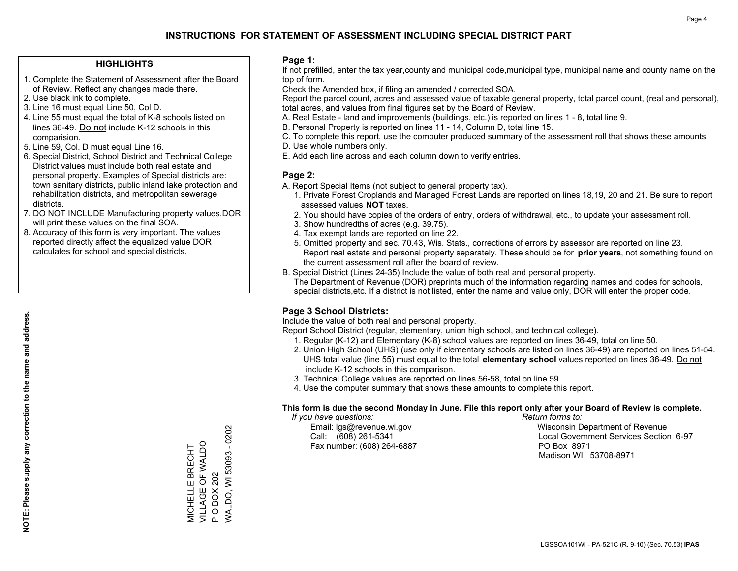#### **HIGHLIGHTS**

- 1. Complete the Statement of Assessment after the Board of Review. Reflect any changes made there.
- 2. Use black ink to complete.
- 3. Line 16 must equal Line 50, Col D.
- 4. Line 55 must equal the total of K-8 schools listed on lines 36-49. Do not include K-12 schools in this comparision.
- 5. Line 59, Col. D must equal Line 16.
- 6. Special District, School District and Technical College District values must include both real estate and personal property. Examples of Special districts are: town sanitary districts, public inland lake protection and rehabilitation districts, and metropolitan sewerage districts.
- 7. DO NOT INCLUDE Manufacturing property values.DOR will print these values on the final SOA.
- 8. Accuracy of this form is very important. The values reported directly affect the equalized value DOR calculates for school and special districts.

#### **Page 1:**

 If not prefilled, enter the tax year,county and municipal code,municipal type, municipal name and county name on the top of form.

Check the Amended box, if filing an amended / corrected SOA.

 Report the parcel count, acres and assessed value of taxable general property, total parcel count, (real and personal), total acres, and values from final figures set by the Board of Review.

- A. Real Estate land and improvements (buildings, etc.) is reported on lines 1 8, total line 9.
- B. Personal Property is reported on lines 11 14, Column D, total line 15.
- C. To complete this report, use the computer produced summary of the assessment roll that shows these amounts.
- D. Use whole numbers only.
- E. Add each line across and each column down to verify entries.

#### **Page 2:**

- A. Report Special Items (not subject to general property tax).
- 1. Private Forest Croplands and Managed Forest Lands are reported on lines 18,19, 20 and 21. Be sure to report assessed values **NOT** taxes.
- 2. You should have copies of the orders of entry, orders of withdrawal, etc., to update your assessment roll.
	- 3. Show hundredths of acres (e.g. 39.75).
- 4. Tax exempt lands are reported on line 22.
- 5. Omitted property and sec. 70.43, Wis. Stats., corrections of errors by assessor are reported on line 23. Report real estate and personal property separately. These should be for **prior years**, not something found on the current assessment roll after the board of review.
- B. Special District (Lines 24-35) Include the value of both real and personal property.

 The Department of Revenue (DOR) preprints much of the information regarding names and codes for schools, special districts,etc. If a district is not listed, enter the name and value only, DOR will enter the proper code.

### **Page 3 School Districts:**

Include the value of both real and personal property.

Report School District (regular, elementary, union high school, and technical college).

- 1. Regular (K-12) and Elementary (K-8) school values are reported on lines 36-49, total on line 50.
- 2. Union High School (UHS) (use only if elementary schools are listed on lines 36-49) are reported on lines 51-54. UHS total value (line 55) must equal to the total **elementary school** values reported on lines 36-49. Do notinclude K-12 schools in this comparison.
- 3. Technical College values are reported on lines 56-58, total on line 59.
- 4. Use the computer summary that shows these amounts to complete this report.

#### **This form is due the second Monday in June. File this report only after your Board of Review is complete.**

 *If you have questions: Return forms to:*

Fax number: (608) 264-6887 PO Box 8971

 Email: lgs@revenue.wi.gov Wisconsin Department of Revenue Call: (608) 261-5341 Local Government Services Section 6-97Madison WI 53708-8971

**NOTE: Please supply any correction to the name and address.**

NOTE: Please supply any correction to the name and address.

**WALDO, WI 53093 - 0202** WALDO, WI 53093 - 0202 VILLAGE OF WALDO MICHELLE BRECHT<br>VILLAGE OF WALDO MICHELLE BRECHT P O BOX 202 P O BOX 202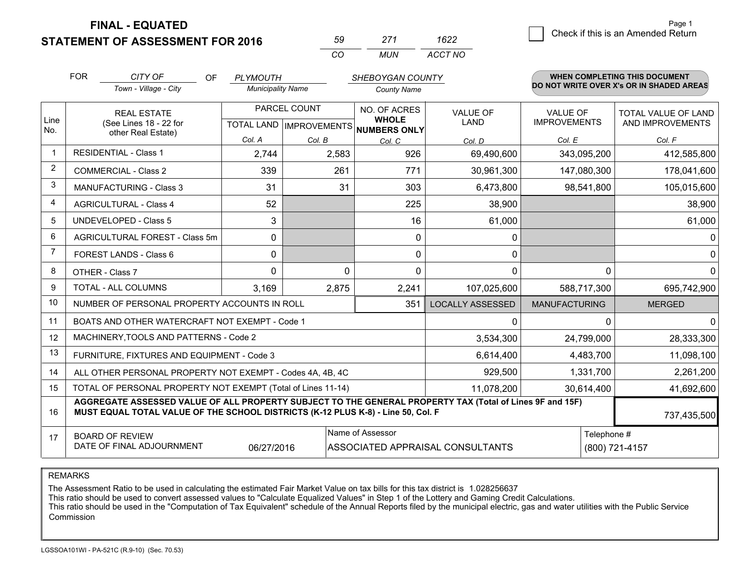**FINAL - EQUATED**

**STATEMENT OF ASSESSMENT FOR 2016** 

| $\cdots$ | MI IN | ACCT NO |
|----------|-------|---------|

|                | <b>FOR</b> | CITY OF<br>OF                                                                                                                                                                                | <b>PLYMOUTH</b>          |              | SHEBOYGAN COUNTY                     |                                  |                                        | WHEN COMPLETING THIS DOCUMENT                  |
|----------------|------------|----------------------------------------------------------------------------------------------------------------------------------------------------------------------------------------------|--------------------------|--------------|--------------------------------------|----------------------------------|----------------------------------------|------------------------------------------------|
|                |            | Town - Village - City                                                                                                                                                                        | <b>Municipality Name</b> |              | <b>County Name</b>                   |                                  |                                        | DO NOT WRITE OVER X's OR IN SHADED AREAS       |
| Line           |            | <b>REAL ESTATE</b><br>(See Lines 18 - 22 for                                                                                                                                                 |                          | PARCEL COUNT | NO. OF ACRES<br><b>WHOLE</b>         | <b>VALUE OF</b><br>LAND          | <b>VALUE OF</b><br><b>IMPROVEMENTS</b> | <b>TOTAL VALUE OF LAND</b><br>AND IMPROVEMENTS |
| No.            |            | other Real Estate)                                                                                                                                                                           |                          |              | TOTAL LAND IMPROVEMENTS NUMBERS ONLY |                                  |                                        |                                                |
|                |            | <b>RESIDENTIAL - Class 1</b>                                                                                                                                                                 | Col. A                   | Col. B       | Col. C                               | Col. D                           | Col. E                                 | Col. F                                         |
| -1             |            |                                                                                                                                                                                              | 2,744                    | 2,583        | 926                                  | 69,490,600                       | 343,095,200                            | 412,585,800                                    |
| 2              |            | <b>COMMERCIAL - Class 2</b>                                                                                                                                                                  | 339                      | 261          | 771                                  | 30,961,300                       | 147,080,300                            | 178,041,600                                    |
| 3              |            | <b>MANUFACTURING - Class 3</b>                                                                                                                                                               | 31                       | 31           | 303                                  | 6,473,800                        | 98,541,800                             | 105,015,600                                    |
| 4              |            | <b>AGRICULTURAL - Class 4</b>                                                                                                                                                                | 52                       |              | 225                                  | 38,900                           |                                        | 38,900                                         |
| 5              |            | <b>UNDEVELOPED - Class 5</b>                                                                                                                                                                 | 3                        |              | 16                                   | 61,000                           |                                        | 61,000                                         |
| 6              |            | AGRICULTURAL FOREST - Class 5m                                                                                                                                                               | $\Omega$                 |              | $\Omega$                             | 0                                |                                        | $\mathbf{0}$                                   |
| $\overline{7}$ |            | FOREST LANDS - Class 6                                                                                                                                                                       | 0                        |              | $\Omega$                             | 0                                |                                        | $\mathbf 0$                                    |
| 8              |            | OTHER - Class 7                                                                                                                                                                              | $\Omega$                 | $\Omega$     | $\Omega$                             | 0                                | $\Omega$                               | $\mathbf{0}$                                   |
| 9              |            | TOTAL - ALL COLUMNS                                                                                                                                                                          | 3,169                    | 2,875        | 2,241                                | 107,025,600                      | 588,717,300                            | 695,742,900                                    |
| 10             |            | NUMBER OF PERSONAL PROPERTY ACCOUNTS IN ROLL                                                                                                                                                 |                          |              | 351                                  | <b>LOCALLY ASSESSED</b>          | <b>MANUFACTURING</b>                   | <b>MERGED</b>                                  |
| 11             |            | BOATS AND OTHER WATERCRAFT NOT EXEMPT - Code 1                                                                                                                                               |                          |              |                                      | 0                                | 0                                      | $\mathbf{0}$                                   |
| 12             |            | MACHINERY, TOOLS AND PATTERNS - Code 2                                                                                                                                                       |                          |              |                                      | 3,534,300                        | 24,799,000                             | 28,333,300                                     |
| 13             |            | FURNITURE, FIXTURES AND EQUIPMENT - Code 3                                                                                                                                                   |                          |              |                                      | 6,614,400                        | 4,483,700                              | 11,098,100                                     |
| 14             |            | ALL OTHER PERSONAL PROPERTY NOT EXEMPT - Codes 4A, 4B, 4C                                                                                                                                    |                          |              |                                      | 929,500                          | 1,331,700                              | 2,261,200                                      |
| 15             |            | TOTAL OF PERSONAL PROPERTY NOT EXEMPT (Total of Lines 11-14)                                                                                                                                 |                          |              |                                      | 11,078,200                       | 30,614,400                             | 41,692,600                                     |
| 16             |            | AGGREGATE ASSESSED VALUE OF ALL PROPERTY SUBJECT TO THE GENERAL PROPERTY TAX (Total of Lines 9F and 15F)<br>MUST EQUAL TOTAL VALUE OF THE SCHOOL DISTRICTS (K-12 PLUS K-8) - Line 50, Col. F |                          |              |                                      |                                  |                                        | 737,435,500                                    |
| 17             |            | <b>BOARD OF REVIEW</b>                                                                                                                                                                       |                          |              | Name of Assessor                     |                                  | Telephone #                            |                                                |
|                |            | DATE OF FINAL ADJOURNMENT                                                                                                                                                                    | 06/27/2016               |              |                                      | ASSOCIATED APPRAISAL CONSULTANTS |                                        | (800) 721-4157                                 |

REMARKS

The Assessment Ratio to be used in calculating the estimated Fair Market Value on tax bills for this tax district is 1.028256637<br>This ratio should be used to convert assessed values to "Calculate Equalized Values" in Step Commission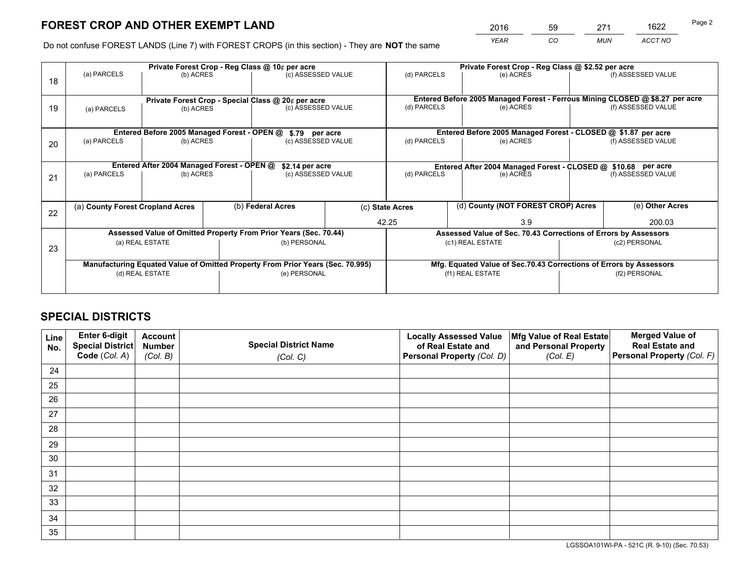*YEAR CO MUN ACCT NO* 2016 59 271 1622

Do not confuse FOREST LANDS (Line 7) with FOREST CROPS (in this section) - They are **NOT** the same

|    | Private Forest Crop - Reg Class @ 10¢ per acre     |                                             |  |                                                                                |                                                                              | Private Forest Crop - Reg Class @ \$2.52 per acre |                                                                    |        |                    |  |
|----|----------------------------------------------------|---------------------------------------------|--|--------------------------------------------------------------------------------|------------------------------------------------------------------------------|---------------------------------------------------|--------------------------------------------------------------------|--------|--------------------|--|
| 18 | (a) PARCELS                                        | (b) ACRES                                   |  | (c) ASSESSED VALUE                                                             |                                                                              | (d) PARCELS                                       | (e) ACRES                                                          |        | (f) ASSESSED VALUE |  |
|    |                                                    |                                             |  |                                                                                |                                                                              |                                                   |                                                                    |        |                    |  |
|    | Private Forest Crop - Special Class @ 20¢ per acre |                                             |  |                                                                                | Entered Before 2005 Managed Forest - Ferrous Mining CLOSED @ \$8.27 per acre |                                                   |                                                                    |        |                    |  |
| 19 | (a) PARCELS                                        | (b) ACRES                                   |  | (c) ASSESSED VALUE                                                             |                                                                              | (d) PARCELS                                       | (e) ACRES                                                          |        | (f) ASSESSED VALUE |  |
|    |                                                    |                                             |  |                                                                                |                                                                              |                                                   |                                                                    |        |                    |  |
|    |                                                    | Entered Before 2005 Managed Forest - OPEN @ |  | \$.79 per acre                                                                 |                                                                              |                                                   | Entered Before 2005 Managed Forest - CLOSED @ \$1.87 per acre      |        |                    |  |
| 20 | (a) PARCELS                                        | (b) ACRES                                   |  | (c) ASSESSED VALUE                                                             |                                                                              | (d) PARCELS                                       | (e) ACRES                                                          |        | (f) ASSESSED VALUE |  |
|    |                                                    |                                             |  |                                                                                |                                                                              |                                                   |                                                                    |        |                    |  |
|    | Entered After 2004 Managed Forest - OPEN @         |                                             |  | \$2.14 per acre                                                                |                                                                              |                                                   | Entered After 2004 Managed Forest - CLOSED @ \$10.68 per acre      |        |                    |  |
| 21 | (a) PARCELS                                        | (b) ACRES                                   |  | (c) ASSESSED VALUE                                                             |                                                                              | (d) PARCELS                                       | (e) ACRES                                                          |        |                    |  |
|    |                                                    |                                             |  |                                                                                |                                                                              |                                                   |                                                                    |        |                    |  |
|    |                                                    |                                             |  |                                                                                |                                                                              |                                                   |                                                                    |        |                    |  |
| 22 | (a) County Forest Cropland Acres                   |                                             |  | (b) Federal Acres                                                              |                                                                              | (c) State Acres                                   | (d) County (NOT FOREST CROP) Acres                                 |        | (e) Other Acres    |  |
|    |                                                    |                                             |  |                                                                                |                                                                              | 42.25                                             | 3.9                                                                | 200.03 |                    |  |
|    |                                                    |                                             |  | Assessed Value of Omitted Property From Prior Years (Sec. 70.44)               |                                                                              |                                                   | Assessed Value of Sec. 70.43 Corrections of Errors by Assessors    |        |                    |  |
| 23 |                                                    | (a) REAL ESTATE                             |  | (b) PERSONAL                                                                   |                                                                              |                                                   | (c1) REAL ESTATE                                                   |        | (c2) PERSONAL      |  |
|    |                                                    |                                             |  |                                                                                |                                                                              |                                                   |                                                                    |        |                    |  |
|    |                                                    |                                             |  | Manufacturing Equated Value of Omitted Property From Prior Years (Sec. 70.995) |                                                                              |                                                   | Mfg. Equated Value of Sec.70.43 Corrections of Errors by Assessors |        |                    |  |
|    | (d) REAL ESTATE                                    |                                             |  | (e) PERSONAL                                                                   |                                                                              | (f1) REAL ESTATE                                  |                                                                    |        | (f2) PERSONAL      |  |
|    |                                                    |                                             |  |                                                                                |                                                                              |                                                   |                                                                    |        |                    |  |

## **SPECIAL DISTRICTS**

| Line<br>No. | Enter 6-digit<br>Special District<br>Code (Col. A) | <b>Account</b><br><b>Number</b> | <b>Special District Name</b> | <b>Locally Assessed Value</b><br>of Real Estate and | Mfg Value of Real Estate<br>and Personal Property | <b>Merged Value of</b><br><b>Real Estate and</b><br>Personal Property (Col. F) |
|-------------|----------------------------------------------------|---------------------------------|------------------------------|-----------------------------------------------------|---------------------------------------------------|--------------------------------------------------------------------------------|
|             |                                                    | (Col. B)                        | (Col. C)                     | Personal Property (Col. D)                          | (Col. E)                                          |                                                                                |
| 24          |                                                    |                                 |                              |                                                     |                                                   |                                                                                |
| 25          |                                                    |                                 |                              |                                                     |                                                   |                                                                                |
| 26          |                                                    |                                 |                              |                                                     |                                                   |                                                                                |
| 27          |                                                    |                                 |                              |                                                     |                                                   |                                                                                |
| 28          |                                                    |                                 |                              |                                                     |                                                   |                                                                                |
| 29          |                                                    |                                 |                              |                                                     |                                                   |                                                                                |
| 30          |                                                    |                                 |                              |                                                     |                                                   |                                                                                |
| 31          |                                                    |                                 |                              |                                                     |                                                   |                                                                                |
| 32          |                                                    |                                 |                              |                                                     |                                                   |                                                                                |
| 33          |                                                    |                                 |                              |                                                     |                                                   |                                                                                |
| 34          |                                                    |                                 |                              |                                                     |                                                   |                                                                                |
| 35          |                                                    |                                 |                              |                                                     |                                                   |                                                                                |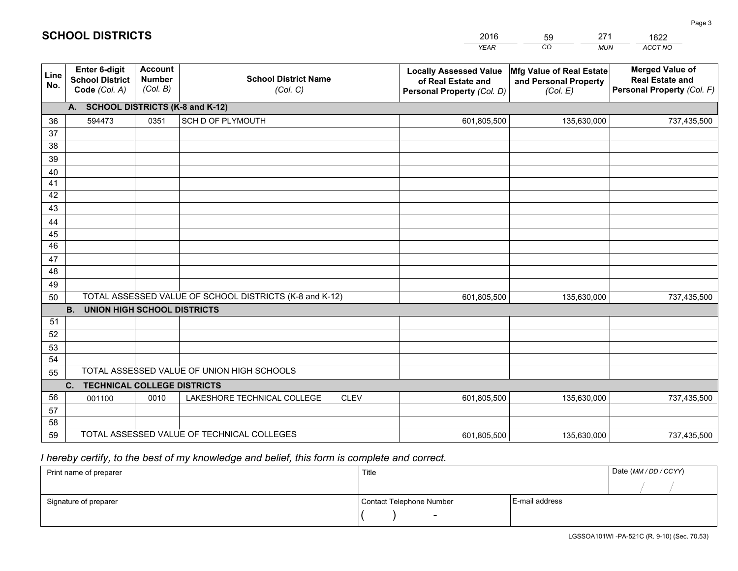|             |                                                                 |                                             |                                                         | <b>YEAR</b>                                                                       | CO<br><b>MUN</b>                                              | ACCT NO                                                                        |
|-------------|-----------------------------------------------------------------|---------------------------------------------|---------------------------------------------------------|-----------------------------------------------------------------------------------|---------------------------------------------------------------|--------------------------------------------------------------------------------|
| Line<br>No. | <b>Enter 6-digit</b><br><b>School District</b><br>Code (Col. A) | <b>Account</b><br><b>Number</b><br>(Col. B) | <b>School District Name</b><br>(Col. C)                 | <b>Locally Assessed Value</b><br>of Real Estate and<br>Personal Property (Col. D) | Mfg Value of Real Estate<br>and Personal Property<br>(Col. E) | <b>Merged Value of</b><br><b>Real Estate and</b><br>Personal Property (Col. F) |
|             | A. SCHOOL DISTRICTS (K-8 and K-12)                              |                                             |                                                         |                                                                                   |                                                               |                                                                                |
| 36          | 594473                                                          | 0351                                        | SCH D OF PLYMOUTH                                       | 601,805,500                                                                       | 135,630,000                                                   | 737,435,500                                                                    |
| 37          |                                                                 |                                             |                                                         |                                                                                   |                                                               |                                                                                |
| 38          |                                                                 |                                             |                                                         |                                                                                   |                                                               |                                                                                |
| 39          |                                                                 |                                             |                                                         |                                                                                   |                                                               |                                                                                |
| 40          |                                                                 |                                             |                                                         |                                                                                   |                                                               |                                                                                |
| 41<br>42    |                                                                 |                                             |                                                         |                                                                                   |                                                               |                                                                                |
| 43          |                                                                 |                                             |                                                         |                                                                                   |                                                               |                                                                                |
| 44          |                                                                 |                                             |                                                         |                                                                                   |                                                               |                                                                                |
| 45          |                                                                 |                                             |                                                         |                                                                                   |                                                               |                                                                                |
| 46          |                                                                 |                                             |                                                         |                                                                                   |                                                               |                                                                                |
| 47          |                                                                 |                                             |                                                         |                                                                                   |                                                               |                                                                                |
| 48          |                                                                 |                                             |                                                         |                                                                                   |                                                               |                                                                                |
| 49          |                                                                 |                                             |                                                         |                                                                                   |                                                               |                                                                                |
| 50          |                                                                 |                                             | TOTAL ASSESSED VALUE OF SCHOOL DISTRICTS (K-8 and K-12) | 601,805,500                                                                       | 135,630,000                                                   | 737,435,500                                                                    |
|             | <b>B. UNION HIGH SCHOOL DISTRICTS</b>                           |                                             |                                                         |                                                                                   |                                                               |                                                                                |
| 51          |                                                                 |                                             |                                                         |                                                                                   |                                                               |                                                                                |
| 52          |                                                                 |                                             |                                                         |                                                                                   |                                                               |                                                                                |
| 53<br>54    |                                                                 |                                             |                                                         |                                                                                   |                                                               |                                                                                |
| 55          |                                                                 |                                             | TOTAL ASSESSED VALUE OF UNION HIGH SCHOOLS              |                                                                                   |                                                               |                                                                                |
|             | C.<br><b>TECHNICAL COLLEGE DISTRICTS</b>                        |                                             |                                                         |                                                                                   |                                                               |                                                                                |
| 56          | 001100                                                          | 0010                                        | LAKESHORE TECHNICAL COLLEGE<br><b>CLEV</b>              | 601,805,500                                                                       | 135,630,000                                                   | 737,435,500                                                                    |
| 57          |                                                                 |                                             |                                                         |                                                                                   |                                                               |                                                                                |
| 58          |                                                                 |                                             |                                                         |                                                                                   |                                                               |                                                                                |
| 59          |                                                                 |                                             | TOTAL ASSESSED VALUE OF TECHNICAL COLLEGES              | 601,805,500                                                                       | 135,630,000                                                   | 737,435,500                                                                    |

59

271

 *I hereby certify, to the best of my knowledge and belief, this form is complete and correct.*

**SCHOOL DISTRICTS**

| Print name of preparer | Title                    |                | Date (MM / DD / CCYY) |
|------------------------|--------------------------|----------------|-----------------------|
|                        |                          |                |                       |
| Signature of preparer  | Contact Telephone Number | E-mail address |                       |
|                        | $\sim$                   |                |                       |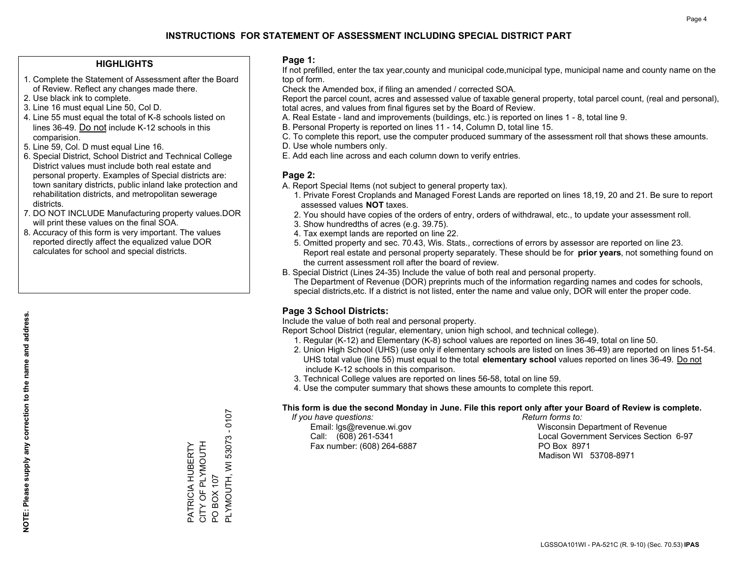#### **HIGHLIGHTS**

- 1. Complete the Statement of Assessment after the Board of Review. Reflect any changes made there.
- 2. Use black ink to complete.
- 3. Line 16 must equal Line 50, Col D.
- 4. Line 55 must equal the total of K-8 schools listed on lines 36-49. Do not include K-12 schools in this comparision.
- 5. Line 59, Col. D must equal Line 16.
- 6. Special District, School District and Technical College District values must include both real estate and personal property. Examples of Special districts are: town sanitary districts, public inland lake protection and rehabilitation districts, and metropolitan sewerage districts.
- 7. DO NOT INCLUDE Manufacturing property values.DOR will print these values on the final SOA.
- 8. Accuracy of this form is very important. The values reported directly affect the equalized value DOR calculates for school and special districts.

#### **Page 1:**

 If not prefilled, enter the tax year,county and municipal code,municipal type, municipal name and county name on the top of form.

Check the Amended box, if filing an amended / corrected SOA.

 Report the parcel count, acres and assessed value of taxable general property, total parcel count, (real and personal), total acres, and values from final figures set by the Board of Review.

- A. Real Estate land and improvements (buildings, etc.) is reported on lines 1 8, total line 9.
- B. Personal Property is reported on lines 11 14, Column D, total line 15.
- C. To complete this report, use the computer produced summary of the assessment roll that shows these amounts.
- D. Use whole numbers only.
- E. Add each line across and each column down to verify entries.

#### **Page 2:**

- A. Report Special Items (not subject to general property tax).
- 1. Private Forest Croplands and Managed Forest Lands are reported on lines 18,19, 20 and 21. Be sure to report assessed values **NOT** taxes.
- 2. You should have copies of the orders of entry, orders of withdrawal, etc., to update your assessment roll.
	- 3. Show hundredths of acres (e.g. 39.75).
- 4. Tax exempt lands are reported on line 22.
- 5. Omitted property and sec. 70.43, Wis. Stats., corrections of errors by assessor are reported on line 23. Report real estate and personal property separately. These should be for **prior years**, not something found on the current assessment roll after the board of review.
- B. Special District (Lines 24-35) Include the value of both real and personal property.
- The Department of Revenue (DOR) preprints much of the information regarding names and codes for schools, special districts,etc. If a district is not listed, enter the name and value only, DOR will enter the proper code.

### **Page 3 School Districts:**

Include the value of both real and personal property.

Report School District (regular, elementary, union high school, and technical college).

- 1. Regular (K-12) and Elementary (K-8) school values are reported on lines 36-49, total on line 50.
- 2. Union High School (UHS) (use only if elementary schools are listed on lines 36-49) are reported on lines 51-54. UHS total value (line 55) must equal to the total **elementary school** values reported on lines 36-49. Do notinclude K-12 schools in this comparison.
- 3. Technical College values are reported on lines 56-58, total on line 59.
- 4. Use the computer summary that shows these amounts to complete this report.

#### **This form is due the second Monday in June. File this report only after your Board of Review is complete.**

 *If you have questions: Return forms to:*

Fax number: (608) 264-6887 PO Box 8971

 Email: lgs@revenue.wi.gov Wisconsin Department of Revenue Call: (608) 261-5341 Local Government Services Section 6-97Madison WI 53708-8971

PLYMOUTH, WI 53073 - 0107 PLYMOUTH, WI 53073 CITY OF PLYMOUTH PATRICIA HUBERTY<br>CITY OF PLYMOUTH PATRICIA HUBERTY PO BOX 107 PO BOX 107

 $-0107$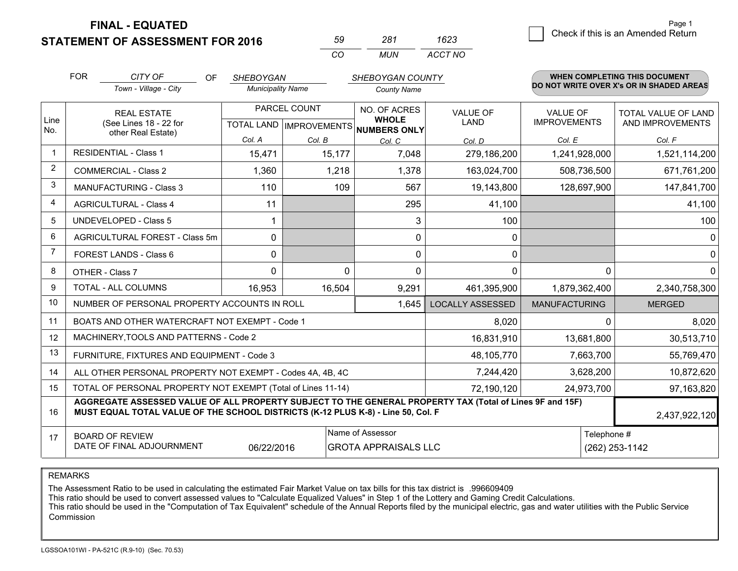**FINAL - EQUATED**

**STATEMENT OF ASSESSMENT FOR 2016** 

| へし       | 1×1   | 1623    |
|----------|-------|---------|
| $\cdots$ | MI IN | ACCT NO |

|                | <b>FOR</b>                                                                                                                          | CITY OF<br><b>OF</b>                                                                                                                                                                                          | <b>SHEBOYGAN</b>                                         |          | SHEBOYGAN COUNTY             |                                |                                        | WHEN COMPLETING THIS DOCUMENT                  |
|----------------|-------------------------------------------------------------------------------------------------------------------------------------|---------------------------------------------------------------------------------------------------------------------------------------------------------------------------------------------------------------|----------------------------------------------------------|----------|------------------------------|--------------------------------|----------------------------------------|------------------------------------------------|
|                |                                                                                                                                     | Town - Village - City                                                                                                                                                                                         | <b>Municipality Name</b>                                 |          | <b>County Name</b>           |                                |                                        | DO NOT WRITE OVER X's OR IN SHADED AREAS       |
| Line           | <b>REAL ESTATE</b><br>(See Lines 18 - 22 for<br>other Real Estate)                                                                  |                                                                                                                                                                                                               | PARCEL COUNT<br>TOTAL LAND   IMPROVEMENTS   NUMBERS ONLY |          | NO. OF ACRES<br><b>WHOLE</b> | <b>VALUE OF</b><br><b>LAND</b> | <b>VALUE OF</b><br><b>IMPROVEMENTS</b> | <b>TOTAL VALUE OF LAND</b><br>AND IMPROVEMENTS |
| No.            |                                                                                                                                     |                                                                                                                                                                                                               | Col. A                                                   | Col. B   | Col. C                       | Col. D                         | Col. E                                 | Col. F                                         |
|                | <b>RESIDENTIAL - Class 1</b>                                                                                                        |                                                                                                                                                                                                               | 15,471                                                   | 15,177   | 7,048                        | 279,186,200                    | 1,241,928,000                          | 1,521,114,200                                  |
| 2              |                                                                                                                                     | <b>COMMERCIAL - Class 2</b>                                                                                                                                                                                   | 1,360                                                    | 1,218    | 1,378                        | 163,024,700                    | 508,736,500                            | 671,761,200                                    |
| 3              |                                                                                                                                     | <b>MANUFACTURING - Class 3</b>                                                                                                                                                                                | 110                                                      | 109      | 567                          | 19,143,800                     | 128,697,900                            | 147,841,700                                    |
| 4              |                                                                                                                                     | <b>AGRICULTURAL - Class 4</b>                                                                                                                                                                                 | 11                                                       |          | 295                          | 41,100                         |                                        | 41,100                                         |
| 5              |                                                                                                                                     | <b>UNDEVELOPED - Class 5</b>                                                                                                                                                                                  | 1                                                        |          | 3                            | 100                            |                                        | 100                                            |
| 6              | AGRICULTURAL FOREST - Class 5m                                                                                                      |                                                                                                                                                                                                               | 0                                                        |          | 0                            | 0                              |                                        | 0                                              |
| $\overline{7}$ | FOREST LANDS - Class 6                                                                                                              |                                                                                                                                                                                                               | 0                                                        |          | $\Omega$                     | 0                              |                                        | $\mathbf 0$                                    |
| 8              | OTHER - Class 7                                                                                                                     |                                                                                                                                                                                                               | $\Omega$                                                 | $\Omega$ | $\Omega$                     | $\Omega$                       | $\Omega$                               | $\mathbf{0}$                                   |
| 9              | TOTAL - ALL COLUMNS                                                                                                                 |                                                                                                                                                                                                               | 16,953                                                   | 16,504   | 9,291                        | 461,395,900                    | 1,879,362,400                          | 2,340,758,300                                  |
| 10             |                                                                                                                                     | NUMBER OF PERSONAL PROPERTY ACCOUNTS IN ROLL                                                                                                                                                                  |                                                          |          | 1,645                        | <b>LOCALLY ASSESSED</b>        | <b>MANUFACTURING</b>                   | <b>MERGED</b>                                  |
| 11             |                                                                                                                                     | BOATS AND OTHER WATERCRAFT NOT EXEMPT - Code 1                                                                                                                                                                |                                                          |          | 8,020                        | $\Omega$                       | 8,020                                  |                                                |
| 12             |                                                                                                                                     | MACHINERY, TOOLS AND PATTERNS - Code 2                                                                                                                                                                        |                                                          |          |                              | 16,831,910                     | 13,681,800                             | 30,513,710                                     |
| 13             |                                                                                                                                     | FURNITURE, FIXTURES AND EQUIPMENT - Code 3                                                                                                                                                                    |                                                          |          | 48,105,770                   | 7,663,700                      | 55,769,470                             |                                                |
| 14             |                                                                                                                                     | ALL OTHER PERSONAL PROPERTY NOT EXEMPT - Codes 4A, 4B, 4C                                                                                                                                                     |                                                          |          | 7,244,420                    | 3,628,200                      | 10,872,620                             |                                                |
| 15             |                                                                                                                                     | TOTAL OF PERSONAL PROPERTY NOT EXEMPT (Total of Lines 11-14)                                                                                                                                                  |                                                          |          | 72,190,120                   | 24,973,700                     | 97,163,820                             |                                                |
| 16             |                                                                                                                                     | AGGREGATE ASSESSED VALUE OF ALL PROPERTY SUBJECT TO THE GENERAL PROPERTY TAX (Total of Lines 9F and 15F)<br>MUST EQUAL TOTAL VALUE OF THE SCHOOL DISTRICTS (K-12 PLUS K-8) - Line 50, Col. F<br>2,437,922,120 |                                                          |          |                              |                                |                                        |                                                |
| 17             | Name of Assessor<br>Telephone #<br><b>BOARD OF REVIEW</b><br>DATE OF FINAL ADJOURNMENT<br><b>GROTA APPRAISALS LLC</b><br>06/22/2016 |                                                                                                                                                                                                               |                                                          |          |                              | (262) 253-1142                 |                                        |                                                |

REMARKS

The Assessment Ratio to be used in calculating the estimated Fair Market Value on tax bills for this tax district is .996609409<br>This ratio should be used to convert assessed values to "Calculate Equalized Values" in Step 1 Commission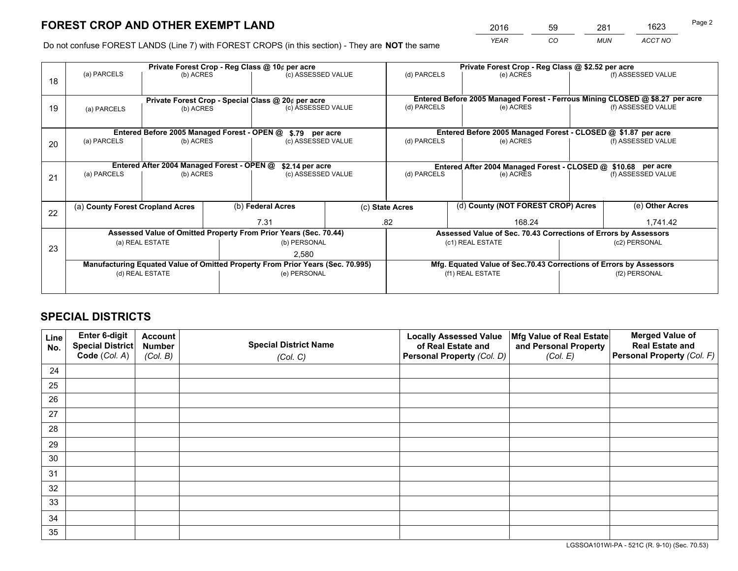*YEAR CO MUN ACCT NO* <sup>2016</sup> <sup>59</sup> <sup>281</sup> <sup>1623</sup>

Do not confuse FOREST LANDS (Line 7) with FOREST CROPS (in this section) - They are **NOT** the same

|    | Private Forest Crop - Reg Class @ 10¢ per acre                                 |                                                                  |                                                    |                                                                 |  | Private Forest Crop - Reg Class @ \$2.52 per acre                            |                                                               |           |               |                    |  |
|----|--------------------------------------------------------------------------------|------------------------------------------------------------------|----------------------------------------------------|-----------------------------------------------------------------|--|------------------------------------------------------------------------------|---------------------------------------------------------------|-----------|---------------|--------------------|--|
| 18 | (a) PARCELS<br>(b) ACRES                                                       |                                                                  |                                                    | (c) ASSESSED VALUE                                              |  | (d) PARCELS                                                                  | (e) ACRES                                                     |           |               | (f) ASSESSED VALUE |  |
|    |                                                                                |                                                                  |                                                    |                                                                 |  |                                                                              |                                                               |           |               |                    |  |
|    |                                                                                |                                                                  | Private Forest Crop - Special Class @ 20¢ per acre |                                                                 |  | Entered Before 2005 Managed Forest - Ferrous Mining CLOSED @ \$8.27 per acre |                                                               |           |               |                    |  |
| 19 | (b) ACRES<br>(a) PARCELS                                                       |                                                                  |                                                    | (c) ASSESSED VALUE                                              |  | (d) PARCELS                                                                  | (e) ACRES                                                     |           |               | (f) ASSESSED VALUE |  |
|    |                                                                                |                                                                  |                                                    |                                                                 |  |                                                                              |                                                               |           |               |                    |  |
|    |                                                                                | Entered Before 2005 Managed Forest - OPEN @                      |                                                    | \$.79 per acre                                                  |  |                                                                              | Entered Before 2005 Managed Forest - CLOSED @ \$1.87 per acre |           |               |                    |  |
| 20 | (a) PARCELS<br>(b) ACRES                                                       |                                                                  | (c) ASSESSED VALUE                                 |                                                                 |  | (d) PARCELS                                                                  |                                                               | (e) ACRES |               | (f) ASSESSED VALUE |  |
|    |                                                                                |                                                                  |                                                    |                                                                 |  |                                                                              |                                                               |           |               |                    |  |
|    | Entered After 2004 Managed Forest - OPEN @<br>\$2.14 per acre                  |                                                                  |                                                    |                                                                 |  | Entered After 2004 Managed Forest - CLOSED @ \$10.68 per acre                |                                                               |           |               |                    |  |
| 21 | (a) PARCELS<br>(b) ACRES                                                       |                                                                  |                                                    | (c) ASSESSED VALUE                                              |  | (d) PARCELS                                                                  |                                                               | (e) ACRES |               | (f) ASSESSED VALUE |  |
|    |                                                                                |                                                                  |                                                    |                                                                 |  |                                                                              |                                                               |           |               |                    |  |
|    | (a) County Forest Cropland Acres                                               |                                                                  |                                                    | (b) Federal Acres                                               |  | (c) State Acres                                                              | (d) County (NOT FOREST CROP) Acres                            |           |               | (e) Other Acres    |  |
| 22 |                                                                                |                                                                  |                                                    |                                                                 |  |                                                                              |                                                               |           |               |                    |  |
|    |                                                                                |                                                                  |                                                    | 7.31                                                            |  | .82<br>168.24                                                                |                                                               |           | 1,741.42      |                    |  |
|    |                                                                                | Assessed Value of Omitted Property From Prior Years (Sec. 70.44) |                                                    | Assessed Value of Sec. 70.43 Corrections of Errors by Assessors |  |                                                                              |                                                               |           |               |                    |  |
| 23 | (a) REAL ESTATE                                                                |                                                                  |                                                    | (b) PERSONAL                                                    |  | (c1) REAL ESTATE                                                             |                                                               |           | (c2) PERSONAL |                    |  |
|    | 2,580                                                                          |                                                                  |                                                    |                                                                 |  |                                                                              |                                                               |           |               |                    |  |
|    | Manufacturing Equated Value of Omitted Property From Prior Years (Sec. 70.995) |                                                                  |                                                    |                                                                 |  | Mfg. Equated Value of Sec.70.43 Corrections of Errors by Assessors           |                                                               |           |               |                    |  |
|    | (d) REAL ESTATE                                                                |                                                                  |                                                    | (e) PERSONAL                                                    |  | (f1) REAL ESTATE                                                             |                                                               |           | (f2) PERSONAL |                    |  |
|    |                                                                                |                                                                  |                                                    |                                                                 |  |                                                                              |                                                               |           |               |                    |  |

## **SPECIAL DISTRICTS**

| Line<br>No. | Enter 6-digit<br><b>Special District</b> | <b>Account</b><br><b>Number</b> | <b>Special District Name</b> | <b>Locally Assessed Value</b><br>of Real Estate and | Mfg Value of Real Estate<br>and Personal Property | <b>Merged Value of</b><br><b>Real Estate and</b> |
|-------------|------------------------------------------|---------------------------------|------------------------------|-----------------------------------------------------|---------------------------------------------------|--------------------------------------------------|
|             | Code (Col. A)                            | (Col. B)                        | (Col. C)                     | Personal Property (Col. D)                          | (Col. E)                                          | Personal Property (Col. F)                       |
| 24          |                                          |                                 |                              |                                                     |                                                   |                                                  |
| 25          |                                          |                                 |                              |                                                     |                                                   |                                                  |
| 26          |                                          |                                 |                              |                                                     |                                                   |                                                  |
| 27          |                                          |                                 |                              |                                                     |                                                   |                                                  |
| 28          |                                          |                                 |                              |                                                     |                                                   |                                                  |
| 29          |                                          |                                 |                              |                                                     |                                                   |                                                  |
| 30          |                                          |                                 |                              |                                                     |                                                   |                                                  |
| 31          |                                          |                                 |                              |                                                     |                                                   |                                                  |
| 32          |                                          |                                 |                              |                                                     |                                                   |                                                  |
| 33          |                                          |                                 |                              |                                                     |                                                   |                                                  |
| 34          |                                          |                                 |                              |                                                     |                                                   |                                                  |
| 35          |                                          |                                 |                              |                                                     |                                                   |                                                  |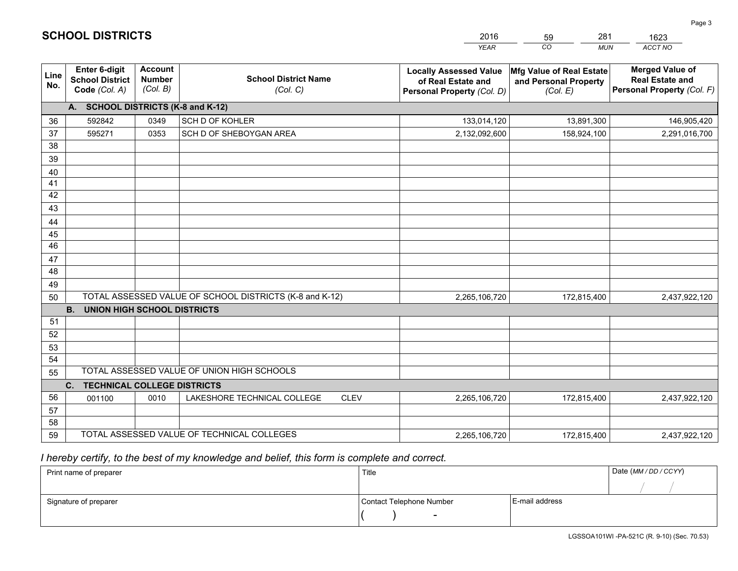|                       |                                                                 |                                             |                                                         | <b>YEAR</b>                                                                       | CO<br><b>MUN</b>                                              | ACCT NO                                                                        |
|-----------------------|-----------------------------------------------------------------|---------------------------------------------|---------------------------------------------------------|-----------------------------------------------------------------------------------|---------------------------------------------------------------|--------------------------------------------------------------------------------|
| Line<br>No.           | <b>Enter 6-digit</b><br><b>School District</b><br>Code (Col. A) | <b>Account</b><br><b>Number</b><br>(Col. B) | <b>School District Name</b><br>(Col. C)                 | <b>Locally Assessed Value</b><br>of Real Estate and<br>Personal Property (Col. D) | Mfg Value of Real Estate<br>and Personal Property<br>(Col. E) | <b>Merged Value of</b><br><b>Real Estate and</b><br>Personal Property (Col. F) |
|                       | A. SCHOOL DISTRICTS (K-8 and K-12)                              |                                             |                                                         |                                                                                   |                                                               |                                                                                |
| 36                    | 592842                                                          | 0349                                        | SCH D OF KOHLER                                         | 133,014,120                                                                       | 13,891,300                                                    | 146,905,420                                                                    |
| 37                    | 595271                                                          | 0353                                        | SCH D OF SHEBOYGAN AREA                                 | 2,132,092,600                                                                     | 158,924,100                                                   | 2,291,016,700                                                                  |
| 38                    |                                                                 |                                             |                                                         |                                                                                   |                                                               |                                                                                |
| 39                    |                                                                 |                                             |                                                         |                                                                                   |                                                               |                                                                                |
| 40                    |                                                                 |                                             |                                                         |                                                                                   |                                                               |                                                                                |
| 41                    |                                                                 |                                             |                                                         |                                                                                   |                                                               |                                                                                |
| 42                    |                                                                 |                                             |                                                         |                                                                                   |                                                               |                                                                                |
| 43                    |                                                                 |                                             |                                                         |                                                                                   |                                                               |                                                                                |
| 44                    |                                                                 |                                             |                                                         |                                                                                   |                                                               |                                                                                |
| 45<br>$\overline{46}$ |                                                                 |                                             |                                                         |                                                                                   |                                                               |                                                                                |
| 47                    |                                                                 |                                             |                                                         |                                                                                   |                                                               |                                                                                |
| 48                    |                                                                 |                                             |                                                         |                                                                                   |                                                               |                                                                                |
| 49                    |                                                                 |                                             |                                                         |                                                                                   |                                                               |                                                                                |
| 50                    |                                                                 |                                             | TOTAL ASSESSED VALUE OF SCHOOL DISTRICTS (K-8 and K-12) | 2,265,106,720                                                                     | 172,815,400                                                   | 2,437,922,120                                                                  |
|                       | <b>B.</b><br><b>UNION HIGH SCHOOL DISTRICTS</b>                 |                                             |                                                         |                                                                                   |                                                               |                                                                                |
| 51                    |                                                                 |                                             |                                                         |                                                                                   |                                                               |                                                                                |
| 52                    |                                                                 |                                             |                                                         |                                                                                   |                                                               |                                                                                |
| 53                    |                                                                 |                                             |                                                         |                                                                                   |                                                               |                                                                                |
| 54                    |                                                                 |                                             |                                                         |                                                                                   |                                                               |                                                                                |
| 55                    |                                                                 |                                             | TOTAL ASSESSED VALUE OF UNION HIGH SCHOOLS              |                                                                                   |                                                               |                                                                                |
|                       | C.<br><b>TECHNICAL COLLEGE DISTRICTS</b>                        |                                             |                                                         |                                                                                   |                                                               |                                                                                |
| 56                    | 001100                                                          | 0010                                        | LAKESHORE TECHNICAL COLLEGE<br><b>CLEV</b>              | 2,265,106,720                                                                     | 172,815,400                                                   | 2,437,922,120                                                                  |
| 57                    |                                                                 |                                             |                                                         |                                                                                   |                                                               |                                                                                |
| 58                    |                                                                 |                                             |                                                         |                                                                                   |                                                               |                                                                                |
| 59                    |                                                                 |                                             | TOTAL ASSESSED VALUE OF TECHNICAL COLLEGES              | 2,265,106,720                                                                     | 172,815,400                                                   | 2,437,922,120                                                                  |

59

281

 *I hereby certify, to the best of my knowledge and belief, this form is complete and correct.*

**SCHOOL DISTRICTS**

| Print name of preparer | Title                    | Date (MM/DD/CCYY) |  |
|------------------------|--------------------------|-------------------|--|
|                        |                          |                   |  |
| Signature of preparer  | Contact Telephone Number | E-mail address    |  |
|                        | $\overline{\phantom{a}}$ |                   |  |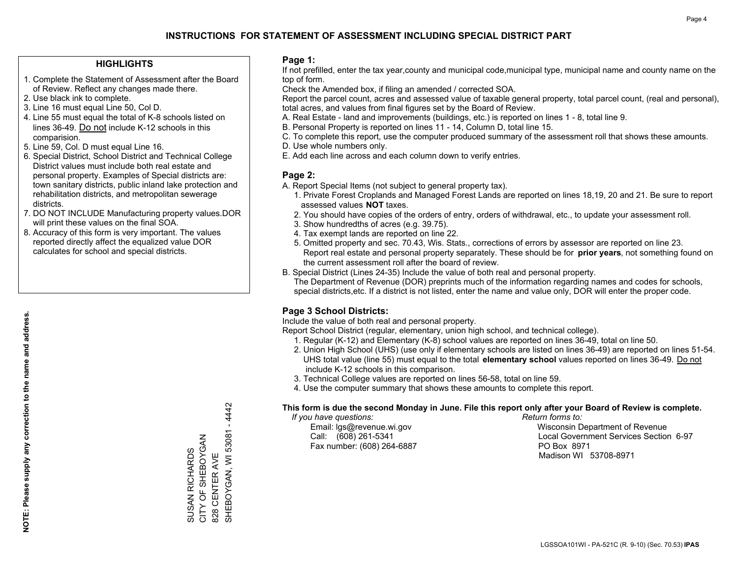#### **HIGHLIGHTS**

- 1. Complete the Statement of Assessment after the Board of Review. Reflect any changes made there.
- 2. Use black ink to complete.
- 3. Line 16 must equal Line 50, Col D.
- 4. Line 55 must equal the total of K-8 schools listed on lines 36-49. Do not include K-12 schools in this comparision.
- 5. Line 59, Col. D must equal Line 16.
- 6. Special District, School District and Technical College District values must include both real estate and personal property. Examples of Special districts are: town sanitary districts, public inland lake protection and rehabilitation districts, and metropolitan sewerage districts.
- 7. DO NOT INCLUDE Manufacturing property values.DOR will print these values on the final SOA.

SUSAN RICHARDS CITY OF SHEBOYGAN 828 CENTER AVE

SUSAN RICHARDS<br>CITY OF SHEBOYGAN

SHEBOYGAN, WI 53081 - 4442

SHEBOYGAN, WI 53081 - 4442

828 CENTER AVE

 8. Accuracy of this form is very important. The values reported directly affect the equalized value DOR calculates for school and special districts.

#### **Page 1:**

 If not prefilled, enter the tax year,county and municipal code,municipal type, municipal name and county name on the top of form.

Check the Amended box, if filing an amended / corrected SOA.

 Report the parcel count, acres and assessed value of taxable general property, total parcel count, (real and personal), total acres, and values from final figures set by the Board of Review.

- A. Real Estate land and improvements (buildings, etc.) is reported on lines 1 8, total line 9.
- B. Personal Property is reported on lines 11 14, Column D, total line 15.
- C. To complete this report, use the computer produced summary of the assessment roll that shows these amounts.
- D. Use whole numbers only.
- E. Add each line across and each column down to verify entries.

#### **Page 2:**

- A. Report Special Items (not subject to general property tax).
- 1. Private Forest Croplands and Managed Forest Lands are reported on lines 18,19, 20 and 21. Be sure to report assessed values **NOT** taxes.
- 2. You should have copies of the orders of entry, orders of withdrawal, etc., to update your assessment roll.
	- 3. Show hundredths of acres (e.g. 39.75).
- 4. Tax exempt lands are reported on line 22.
- 5. Omitted property and sec. 70.43, Wis. Stats., corrections of errors by assessor are reported on line 23. Report real estate and personal property separately. These should be for **prior years**, not something found on the current assessment roll after the board of review.
- B. Special District (Lines 24-35) Include the value of both real and personal property.
- The Department of Revenue (DOR) preprints much of the information regarding names and codes for schools, special districts,etc. If a district is not listed, enter the name and value only, DOR will enter the proper code.

### **Page 3 School Districts:**

Include the value of both real and personal property.

Report School District (regular, elementary, union high school, and technical college).

- 1. Regular (K-12) and Elementary (K-8) school values are reported on lines 36-49, total on line 50.
- 2. Union High School (UHS) (use only if elementary schools are listed on lines 36-49) are reported on lines 51-54. UHS total value (line 55) must equal to the total **elementary school** values reported on lines 36-49. Do notinclude K-12 schools in this comparison.
- 3. Technical College values are reported on lines 56-58, total on line 59.
- 4. Use the computer summary that shows these amounts to complete this report.

#### **This form is due the second Monday in June. File this report only after your Board of Review is complete.**

 *If you have questions: Return forms to:*

Fax number: (608) 264-6887 PO Box 8971

 Email: lgs@revenue.wi.gov Wisconsin Department of Revenue Call: (608) 261-5341 Local Government Services Section 6-97Madison WI 53708-8971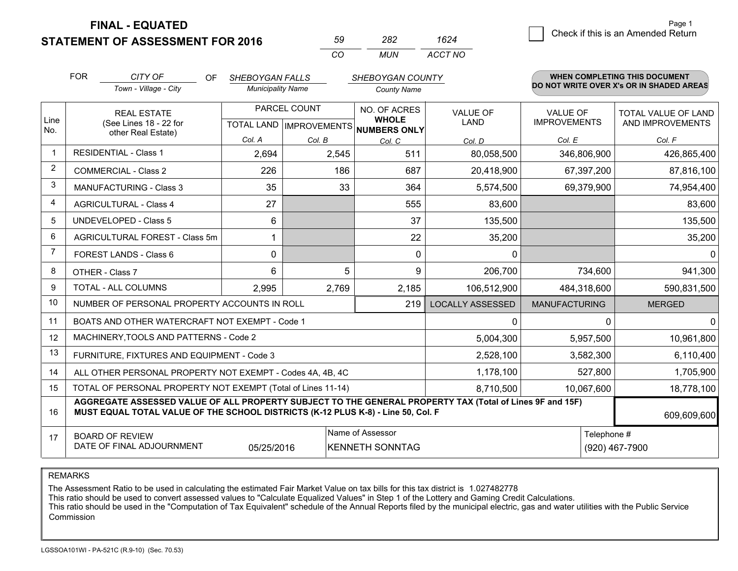**FINAL - EQUATED**

|  |  | STATEMENT OF ASSESSMENT FOR 2016 |  |
|--|--|----------------------------------|--|
|--|--|----------------------------------|--|

| 50 | ツメツ | 1624    |  |
|----|-----|---------|--|
| (  | MUN | ACCT NO |  |

|                | <b>FOR</b>                                                                                                                                                                                   | CITY OF<br>OF                                  | <b>SHEBOYGAN FALLS</b>                    |              | SHEBOYGAN COUNTY                             |                         |                                        | <b>WHEN COMPLETING THIS DOCUMENT</b>     |
|----------------|----------------------------------------------------------------------------------------------------------------------------------------------------------------------------------------------|------------------------------------------------|-------------------------------------------|--------------|----------------------------------------------|-------------------------|----------------------------------------|------------------------------------------|
|                |                                                                                                                                                                                              | Town - Village - City                          | <b>Municipality Name</b>                  |              | <b>County Name</b>                           |                         |                                        | DO NOT WRITE OVER X's OR IN SHADED AREAS |
| Line<br>No.    |                                                                                                                                                                                              | <b>REAL ESTATE</b><br>(See Lines 18 - 22 for   | PARCEL COUNT<br>TOTAL LAND   IMPROVEMENTS |              | NO. OF ACRES<br><b>WHOLE</b><br>NUMBERS ONLY | VALUE OF<br>LAND        | <b>VALUE OF</b><br><b>IMPROVEMENTS</b> | TOTAL VALUE OF LAND<br>AND IMPROVEMENTS  |
|                |                                                                                                                                                                                              | other Real Estate)                             | Col. A                                    | Col. B       | Col. C                                       | Col. D                  | Col. E                                 | Col. F                                   |
| $\mathbf{1}$   |                                                                                                                                                                                              | <b>RESIDENTIAL - Class 1</b>                   | 2,694                                     | 2,545        | 511                                          | 80,058,500              | 346,806,900                            | 426,865,400                              |
| 2              |                                                                                                                                                                                              | <b>COMMERCIAL - Class 2</b>                    | 226                                       | 186          | 687                                          | 20,418,900              | 67,397,200                             | 87,816,100                               |
| 3              |                                                                                                                                                                                              | <b>MANUFACTURING - Class 3</b>                 | 35                                        | 33           | 364                                          | 5,574,500               | 69,379,900                             | 74,954,400                               |
| $\overline{4}$ |                                                                                                                                                                                              | <b>AGRICULTURAL - Class 4</b>                  | 27                                        |              | 555                                          | 83,600                  |                                        | 83,600                                   |
| 5              |                                                                                                                                                                                              | <b>UNDEVELOPED - Class 5</b>                   | 6                                         |              | 37                                           | 135,500                 |                                        | 135,500                                  |
| 6              |                                                                                                                                                                                              | <b>AGRICULTURAL FOREST - Class 5m</b>          | 1                                         |              | 22                                           | 35,200                  |                                        | 35,200                                   |
| 7              |                                                                                                                                                                                              | FOREST LANDS - Class 6                         | 0                                         |              | $\Omega$                                     | $\Omega$                |                                        | 0                                        |
| 8              |                                                                                                                                                                                              | OTHER - Class 7                                | 6                                         | 5            | 9                                            | 206,700                 | 734,600                                | 941,300                                  |
| 9              |                                                                                                                                                                                              | TOTAL - ALL COLUMNS                            | 2,995                                     | 2,769        | 2,185                                        | 106,512,900             | 484,318,600                            | 590,831,500                              |
| 10             | NUMBER OF PERSONAL PROPERTY ACCOUNTS IN ROLL                                                                                                                                                 |                                                |                                           |              | 219                                          | <b>LOCALLY ASSESSED</b> | <b>MANUFACTURING</b>                   | <b>MERGED</b>                            |
| 11             |                                                                                                                                                                                              | BOATS AND OTHER WATERCRAFT NOT EXEMPT - Code 1 |                                           | $\mathbf{0}$ |                                              | 0<br>$\Omega$           |                                        |                                          |
| 12             |                                                                                                                                                                                              | MACHINERY, TOOLS AND PATTERNS - Code 2         |                                           |              |                                              | 5,004,300               | 5,957,500                              | 10,961,800                               |
| 13             |                                                                                                                                                                                              | FURNITURE, FIXTURES AND EQUIPMENT - Code 3     |                                           |              |                                              | 2,528,100               | 3,582,300                              | 6,110,400                                |
| 14             | 1,178,100<br>ALL OTHER PERSONAL PROPERTY NOT EXEMPT - Codes 4A, 4B, 4C                                                                                                                       |                                                |                                           |              |                                              |                         | 527,800                                | 1,705,900                                |
| 15             | TOTAL OF PERSONAL PROPERTY NOT EXEMPT (Total of Lines 11-14)<br>10,067,600<br>8,710,500                                                                                                      |                                                |                                           |              |                                              |                         | 18,778,100                             |                                          |
| 16             | AGGREGATE ASSESSED VALUE OF ALL PROPERTY SUBJECT TO THE GENERAL PROPERTY TAX (Total of Lines 9F and 15F)<br>MUST EQUAL TOTAL VALUE OF THE SCHOOL DISTRICTS (K-12 PLUS K-8) - Line 50, Col. F |                                                |                                           |              |                                              |                         | 609,609,600                            |                                          |
| 17             | Name of Assessor<br>Telephone #<br><b>BOARD OF REVIEW</b><br>DATE OF FINAL ADJOURNMENT<br>05/25/2016<br><b>KENNETH SONNTAG</b><br>(920) 467-7900                                             |                                                |                                           |              |                                              |                         |                                        |                                          |

REMARKS

The Assessment Ratio to be used in calculating the estimated Fair Market Value on tax bills for this tax district is 1.027482778

This ratio should be used to convert assessed values to "Calculate Equalized Values" in Step 1 of the Lottery and Gaming Credit Calculations.<br>This ratio should be used in the "Computation of Tax Equivalent" schedule of the Commission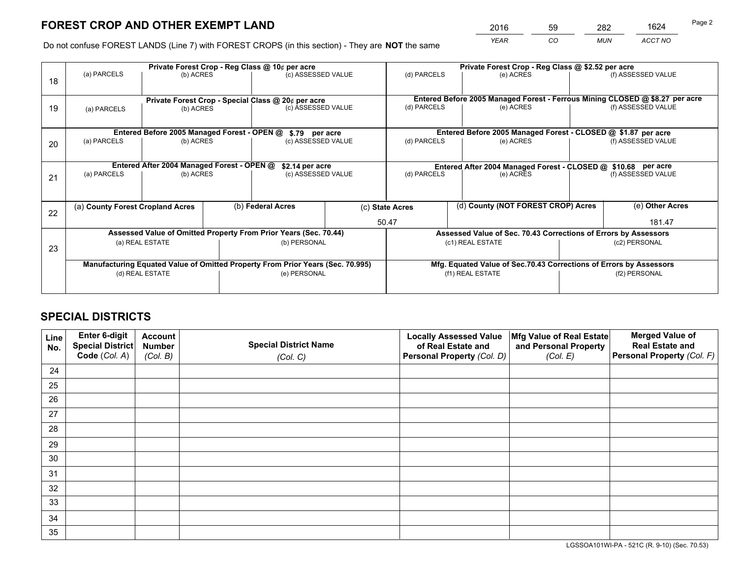# **FOREST CROP AND OTHER EXEMPT LAND**

 *YEAR CO MUN ACCT NO* <sup>2016</sup> <sup>59</sup> <sup>282</sup> <sup>1624</sup>

Do not confuse FOREST LANDS (Line 7) with FOREST CROPS (in this section) - They are **NOT** the same

|    | Private Forest Crop - Reg Class @ 10¢ per acre                                 |                                             |  |                                                                  |                                       | Private Forest Crop - Reg Class @ \$2.52 per acre                            |                                                                 |               |                    |  |
|----|--------------------------------------------------------------------------------|---------------------------------------------|--|------------------------------------------------------------------|---------------------------------------|------------------------------------------------------------------------------|-----------------------------------------------------------------|---------------|--------------------|--|
| 18 | (a) PARCELS                                                                    | (b) ACRES                                   |  | (c) ASSESSED VALUE                                               |                                       | (d) PARCELS                                                                  | (e) ACRES                                                       |               | (f) ASSESSED VALUE |  |
|    |                                                                                |                                             |  | Private Forest Crop - Special Class @ 20¢ per acre               |                                       | Entered Before 2005 Managed Forest - Ferrous Mining CLOSED @ \$8.27 per acre |                                                                 |               |                    |  |
| 19 | (b) ACRES<br>(a) PARCELS                                                       |                                             |  | (c) ASSESSED VALUE                                               |                                       | (d) PARCELS                                                                  | (e) ACRES                                                       |               | (f) ASSESSED VALUE |  |
|    |                                                                                | Entered Before 2005 Managed Forest - OPEN @ |  | \$.79 per acre                                                   |                                       |                                                                              | Entered Before 2005 Managed Forest - CLOSED @ \$1.87 per acre   |               |                    |  |
| 20 | (a) PARCELS                                                                    | (b) ACRES                                   |  | (c) ASSESSED VALUE                                               |                                       | (d) PARCELS                                                                  | (e) ACRES                                                       |               | (f) ASSESSED VALUE |  |
|    |                                                                                |                                             |  |                                                                  |                                       |                                                                              |                                                                 |               |                    |  |
|    |                                                                                | Entered After 2004 Managed Forest - OPEN @  |  |                                                                  | \$2.14 per acre<br>(c) ASSESSED VALUE |                                                                              | Entered After 2004 Managed Forest - CLOSED @ \$10.68 per acre   |               |                    |  |
| 21 | (a) PARCELS                                                                    | (b) ACRES                                   |  |                                                                  |                                       |                                                                              | (d) PARCELS<br>(e) ACRES                                        |               | (f) ASSESSED VALUE |  |
|    |                                                                                |                                             |  |                                                                  |                                       |                                                                              |                                                                 |               |                    |  |
| 22 | (a) County Forest Cropland Acres                                               |                                             |  | (b) Federal Acres                                                |                                       | (d) County (NOT FOREST CROP) Acres<br>(c) State Acres                        |                                                                 |               | (e) Other Acres    |  |
|    |                                                                                |                                             |  |                                                                  |                                       | 50.47                                                                        |                                                                 |               | 181.47             |  |
|    |                                                                                |                                             |  | Assessed Value of Omitted Property From Prior Years (Sec. 70.44) |                                       |                                                                              | Assessed Value of Sec. 70.43 Corrections of Errors by Assessors |               |                    |  |
| 23 | (a) REAL ESTATE                                                                |                                             |  | (b) PERSONAL                                                     |                                       | (c1) REAL ESTATE                                                             |                                                                 | (c2) PERSONAL |                    |  |
|    |                                                                                |                                             |  |                                                                  |                                       |                                                                              |                                                                 |               |                    |  |
|    | Manufacturing Equated Value of Omitted Property From Prior Years (Sec. 70.995) |                                             |  |                                                                  |                                       | Mfg. Equated Value of Sec.70.43 Corrections of Errors by Assessors           |                                                                 |               |                    |  |
|    | (d) REAL ESTATE                                                                |                                             |  | (e) PERSONAL                                                     |                                       | (f1) REAL ESTATE                                                             |                                                                 |               | (f2) PERSONAL      |  |
|    |                                                                                |                                             |  |                                                                  |                                       |                                                                              |                                                                 |               |                    |  |

## **SPECIAL DISTRICTS**

| Line<br>No. | Enter 6-digit<br>Special District<br>Code (Col. A) | <b>Account</b><br><b>Number</b> | <b>Special District Name</b> | <b>Locally Assessed Value</b><br>of Real Estate and | Mfg Value of Real Estate<br>and Personal Property | <b>Merged Value of</b><br><b>Real Estate and</b><br>Personal Property (Col. F) |
|-------------|----------------------------------------------------|---------------------------------|------------------------------|-----------------------------------------------------|---------------------------------------------------|--------------------------------------------------------------------------------|
|             |                                                    | (Col. B)                        | (Col. C)                     | Personal Property (Col. D)                          | (Col. E)                                          |                                                                                |
| 24          |                                                    |                                 |                              |                                                     |                                                   |                                                                                |
| 25          |                                                    |                                 |                              |                                                     |                                                   |                                                                                |
| 26          |                                                    |                                 |                              |                                                     |                                                   |                                                                                |
| 27          |                                                    |                                 |                              |                                                     |                                                   |                                                                                |
| 28          |                                                    |                                 |                              |                                                     |                                                   |                                                                                |
| 29          |                                                    |                                 |                              |                                                     |                                                   |                                                                                |
| 30          |                                                    |                                 |                              |                                                     |                                                   |                                                                                |
| 31          |                                                    |                                 |                              |                                                     |                                                   |                                                                                |
| 32          |                                                    |                                 |                              |                                                     |                                                   |                                                                                |
| 33          |                                                    |                                 |                              |                                                     |                                                   |                                                                                |
| 34          |                                                    |                                 |                              |                                                     |                                                   |                                                                                |
| 35          |                                                    |                                 |                              |                                                     |                                                   |                                                                                |

LGSSOA101WI-PA - 521C (R. 9-10) (Sec. 70.53)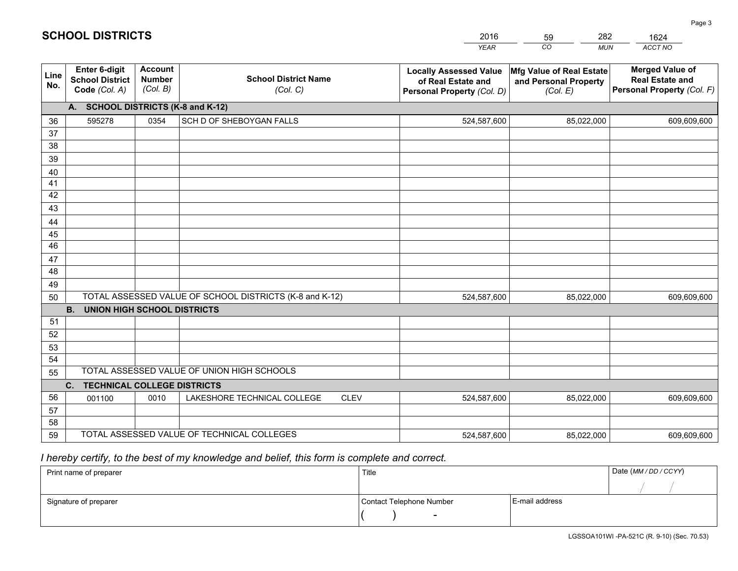|             |                                                          |                                             |                                                         | <b>YEAR</b>                                                                       | CO<br><b>MUN</b>                                              | ACCT NO                                                                        |
|-------------|----------------------------------------------------------|---------------------------------------------|---------------------------------------------------------|-----------------------------------------------------------------------------------|---------------------------------------------------------------|--------------------------------------------------------------------------------|
| Line<br>No. | Enter 6-digit<br><b>School District</b><br>Code (Col. A) | <b>Account</b><br><b>Number</b><br>(Col. B) | <b>School District Name</b><br>(Col. C)                 | <b>Locally Assessed Value</b><br>of Real Estate and<br>Personal Property (Col. D) | Mfg Value of Real Estate<br>and Personal Property<br>(Col. E) | <b>Merged Value of</b><br><b>Real Estate and</b><br>Personal Property (Col. F) |
|             | A. SCHOOL DISTRICTS (K-8 and K-12)                       |                                             |                                                         |                                                                                   |                                                               |                                                                                |
| 36          | 595278                                                   | 0354                                        | SCH D OF SHEBOYGAN FALLS                                | 524,587,600                                                                       | 85,022,000                                                    | 609,609,600                                                                    |
| 37          |                                                          |                                             |                                                         |                                                                                   |                                                               |                                                                                |
| 38          |                                                          |                                             |                                                         |                                                                                   |                                                               |                                                                                |
| 39          |                                                          |                                             |                                                         |                                                                                   |                                                               |                                                                                |
| 40          |                                                          |                                             |                                                         |                                                                                   |                                                               |                                                                                |
| 41<br>42    |                                                          |                                             |                                                         |                                                                                   |                                                               |                                                                                |
| 43          |                                                          |                                             |                                                         |                                                                                   |                                                               |                                                                                |
| 44          |                                                          |                                             |                                                         |                                                                                   |                                                               |                                                                                |
| 45          |                                                          |                                             |                                                         |                                                                                   |                                                               |                                                                                |
| 46          |                                                          |                                             |                                                         |                                                                                   |                                                               |                                                                                |
| 47          |                                                          |                                             |                                                         |                                                                                   |                                                               |                                                                                |
| 48          |                                                          |                                             |                                                         |                                                                                   |                                                               |                                                                                |
| 49          |                                                          |                                             |                                                         |                                                                                   |                                                               |                                                                                |
| 50          |                                                          |                                             | TOTAL ASSESSED VALUE OF SCHOOL DISTRICTS (K-8 and K-12) | 524,587,600                                                                       | 85,022,000                                                    | 609,609,600                                                                    |
|             | <b>B.</b><br><b>UNION HIGH SCHOOL DISTRICTS</b>          |                                             |                                                         |                                                                                   |                                                               |                                                                                |
| 51          |                                                          |                                             |                                                         |                                                                                   |                                                               |                                                                                |
| 52          |                                                          |                                             |                                                         |                                                                                   |                                                               |                                                                                |
| 53<br>54    |                                                          |                                             |                                                         |                                                                                   |                                                               |                                                                                |
| 55          |                                                          |                                             | TOTAL ASSESSED VALUE OF UNION HIGH SCHOOLS              |                                                                                   |                                                               |                                                                                |
|             | C.<br><b>TECHNICAL COLLEGE DISTRICTS</b>                 |                                             |                                                         |                                                                                   |                                                               |                                                                                |
| 56          | 001100                                                   | 0010                                        | LAKESHORE TECHNICAL COLLEGE<br><b>CLEV</b>              | 524,587,600                                                                       | 85,022,000                                                    | 609,609,600                                                                    |
| 57          |                                                          |                                             |                                                         |                                                                                   |                                                               |                                                                                |
| 58          |                                                          |                                             |                                                         |                                                                                   |                                                               |                                                                                |
| 59          |                                                          |                                             | TOTAL ASSESSED VALUE OF TECHNICAL COLLEGES              | 524,587,600                                                                       | 85,022,000                                                    | 609,609,600                                                                    |

2016

59

282

 *I hereby certify, to the best of my knowledge and belief, this form is complete and correct.*

**SCHOOL DISTRICTS**

| Print name of preparer | Title                    |                | Date (MM / DD / CCYY) |
|------------------------|--------------------------|----------------|-----------------------|
|                        |                          |                |                       |
| Signature of preparer  | Contact Telephone Number | E-mail address |                       |
|                        | $\sim$                   |                |                       |

Page 3

1624